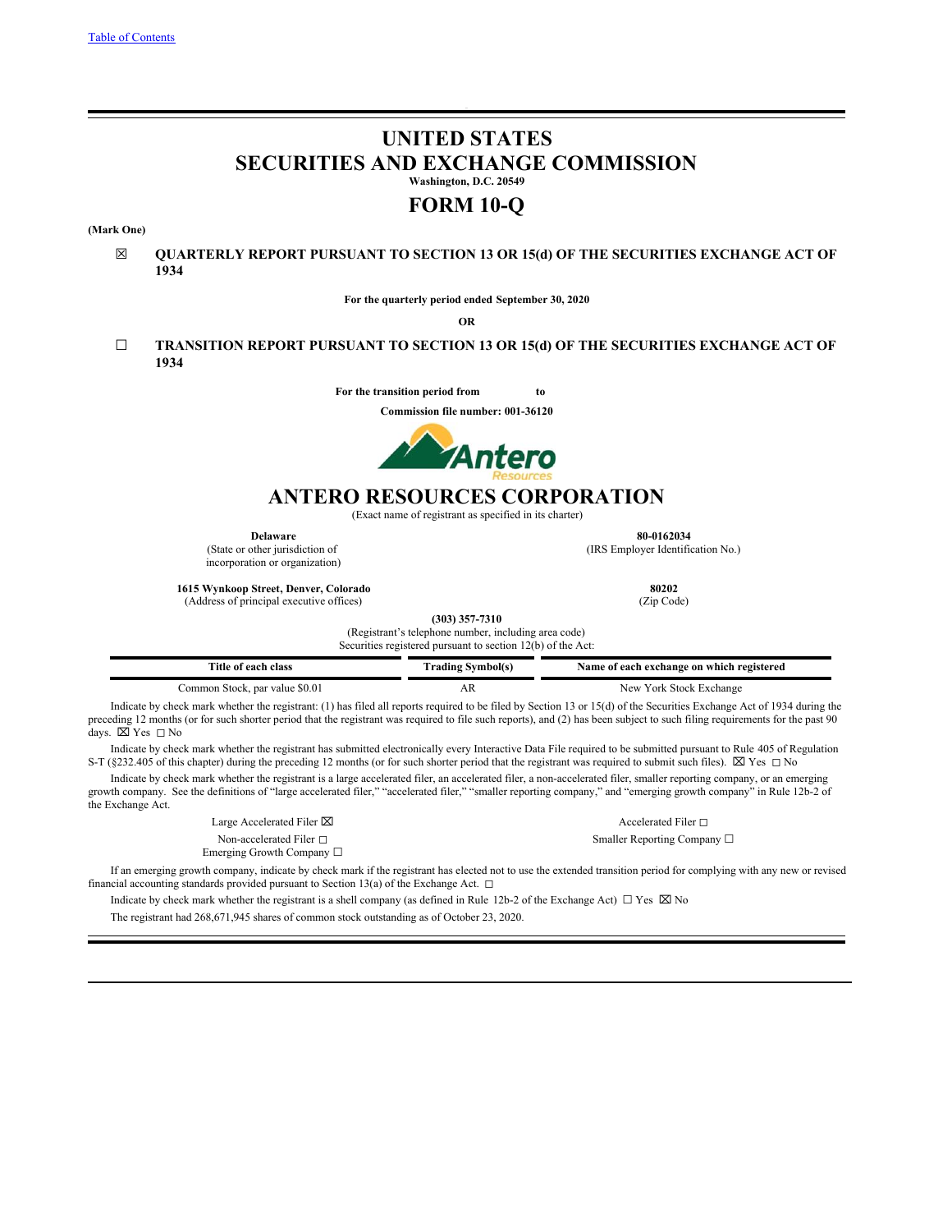# **UNITED STATES SECURITIES AND EXCHANGE COMMISSION Washington, D.C. 20549**

# **FORM 10-Q**

<span id="page-0-0"></span>**(Mark One)**

**☒ QUARTERLY REPORT PURSUANT TO SECTION 13 OR 15(d) OF THE SECURITIES EXCHANGE ACT OF 1934**

**For the quarterly period ended September 30, 2020**

**OR**

**☐ TRANSITION REPORT PURSUANT TO SECTION 13 OR 15(d) OF THE SECURITIES EXCHANGE ACT OF 1934**

**For the transition period from to**

**Commission file number: 001-36120**



# **ANTERO RESOURCES CORPORATION**

(Exact name of registrant as specified in its charter)

(State or other jurisdiction of incorporation or organization)

**Delaware 80-0162034** (IRS Employer Identification No.)

**1615 Wynkoop Street, Denver, Colorado 80202** (Address of principal executive offices) (Zip Code)

**(303) 357-7310**

(Registrant's telephone number, including area code) Securities registered pursuant to section 12(b) of the Act:

| Title of each class            | <b>Trading Symbol(s)</b> | Name of each exchange on which registered |  |  |  |  |
|--------------------------------|--------------------------|-------------------------------------------|--|--|--|--|
| Common Stock, par value \$0.01 | AR                       | New York Stock Exchange                   |  |  |  |  |

Indicate by check mark whether the registrant: (1) has filed all reports required to be filed by Section 13 or 15(d) of the Securities Exchange Act of 1934 during the preceding 12 months (or for such shorter period that the registrant was required to file such reports), and (2) has been subject to such filing requirements for the past 90 days. ⊠ Yes □ No

Indicate by check mark whether the registrant has submitted electronically every Interactive Data File required to be submitted pursuant to Rule 405 of Regulation S-T (§232.405 of this chapter) during the preceding 12 months (or for such shorter period that the registrant was required to submit such files). ⊠ Yes □ No

Indicate by check mark whether the registrant is a large accelerated filer, an accelerated filer, a non-accelerated filer, smaller reporting company, or an emerging growth company. See the definitions of "large accelerated filer," "accelerated filer," "smaller reporting company," and "emerging growth company" in Rule 12b-2 of the Exchange Act.

| Large Accelerated Filer $\boxtimes$ |  |
|-------------------------------------|--|
|                                     |  |

Emerging Growth Company ☐

Accelerated Filer □ Non-accelerated Filer □ Smaller Reporting Company □

If an emerging growth company, indicate by check mark if the registrant has elected not to use the extended transition period for complying with any new or revised financial accounting standards provided pursuant to Section 13(a) of the Exchange Act.  $\square$ 

Indicate by check mark whether the registrant is a shell company (as defined in Rule 12b-2 of the Exchange Act)  $\Box$  Yes  $\boxtimes$  No

The registrant had 268,671,945 shares of common stock outstanding as of October 23, 2020.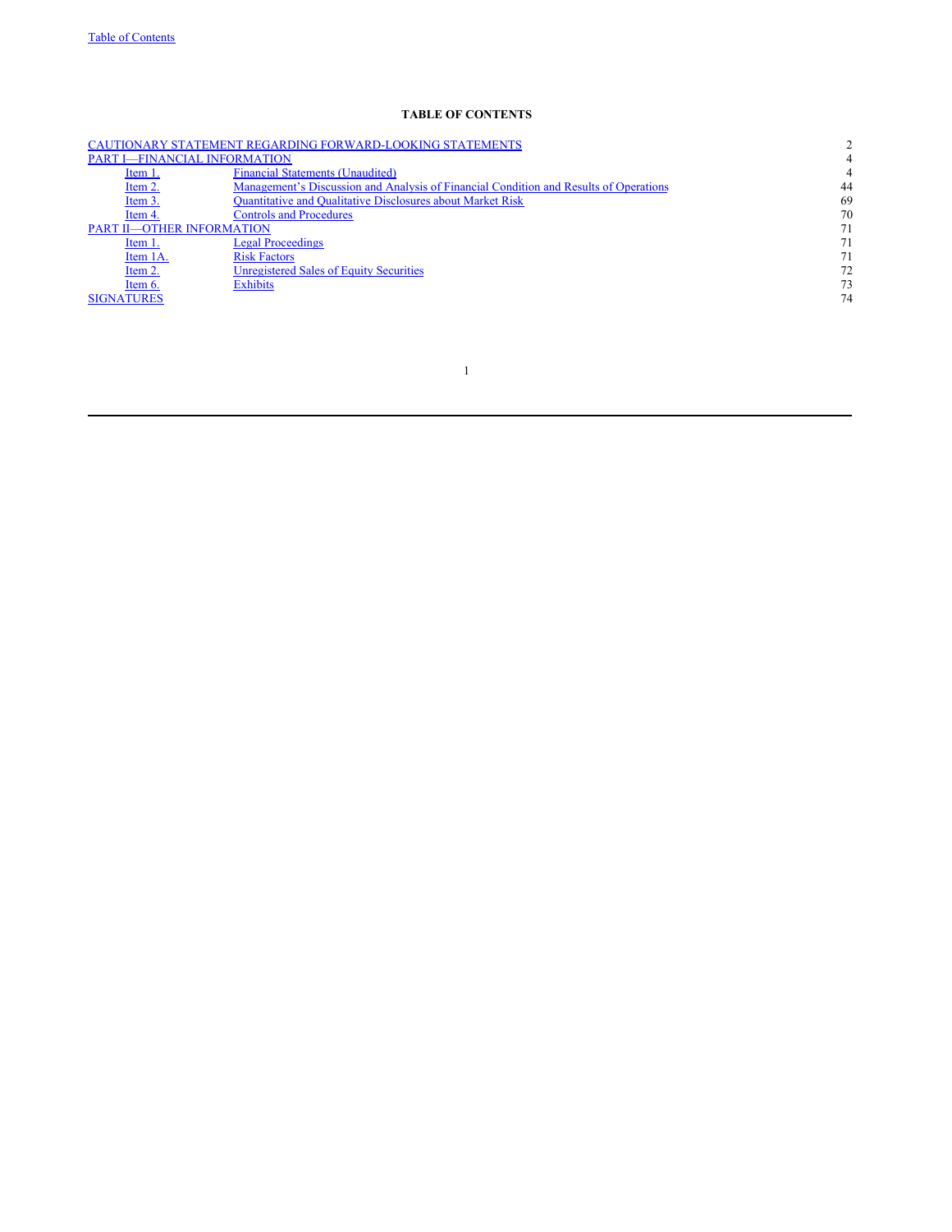## **TABLE OF CONTENTS**

| <b>CAU</b>                          | STATEMENT REGARDING FORWARD-LOOKING STATEMENTS                                        |    |
|-------------------------------------|---------------------------------------------------------------------------------------|----|
| <b>PART I-FINANCIAL INFORMATION</b> |                                                                                       |    |
| Item 1.                             | <b>Financial Statements (Unaudited)</b>                                               | 4  |
| Item 2.                             | Management's Discussion and Analysis of Financial Condition and Results of Operations | 44 |
| Item 3.                             | Quantitative and Qualitative Disclosures about Market Risk                            | 69 |
| Item 4.                             | <b>Controls and Procedures</b>                                                        | 70 |
| <b>PART II-OTHER INFORMATION</b>    |                                                                                       | 71 |
| Item 1.                             | <b>Legal Proceedings</b>                                                              | 71 |
| Item 1A.                            | <b>Risk Factors</b>                                                                   | 71 |
| Item 2.                             | <b>Unregistered Sales of Equity Securities</b>                                        | 72 |
| Item 6.                             | <b>Exhibits</b>                                                                       | 73 |
| <b>SIGNATURES</b>                   |                                                                                       | 74 |
|                                     |                                                                                       |    |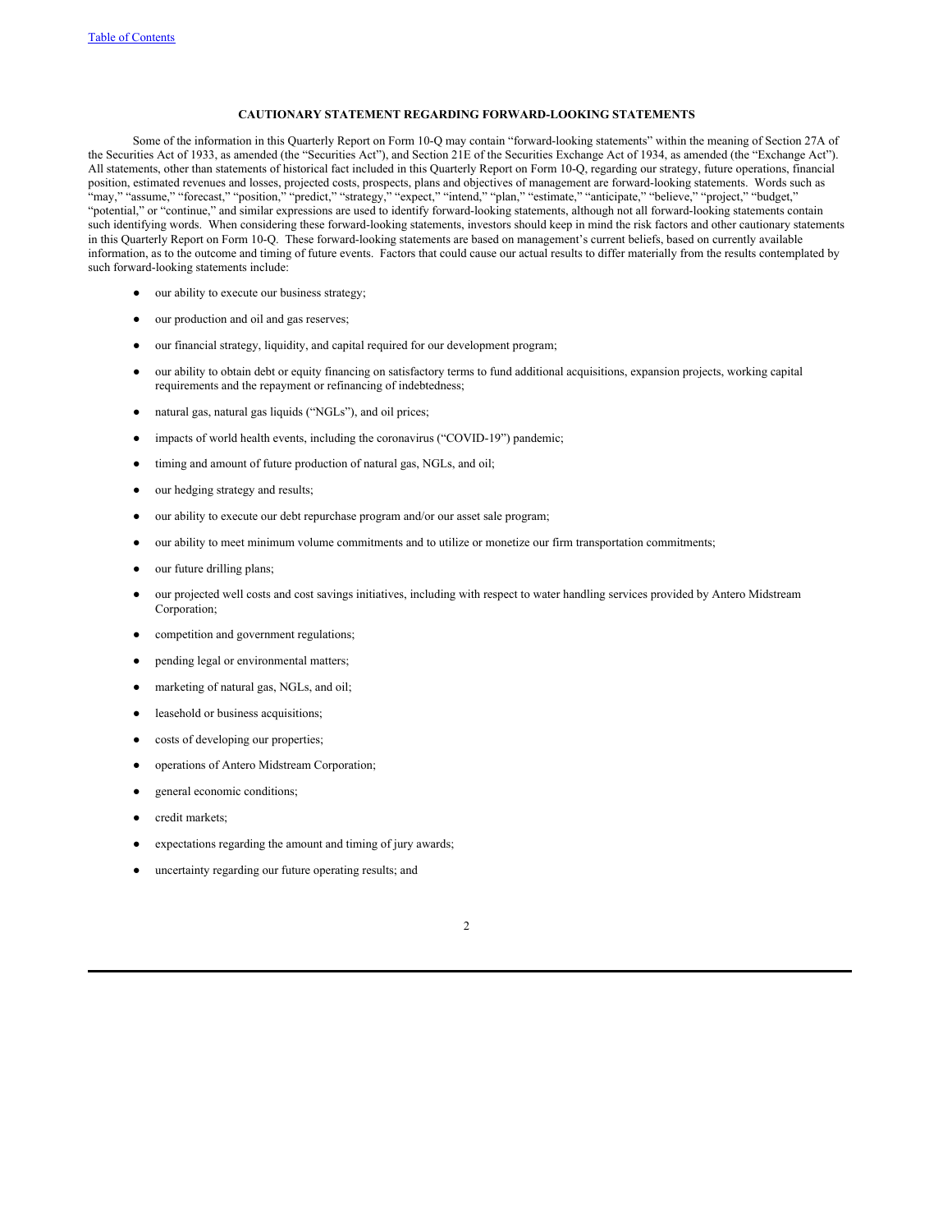## **CAUTIONARY STATEMENT REGARDING FORWARD-LOOKING STATEMENTS**

Some of the information in this Quarterly Report on Form 10-Q may contain "forward-looking statements" within the meaning of Section 27A of the Securities Act of 1933, as amended (the "Securities Act"), and Section 21E of the Securities Exchange Act of 1934, as amended (the "Exchange Act"). All statements, other than statements of historical fact included in this Quarterly Report on Form 10-Q, regarding our strategy, future operations, financial position, estimated revenues and losses, projected costs, prospects, plans and objectives of management are forward-looking statements. Words such as "may," "assume," "forecast," "position," "predict," "strategy," "expect," "intend," "plan," "estimate," "anticipate," "believe," "project," "budget," "potential," or "continue," and similar expressions are used to identify forward-looking statements, although not all forward-looking statements contain such identifying words. When considering these forward-looking statements, investors should keep in mind the risk factors and other cautionary statements in this Quarterly Report on Form 10-Q. These forward-looking statements are based on management's current beliefs, based on currently available information, as to the outcome and timing of future events. Factors that could cause our actual results to differ materially from the results contemplated by such forward-looking statements include:

- our ability to execute our business strategy;
- our production and oil and gas reserves;
- our financial strategy, liquidity, and capital required for our development program;
- our ability to obtain debt or equity financing on satisfactory terms to fund additional acquisitions, expansion projects, working capital requirements and the repayment or refinancing of indebtedness;
- natural gas, natural gas liquids ("NGLs"), and oil prices;
- impacts of world health events, including the coronavirus ("COVID-19") pandemic;
- timing and amount of future production of natural gas, NGLs, and oil;
- our hedging strategy and results;
- our ability to execute our debt repurchase program and/or our asset sale program;
- our ability to meet minimum volume commitments and to utilize or monetize our firm transportation commitments;
- our future drilling plans;
- our projected well costs and cost savings initiatives, including with respect to water handling services provided by Antero Midstream Corporation;
- competition and government regulations;
- pending legal or environmental matters;
- marketing of natural gas, NGLs, and oil;
- leasehold or business acquisitions;
- costs of developing our properties;
- operations of Antero Midstream Corporation;
- general economic conditions;
- credit markets;
- expectations regarding the amount and timing of jury awards;
- uncertainty regarding our future operating results; and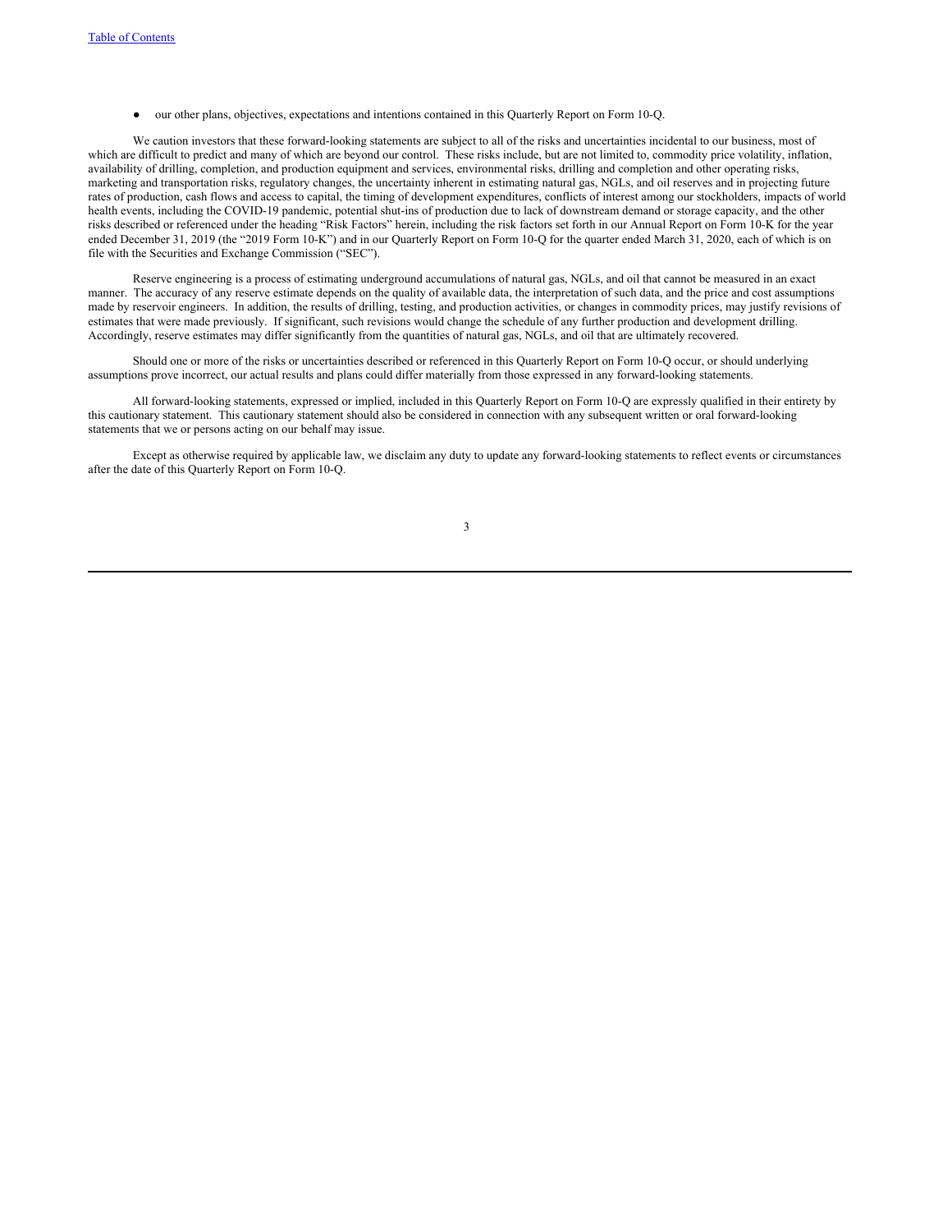our other plans, objectives, expectations and intentions contained in this Quarterly Report on Form 10-Q.

We caution investors that these forward-looking statements are subject to all of the risks and uncertainties incidental to our business, most of which are difficult to predict and many of which are beyond our control. These risks include, but are not limited to, commodity price volatility, inflation, availability of drilling, completion, and production equipment and services, environmental risks, drilling and completion and other operating risks, marketing and transportation risks, regulatory changes, the uncertainty inherent in estimating natural gas, NGLs, and oil reserves and in projecting future rates of production, cash flows and access to capital, the timing of development expenditures, conflicts of interest among our stockholders, impacts of world health events, including the COVID-19 pandemic, potential shut-ins of production due to lack of downstream demand or storage capacity, and the other risks described or referenced under the heading "Risk Factors" herein, including the risk factors set forth in our Annual Report on Form 10-K for the year ended December 31, 2019 (the "2019 Form 10-K") and in our Quarterly Report on Form 10-Q for the quarter ended March 31, 2020, each of which is on file with the Securities and Exchange Commission ("SEC").

Reserve engineering is a process of estimating underground accumulations of natural gas, NGLs, and oil that cannot be measured in an exact manner. The accuracy of any reserve estimate depends on the quality of available data, the interpretation of such data, and the price and cost assumptions made by reservoir engineers. In addition, the results of drilling, testing, and production activities, or changes in commodity prices, may justify revisions of estimates that were made previously. If significant, such revisions would change the schedule of any further production and development drilling. Accordingly, reserve estimates may differ significantly from the quantities of natural gas, NGLs, and oil that are ultimately recovered.

Should one or more of the risks or uncertainties described or referenced in this Quarterly Report on Form 10-Q occur, or should underlying assumptions prove incorrect, our actual results and plans could differ materially from those expressed in any forward-looking statements.

All forward-looking statements, expressed or implied, included in this Quarterly Report on Form 10-Q are expressly qualified in their entirety by this cautionary statement. This cautionary statement should also be considered in connection with any subsequent written or oral forward-looking statements that we or persons acting on our behalf may issue.

Except as otherwise required by applicable law, we disclaim any duty to update any forward-looking statements to reflect events or circumstances after the date of this Quarterly Report on Form 10-Q.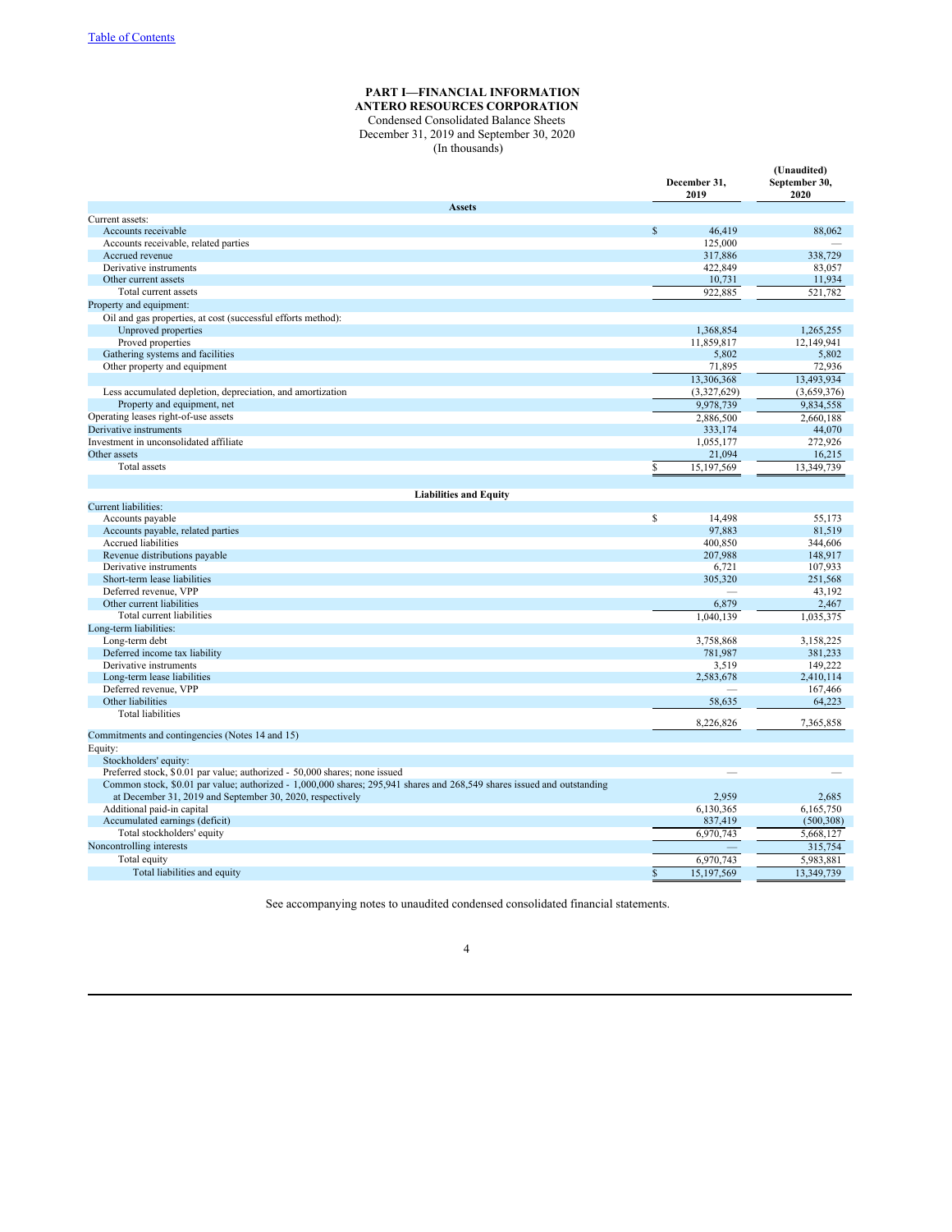## **PART I—FINANCIAL INFORMATION ANTERO RESOURCES CORPORATION**

# Condensed Consolidated Balance Sheets

December 31, 2019 and September 30, 2020 (In thousands)

|                                                                                                                         |                         | December 31,<br>2019 | (Unaudited)<br>September 30,<br>2020 |
|-------------------------------------------------------------------------------------------------------------------------|-------------------------|----------------------|--------------------------------------|
| <b>Assets</b>                                                                                                           |                         |                      |                                      |
| Current assets:                                                                                                         |                         |                      |                                      |
| Accounts receivable                                                                                                     | $\mathbf S$             | 46,419               | 88,062                               |
| Accounts receivable, related parties                                                                                    |                         | 125,000              |                                      |
| Accrued revenue                                                                                                         |                         | 317,886              | 338,729                              |
| Derivative instruments                                                                                                  |                         | 422,849              | 83,057                               |
| Other current assets                                                                                                    |                         | 10,731               | 11,934                               |
| Total current assets                                                                                                    |                         | 922,885              | 521,782                              |
| Property and equipment:                                                                                                 |                         |                      |                                      |
| Oil and gas properties, at cost (successful efforts method):                                                            |                         |                      |                                      |
| Unproved properties                                                                                                     |                         | 1,368,854            | 1,265,255                            |
| Proved properties                                                                                                       |                         | 11,859,817           | 12,149,941                           |
| Gathering systems and facilities                                                                                        |                         | 5,802                | 5,802                                |
| Other property and equipment                                                                                            |                         | 71,895               | 72,936                               |
|                                                                                                                         |                         | 13,306,368           | 13,493,934                           |
| Less accumulated depletion, depreciation, and amortization                                                              |                         | (3,327,629)          | (3,659,376)                          |
| Property and equipment, net                                                                                             |                         | 9,978,739            | 9,834,558                            |
| Operating leases right-of-use assets                                                                                    |                         | 2,886,500            | 2,660,188                            |
| Derivative instruments                                                                                                  |                         | 333,174              | 44,070                               |
| Investment in unconsolidated affiliate                                                                                  |                         | 1,055,177            | 272,926                              |
| Other assets                                                                                                            |                         |                      | 16,215                               |
|                                                                                                                         |                         | 21,094               |                                      |
| Total assets                                                                                                            | S                       | 15,197,569           | 13,349,739                           |
| <b>Liabilities and Equity</b>                                                                                           |                         |                      |                                      |
| Current liabilities:                                                                                                    |                         |                      |                                      |
| Accounts payable                                                                                                        | S                       | 14,498               | 55,173                               |
| Accounts payable, related parties                                                                                       |                         | 97,883               | 81,519                               |
| <b>Accrued liabilities</b>                                                                                              |                         | 400,850              | 344,606                              |
| Revenue distributions payable                                                                                           |                         | 207,988              | 148,917                              |
| Derivative instruments                                                                                                  |                         | 6,721                | 107,933                              |
| Short-term lease liabilities                                                                                            |                         | 305,320              | 251,568                              |
| Deferred revenue, VPP                                                                                                   |                         |                      | 43,192                               |
| Other current liabilities                                                                                               |                         | 6,879                | 2,467                                |
| Total current liabilities                                                                                               |                         | 1,040,139            | 1,035,375                            |
| Long-term liabilities:                                                                                                  |                         |                      |                                      |
| Long-term debt                                                                                                          |                         | 3,758,868            | 3,158,225                            |
| Deferred income tax liability                                                                                           |                         | 781,987              | 381,233                              |
| Derivative instruments                                                                                                  |                         | 3,519                | 149,222                              |
| Long-term lease liabilities                                                                                             |                         | 2,583,678            | 2,410,114                            |
| Deferred revenue, VPP                                                                                                   |                         |                      | 167,466                              |
| Other liabilities                                                                                                       |                         | 58,635               | 64,223                               |
| <b>Total liabilities</b>                                                                                                |                         |                      |                                      |
| Commitments and contingencies (Notes 14 and 15)                                                                         |                         | 8,226,826            | 7,365,858                            |
| Equity:                                                                                                                 |                         |                      |                                      |
| Stockholders' equity:                                                                                                   |                         |                      |                                      |
| Preferred stock, \$0.01 par value; authorized - 50,000 shares; none issued                                              |                         |                      |                                      |
| Common stock, \$0.01 par value; authorized - 1,000,000 shares; 295,941 shares and 268,549 shares issued and outstanding |                         |                      |                                      |
| at December 31, 2019 and September 30, 2020, respectively                                                               |                         | 2,959                | 2,685                                |
| Additional paid-in capital                                                                                              |                         | 6,130,365            | 6,165,750                            |
| Accumulated earnings (deficit)                                                                                          |                         | 837,419              | (500, 308)                           |
| Total stockholders' equity                                                                                              |                         | 6,970,743            | 5,668,127                            |
| Noncontrolling interests                                                                                                |                         |                      | 315,754                              |
| Total equity                                                                                                            |                         |                      |                                      |
|                                                                                                                         |                         | 6,970,743            | 5,983,881                            |
| Total liabilities and equity                                                                                            | $\overline{\mathbb{S}}$ | 15,197,569           | 13,349,739                           |

See accompanying notes to unaudited condensed consolidated financial statements.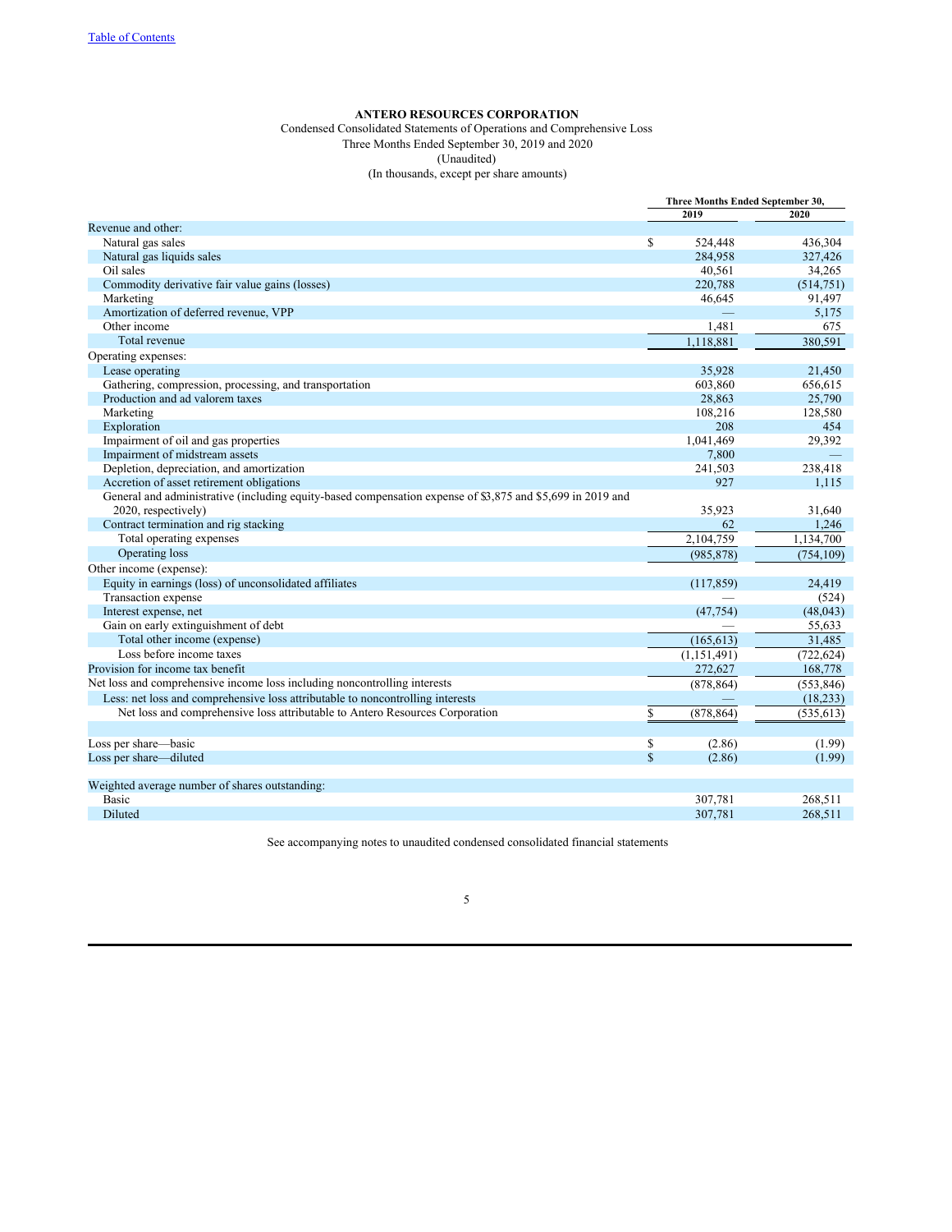# Condensed Consolidated Statements of Operations and Comprehensive Loss

Three Months Ended September 30, 2019 and 2020

(Unaudited)

(In thousands, except per share amounts)

|                                                                                                            |              | Three Months Ended September 30, |            |  |
|------------------------------------------------------------------------------------------------------------|--------------|----------------------------------|------------|--|
|                                                                                                            |              | 2019                             | 2020       |  |
| Revenue and other:                                                                                         |              |                                  |            |  |
| Natural gas sales                                                                                          | \$           | 524,448                          | 436,304    |  |
| Natural gas liquids sales                                                                                  |              | 284,958                          | 327,426    |  |
| Oil sales                                                                                                  |              | 40,561                           | 34,265     |  |
| Commodity derivative fair value gains (losses)                                                             |              | 220,788                          | (514, 751) |  |
| Marketing                                                                                                  |              | 46,645                           | 91,497     |  |
| Amortization of deferred revenue, VPP                                                                      |              |                                  | 5,175      |  |
| Other income                                                                                               |              | 1.481                            | 675        |  |
| Total revenue                                                                                              |              | 1,118,881                        | 380,591    |  |
| Operating expenses:                                                                                        |              |                                  |            |  |
| Lease operating                                                                                            |              | 35,928                           | 21.450     |  |
| Gathering, compression, processing, and transportation                                                     |              | 603,860                          | 656,615    |  |
| Production and ad valorem taxes                                                                            |              | 28,863                           | 25,790     |  |
| Marketing                                                                                                  |              | 108,216                          | 128,580    |  |
| Exploration                                                                                                |              | 208                              | 454        |  |
| Impairment of oil and gas properties                                                                       |              | 1,041,469                        | 29,392     |  |
| Impairment of midstream assets                                                                             |              | 7,800                            |            |  |
| Depletion, depreciation, and amortization                                                                  |              | 241,503                          | 238,418    |  |
| Accretion of asset retirement obligations                                                                  |              | 927                              | 1.115      |  |
| General and administrative (including equity-based compensation expense of \$3,875 and \$5,699 in 2019 and |              |                                  |            |  |
| 2020, respectively)                                                                                        |              | 35,923                           | 31.640     |  |
| Contract termination and rig stacking                                                                      |              | 62                               | 1,246      |  |
| Total operating expenses                                                                                   |              | 2,104,759                        | 1.134.700  |  |
| Operating loss                                                                                             |              | (985, 878)                       | (754, 109) |  |
| Other income (expense):                                                                                    |              |                                  |            |  |
| Equity in earnings (loss) of unconsolidated affiliates                                                     |              | (117, 859)                       | 24,419     |  |
| Transaction expense                                                                                        |              |                                  | (524)      |  |
| Interest expense, net                                                                                      |              | (47, 754)                        | (48, 043)  |  |
| Gain on early extinguishment of debt                                                                       |              |                                  | 55,633     |  |
| Total other income (expense)                                                                               |              | (165, 613)                       | 31,485     |  |
| Loss before income taxes                                                                                   |              | (1, 151, 491)                    | (722, 624) |  |
| Provision for income tax benefit                                                                           |              | 272,627                          | 168,778    |  |
| Net loss and comprehensive income loss including noncontrolling interests                                  |              | (878, 864)                       | (553, 846) |  |
| Less: net loss and comprehensive loss attributable to noncontrolling interests                             |              |                                  | (18, 233)  |  |
| Net loss and comprehensive loss attributable to Antero Resources Corporation                               |              |                                  |            |  |
|                                                                                                            | \$           | (878, 864)                       | (535, 613) |  |
| Loss per share-basic                                                                                       | \$           | (2.86)                           | (1.99)     |  |
| Loss per share-diluted                                                                                     | $\mathbf{s}$ | (2.86)                           | (1.99)     |  |
| Weighted average number of shares outstanding:                                                             |              |                                  |            |  |
| <b>Basic</b>                                                                                               |              | 307,781                          | 268,511    |  |
| <b>Diluted</b>                                                                                             |              | 307,781                          | 268,511    |  |

See accompanying notes to unaudited condensed consolidated financial statements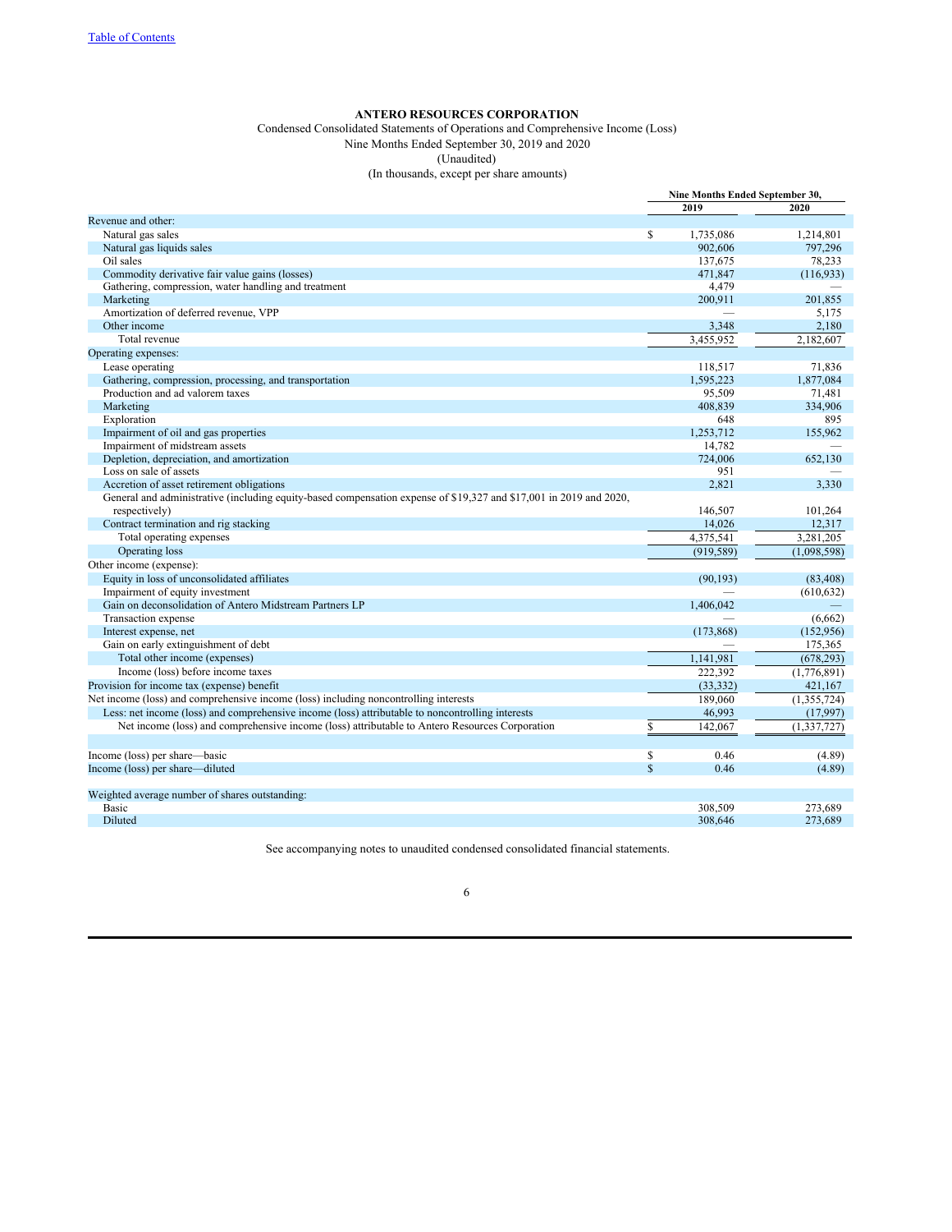Condensed Consolidated Statements of Operations and Comprehensive Income (Loss)

# Nine Months Ended September 30, 2019 and 2020

(Unaudited)

(In thousands, except per share amounts)

|                                                                                                                    | Nine Months Ended September 30, |            |               |
|--------------------------------------------------------------------------------------------------------------------|---------------------------------|------------|---------------|
|                                                                                                                    |                                 | 2019       | 2020          |
| Revenue and other:                                                                                                 |                                 |            |               |
| Natural gas sales                                                                                                  | \$                              | 1,735,086  | 1.214.801     |
| Natural gas liquids sales                                                                                          |                                 | 902,606    | 797,296       |
| Oil sales                                                                                                          |                                 | 137,675    | 78,233        |
| Commodity derivative fair value gains (losses)                                                                     |                                 | 471,847    | (116,933)     |
| Gathering, compression, water handling and treatment                                                               |                                 | 4,479      |               |
| Marketing                                                                                                          |                                 | 200,911    | 201.855       |
| Amortization of deferred revenue, VPP                                                                              |                                 |            | 5,175         |
| Other income                                                                                                       |                                 | 3,348      | 2,180         |
| Total revenue                                                                                                      |                                 | 3,455,952  | 2,182,607     |
| Operating expenses:                                                                                                |                                 |            |               |
| Lease operating                                                                                                    |                                 | 118,517    | 71.836        |
| Gathering, compression, processing, and transportation                                                             |                                 | 1,595,223  | 1,877,084     |
| Production and ad valorem taxes                                                                                    |                                 | 95,509     | 71,481        |
| Marketing                                                                                                          |                                 | 408,839    | 334,906       |
| Exploration                                                                                                        |                                 | 648        | 895           |
| Impairment of oil and gas properties                                                                               |                                 | 1,253,712  | 155,962       |
| Impairment of midstream assets                                                                                     |                                 | 14,782     |               |
| Depletion, depreciation, and amortization                                                                          |                                 | 724,006    | 652,130       |
| Loss on sale of assets                                                                                             |                                 | 951        |               |
| Accretion of asset retirement obligations                                                                          |                                 | 2.821      | 3.330         |
| General and administrative (including equity-based compensation expense of \$19,327 and \$17,001 in 2019 and 2020, |                                 |            |               |
| respectively)                                                                                                      |                                 | 146,507    | 101,264       |
| Contract termination and rig stacking                                                                              |                                 | 14,026     | 12,317        |
| Total operating expenses                                                                                           |                                 | 4,375,541  | 3,281,205     |
| Operating loss                                                                                                     |                                 | (919, 589) | (1,098,598)   |
| Other income (expense):                                                                                            |                                 |            |               |
| Equity in loss of unconsolidated affiliates                                                                        |                                 | (90, 193)  | (83, 408)     |
| Impairment of equity investment                                                                                    |                                 |            | (610, 632)    |
| Gain on deconsolidation of Antero Midstream Partners LP                                                            |                                 | 1,406,042  |               |
| Transaction expense                                                                                                |                                 |            | (6,662)       |
| Interest expense, net                                                                                              |                                 | (173, 868) | (152,956)     |
| Gain on early extinguishment of debt                                                                               |                                 |            | 175,365       |
| Total other income (expenses)                                                                                      |                                 | 1,141,981  | (678, 293)    |
| Income (loss) before income taxes                                                                                  |                                 | 222.392    | (1,776,891)   |
| Provision for income tax (expense) benefit                                                                         |                                 | (33, 332)  | 421,167       |
| Net income (loss) and comprehensive income (loss) including noncontrolling interests                               |                                 | 189,060    | (1,355,724)   |
| Less: net income (loss) and comprehensive income (loss) attributable to noncontrolling interests                   |                                 |            |               |
| Net income (loss) and comprehensive income (loss) attributable to Antero Resources Corporation                     |                                 | 46,993     | (17,997)      |
|                                                                                                                    | \$                              | 142,067    | (1, 337, 727) |
|                                                                                                                    |                                 |            |               |
| Income (loss) per share—basic                                                                                      | \$                              | 0.46       | (4.89)        |
| Income (loss) per share—diluted                                                                                    | $\mathbf{\hat{s}}$              | 0.46       | (4.89)        |
|                                                                                                                    |                                 |            |               |
| Weighted average number of shares outstanding:                                                                     |                                 |            |               |
| <b>Basic</b>                                                                                                       |                                 | 308,509    | 273,689       |
| Diluted                                                                                                            |                                 | 308,646    | 273,689       |

See accompanying notes to unaudited condensed consolidated financial statements.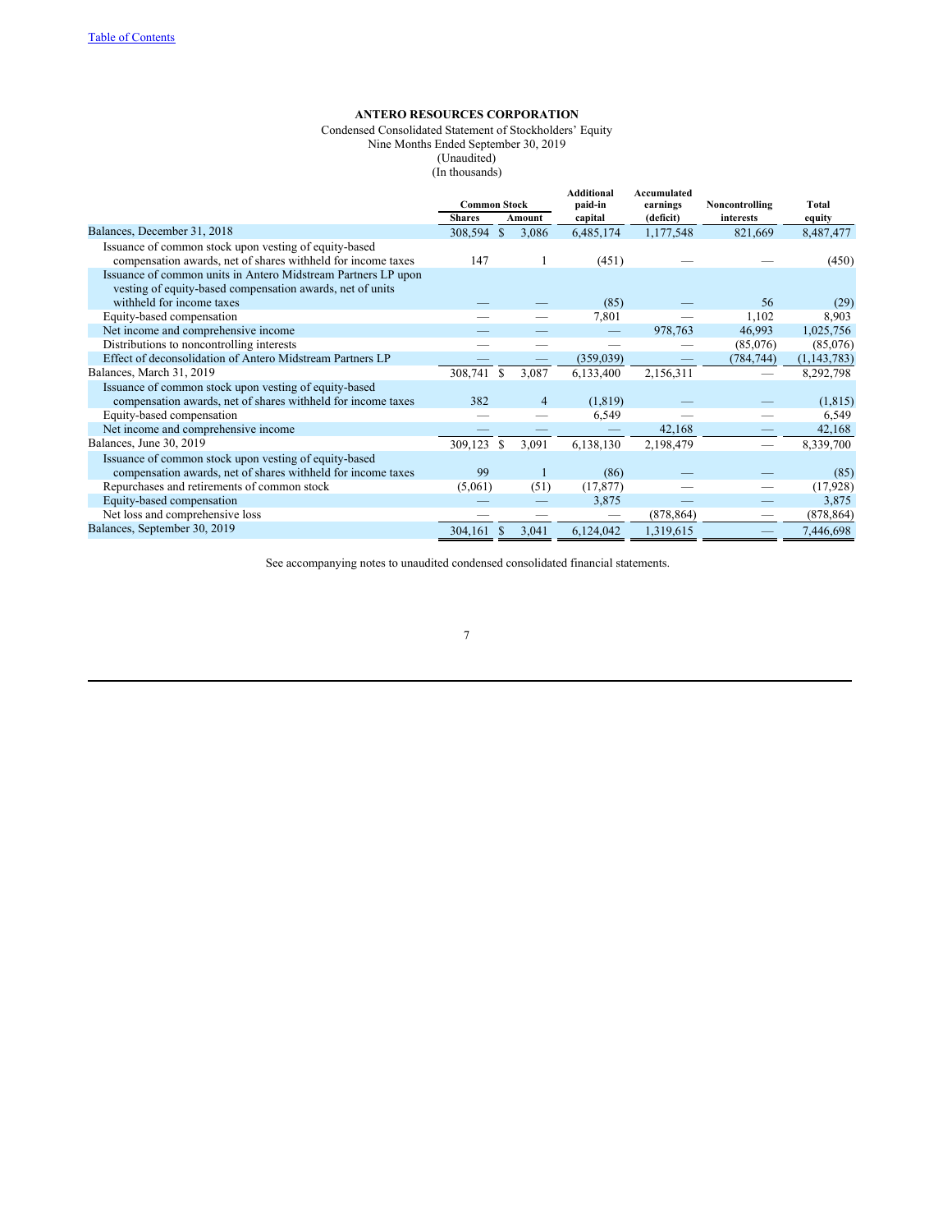Condensed Consolidated Statement of Stockholders' Equity Nine Months Ended September 30, 2019 (Unaudited)

(In thousands)

|                                                               | <b>Common Stock</b> |    |                | <b>Additional</b><br>paid-in | <b>Accumulated</b><br>earnings | Noncontrolling | <b>Total</b>  |
|---------------------------------------------------------------|---------------------|----|----------------|------------------------------|--------------------------------|----------------|---------------|
|                                                               | <b>Shares</b>       |    | Amount         | capital                      | (deficit)                      | interests      | equity        |
| Balances, December 31, 2018                                   | 308,594             | -S | 3,086          | 6,485,174                    | 1,177,548                      | 821,669        | 8,487,477     |
| Issuance of common stock upon vesting of equity-based         |                     |    |                |                              |                                |                |               |
| compensation awards, net of shares withheld for income taxes  | 147                 |    |                | (451)                        |                                |                | (450)         |
| Issuance of common units in Antero Midstream Partners LP upon |                     |    |                |                              |                                |                |               |
| vesting of equity-based compensation awards, net of units     |                     |    |                |                              |                                |                |               |
| withheld for income taxes                                     |                     |    |                | (85)                         |                                | 56             | (29)          |
| Equity-based compensation                                     |                     |    |                | 7,801                        |                                | 1,102          | 8,903         |
| Net income and comprehensive income                           |                     |    |                |                              | 978,763                        | 46,993         | 1,025,756     |
| Distributions to noncontrolling interests                     |                     |    |                |                              |                                | (85,076)       | (85,076)      |
| Effect of deconsolidation of Antero Midstream Partners LP     |                     |    |                | (359, 039)                   |                                | (784, 744)     | (1, 143, 783) |
| Balances, March 31, 2019                                      | 308,741             | S  | 3,087          | 6,133,400                    | 2,156,311                      |                | 8,292,798     |
| Issuance of common stock upon vesting of equity-based         |                     |    |                |                              |                                |                |               |
| compensation awards, net of shares withheld for income taxes  | 382                 |    | $\overline{4}$ | (1, 819)                     |                                |                | (1, 815)      |
| Equity-based compensation                                     |                     |    |                | 6,549                        |                                |                | 6,549         |
| Net income and comprehensive income                           |                     |    |                |                              | 42,168                         |                | 42,168        |
| Balances, June 30, 2019                                       | 309,123             | S  | 3,091          | 6,138,130                    | 2,198,479                      | -              | 8,339,700     |
| Issuance of common stock upon vesting of equity-based         |                     |    |                |                              |                                |                |               |
| compensation awards, net of shares withheld for income taxes  | 99                  |    |                | (86)                         |                                |                | (85)          |
| Repurchases and retirements of common stock                   | (5,061)             |    | (51)           | (17, 877)                    |                                |                | (17, 928)     |
| Equity-based compensation                                     |                     |    |                | 3,875                        |                                |                | 3,875         |
| Net loss and comprehensive loss                               |                     |    |                |                              | (878, 864)                     |                | (878, 864)    |
| Balances, September 30, 2019                                  | 304,161             |    | 3,041          | 6,124,042                    | 1,319,615                      |                | 7,446,698     |

See accompanying notes to unaudited condensed consolidated financial statements.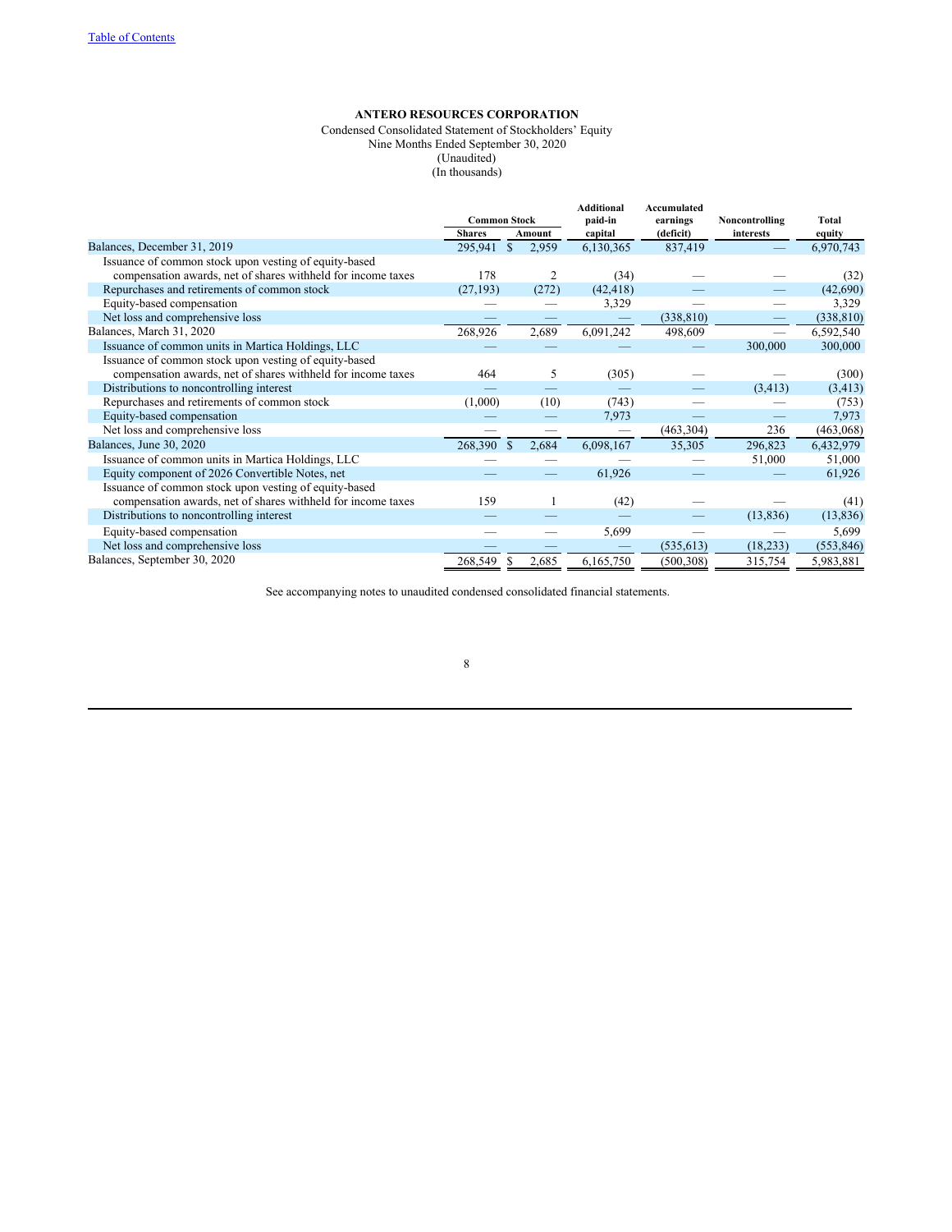Condensed Consolidated Statement of Stockholders' Equity Nine Months Ended September 30, 2020 (Unaudited) (In thousands)

|                                                              |                     |    |        | <b>Additional</b> | Accumulated |                |            |
|--------------------------------------------------------------|---------------------|----|--------|-------------------|-------------|----------------|------------|
|                                                              | <b>Common Stock</b> |    |        | paid-in           | earnings    | Noncontrolling | Total      |
|                                                              | <b>Shares</b>       |    | Amount | capital           | (deficit)   | interests      | equity     |
| Balances, December 31, 2019                                  | 295,941             | -S | 2,959  | 6,130,365         | 837,419     |                | 6,970,743  |
| Issuance of common stock upon vesting of equity-based        |                     |    |        |                   |             |                |            |
| compensation awards, net of shares withheld for income taxes | 178                 |    | 2      | (34)              |             |                | (32)       |
| Repurchases and retirements of common stock                  | (27, 193)           |    | (272)  | (42, 418)         |             |                | (42,690)   |
| Equity-based compensation                                    |                     |    |        | 3,329             |             |                | 3,329      |
| Net loss and comprehensive loss                              |                     |    |        |                   | (338, 810)  |                | (338, 810) |
| Balances, March 31, 2020                                     | 268,926             |    | 2,689  | 6,091,242         | 498,609     |                | 6,592,540  |
| Issuance of common units in Martica Holdings, LLC            |                     |    |        |                   |             | 300,000        | 300,000    |
| Issuance of common stock upon vesting of equity-based        |                     |    |        |                   |             |                |            |
| compensation awards, net of shares withheld for income taxes | 464                 |    | 5      | (305)             |             |                | (300)      |
| Distributions to noncontrolling interest                     |                     |    |        |                   |             | (3, 413)       | (3, 413)   |
| Repurchases and retirements of common stock                  | (1,000)             |    | (10)   | (743)             |             |                | (753)      |
| Equity-based compensation                                    |                     |    |        | 7,973             |             |                | 7,973      |
| Net loss and comprehensive loss                              |                     |    | -      |                   | (463, 304)  | 236            | (463,068)  |
| Balances, June 30, 2020                                      | 268,390 \$          |    | 2,684  | 6,098,167         | 35,305      | 296,823        | 6,432,979  |
| Issuance of common units in Martica Holdings, LLC            |                     |    |        |                   |             | 51,000         | 51,000     |
| Equity component of 2026 Convertible Notes, net              |                     |    |        | 61,926            |             |                | 61,926     |
| Issuance of common stock upon vesting of equity-based        |                     |    |        |                   |             |                |            |
| compensation awards, net of shares withheld for income taxes | 159                 |    |        | (42)              |             |                | (41)       |
| Distributions to noncontrolling interest                     |                     |    |        |                   |             | (13, 836)      | (13, 836)  |
| Equity-based compensation                                    |                     |    |        | 5,699             |             |                | 5,699      |
| Net loss and comprehensive loss                              |                     |    |        |                   | (535, 613)  | (18, 233)      | (553, 846) |
| Balances, September 30, 2020                                 | 268,549             |    | 2,685  | 6,165,750         | (500, 308)  | 315,754        | 5,983,881  |

See accompanying notes to unaudited condensed consolidated financial statements.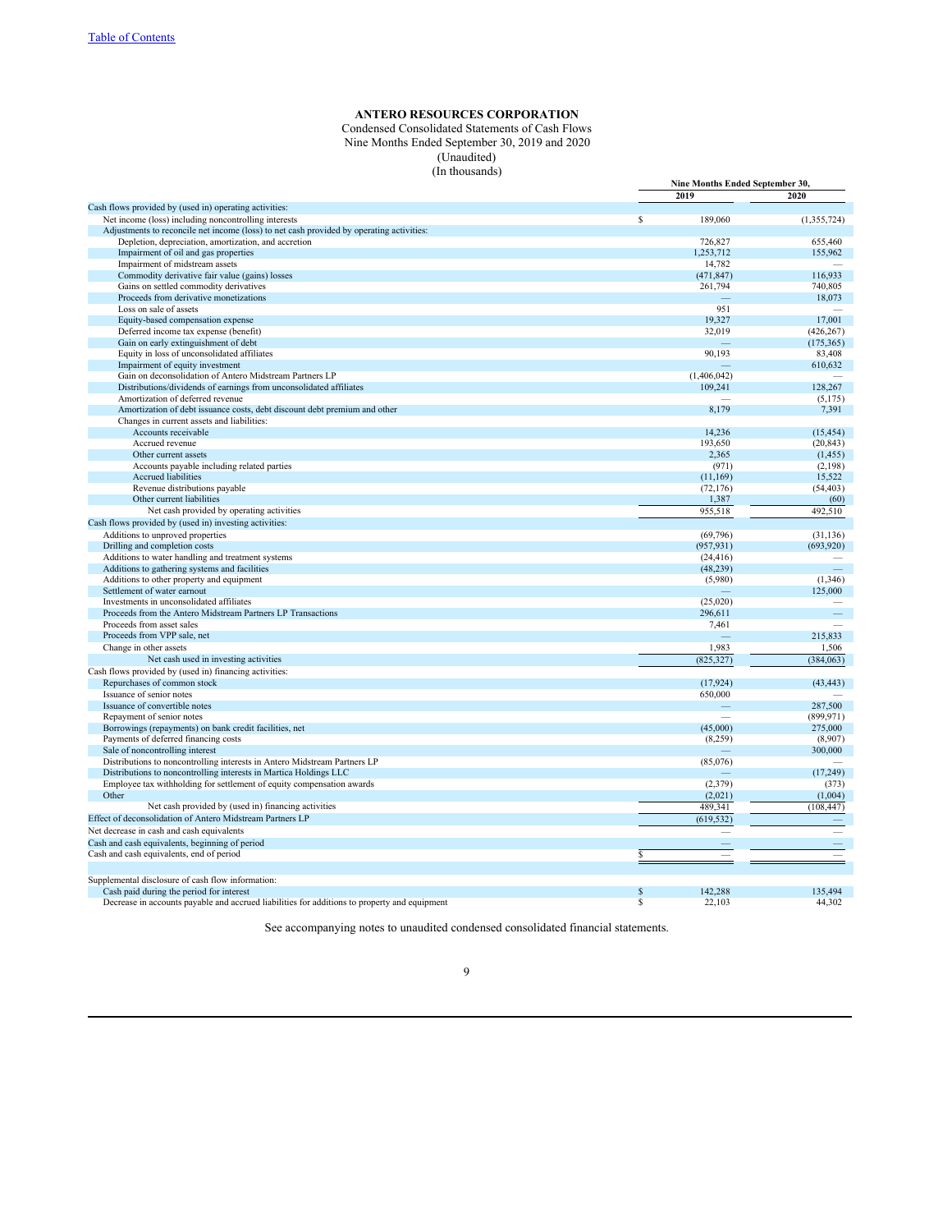Condensed Consolidated Statements of Cash Flows Nine Months Ended September 30, 2019 and 2020 (Unaudited)

| (In thousands) |
|----------------|
|                |

| un unvusunus j                                                                               |   | Nine Months Ended September 30, |             |  |
|----------------------------------------------------------------------------------------------|---|---------------------------------|-------------|--|
|                                                                                              |   | 2019                            | 2020        |  |
| Cash flows provided by (used in) operating activities:                                       |   |                                 |             |  |
| Net income (loss) including noncontrolling interests                                         | S | 189,060                         | (1,355,724) |  |
| Adjustments to reconcile net income (loss) to net cash provided by operating activities:     |   |                                 |             |  |
| Depletion, depreciation, amortization, and accretion                                         |   | 726,827                         | 655,460     |  |
| Impairment of oil and gas properties                                                         |   | 1,253,712                       | 155,962     |  |
| Impairment of midstream assets                                                               |   | 14,782                          |             |  |
| Commodity derivative fair value (gains) losses                                               |   | (471, 847)                      | 116,933     |  |
| Gains on settled commodity derivatives                                                       |   | 261,794                         | 740,805     |  |
| Proceeds from derivative monetizations                                                       |   |                                 | 18,073      |  |
| Loss on sale of assets                                                                       |   | 951                             |             |  |
| Equity-based compensation expense                                                            |   | 19.327                          | 17,001      |  |
| Deferred income tax expense (benefit)                                                        |   | 32,019                          | (426, 267)  |  |
| Gain on early extinguishment of debt                                                         |   |                                 | (175, 365)  |  |
| Equity in loss of unconsolidated affiliates                                                  |   | 90,193                          | 83,408      |  |
| Impairment of equity investment                                                              |   |                                 | 610,632     |  |
| Gain on deconsolidation of Antero Midstream Partners LP                                      |   | (1,406,042)                     |             |  |
| Distributions/dividends of earnings from unconsolidated affiliates                           |   | 109,241                         | 128,267     |  |
| Amortization of deferred revenue                                                             |   |                                 | (5, 175)    |  |
| Amortization of debt issuance costs, debt discount debt premium and other                    |   | 8,179                           | 7,391       |  |
| Changes in current assets and liabilities:                                                   |   |                                 |             |  |
| Accounts receivable                                                                          |   | 14,236                          | (15, 454)   |  |
| Accrued revenue                                                                              |   | 193,650                         | (20, 843)   |  |
| Other current assets                                                                         |   | 2,365                           | (1, 455)    |  |
| Accounts payable including related parties                                                   |   | (971)                           | (2,198)     |  |
| Accrued liabilities                                                                          |   | (11, 169)                       | 15,522      |  |
| Revenue distributions payable                                                                |   | (72, 176)                       | (54, 403)   |  |
| Other current liabilities                                                                    |   | 1,387                           | (60)        |  |
| Net cash provided by operating activities                                                    |   | 955,518                         | 492,510     |  |
| Cash flows provided by (used in) investing activities:                                       |   |                                 |             |  |
| Additions to unproved properties                                                             |   | (69, 796)                       | (31, 136)   |  |
| Drilling and completion costs                                                                |   | (957, 931)                      | (693, 920)  |  |
| Additions to water handling and treatment systems                                            |   | (24, 416)                       |             |  |
| Additions to gathering systems and facilities                                                |   | (48, 239)                       |             |  |
| Additions to other property and equipment                                                    |   | (5,980)                         | (1,346)     |  |
| Settlement of water earnout                                                                  |   |                                 | 125,000     |  |
| Investments in unconsolidated affiliates                                                     |   | (25,020)                        |             |  |
| Proceeds from the Antero Midstream Partners LP Transactions                                  |   | 296,611                         |             |  |
| Proceeds from asset sales                                                                    |   | 7,461                           |             |  |
| Proceeds from VPP sale, net                                                                  |   |                                 | 215,833     |  |
| Change in other assets                                                                       |   | 1,983                           | 1,506       |  |
| Net cash used in investing activities                                                        |   | (825, 327)                      | (384, 063)  |  |
| Cash flows provided by (used in) financing activities:                                       |   |                                 |             |  |
| Repurchases of common stock                                                                  |   | (17, 924)                       | (43, 443)   |  |
| Issuance of senior notes                                                                     |   | 650,000                         |             |  |
| Issuance of convertible notes                                                                |   |                                 | 287,500     |  |
| Repayment of senior notes                                                                    |   |                                 | (899, 971)  |  |
| Borrowings (repayments) on bank credit facilities, net                                       |   | (45,000)                        | 275,000     |  |
| Payments of deferred financing costs                                                         |   | (8,259)                         | (8,907)     |  |
| Sale of noncontrolling interest                                                              |   |                                 | 300,000     |  |
| Distributions to noncontrolling interests in Antero Midstream Partners LP                    |   | (85,076)                        |             |  |
| Distributions to noncontrolling interests in Martica Holdings LLC                            |   |                                 | (17, 249)   |  |
| Employee tax withholding for settlement of equity compensation awards                        |   | (2,379)                         | (373)       |  |
| Other                                                                                        |   | (2,021)                         | (1,004)     |  |
| Net cash provided by (used in) financing activities                                          |   | 489,341                         | (108, 447)  |  |
| Effect of deconsolidation of Antero Midstream Partners LP                                    |   | (619, 532)                      |             |  |
| Net decrease in cash and cash equivalents                                                    |   | $\overline{\phantom{0}}$        |             |  |
| Cash and cash equivalents, beginning of period                                               |   |                                 |             |  |
| Cash and cash equivalents, end of period                                                     | S |                                 |             |  |
|                                                                                              |   |                                 |             |  |
| Supplemental disclosure of cash flow information:                                            |   |                                 |             |  |
| Cash paid during the period for interest                                                     | S | 142.288                         | 135,494     |  |
| Decrease in accounts payable and accrued liabilities for additions to property and equipment | S | 22.103                          | 44,302      |  |

See accompanying notes to unaudited condensed consolidated financial statements.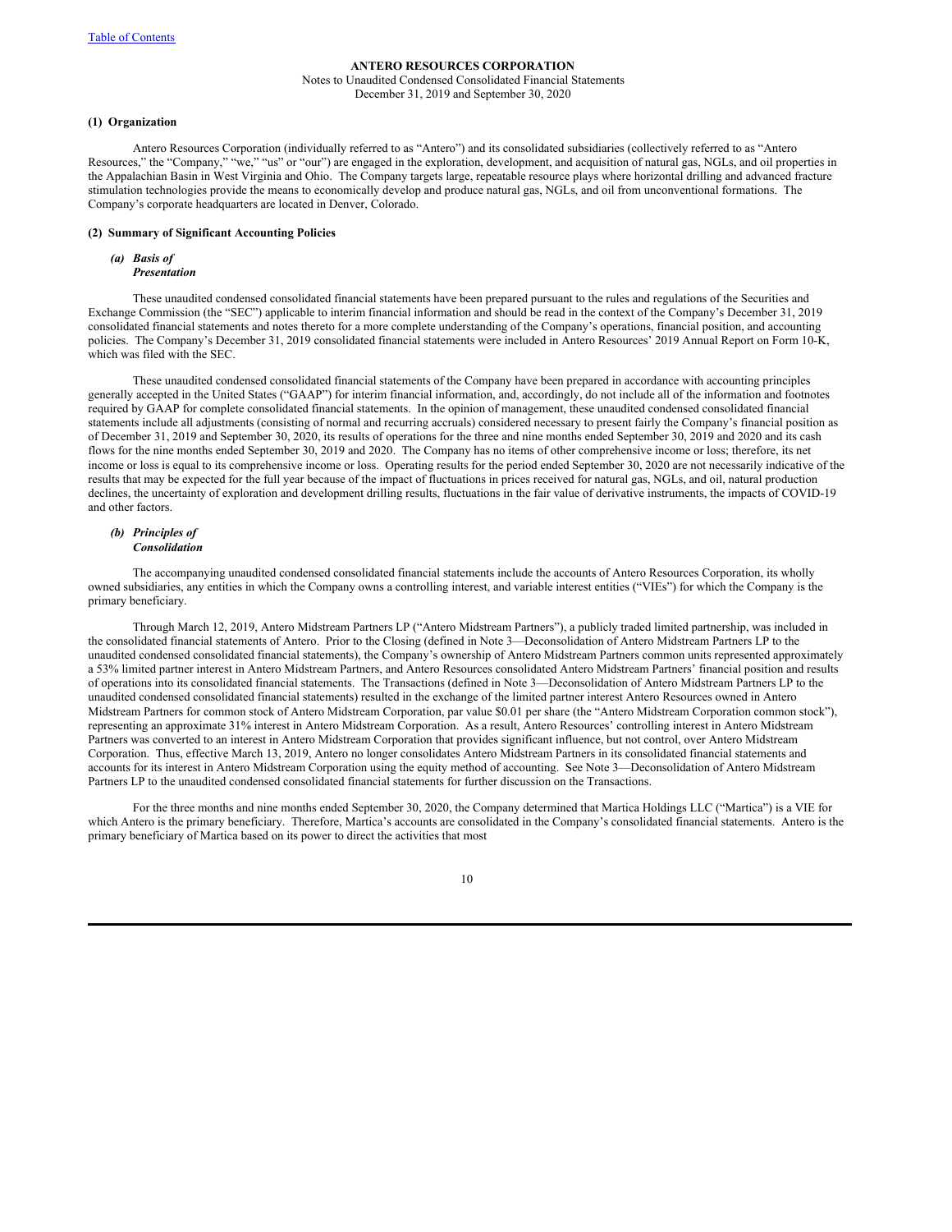Notes to Unaudited Condensed Consolidated Financial Statements December 31, 2019 and September 30, 2020

#### **(1) Organization**

Antero Resources Corporation (individually referred to as "Antero") and its consolidated subsidiaries (collectively referred to as "Antero Resources," the "Company," "we," "us" or "our") are engaged in the exploration, development, and acquisition of natural gas, NGLs, and oil properties in the Appalachian Basin in West Virginia and Ohio. The Company targets large, repeatable resource plays where horizontal drilling and advanced fracture stimulation technologies provide the means to economically develop and produce natural gas, NGLs, and oil from unconventional formations. The Company's corporate headquarters are located in Denver, Colorado.

#### **(2) Summary of Significant Accounting Policies**

#### *(a) Basis of Presentation*

These unaudited condensed consolidated financial statements have been prepared pursuant to the rules and regulations of the Securities and Exchange Commission (the "SEC") applicable to interim financial information and should be read in the context of the Company's December 31, 2019 consolidated financial statements and notes thereto for a more complete understanding of the Company's operations, financial position, and accounting policies. The Company's December 31, 2019 consolidated financial statements were included in Antero Resources' 2019 Annual Report on Form 10-K, which was filed with the SEC.

These unaudited condensed consolidated financial statements of the Company have been prepared in accordance with accounting principles generally accepted in the United States ("GAAP") for interim financial information, and, accordingly, do not include all of the information and footnotes required by GAAP for complete consolidated financial statements. In the opinion of management, these unaudited condensed consolidated financial statements include all adjustments (consisting of normal and recurring accruals) considered necessary to present fairly the Company's financial position as of December 31, 2019 and September 30, 2020, its results of operations for the three and nine months ended September 30, 2019 and 2020 and its cash flows for the nine months ended September 30, 2019 and 2020. The Company has no items of other comprehensive income or loss; therefore, its net income or loss is equal to its comprehensive income or loss. Operating results for the period ended September 30, 2020 are not necessarily indicative of the results that may be expected for the full year because of the impact of fluctuations in prices received for natural gas, NGLs, and oil, natural production declines, the uncertainty of exploration and development drilling results, fluctuations in the fair value of derivative instruments, the impacts of COVID-19 and other factors.

#### *(b) Principles of Consolidation*

The accompanying unaudited condensed consolidated financial statements include the accounts of Antero Resources Corporation, its wholly owned subsidiaries, any entities in which the Company owns a controlling interest, and variable interest entities ("VIEs") for which the Company is the primary beneficiary.

Through March 12, 2019, Antero Midstream Partners LP ("Antero Midstream Partners"), a publicly traded limited partnership, was included in the consolidated financial statements of Antero. Prior to the Closing (defined in Note 3—Deconsolidation of Antero Midstream Partners LP to the unaudited condensed consolidated financial statements), the Company's ownership of Antero Midstream Partners common units represented approximately a 53% limited partner interest in Antero Midstream Partners, and Antero Resources consolidated Antero Midstream Partners' financial position and results of operations into its consolidated financial statements. The Transactions (defined in Note 3—Deconsolidation of Antero Midstream Partners LP to the unaudited condensed consolidated financial statements) resulted in the exchange of the limited partner interest Antero Resources owned in Antero Midstream Partners for common stock of Antero Midstream Corporation, par value \$0.01 per share (the "Antero Midstream Corporation common stock"), representing an approximate 31% interest in Antero Midstream Corporation. As a result, Antero Resources' controlling interest in Antero Midstream Partners was converted to an interest in Antero Midstream Corporation that provides significant influence, but not control, over Antero Midstream Corporation. Thus, effective March 13, 2019, Antero no longer consolidates Antero Midstream Partners in its consolidated financial statements and accounts for its interest in Antero Midstream Corporation using the equity method of accounting. See Note 3—Deconsolidation of Antero Midstream Partners LP to the unaudited condensed consolidated financial statements for further discussion on the Transactions.

For the three months and nine months ended September 30, 2020, the Company determined that Martica Holdings LLC ("Martica") is a VIE for which Antero is the primary beneficiary. Therefore, Martica's accounts are consolidated in the Company's consolidated financial statements. Antero is the primary beneficiary of Martica based on its power to direct the activities that most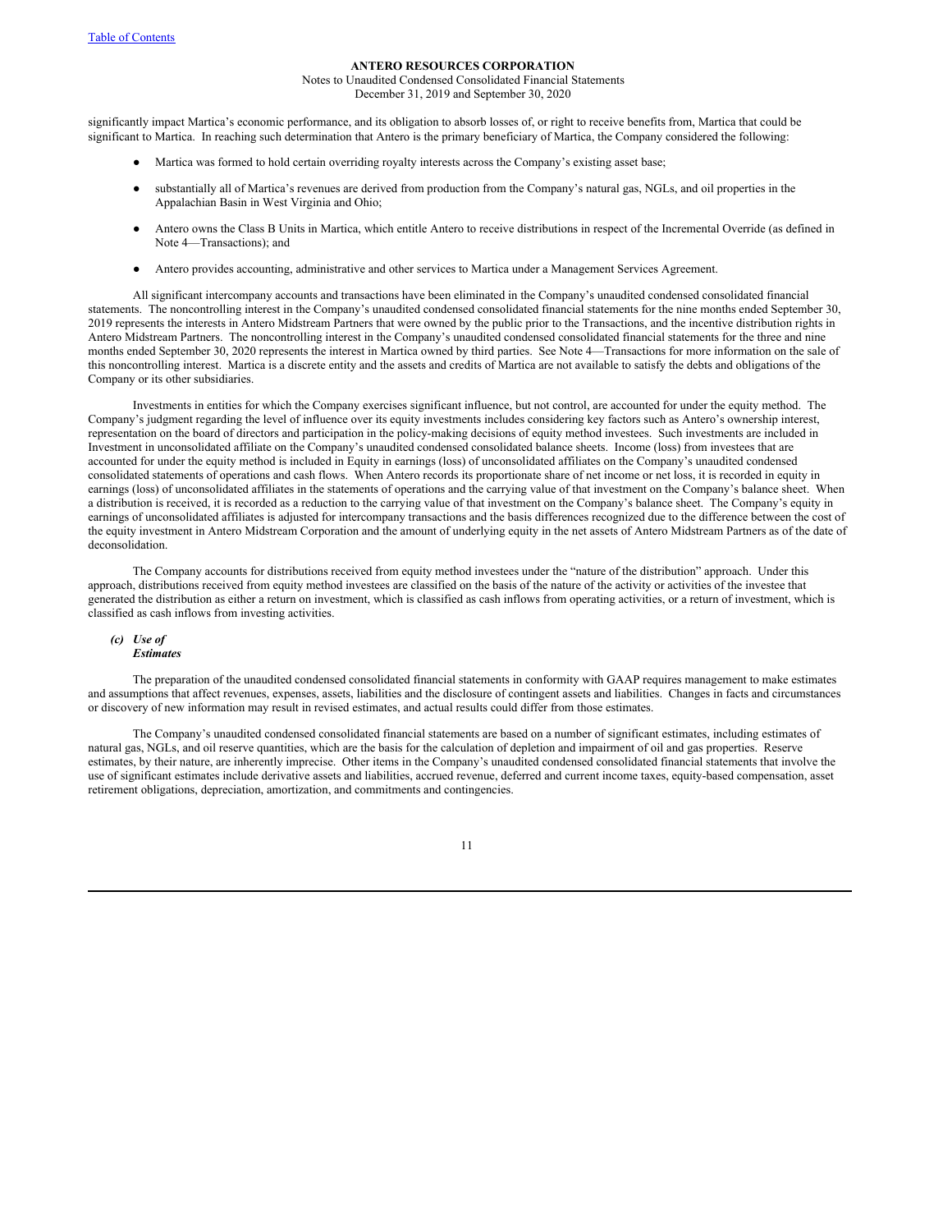Notes to Unaudited Condensed Consolidated Financial Statements December 31, 2019 and September 30, 2020

significantly impact Martica's economic performance, and its obligation to absorb losses of, or right to receive benefits from, Martica that could be significant to Martica. In reaching such determination that Antero is the primary beneficiary of Martica, the Company considered the following:

- Martica was formed to hold certain overriding royalty interests across the Company's existing asset base;
- substantially all of Martica's revenues are derived from production from the Company's natural gas, NGLs, and oil properties in the Appalachian Basin in West Virginia and Ohio;
- Antero owns the Class B Units in Martica, which entitle Antero to receive distributions in respect of the Incremental Override (as defined in Note 4—Transactions); and
- Antero provides accounting, administrative and other services to Martica under a Management Services Agreement.

All significant intercompany accounts and transactions have been eliminated in the Company's unaudited condensed consolidated financial statements. The noncontrolling interest in the Company's unaudited condensed consolidated financial statements for the nine months ended September 30, 2019 represents the interests in Antero Midstream Partners that were owned by the public prior to the Transactions, and the incentive distribution rights in Antero Midstream Partners. The noncontrolling interest in the Company's unaudited condensed consolidated financial statements for the three and nine months ended September 30, 2020 represents the interest in Martica owned by third parties. See Note 4—Transactions for more information on the sale of this noncontrolling interest. Martica is a discrete entity and the assets and credits of Martica are not available to satisfy the debts and obligations of the Company or its other subsidiaries.

Investments in entities for which the Company exercises significant influence, but not control, are accounted for under the equity method. The Company's judgment regarding the level of influence over its equity investments includes considering key factors such as Antero's ownership interest, representation on the board of directors and participation in the policy-making decisions of equity method investees. Such investments are included in Investment in unconsolidated affiliate on the Company's unaudited condensed consolidated balance sheets. Income (loss) from investees that are accounted for under the equity method is included in Equity in earnings (loss) of unconsolidated affiliates on the Company's unaudited condensed consolidated statements of operations and cash flows. When Antero records its proportionate share of net income or net loss, it is recorded in equity in earnings (loss) of unconsolidated affiliates in the statements of operations and the carrying value of that investment on the Company's balance sheet. When a distribution is received, it is recorded as a reduction to the carrying value of that investment on the Company's balance sheet. The Company's equity in earnings of unconsolidated affiliates is adjusted for intercompany transactions and the basis differences recognized due to the difference between the cost of the equity investment in Antero Midstream Corporation and the amount of underlying equity in the net assets of Antero Midstream Partners as of the date of deconsolidation.

The Company accounts for distributions received from equity method investees under the "nature of the distribution" approach. Under this approach, distributions received from equity method investees are classified on the basis of the nature of the activity or activities of the investee that generated the distribution as either a return on investment, which is classified as cash inflows from operating activities, or a return of investment, which is classified as cash inflows from investing activities.

#### *(c) Use of Estimates*

The preparation of the unaudited condensed consolidated financial statements in conformity with GAAP requires management to make estimates and assumptions that affect revenues, expenses, assets, liabilities and the disclosure of contingent assets and liabilities. Changes in facts and circumstances or discovery of new information may result in revised estimates, and actual results could differ from those estimates.

The Company's unaudited condensed consolidated financial statements are based on a number of significant estimates, including estimates of natural gas, NGLs, and oil reserve quantities, which are the basis for the calculation of depletion and impairment of oil and gas properties. Reserve estimates, by their nature, are inherently imprecise. Other items in the Company's unaudited condensed consolidated financial statements that involve the use of significant estimates include derivative assets and liabilities, accrued revenue, deferred and current income taxes, equity-based compensation, asset retirement obligations, depreciation, amortization, and commitments and contingencies.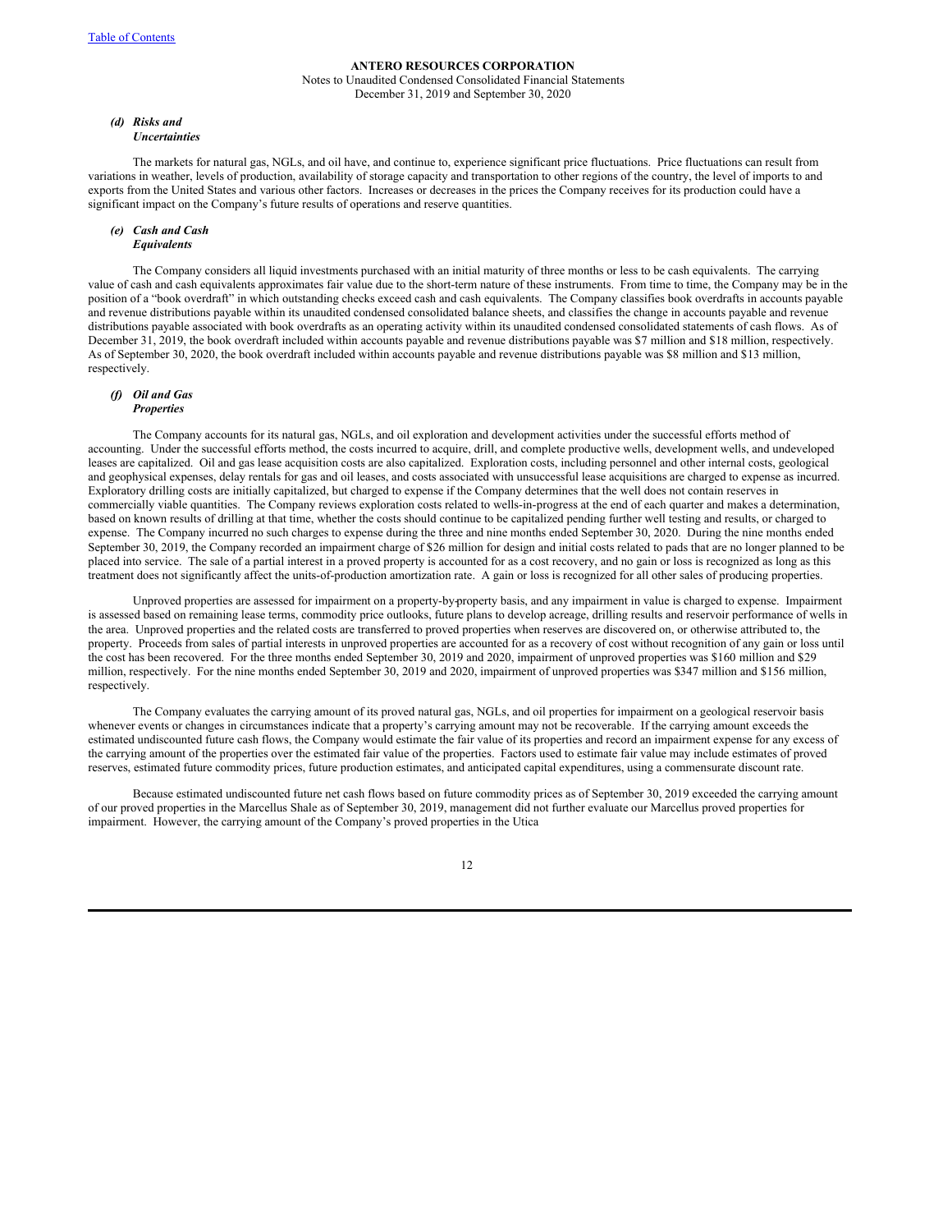Notes to Unaudited Condensed Consolidated Financial Statements December 31, 2019 and September 30, 2020

#### *(d) Risks and Uncertainties*

The markets for natural gas, NGLs, and oil have, and continue to, experience significant price fluctuations. Price fluctuations can result from variations in weather, levels of production, availability of storage capacity and transportation to other regions of the country, the level of imports to and exports from the United States and various other factors. Increases or decreases in the prices the Company receives for its production could have a significant impact on the Company's future results of operations and reserve quantities.

### *(e) Cash and Cash Equivalents*

The Company considers all liquid investments purchased with an initial maturity of three months or less to be cash equivalents. The carrying value of cash and cash equivalents approximates fair value due to the short-term nature of these instruments. From time to time, the Company may be in the position of a "book overdraft" in which outstanding checks exceed cash and cash equivalents. The Company classifies book overdrafts in accounts payable and revenue distributions payable within its unaudited condensed consolidated balance sheets, and classifies the change in accounts payable and revenue distributions payable associated with book overdrafts as an operating activity within its unaudited condensed consolidated statements of cash flows. As of December 31, 2019, the book overdraft included within accounts payable and revenue distributions payable was \$7 million and \$18 million, respectively. As of September 30, 2020, the book overdraft included within accounts payable and revenue distributions payable was \$8 million and \$13 million, respectively.

# *(f) Oil and Gas*

### *Properties*

The Company accounts for its natural gas, NGLs, and oil exploration and development activities under the successful efforts method of accounting. Under the successful efforts method, the costs incurred to acquire, drill, and complete productive wells, development wells, and undeveloped leases are capitalized. Oil and gas lease acquisition costs are also capitalized. Exploration costs, including personnel and other internal costs, geological and geophysical expenses, delay rentals for gas and oil leases, and costs associated with unsuccessful lease acquisitions are charged to expense as incurred. Exploratory drilling costs are initially capitalized, but charged to expense if the Company determines that the well does not contain reserves in commercially viable quantities. The Company reviews exploration costs related to wells-in-progress at the end of each quarter and makes a determination, based on known results of drilling at that time, whether the costs should continue to be capitalized pending further well testing and results, or charged to expense. The Company incurred no such charges to expense during the three and nine months ended September 30, 2020. During the nine months ended September 30, 2019, the Company recorded an impairment charge of \$26 million for design and initial costs related to pads that are no longer planned to be placed into service. The sale of a partial interest in a proved property is accounted for as a cost recovery, and no gain or loss is recognized as long as this treatment does not significantly affect the units-of-production amortization rate. A gain or loss is recognized for all other sales of producing properties.

Unproved properties are assessed for impairment on a property-by-property basis, and any impairment in value is charged to expense. Impairment is assessed based on remaining lease terms, commodity price outlooks, future plans to develop acreage, drilling results and reservoir performance of wells in the area. Unproved properties and the related costs are transferred to proved properties when reserves are discovered on, or otherwise attributed to, the property. Proceeds from sales of partial interests in unproved properties are accounted for as a recovery of cost without recognition of any gain or loss until the cost has been recovered. For the three months ended September 30, 2019 and 2020, impairment of unproved properties was \$160 million and \$29 million, respectively. For the nine months ended September 30, 2019 and 2020, impairment of unproved properties was \$347 million and \$156 million, respectively.

The Company evaluates the carrying amount of its proved natural gas, NGLs, and oil properties for impairment on a geological reservoir basis whenever events or changes in circumstances indicate that a property's carrying amount may not be recoverable. If the carrying amount exceeds the estimated undiscounted future cash flows, the Company would estimate the fair value of its properties and record an impairment expense for any excess of the carrying amount of the properties over the estimated fair value of the properties. Factors used to estimate fair value may include estimates of proved reserves, estimated future commodity prices, future production estimates, and anticipated capital expenditures, using a commensurate discount rate.

Because estimated undiscounted future net cash flows based on future commodity prices as of September 30, 2019 exceeded the carrying amount of our proved properties in the Marcellus Shale as of September 30, 2019, management did not further evaluate our Marcellus proved properties for impairment. However, the carrying amount of the Company's proved properties in the Utica

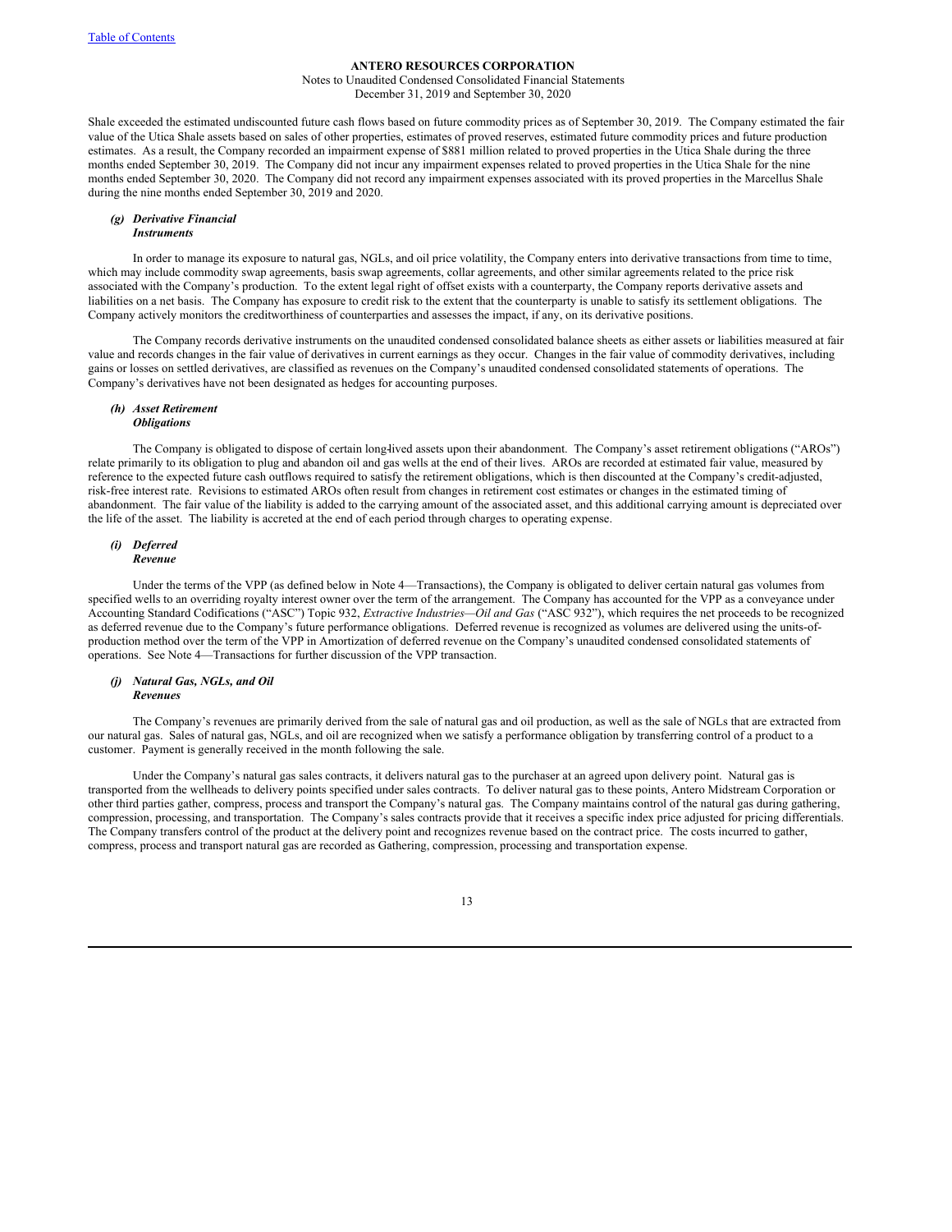Notes to Unaudited Condensed Consolidated Financial Statements December 31, 2019 and September 30, 2020

Shale exceeded the estimated undiscounted future cash flows based on future commodity prices as of September 30, 2019. The Company estimated the fair value of the Utica Shale assets based on sales of other properties, estimates of proved reserves, estimated future commodity prices and future production estimates. As a result, the Company recorded an impairment expense of \$881 million related to proved properties in the Utica Shale during the three months ended September 30, 2019. The Company did not incur any impairment expenses related to proved properties in the Utica Shale for the nine months ended September 30, 2020. The Company did not record any impairment expenses associated with its proved properties in the Marcellus Shale during the nine months ended September 30, 2019 and 2020.

#### *(g) Derivative Financial Instruments*

In order to manage its exposure to natural gas, NGLs, and oil price volatility, the Company enters into derivative transactions from time to time, which may include commodity swap agreements, basis swap agreements, collar agreements, and other similar agreements related to the price risk associated with the Company's production. To the extent legal right of offset exists with a counterparty, the Company reports derivative assets and liabilities on a net basis. The Company has exposure to credit risk to the extent that the counterparty is unable to satisfy its settlement obligations. The Company actively monitors the creditworthiness of counterparties and assesses the impact, if any, on its derivative positions.

The Company records derivative instruments on the unaudited condensed consolidated balance sheets as either assets or liabilities measured at fair value and records changes in the fair value of derivatives in current earnings as they occur. Changes in the fair value of commodity derivatives, including gains or losses on settled derivatives, are classified as revenues on the Company's unaudited condensed consolidated statements of operations. The Company's derivatives have not been designated as hedges for accounting purposes.

#### *(h) Asset Retirement Obligations*

The Company is obligated to dispose of certain long-lived assets upon their abandonment. The Company's asset retirement obligations ("AROs") relate primarily to its obligation to plug and abandon oil and gas wells at the end of their lives. AROs are recorded at estimated fair value, measured by reference to the expected future cash outflows required to satisfy the retirement obligations, which is then discounted at the Company's credit-adjusted, risk-free interest rate. Revisions to estimated AROs often result from changes in retirement cost estimates or changes in the estimated timing of abandonment. The fair value of the liability is added to the carrying amount of the associated asset, and this additional carrying amount is depreciated over the life of the asset. The liability is accreted at the end of each period through charges to operating expense.

#### *(i) Deferred Revenue*

Under the terms of the VPP (as defined below in Note 4—Transactions), the Company is obligated to deliver certain natural gas volumes from specified wells to an overriding royalty interest owner over the term of the arrangement. The Company has accounted for the VPP as a conveyance under Accounting Standard Codifications ("ASC") Topic 932, *Extractive Industries—Oil and Gas* ("ASC 932"), which requires the net proceeds to be recognized as deferred revenue due to the Company's future performance obligations. Deferred revenue is recognized as volumes are delivered using the units-ofproduction method over the term of the VPP in Amortization of deferred revenue on the Company's unaudited condensed consolidated statements of operations. See Note 4—Transactions for further discussion of the VPP transaction.

## *(j) Natural Gas, NGLs, and Oil Revenues*

The Company's revenues are primarily derived from the sale of natural gas and oil production, as well as the sale of NGLs that are extracted from our natural gas. Sales of natural gas, NGLs, and oil are recognized when we satisfy a performance obligation by transferring control of a product to a customer. Payment is generally received in the month following the sale.

Under the Company's natural gas sales contracts, it delivers natural gas to the purchaser at an agreed upon delivery point. Natural gas is transported from the wellheads to delivery points specified under sales contracts. To deliver natural gas to these points, Antero Midstream Corporation or other third parties gather, compress, process and transport the Company's natural gas. The Company maintains control of the natural gas during gathering, compression, processing, and transportation. The Company's sales contracts provide that it receives a specific index price adjusted for pricing differentials. The Company transfers control of the product at the delivery point and recognizes revenue based on the contract price. The costs incurred to gather, compress, process and transport natural gas are recorded as Gathering, compression, processing and transportation expense.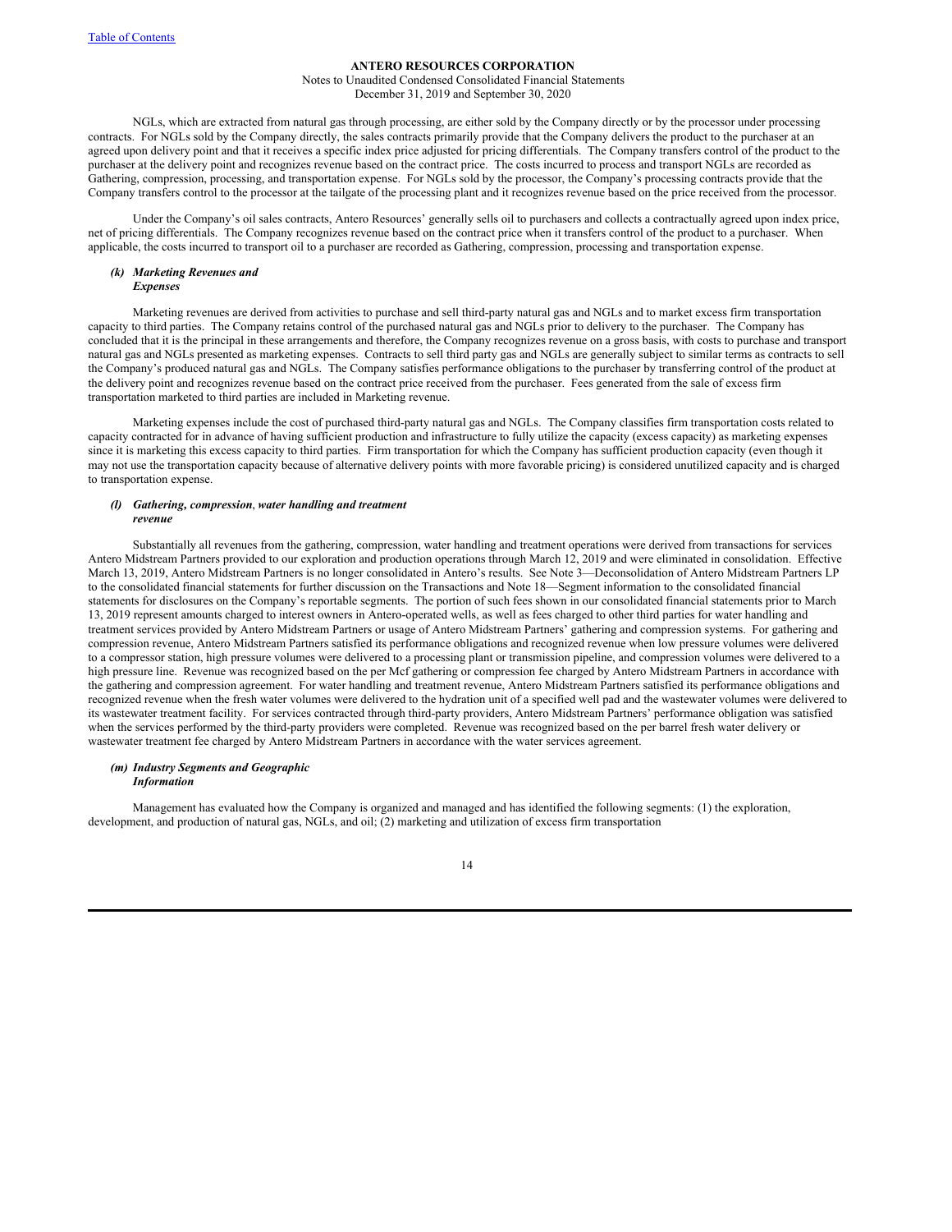Notes to Unaudited Condensed Consolidated Financial Statements December 31, 2019 and September 30, 2020

NGLs, which are extracted from natural gas through processing, are either sold by the Company directly or by the processor under processing contracts. For NGLs sold by the Company directly, the sales contracts primarily provide that the Company delivers the product to the purchaser at an agreed upon delivery point and that it receives a specific index price adjusted for pricing differentials. The Company transfers control of the product to the purchaser at the delivery point and recognizes revenue based on the contract price. The costs incurred to process and transport NGLs are recorded as Gathering, compression, processing, and transportation expense. For NGLs sold by the processor, the Company's processing contracts provide that the Company transfers control to the processor at the tailgate of the processing plant and it recognizes revenue based on the price received from the processor.

Under the Company's oil sales contracts, Antero Resources' generally sells oil to purchasers and collects a contractually agreed upon index price, net of pricing differentials. The Company recognizes revenue based on the contract price when it transfers control of the product to a purchaser. When applicable, the costs incurred to transport oil to a purchaser are recorded as Gathering, compression, processing and transportation expense.

#### *(k) Marketing Revenues and Expenses*

Marketing revenues are derived from activities to purchase and sell third-party natural gas and NGLs and to market excess firm transportation capacity to third parties. The Company retains control of the purchased natural gas and NGLs prior to delivery to the purchaser. The Company has concluded that it is the principal in these arrangements and therefore, the Company recognizes revenue on a gross basis, with costs to purchase and transport natural gas and NGLs presented as marketing expenses. Contracts to sell third party gas and NGLs are generally subject to similar terms as contracts to sell the Company's produced natural gas and NGLs. The Company satisfies performance obligations to the purchaser by transferring control of the product at the delivery point and recognizes revenue based on the contract price received from the purchaser. Fees generated from the sale of excess firm transportation marketed to third parties are included in Marketing revenue.

Marketing expenses include the cost of purchased third-party natural gas and NGLs. The Company classifies firm transportation costs related to capacity contracted for in advance of having sufficient production and infrastructure to fully utilize the capacity (excess capacity) as marketing expenses since it is marketing this excess capacity to third parties. Firm transportation for which the Company has sufficient production capacity (even though it may not use the transportation capacity because of alternative delivery points with more favorable pricing) is considered unutilized capacity and is charged to transportation expense.

### *(l) Gathering, compression*, *water handling and treatment revenue*

Substantially all revenues from the gathering, compression, water handling and treatment operations were derived from transactions for services Antero Midstream Partners provided to our exploration and production operations through March 12, 2019 and were eliminated in consolidation. Effective March 13, 2019, Antero Midstream Partners is no longer consolidated in Antero's results. See Note 3—Deconsolidation of Antero Midstream Partners LP to the consolidated financial statements for further discussion on the Transactions and Note 18—Segment information to the consolidated financial statements for disclosures on the Company's reportable segments. The portion of such fees shown in our consolidated financial statements prior to March 13, 2019 represent amounts charged to interest owners in Antero-operated wells, as well as fees charged to other third parties for water handling and treatment services provided by Antero Midstream Partners or usage of Antero Midstream Partners' gathering and compression systems. For gathering and compression revenue, Antero Midstream Partners satisfied its performance obligations and recognized revenue when low pressure volumes were delivered to a compressor station, high pressure volumes were delivered to a processing plant or transmission pipeline, and compression volumes were delivered to a high pressure line. Revenue was recognized based on the per Mcf gathering or compression fee charged by Antero Midstream Partners in accordance with the gathering and compression agreement. For water handling and treatment revenue, Antero Midstream Partners satisfied its performance obligations and recognized revenue when the fresh water volumes were delivered to the hydration unit of a specified well pad and the wastewater volumes were delivered to its wastewater treatment facility. For services contracted through third-party providers, Antero Midstream Partners' performance obligation was satisfied when the services performed by the third-party providers were completed. Revenue was recognized based on the per barrel fresh water delivery or wastewater treatment fee charged by Antero Midstream Partners in accordance with the water services agreement.

#### *(m) Industry Segments and Geographic Information*

Management has evaluated how the Company is organized and managed and has identified the following segments: (1) the exploration, development, and production of natural gas, NGLs, and oil; (2) marketing and utilization of excess firm transportation

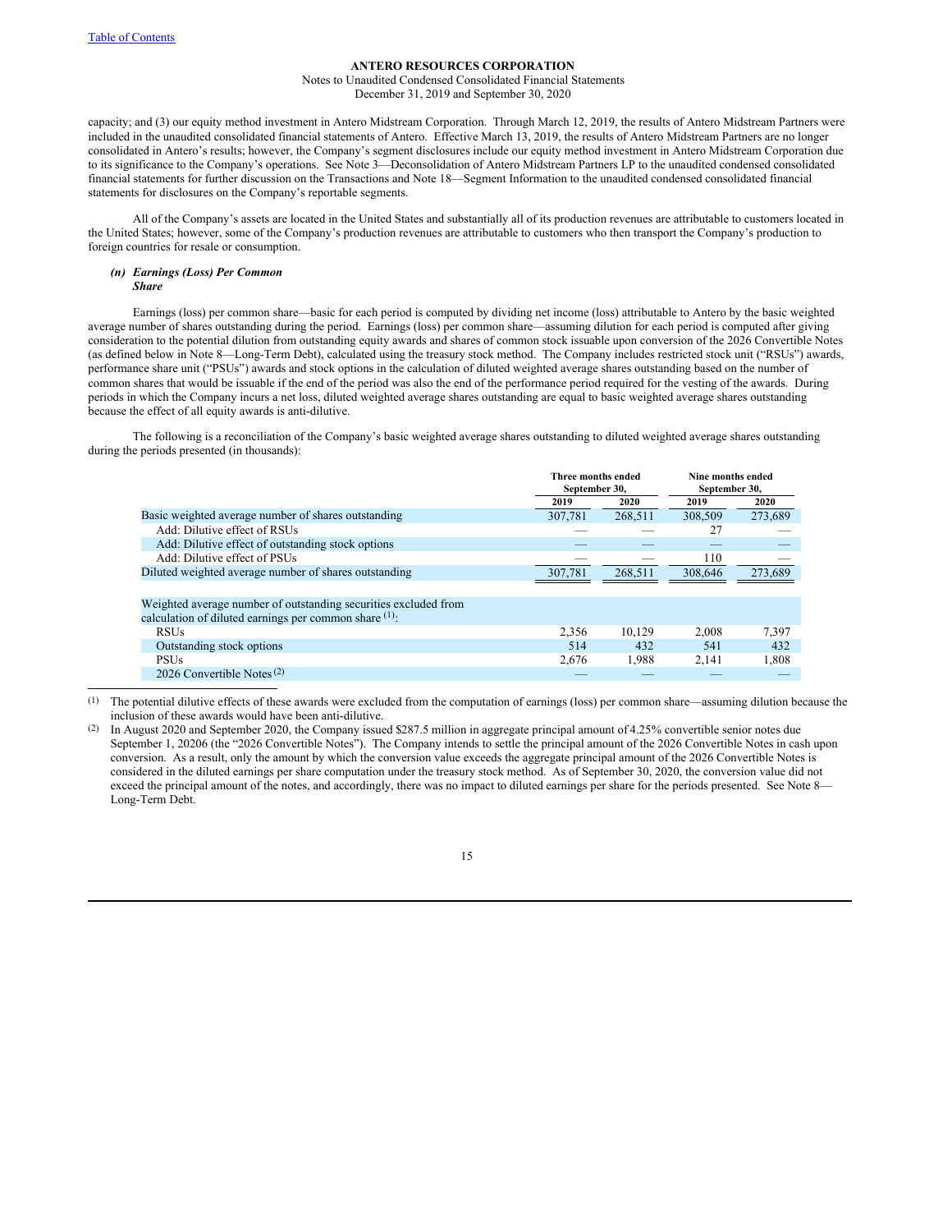Notes to Unaudited Condensed Consolidated Financial Statements December 31, 2019 and September 30, 2020

capacity; and (3) our equity method investment in Antero Midstream Corporation. Through March 12, 2019, the results of Antero Midstream Partners were included in the unaudited consolidated financial statements of Antero. Effective March 13, 2019, the results of Antero Midstream Partners are no longer consolidated in Antero's results; however, the Company's segment disclosures include our equity method investment in Antero Midstream Corporation due to its significance to the Company's operations. See Note 3—Deconsolidation of Antero Midstream Partners LP to the unaudited condensed consolidated financial statements for further discussion on the Transactions and Note 18—Segment Information to the unaudited condensed consolidated financial statements for disclosures on the Company's reportable segments.

All of the Company's assets are located in the United States and substantially all of its production revenues are attributable to customers located in the United States; however, some of the Company's production revenues are attributable to customers who then transport the Company's production to foreign countries for resale or consumption.

#### *(n) Earnings (Loss) Per Common Share*

Earnings (loss) per common share—basic for each period is computed by dividing net income (loss) attributable to Antero by the basic weighted average number of shares outstanding during the period. Earnings (loss) per common share—assuming dilution for each period is computed after giving consideration to the potential dilution from outstanding equity awards and shares of common stock issuable upon conversion of the 2026 Convertible Notes (as defined below in Note 8—Long-Term Debt), calculated using the treasury stock method. The Company includes restricted stock unit ("RSUs") awards, performance share unit ("PSUs") awards and stock options in the calculation of diluted weighted average shares outstanding based on the number of common shares that would be issuable if the end of the period was also the end of the performance period required for the vesting of the awards. During periods in which the Company incurs a net loss, diluted weighted average shares outstanding are equal to basic weighted average shares outstanding because the effect of all equity awards is anti-dilutive.

The following is a reconciliation of the Company's basic weighted average shares outstanding to diluted weighted average shares outstanding during the periods presented (in thousands):

|                                                                 | Three months ended<br>September 30, |         | Nine months ended<br>September 30, |         |  |
|-----------------------------------------------------------------|-------------------------------------|---------|------------------------------------|---------|--|
|                                                                 | 2019                                | 2020    | 2019                               | 2020    |  |
| Basic weighted average number of shares outstanding             | 307,781                             | 268.511 | 308,509                            | 273,689 |  |
| Add: Dilutive effect of RSUs                                    |                                     |         | 27                                 |         |  |
| Add: Dilutive effect of outstanding stock options               |                                     |         |                                    |         |  |
| Add: Dilutive effect of PSUs                                    |                                     |         | 110                                |         |  |
| Diluted weighted average number of shares outstanding           | 307.781                             | 268.511 | 308,646                            | 273,689 |  |
|                                                                 |                                     |         |                                    |         |  |
| Weighted average number of outstanding securities excluded from |                                     |         |                                    |         |  |
| calculation of diluted earnings per common share $(1)$ .        |                                     |         |                                    |         |  |
| <b>RSUs</b>                                                     | 2,356                               | 10.129  | 2.008                              | 7,397   |  |
| Outstanding stock options                                       | 514                                 | 432     | 541                                | 432     |  |
| <b>PSUs</b>                                                     | 2,676                               | 1,988   | 2,141                              | 1,808   |  |
| 2026 Convertible Notes $(2)$                                    |                                     |         |                                    |         |  |

(1) The potential dilutive effects of these awards were excluded from the computation of earnings (loss) per common share—assuming dilution because the inclusion of these awards would have been anti-dilutive.

(2) In August 2020 and September 2020, the Company issued \$287.5 million in aggregate principal amount of 4.25% convertible senior notes due September 1, 20206 (the "2026 Convertible Notes"). The Company intends to settle the principal amount of the 2026 Convertible Notes in cash upon conversion. As a result, only the amount by which the conversion value exceeds the aggregate principal amount of the 2026 Convertible Notes is considered in the diluted earnings per share computation under the treasury stock method. As of September 30, 2020, the conversion value did not exceed the principal amount of the notes, and accordingly, there was no impact to diluted earnings per share for the periods presented. See Note 8— Long-Term Debt.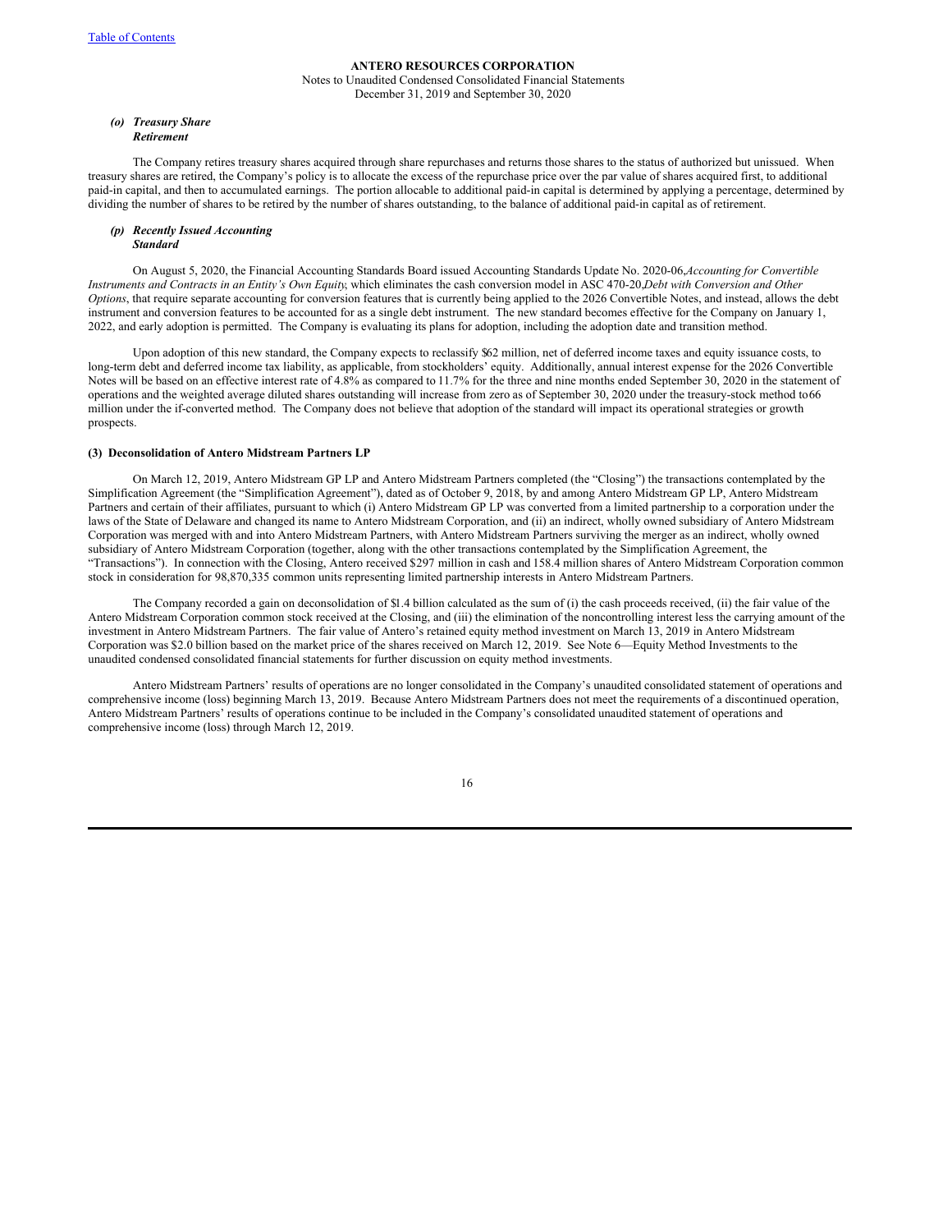Notes to Unaudited Condensed Consolidated Financial Statements December 31, 2019 and September 30, 2020

#### *(o) Treasury Share Retirement*

The Company retires treasury shares acquired through share repurchases and returns those shares to the status of authorized but unissued. When treasury shares are retired, the Company's policy is to allocate the excess of the repurchase price over the par value of shares acquired first, to additional paid-in capital, and then to accumulated earnings. The portion allocable to additional paid-in capital is determined by applying a percentage, determined by dividing the number of shares to be retired by the number of shares outstanding, to the balance of additional paid-in capital as of retirement.

### *(p) Recently Issued Accounting*

#### *Standard*

On August 5, 2020, the Financial Accounting Standards Board issued Accounting Standards Update No. 2020-06,*Accounting for Convertible* Instruments and Contracts in an Entity's Own Equity, which eliminates the cash conversion model in ASC 470-20, Debt with Conversion and Other *Options*, that require separate accounting for conversion features that is currently being applied to the 2026 Convertible Notes, and instead, allows the debt instrument and conversion features to be accounted for as a single debt instrument. The new standard becomes effective for the Company on January 1, 2022, and early adoption is permitted. The Company is evaluating its plans for adoption, including the adoption date and transition method.

Upon adoption of this new standard, the Company expects to reclassify \$62 million, net of deferred income taxes and equity issuance costs, to long-term debt and deferred income tax liability, as applicable, from stockholders' equity. Additionally, annual interest expense for the 2026 Convertible Notes will be based on an effective interest rate of 4.8% as compared to 11.7% for the three and nine months ended September 30, 2020 in the statement of operations and the weighted average diluted shares outstanding will increase from zero as of September 30, 2020 under the treasury-stock method to66 million under the if-converted method. The Company does not believe that adoption of the standard will impact its operational strategies or growth prospects.

#### **(3) Deconsolidation of Antero Midstream Partners LP**

On March 12, 2019, Antero Midstream GP LP and Antero Midstream Partners completed (the "Closing") the transactions contemplated by the Simplification Agreement (the "Simplification Agreement"), dated as of October 9, 2018, by and among Antero Midstream GP LP, Antero Midstream Partners and certain of their affiliates, pursuant to which (i) Antero Midstream GP LP was converted from a limited partnership to a corporation under the laws of the State of Delaware and changed its name to Antero Midstream Corporation, and (ii) an indirect, wholly owned subsidiary of Antero Midstream Corporation was merged with and into Antero Midstream Partners, with Antero Midstream Partners surviving the merger as an indirect, wholly owned subsidiary of Antero Midstream Corporation (together, along with the other transactions contemplated by the Simplification Agreement, the "Transactions"). In connection with the Closing, Antero received \$297 million in cash and 158.4 million shares of Antero Midstream Corporation common stock in consideration for 98,870,335 common units representing limited partnership interests in Antero Midstream Partners.

The Company recorded a gain on deconsolidation of \$1.4 billion calculated as the sum of (i) the cash proceeds received, (ii) the fair value of the Antero Midstream Corporation common stock received at the Closing, and (iii) the elimination of the noncontrolling interest less the carrying amount of the investment in Antero Midstream Partners. The fair value of Antero's retained equity method investment on March 13, 2019 in Antero Midstream Corporation was \$2.0 billion based on the market price of the shares received on March 12, 2019. See Note 6—Equity Method Investments to the unaudited condensed consolidated financial statements for further discussion on equity method investments.

Antero Midstream Partners' results of operations are no longer consolidated in the Company's unaudited consolidated statement of operations and comprehensive income (loss) beginning March 13, 2019. Because Antero Midstream Partners does not meet the requirements of a discontinued operation, Antero Midstream Partners' results of operations continue to be included in the Company's consolidated unaudited statement of operations and comprehensive income (loss) through March 12, 2019.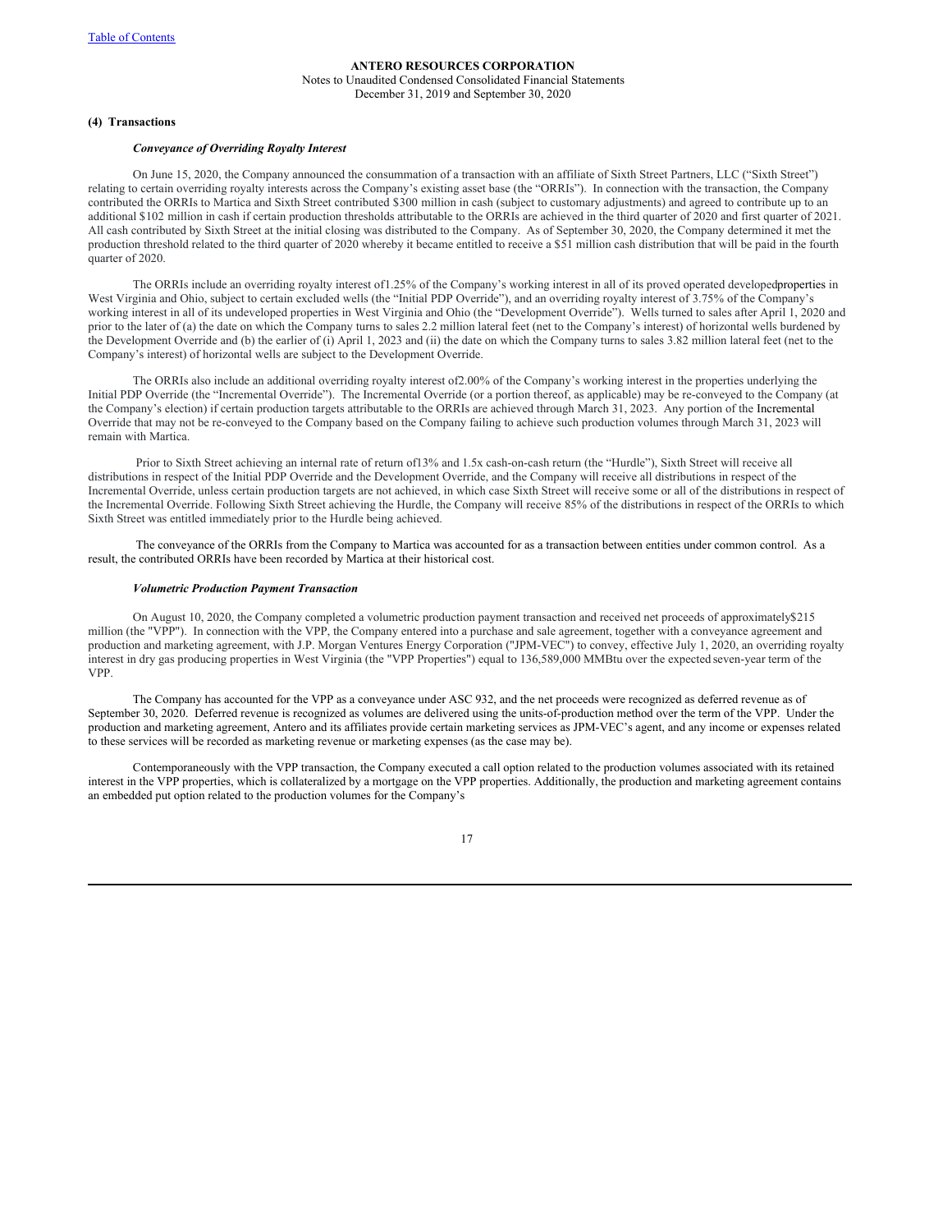## **ANTERO RESOURCES CORPORATION** Notes to Unaudited Condensed Consolidated Financial Statements December 31, 2019 and September 30, 2020

### **(4) Transactions**

#### *Conveyance of Overriding Royalty Interest*

On June 15, 2020, the Company announced the consummation of a transaction with an affiliate of Sixth Street Partners, LLC ("Sixth Street") relating to certain overriding royalty interests across the Company's existing asset base (the "ORRIs"). In connection with the transaction, the Company contributed the ORRIs to Martica and Sixth Street contributed \$300 million in cash (subject to customary adjustments) and agreed to contribute up to an additional \$102 million in cash if certain production thresholds attributable to the ORRIs are achieved in the third quarter of 2020 and first quarter of 2021. All cash contributed by Sixth Street at the initial closing was distributed to the Company. As of September 30, 2020, the Company determined it met the production threshold related to the third quarter of 2020 whereby it became entitled to receive a \$51 million cash distribution that will be paid in the fourth quarter of 2020.

The ORRIs include an overriding royalty interest of1.25% of the Company's working interest in all of its proved operated developedproperties in West Virginia and Ohio, subject to certain excluded wells (the "Initial PDP Override"), and an overriding royalty interest of 3.75% of the Company's working interest in all of its undeveloped properties in West Virginia and Ohio (the "Development Override"). Wells turned to sales after April 1, 2020 and prior to the later of (a) the date on which the Company turns to sales 2.2 million lateral feet (net to the Company's interest) of horizontal wells burdened by the Development Override and (b) the earlier of (i) April 1, 2023 and (ii) the date on which the Company turns to sales 3.82 million lateral feet (net to the Company's interest) of horizontal wells are subject to the Development Override.

The ORRIs also include an additional overriding royalty interest of2.00% of the Company's working interest in the properties underlying the Initial PDP Override (the "Incremental Override"). The Incremental Override (or a portion thereof, as applicable) may be re-conveyed to the Company (at the Company's election) if certain production targets attributable to the ORRIs are achieved through March 31, 2023. Any portion of the Incremental Override that may not be re-conveyed to the Company based on the Company failing to achieve such production volumes through March 31, 2023 will remain with Martica.

Prior to Sixth Street achieving an internal rate of return of13% and 1.5x cash-on-cash return (the "Hurdle"), Sixth Street will receive all distributions in respect of the Initial PDP Override and the Development Override, and the Company will receive all distributions in respect of the Incremental Override, unless certain production targets are not achieved, in which case Sixth Street will receive some or all of the distributions in respect of the Incremental Override. Following Sixth Street achieving the Hurdle, the Company will receive 85% of the distributions in respect of the ORRIs to which Sixth Street was entitled immediately prior to the Hurdle being achieved.

The conveyance of the ORRIs from the Company to Martica was accounted for as a transaction between entities under common control. As a result, the contributed ORRIs have been recorded by Martica at their historical cost.

#### *Volumetric Production Payment Transaction*

On August 10, 2020, the Company completed a volumetric production payment transaction and received net proceeds of approximately\$215 million (the "VPP"). In connection with the VPP, the Company entered into a purchase and sale agreement, together with a conveyance agreement and production and marketing agreement, with J.P. Morgan Ventures Energy Corporation ("JPM-VEC") to convey, effective July 1, 2020, an overriding royalty interest in dry gas producing properties in West Virginia (the "VPP Properties") equal to 136,589,000 MMBtu over the expected seven-year term of the VPP.

The Company has accounted for the VPP as a conveyance under ASC 932, and the net proceeds were recognized as deferred revenue as of September 30, 2020. Deferred revenue is recognized as volumes are delivered using the units-of-production method over the term of the VPP. Under the production and marketing agreement, Antero and its affiliates provide certain marketing services as JPM-VEC's agent, and any income or expenses related to these services will be recorded as marketing revenue or marketing expenses (as the case may be).

Contemporaneously with the VPP transaction, the Company executed a call option related to the production volumes associated with its retained interest in the VPP properties, which is collateralized by a mortgage on the VPP properties. Additionally, the production and marketing agreement contains an embedded put option related to the production volumes for the Company's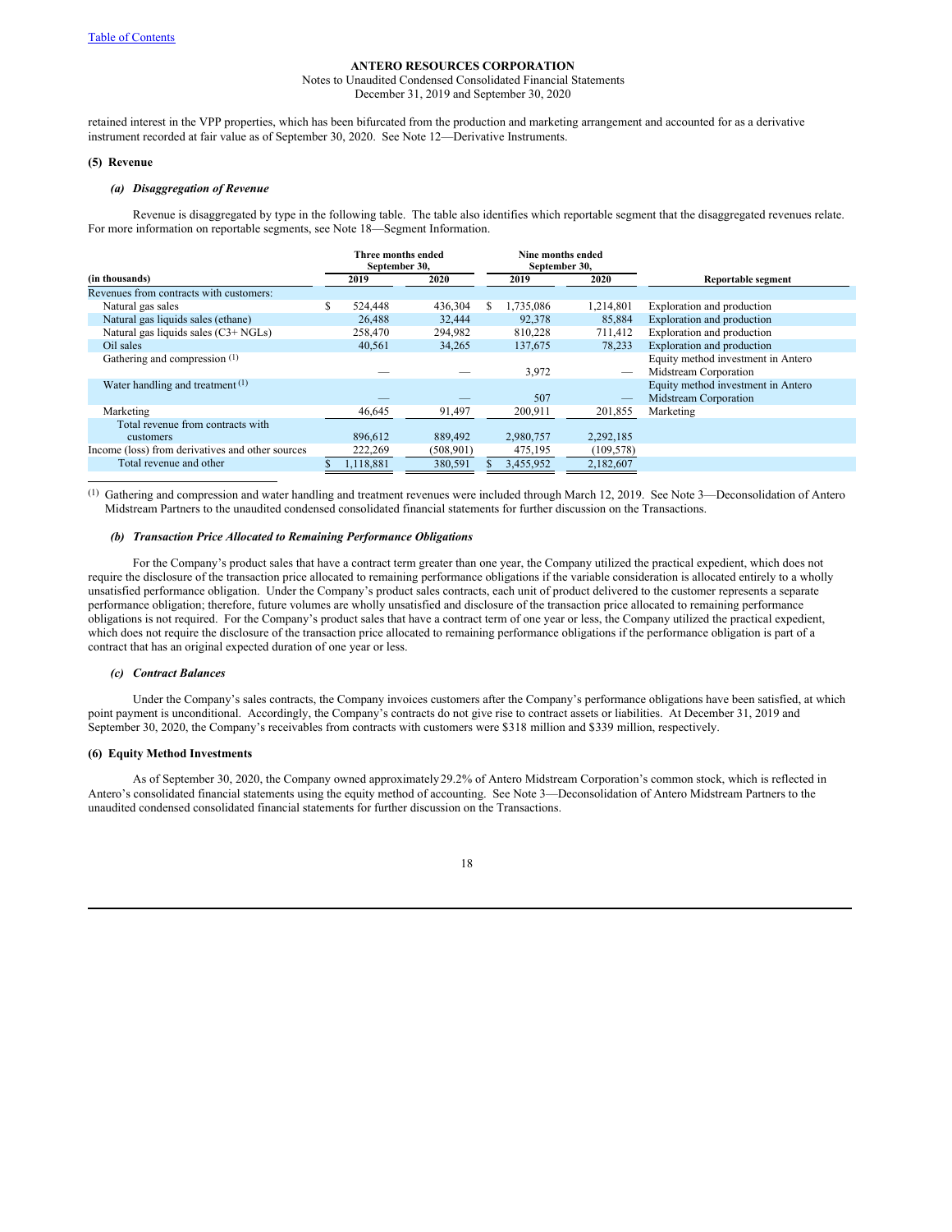Notes to Unaudited Condensed Consolidated Financial Statements December 31, 2019 and September 30, 2020

retained interest in the VPP properties, which has been bifurcated from the production and marketing arrangement and accounted for as a derivative

# **(5) Revenue**

### *(a) Disaggregation of Revenue*

Revenue is disaggregated by type in the following table. The table also identifies which reportable segment that the disaggregated revenues relate. For more information on reportable segments, see Note 18—Segment Information.

|                                                  |   | Three months ended<br>September 30, |            |    | Nine months ended<br>September 30, |  |                          |                                                             |  |  |  |  |  |  |  |  |  |  |      |                    |
|--------------------------------------------------|---|-------------------------------------|------------|----|------------------------------------|--|--------------------------|-------------------------------------------------------------|--|--|--|--|--|--|--|--|--|--|------|--------------------|
| (in thousands)                                   |   | 2019                                | 2020       |    | 2019                               |  |                          |                                                             |  |  |  |  |  |  |  |  |  |  | 2020 | Reportable segment |
| Revenues from contracts with customers:          |   |                                     |            |    |                                    |  |                          |                                                             |  |  |  |  |  |  |  |  |  |  |      |                    |
| Natural gas sales                                | S | 524,448                             | 436,304    | S. | 1,735,086                          |  | 1.214.801                | Exploration and production                                  |  |  |  |  |  |  |  |  |  |  |      |                    |
| Natural gas liquids sales (ethane)               |   | 26,488                              | 32,444     |    | 92,378                             |  | 85,884                   | Exploration and production                                  |  |  |  |  |  |  |  |  |  |  |      |                    |
| Natural gas liquids sales (C3+ NGLs)             |   | 258,470                             | 294,982    |    | 810,228                            |  | 711,412                  | Exploration and production                                  |  |  |  |  |  |  |  |  |  |  |      |                    |
| Oil sales                                        |   | 40,561                              | 34,265     |    | 137,675                            |  | 78,233                   | Exploration and production                                  |  |  |  |  |  |  |  |  |  |  |      |                    |
| Gathering and compression (1)                    |   |                                     |            |    | 3,972                              |  |                          | Equity method investment in Antero<br>Midstream Corporation |  |  |  |  |  |  |  |  |  |  |      |                    |
| Water handling and treatment (1)                 |   |                                     |            |    | 507                                |  | $\overline{\phantom{0}}$ | Equity method investment in Antero<br>Midstream Corporation |  |  |  |  |  |  |  |  |  |  |      |                    |
| Marketing                                        |   | 46,645                              | 91,497     |    | 200,911                            |  | 201,855                  | Marketing                                                   |  |  |  |  |  |  |  |  |  |  |      |                    |
| Total revenue from contracts with                |   |                                     |            |    |                                    |  |                          |                                                             |  |  |  |  |  |  |  |  |  |  |      |                    |
| customers                                        |   | 896,612                             | 889,492    |    | 2.980,757                          |  | 2.292.185                |                                                             |  |  |  |  |  |  |  |  |  |  |      |                    |
| Income (loss) from derivatives and other sources |   | 222,269                             | (508, 901) |    | 475,195                            |  | (109, 578)               |                                                             |  |  |  |  |  |  |  |  |  |  |      |                    |
| Total revenue and other                          |   | 1,118,881                           | 380,591    |    | 3,455,952                          |  | 2,182,607                |                                                             |  |  |  |  |  |  |  |  |  |  |      |                    |

(1) Gathering and compression and water handling and treatment revenues were included through March 12, 2019. See Note 3—Deconsolidation of Antero Midstream Partners to the unaudited condensed consolidated financial statements for further discussion on the Transactions.

## *(b) Transaction Price Allocated to Remaining Performance Obligations*

instrument recorded at fair value as of September 30, 2020. See Note 12—Derivative Instruments.

For the Company's product sales that have a contract term greater than one year, the Company utilized the practical expedient, which does not require the disclosure of the transaction price allocated to remaining performance obligations if the variable consideration is allocated entirely to a wholly unsatisfied performance obligation. Under the Company's product sales contracts, each unit of product delivered to the customer represents a separate performance obligation; therefore, future volumes are wholly unsatisfied and disclosure of the transaction price allocated to remaining performance obligations is not required. For the Company's product sales that have a contract term of one year or less, the Company utilized the practical expedient, which does not require the disclosure of the transaction price allocated to remaining performance obligations if the performance obligation is part of a contract that has an original expected duration of one year or less.

#### *(c) Contract Balances*

Under the Company's sales contracts, the Company invoices customers after the Company's performance obligations have been satisfied, at which point payment is unconditional. Accordingly, the Company's contracts do not give rise to contract assets or liabilities. At December 31, 2019 and September 30, 2020, the Company's receivables from contracts with customers were \$318 million and \$339 million, respectively.

#### **(6) Equity Method Investments**

As of September 30, 2020, the Company owned approximately 29.2% of Antero Midstream Corporation's common stock, which is reflected in Antero's consolidated financial statements using the equity method of accounting. See Note 3—Deconsolidation of Antero Midstream Partners to the unaudited condensed consolidated financial statements for further discussion on the Transactions.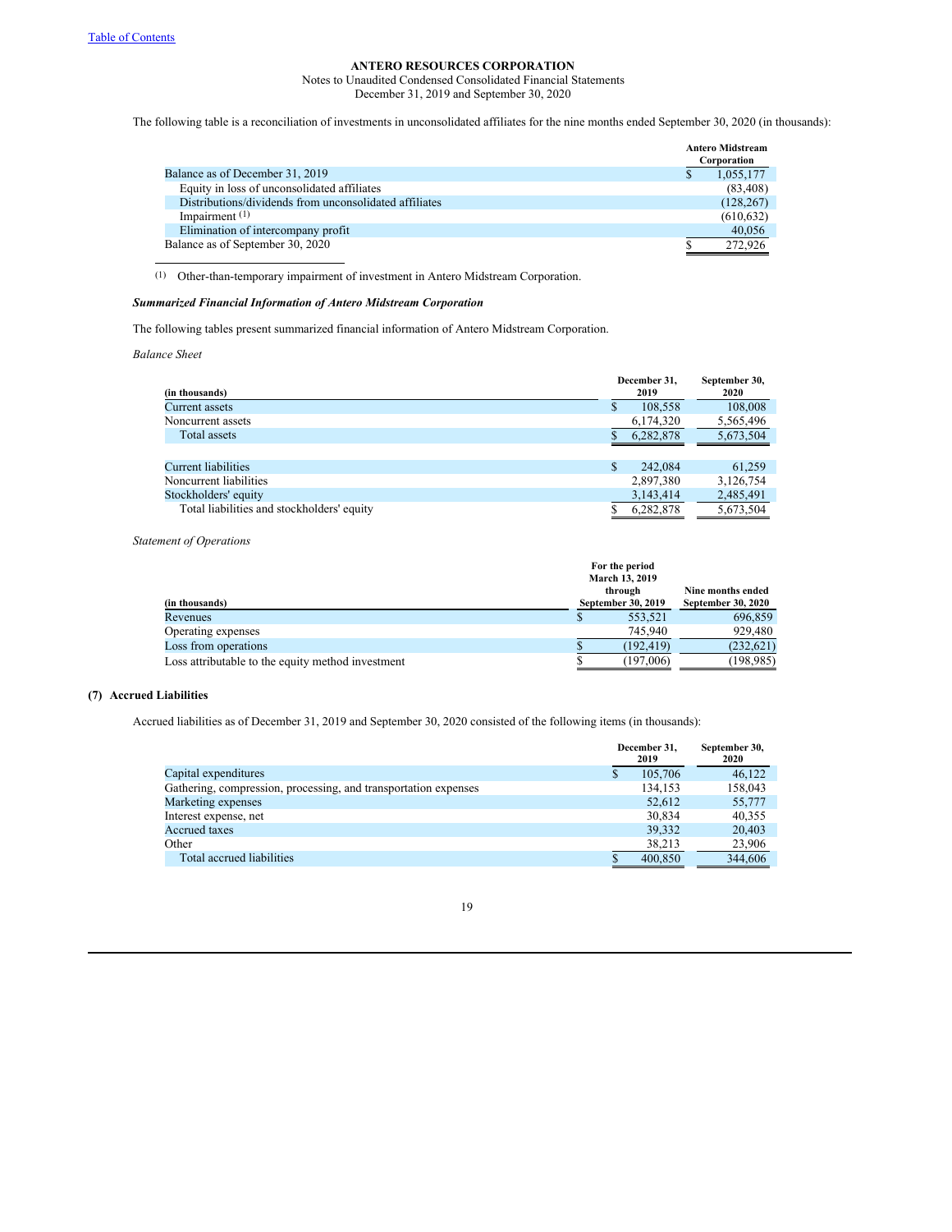Notes to Unaudited Condensed Consolidated Financial Statements

December 31, 2019 and September 30, 2020

The following table is a reconciliation of investments in unconsolidated affiliates for the nine months ended September 30, 2020 (in thousands):

|                                                        | <b>Antero Midstream</b> |             |
|--------------------------------------------------------|-------------------------|-------------|
|                                                        |                         | Corporation |
| Balance as of December 31, 2019                        | S                       | 1,055,177   |
| Equity in loss of unconsolidated affiliates            |                         | (83, 408)   |
| Distributions/dividends from unconsolidated affiliates |                         | (128, 267)  |
| Impairment $(1)$                                       |                         | (610, 632)  |
| Elimination of intercompany profit                     |                         | 40,056      |
| Balance as of September 30, 2020                       |                         | 272,926     |

(1) Other-than-temporary impairment of investment in Antero Midstream Corporation.

## *Summarized Financial Information of Antero Midstream Corporation*

The following tables present summarized financial information of Antero Midstream Corporation.

## *Balance Sheet*

|  |           | September 30,<br>2020 |
|--|-----------|-----------------------|
|  | 108.558   | 108,008               |
|  | 6,174,320 | 5,565,496             |
|  | 6.282.878 | 5,673,504             |
|  |           |                       |
|  | 242,084   | 61.259                |
|  | 2,897,380 | 3,126,754             |
|  | 3,143,414 | 2,485,491             |
|  | 6,282,878 | 5,673,504             |
|  |           | December 31.<br>2019  |

*Statement of Operations*

|                                                   |   | For the period     |                    |
|---------------------------------------------------|---|--------------------|--------------------|
|                                                   |   | March 13, 2019     |                    |
|                                                   |   | through            | Nine months ended  |
| (in thousands)                                    |   | September 30, 2019 | September 30, 2020 |
| Revenues                                          | Y | 553.521            | 696,859            |
| Operating expenses                                |   | 745.940            | 929.480            |
| Loss from operations                              |   | (192.419)          | (232,621)          |
| Loss attributable to the equity method investment |   | (197,006)          | (198, 985)         |

## **(7) Accrued Liabilities**

Accrued liabilities as of December 31, 2019 and September 30, 2020 consisted of the following items (in thousands):

|                                                                 | December 31.<br>2019 |         | September 30,<br>2020 |
|-----------------------------------------------------------------|----------------------|---------|-----------------------|
| Capital expenditures                                            |                      | 105,706 | 46.122                |
| Gathering, compression, processing, and transportation expenses |                      | 134.153 | 158,043               |
| Marketing expenses                                              |                      | 52.612  | 55,777                |
| Interest expense, net                                           |                      | 30,834  | 40.355                |
| Accrued taxes                                                   |                      | 39.332  | 20,403                |
| Other                                                           |                      | 38.213  | 23,906                |
| Total accrued liabilities                                       |                      | 400,850 | 344,606               |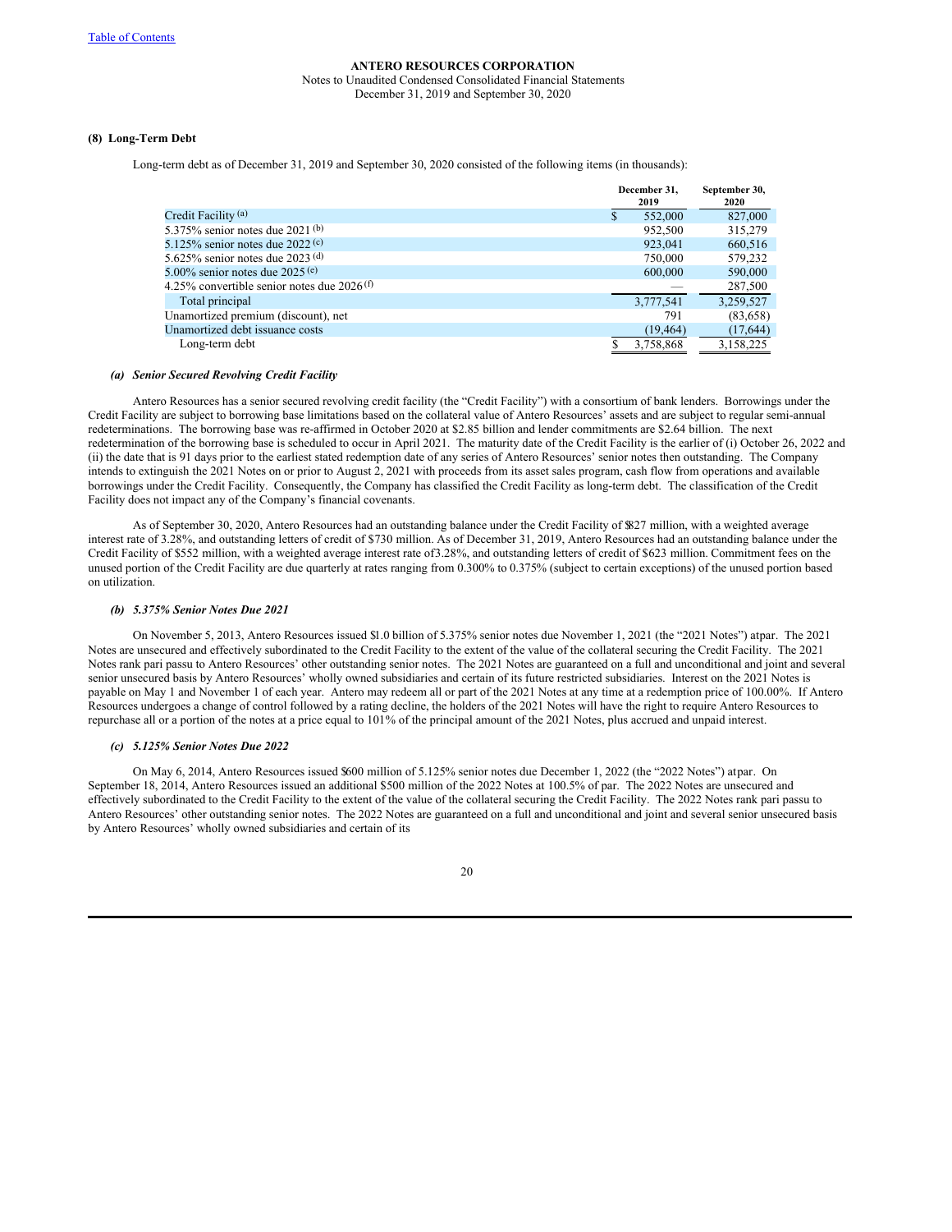Notes to Unaudited Condensed Consolidated Financial Statements December 31, 2019 and September 30, 2020

#### **(8) Long-Term Debt**

Long-term debt as of December 31, 2019 and September 30, 2020 consisted of the following items (in thousands):

|                                              |   | December 31,<br>2019 | September 30,<br>2020 |
|----------------------------------------------|---|----------------------|-----------------------|
| Credit Facility <sup>(a)</sup>               | S | 552,000              | 827,000               |
| 5.375% senior notes due 2021 $(b)$           |   | 952,500              | 315,279               |
| 5.125% senior notes due 2022 <sup>(c)</sup>  |   | 923,041              | 660,516               |
| 5.625% senior notes due 2023 (d)             |   | 750,000              | 579,232               |
| 5.00% senior notes due 2025 <sup>(e)</sup>   |   | 600,000              | 590,000               |
| 4.25% convertible senior notes due $2026(f)$ |   |                      | 287,500               |
| Total principal                              |   | 3,777,541            | 3,259,527             |
| Unamortized premium (discount), net          |   | 791                  | (83, 658)             |
| Unamortized debt issuance costs              |   | (19, 464)            | (17, 644)             |
| Long-term debt                               |   | 3,758,868            | 3,158,225             |

#### *(a) Senior Secured Revolving Credit Facility*

Antero Resources has a senior secured revolving credit facility (the "Credit Facility") with a consortium of bank lenders. Borrowings under the Credit Facility are subject to borrowing base limitations based on the collateral value of Antero Resources' assets and are subject to regular semi-annual redeterminations. The borrowing base was re-affirmed in October 2020 at \$2.85 billion and lender commitments are \$2.64 billion. The next redetermination of the borrowing base is scheduled to occur in April 2021. The maturity date of the Credit Facility is the earlier of (i) October 26, 2022 and (ii) the date that is 91 days prior to the earliest stated redemption date of any series of Antero Resources' senior notes then outstanding. The Company intends to extinguish the 2021 Notes on or prior to August 2, 2021 with proceeds from its asset sales program, cash flow from operations and available borrowings under the Credit Facility. Consequently, the Company has classified the Credit Facility as long-term debt. The classification of the Credit Facility does not impact any of the Company's financial covenants.

As of September 30, 2020, Antero Resources had an outstanding balance under the Credit Facility of \$827 million, with a weighted average interest rate of 3.28%, and outstanding letters of credit of \$730 million. As of December 31, 2019, Antero Resources had an outstanding balance under the Credit Facility of \$552 million, with a weighted average interest rate of3.28%, and outstanding letters of credit of \$623 million. Commitment fees on the unused portion of the Credit Facility are due quarterly at rates ranging from 0.300% to 0.375% (subject to certain exceptions) of the unused portion based on utilization.

#### *(b) 5.375% Senior Notes Due 2021*

On November 5, 2013, Antero Resources issued \$1.0 billion of 5.375% senior notes due November 1, 2021 (the "2021 Notes") atpar. The 2021 Notes are unsecured and effectively subordinated to the Credit Facility to the extent of the value of the collateral securing the Credit Facility. The 2021 Notes rank pari passu to Antero Resources' other outstanding senior notes. The 2021 Notes are guaranteed on a full and unconditional and joint and several senior unsecured basis by Antero Resources' wholly owned subsidiaries and certain of its future restricted subsidiaries. Interest on the 2021 Notes is payable on May 1 and November 1 of each year. Antero may redeem all or part of the 2021 Notes at any time at a redemption price of 100.00%. If Antero Resources undergoes a change of control followed by a rating decline, the holders of the 2021 Notes will have the right to require Antero Resources to repurchase all or a portion of the notes at a price equal to 101% of the principal amount of the 2021 Notes, plus accrued and unpaid interest.

#### *(c) 5.125% Senior Notes Due 2022*

On May 6, 2014, Antero Resources issued \$600 million of 5.125% senior notes due December 1, 2022 (the "2022 Notes") atpar. On September 18, 2014, Antero Resources issued an additional \$500 million of the 2022 Notes at 100.5% of par. The 2022 Notes are unsecured and effectively subordinated to the Credit Facility to the extent of the value of the collateral securing the Credit Facility. The 2022 Notes rank pari passu to Antero Resources' other outstanding senior notes. The 2022 Notes are guaranteed on a full and unconditional and joint and several senior unsecured basis by Antero Resources' wholly owned subsidiaries and certain of its

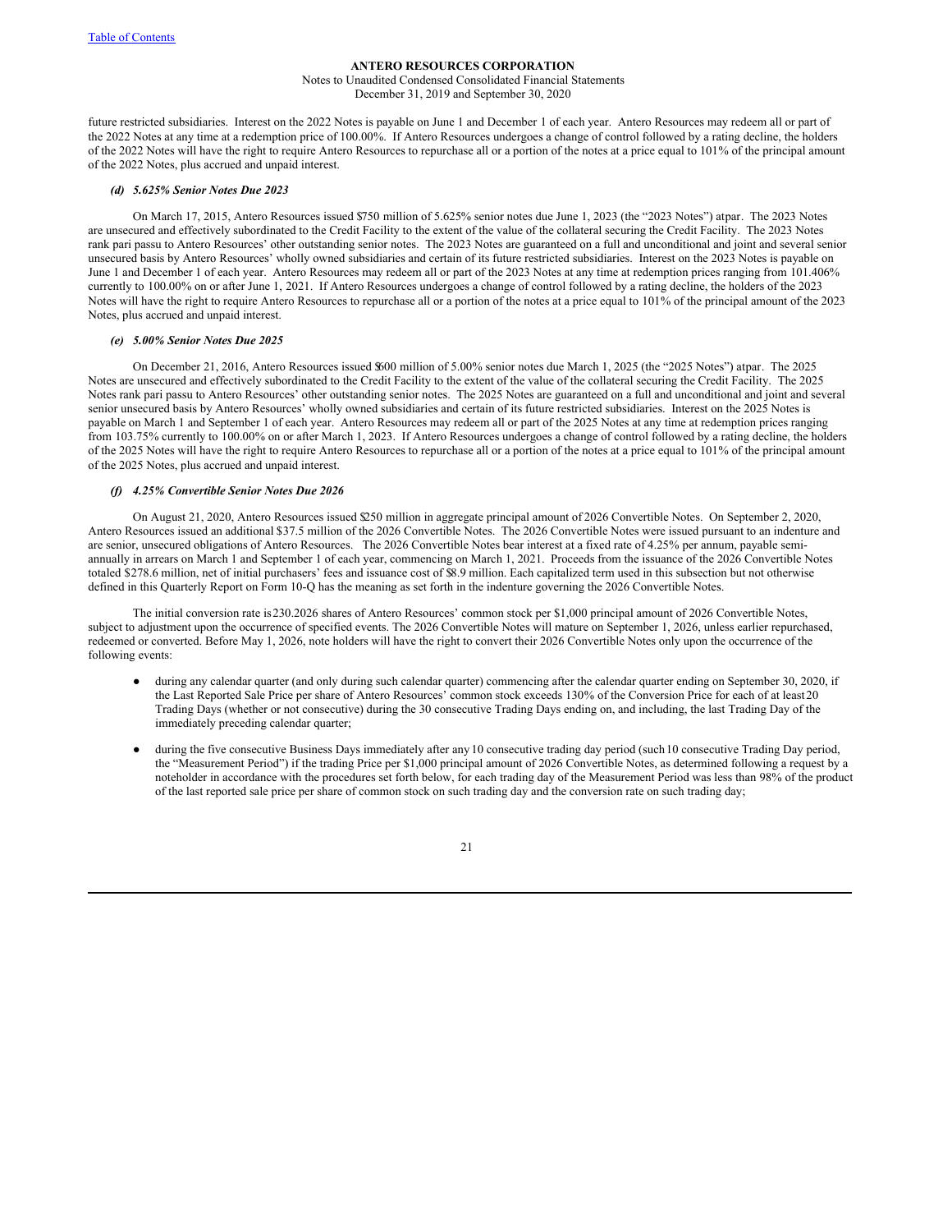Notes to Unaudited Condensed Consolidated Financial Statements December 31, 2019 and September 30, 2020

future restricted subsidiaries. Interest on the 2022 Notes is payable on June 1 and December 1 of each year. Antero Resources may redeem all or part of the 2022 Notes at any time at a redemption price of 100.00%. If Antero Resources undergoes a change of control followed by a rating decline, the holders of the 2022 Notes will have the right to require Antero Resources to repurchase all or a portion of the notes at a price equal to 101% of the principal amount of the 2022 Notes, plus accrued and unpaid interest.

#### *(d) 5.625% Senior Notes Due 2023*

On March 17, 2015, Antero Resources issued \$750 million of 5.625% senior notes due June 1, 2023 (the "2023 Notes") atpar. The 2023 Notes are unsecured and effectively subordinated to the Credit Facility to the extent of the value of the collateral securing the Credit Facility. The 2023 Notes rank pari passu to Antero Resources' other outstanding senior notes. The 2023 Notes are guaranteed on a full and unconditional and joint and several senior unsecured basis by Antero Resources' wholly owned subsidiaries and certain of its future restricted subsidiaries. Interest on the 2023 Notes is payable on June 1 and December 1 of each year. Antero Resources may redeem all or part of the 2023 Notes at any time at redemption prices ranging from 101.406% currently to 100.00% on or after June 1, 2021. If Antero Resources undergoes a change of control followed by a rating decline, the holders of the 2023 Notes will have the right to require Antero Resources to repurchase all or a portion of the notes at a price equal to 101% of the principal amount of the 2023 Notes, plus accrued and unpaid interest.

#### *(e) 5.00% Senior Notes Due 2025*

On December 21, 2016, Antero Resources issued \$600 million of 5.00% senior notes due March 1, 2025 (the "2025 Notes") atpar. The 2025 Notes are unsecured and effectively subordinated to the Credit Facility to the extent of the value of the collateral securing the Credit Facility. The 2025 Notes rank pari passu to Antero Resources' other outstanding senior notes. The 2025 Notes are guaranteed on a full and unconditional and joint and several senior unsecured basis by Antero Resources' wholly owned subsidiaries and certain of its future restricted subsidiaries. Interest on the 2025 Notes is payable on March 1 and September 1 of each year. Antero Resources may redeem all or part of the 2025 Notes at any time at redemption prices ranging from 103.75% currently to 100.00% on or after March 1, 2023. If Antero Resources undergoes a change of control followed by a rating decline, the holders of the 2025 Notes will have the right to require Antero Resources to repurchase all or a portion of the notes at a price equal to 101% of the principal amount of the 2025 Notes, plus accrued and unpaid interest.

#### *(f) 4.25% Convertible Senior Notes Due 2026*

On August 21, 2020, Antero Resources issued \$250 million in aggregate principal amount of 2026 Convertible Notes. On September 2, 2020, Antero Resources issued an additional \$37.5 million of the 2026 Convertible Notes. The 2026 Convertible Notes were issued pursuant to an indenture and are senior, unsecured obligations of Antero Resources. The 2026 Convertible Notes bear interest at a fixed rate of 4.25% per annum, payable semiannually in arrears on March 1 and September 1 of each year, commencing on March 1, 2021. Proceeds from the issuance of the 2026 Convertible Notes totaled \$278.6 million, net of initial purchasers' fees and issuance cost of \$8.9 million. Each capitalized term used in this subsection but not otherwise defined in this Quarterly Report on Form 10-Q has the meaning as set forth in the indenture governing the 2026 Convertible Notes.

The initial conversion rate is230.2026 shares of Antero Resources' common stock per \$1,000 principal amount of 2026 Convertible Notes, subject to adjustment upon the occurrence of specified events. The 2026 Convertible Notes will mature on September 1, 2026, unless earlier repurchased, redeemed or converted. Before May 1, 2026, note holders will have the right to convert their 2026 Convertible Notes only upon the occurrence of the following events:

- during any calendar quarter (and only during such calendar quarter) commencing after the calendar quarter ending on September 30, 2020, if the Last Reported Sale Price per share of Antero Resources' common stock exceeds 130% of the Conversion Price for each of at least20 Trading Days (whether or not consecutive) during the 30 consecutive Trading Days ending on, and including, the last Trading Day of the immediately preceding calendar quarter;
- during the five consecutive Business Days immediately after any 10 consecutive trading day period (such 10 consecutive Trading Day period, the "Measurement Period") if the trading Price per \$1,000 principal amount of 2026 Convertible Notes, as determined following a request by a noteholder in accordance with the procedures set forth below, for each trading day of the Measurement Period was less than 98% of the product of the last reported sale price per share of common stock on such trading day and the conversion rate on such trading day;

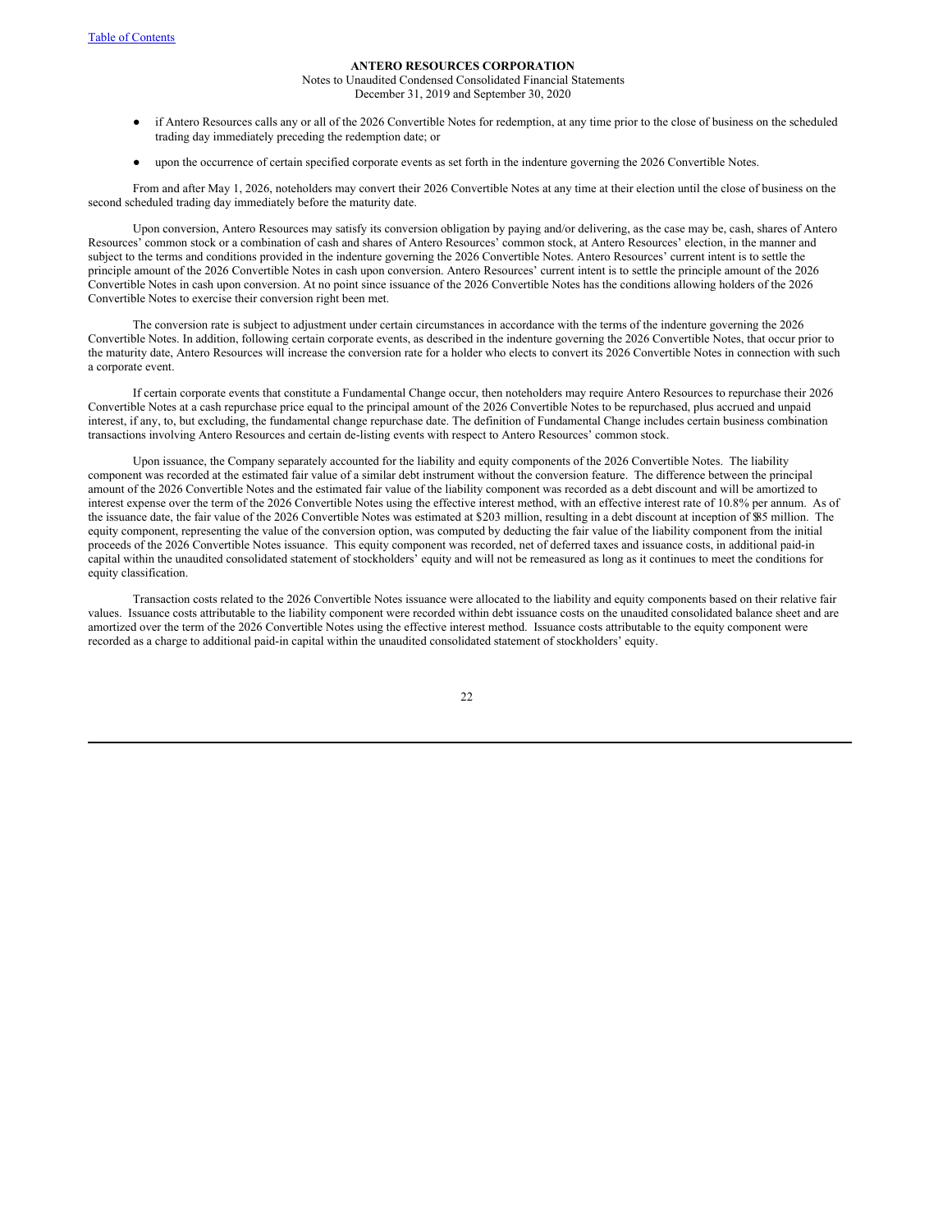Notes to Unaudited Condensed Consolidated Financial Statements December 31, 2019 and September 30, 2020

- if Antero Resources calls any or all of the 2026 Convertible Notes for redemption, at any time prior to the close of business on the scheduled trading day immediately preceding the redemption date; or
- upon the occurrence of certain specified corporate events as set forth in the indenture governing the 2026 Convertible Notes.

From and after May 1, 2026, noteholders may convert their 2026 Convertible Notes at any time at their election until the close of business on the second scheduled trading day immediately before the maturity date.

Upon conversion, Antero Resources may satisfy its conversion obligation by paying and/or delivering, as the case may be, cash, shares of Antero Resources' common stock or a combination of cash and shares of Antero Resources' common stock, at Antero Resources' election, in the manner and subject to the terms and conditions provided in the indenture governing the 2026 Convertible Notes. Antero Resources' current intent is to settle the principle amount of the 2026 Convertible Notes in cash upon conversion. Antero Resources' current intent is to settle the principle amount of the 2026 Convertible Notes in cash upon conversion. At no point since issuance of the 2026 Convertible Notes has the conditions allowing holders of the 2026 Convertible Notes to exercise their conversion right been met.

The conversion rate is subject to adjustment under certain circumstances in accordance with the terms of the indenture governing the 2026 Convertible Notes. In addition, following certain corporate events, as described in the indenture governing the 2026 Convertible Notes, that occur prior to the maturity date, Antero Resources will increase the conversion rate for a holder who elects to convert its 2026 Convertible Notes in connection with such a corporate event.

If certain corporate events that constitute a Fundamental Change occur, then noteholders may require Antero Resources to repurchase their 2026 Convertible Notes at a cash repurchase price equal to the principal amount of the 2026 Convertible Notes to be repurchased, plus accrued and unpaid interest, if any, to, but excluding, the fundamental change repurchase date. The definition of Fundamental Change includes certain business combination transactions involving Antero Resources and certain de-listing events with respect to Antero Resources' common stock.

Upon issuance, the Company separately accounted for the liability and equity components of the 2026 Convertible Notes. The liability component was recorded at the estimated fair value of a similar debt instrument without the conversion feature. The difference between the principal amount of the 2026 Convertible Notes and the estimated fair value of the liability component was recorded as a debt discount and will be amortized to interest expense over the term of the 2026 Convertible Notes using the effective interest method, with an effective interest rate of 10.8% per annum. As of the issuance date, the fair value of the 2026 Convertible Notes was estimated at \$203 million, resulting in a debt discount at inception of \$85 million. The equity component, representing the value of the conversion option, was computed by deducting the fair value of the liability component from the initial proceeds of the 2026 Convertible Notes issuance. This equity component was recorded, net of deferred taxes and issuance costs, in additional paid-in capital within the unaudited consolidated statement of stockholders' equity and will not be remeasured as long as it continues to meet the conditions for equity classification.

Transaction costs related to the 2026 Convertible Notes issuance were allocated to the liability and equity components based on their relative fair values. Issuance costs attributable to the liability component were recorded within debt issuance costs on the unaudited consolidated balance sheet and are amortized over the term of the 2026 Convertible Notes using the effective interest method. Issuance costs attributable to the equity component were recorded as a charge to additional paid-in capital within the unaudited consolidated statement of stockholders' equity.

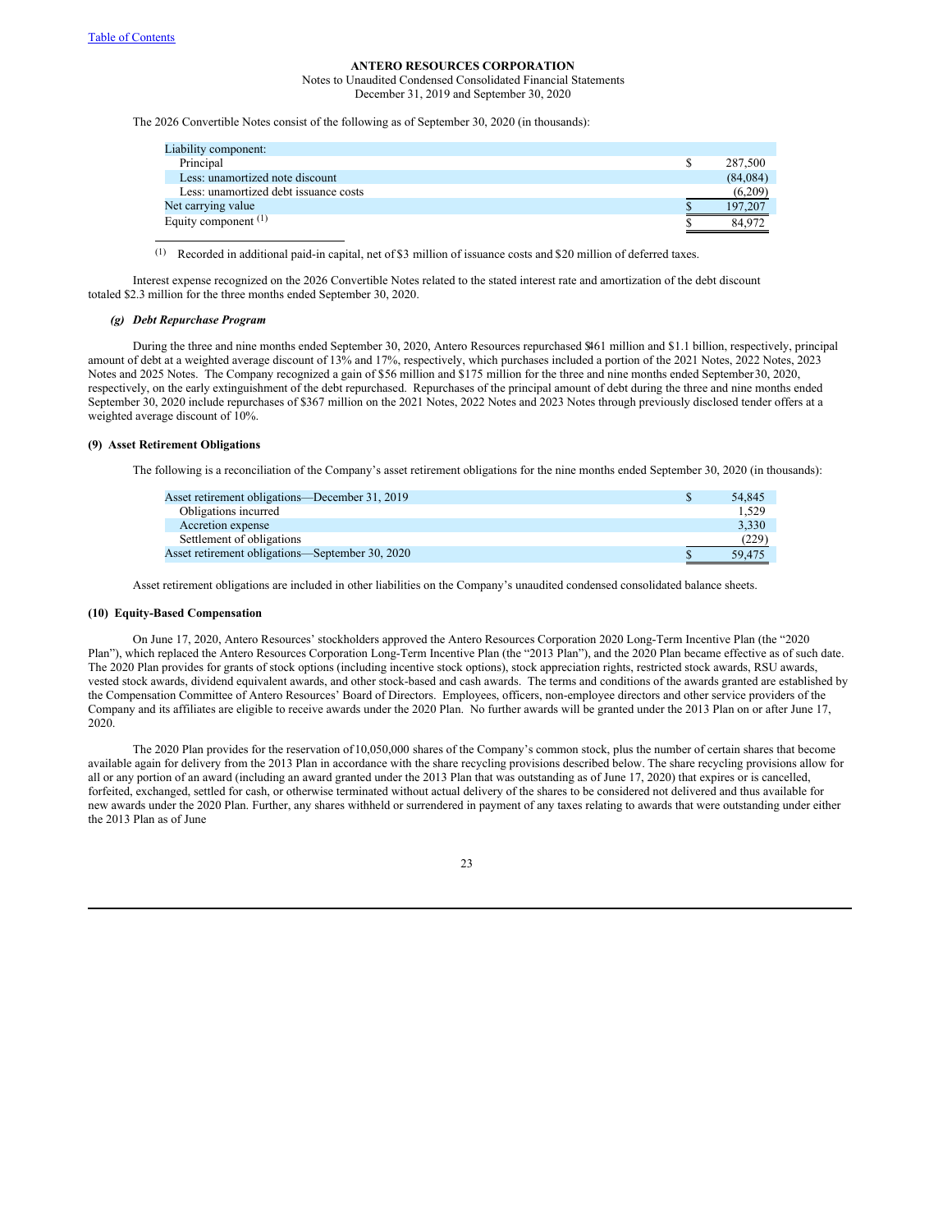Notes to Unaudited Condensed Consolidated Financial Statements December 31, 2019 and September 30, 2020

The 2026 Convertible Notes consist of the following as of September 30, 2020 (in thousands):

| Liability component:                  |          |
|---------------------------------------|----------|
| Principal                             | 287,500  |
| Less: unamortized note discount       | (84,084) |
| Less: unamortized debt issuance costs | (6,209)  |
| Net carrying value                    | 197,207  |
| Equity component $(1)$                | 84.972   |

(1) Recorded in additional paid-in capital, net of \$3 million of issuance costs and \$20 million of deferred taxes.

Interest expense recognized on the 2026 Convertible Notes related to the stated interest rate and amortization of the debt discount totaled \$2.3 million for the three months ended September 30, 2020.

#### *(g) Debt Repurchase Program*

During the three and nine months ended September 30, 2020, Antero Resources repurchased \$461 million and \$1.1 billion, respectively, principal amount of debt at a weighted average discount of 13% and 17%, respectively, which purchases included a portion of the 2021 Notes, 2022 Notes, 2023 Notes and 2025 Notes. The Company recognized a gain of \$56 million and \$175 million for the three and nine months ended September30, 2020, respectively, on the early extinguishment of the debt repurchased. Repurchases of the principal amount of debt during the three and nine months ended September 30, 2020 include repurchases of \$367 million on the 2021 Notes, 2022 Notes and 2023 Notes through previously disclosed tender offers at a weighted average discount of 10%.

## **(9) Asset Retirement Obligations**

The following is a reconciliation of the Company's asset retirement obligations for the nine months ended September 30, 2020 (in thousands):

| Asset retirement obligations—December 31, 2019  | 54.845 |
|-------------------------------------------------|--------|
| Obligations incurred                            | 1.529  |
| Accretion expense                               | 3.330  |
| Settlement of obligations                       | (229)  |
| Asset retirement obligations—September 30, 2020 | 59.475 |

Asset retirement obligations are included in other liabilities on the Company's unaudited condensed consolidated balance sheets.

## **(10) Equity-Based Compensation**

On June 17, 2020, Antero Resources' stockholders approved the Antero Resources Corporation 2020 Long-Term Incentive Plan (the "2020 Plan"), which replaced the Antero Resources Corporation Long-Term Incentive Plan (the "2013 Plan"), and the 2020 Plan became effective as of such date. The 2020 Plan provides for grants of stock options (including incentive stock options), stock appreciation rights, restricted stock awards, RSU awards, vested stock awards, dividend equivalent awards, and other stock-based and cash awards. The terms and conditions of the awards granted are established by the Compensation Committee of Antero Resources' Board of Directors. Employees, officers, non-employee directors and other service providers of the Company and its affiliates are eligible to receive awards under the 2020 Plan. No further awards will be granted under the 2013 Plan on or after June 17, 2020.

The 2020 Plan provides for the reservation of 10,050,000 shares of the Company's common stock, plus the number of certain shares that become available again for delivery from the 2013 Plan in accordance with the share recycling provisions described below. The share recycling provisions allow for all or any portion of an award (including an award granted under the 2013 Plan that was outstanding as of June 17, 2020) that expires or is cancelled, forfeited, exchanged, settled for cash, or otherwise terminated without actual delivery of the shares to be considered not delivered and thus available for new awards under the 2020 Plan. Further, any shares withheld or surrendered in payment of any taxes relating to awards that were outstanding under either the 2013 Plan as of June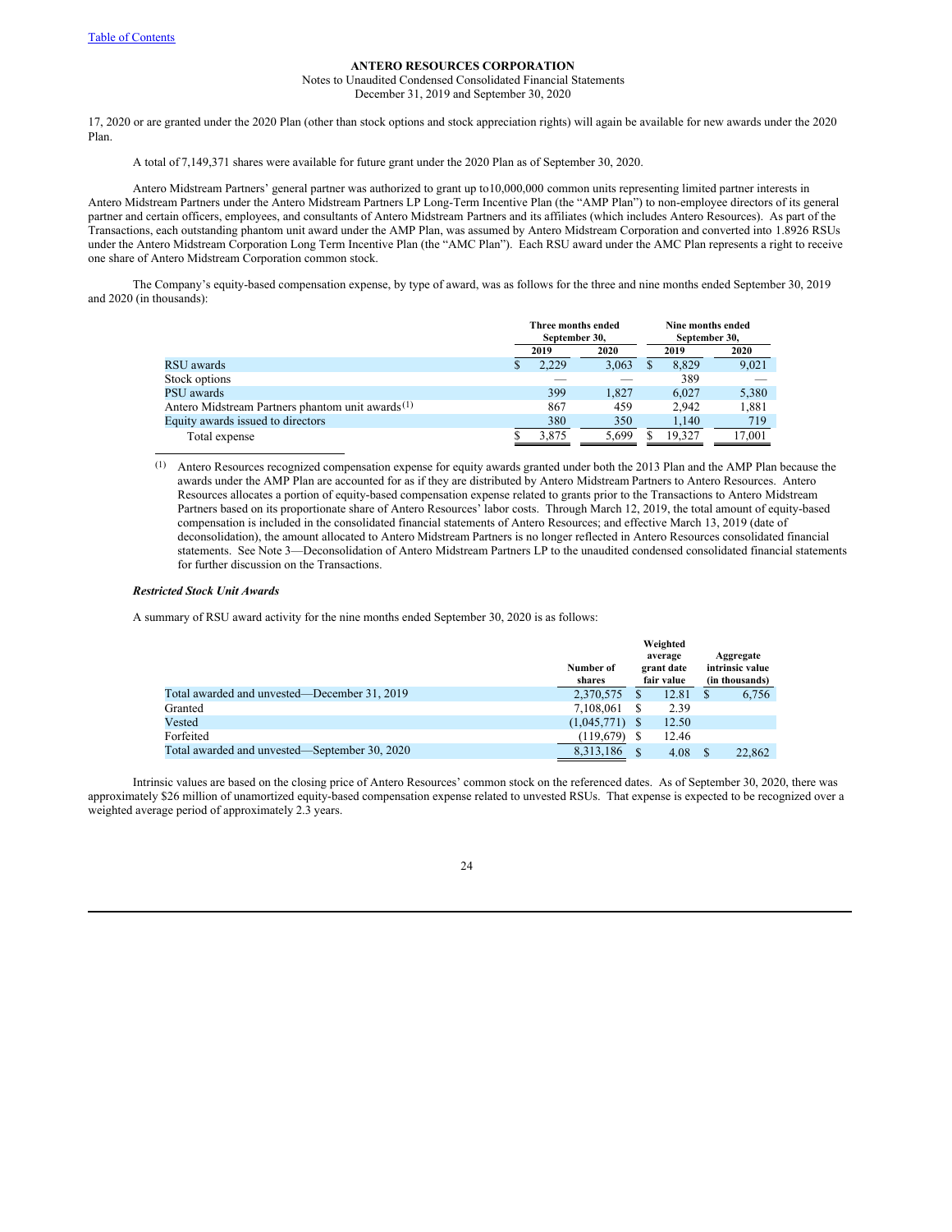Notes to Unaudited Condensed Consolidated Financial Statements

December 31, 2019 and September 30, 2020

17, 2020 or are granted under the 2020 Plan (other than stock options and stock appreciation rights) will again be available for new awards under the 2020 Plan.

A total of 7,149,371 shares were available for future grant under the 2020 Plan as of September 30, 2020.

Antero Midstream Partners' general partner was authorized to grant up to10,000,000 common units representing limited partner interests in Antero Midstream Partners under the Antero Midstream Partners LP Long-Term Incentive Plan (the "AMP Plan") to non-employee directors of its general partner and certain officers, employees, and consultants of Antero Midstream Partners and its affiliates (which includes Antero Resources). As part of the Transactions, each outstanding phantom unit award under the AMP Plan, was assumed by Antero Midstream Corporation and converted into 1.8926 RSUs under the Antero Midstream Corporation Long Term Incentive Plan (the "AMC Plan"). Each RSU award under the AMC Plan represents a right to receive one share of Antero Midstream Corporation common stock.

The Company's equity-based compensation expense, by type of award, was as follows for the three and nine months ended September 30, 2019 and 2020 (in thousands):

|                                                              | Three months ended<br>September 30, |       |       | Nine months ended<br>September 30, |        |        |
|--------------------------------------------------------------|-------------------------------------|-------|-------|------------------------------------|--------|--------|
|                                                              | 2019                                |       | 2020  |                                    | 2019   | 2020   |
| RSU awards                                                   |                                     | 2.229 | 3,063 |                                    | 8.829  | 9,021  |
| Stock options                                                |                                     |       |       |                                    | 389    |        |
| <b>PSU</b> awards                                            |                                     | 399   | 1.827 |                                    | 6.027  | 5,380  |
| Antero Midstream Partners phantom unit awards <sup>(1)</sup> |                                     | 867   | 459   |                                    | 2.942  | 1,881  |
| Equity awards issued to directors                            |                                     | 380   | 350   |                                    | 1.140  | 719    |
| Total expense                                                |                                     | 3.875 | 5.699 |                                    | 19.327 | 17,001 |

(1) Antero Resources recognized compensation expense for equity awards granted under both the 2013 Plan and the AMP Plan because the awards under the AMP Plan are accounted for as if they are distributed by Antero Midstream Partners to Antero Resources. Antero Resources allocates a portion of equity-based compensation expense related to grants prior to the Transactions to Antero Midstream Partners based on its proportionate share of Antero Resources' labor costs. Through March 12, 2019, the total amount of equity-based compensation is included in the consolidated financial statements of Antero Resources; and effective March 13, 2019 (date of deconsolidation), the amount allocated to Antero Midstream Partners is no longer reflected in Antero Resources consolidated financial statements. See Note 3—Deconsolidation of Antero Midstream Partners LP to the unaudited condensed consolidated financial statements for further discussion on the Transactions.

#### *Restricted Stock Unit Awards*

A summary of RSU award activity for the nine months ended September 30, 2020 is as follows:

|                                               | Number of<br>shares | Weighted<br>average<br>grant date<br>fair value | Aggregate<br>intrinsic value<br>(in thousands) |
|-----------------------------------------------|---------------------|-------------------------------------------------|------------------------------------------------|
| Total awarded and unvested—December 31, 2019  | 2,370,575           | 12.81                                           | 6,756                                          |
| Granted                                       | 7.108.061           | 2.39                                            |                                                |
| Vested                                        | (1,045,771)         | 12.50                                           |                                                |
| Forfeited                                     | (119,679)           | 12.46                                           |                                                |
| Total awarded and unvested—September 30, 2020 | 8.313.186           | 4.08                                            | 22,862                                         |

Intrinsic values are based on the closing price of Antero Resources' common stock on the referenced dates. As of September 30, 2020, there was approximately \$26 million of unamortized equity-based compensation expense related to unvested RSUs. That expense is expected to be recognized over a weighted average period of approximately 2.3 years.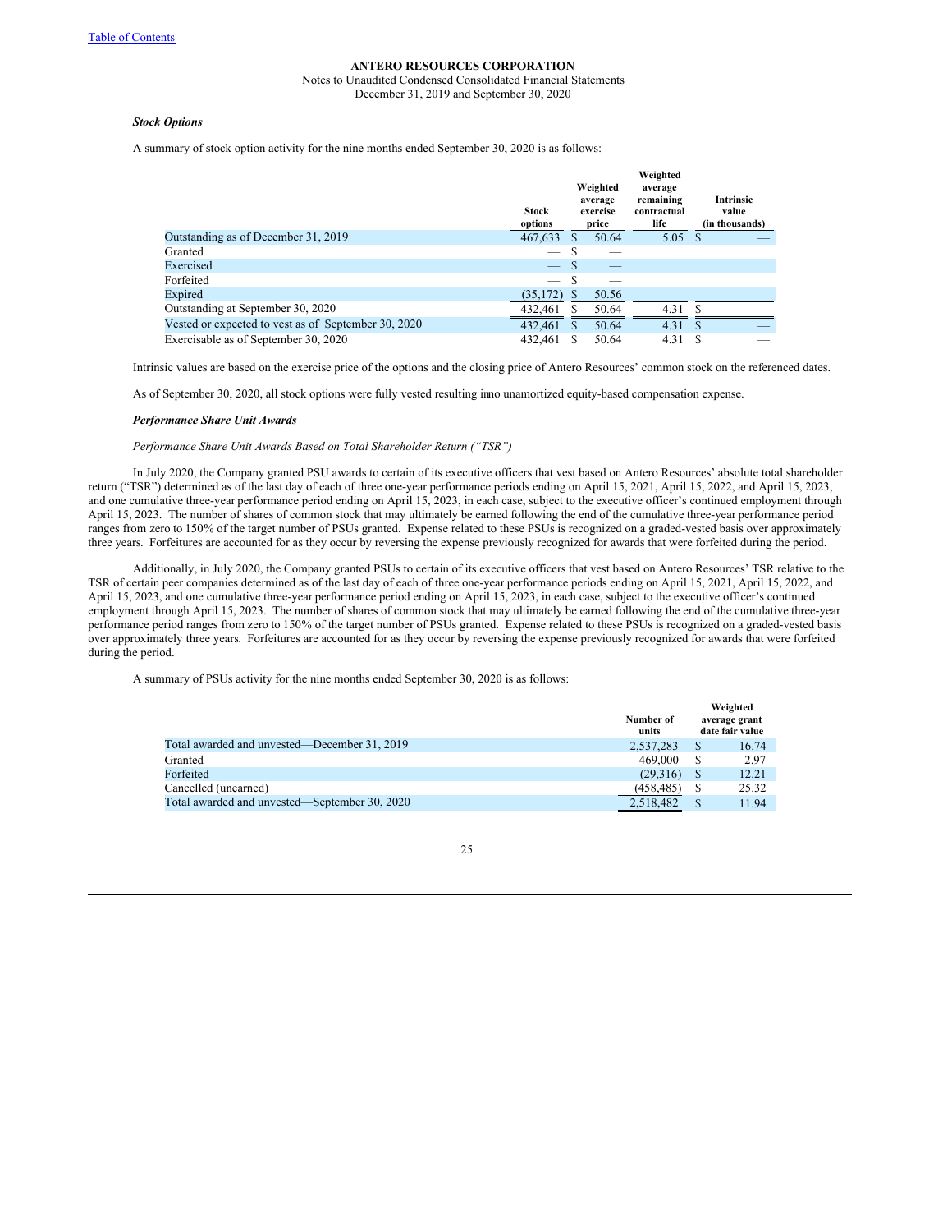Notes to Unaudited Condensed Consolidated Financial Statements December 31, 2019 and September 30, 2020

#### *Stock Options*

A summary of stock option activity for the nine months ended September 30, 2020 is as follows:

|                                                     | <b>Stock</b><br>options |   | Weighted<br>average<br>exercise<br>price | Weighted<br>average<br>remaining<br>contractual<br>life |              | Intrinsic<br>value<br>(in thousands) |
|-----------------------------------------------------|-------------------------|---|------------------------------------------|---------------------------------------------------------|--------------|--------------------------------------|
| Outstanding as of December 31, 2019                 | 467,633                 | S | 50.64                                    | 5.05                                                    | <sup>S</sup> |                                      |
| Granted                                             |                         | S |                                          |                                                         |              |                                      |
| Exercised                                           |                         | S |                                          |                                                         |              |                                      |
| Forfeited                                           | _                       | S |                                          |                                                         |              |                                      |
| Expired                                             | (35, 172)               | S | 50.56                                    |                                                         |              |                                      |
| Outstanding at September 30, 2020                   | 432,461                 |   | 50.64                                    | 4.31                                                    |              |                                      |
| Vested or expected to vest as of September 30, 2020 | 432.461                 | S | 50.64                                    | 4.31                                                    | - \$         |                                      |
| Exercisable as of September 30, 2020                | 432.461                 |   | 50.64                                    | 4.31                                                    |              |                                      |

Intrinsic values are based on the exercise price of the options and the closing price of Antero Resources' common stock on the referenced dates.

As of September 30, 2020, all stock options were fully vested resulting inno unamortized equity-based compensation expense.

#### *Performance Share Unit Awards*

*Performance Share Unit Awards Based on Total Shareholder Return ("TSR")*

In July 2020, the Company granted PSU awards to certain of its executive officers that vest based on Antero Resources' absolute total shareholder return ("TSR") determined as of the last day of each of three one-year performance periods ending on April 15, 2021, April 15, 2022, and April 15, 2023, and one cumulative three-year performance period ending on April 15, 2023, in each case, subject to the executive officer's continued employment through April 15, 2023. The number of shares of common stock that may ultimately be earned following the end of the cumulative three-year performance period ranges from zero to 150% of the target number of PSUs granted. Expense related to these PSUs is recognized on a graded-vested basis over approximately three years. Forfeitures are accounted for as they occur by reversing the expense previously recognized for awards that were forfeited during the period.

Additionally, in July 2020, the Company granted PSUs to certain of its executive officers that vest based on Antero Resources' TSR relative to the TSR of certain peer companies determined as of the last day of each of three one-year performance periods ending on April 15, 2021, April 15, 2022, and April 15, 2023, and one cumulative three-year performance period ending on April 15, 2023, in each case, subject to the executive officer's continued employment through April 15, 2023. The number of shares of common stock that may ultimately be earned following the end of the cumulative three-year performance period ranges from zero to 150% of the target number of PSUs granted. Expense related to these PSUs is recognized on a graded-vested basis over approximately three years. Forfeitures are accounted for as they occur by reversing the expense previously recognized for awards that were forfeited during the period.

A summary of PSUs activity for the nine months ended September 30, 2020 is as follows:

|                                               | Number of<br>units | Weighted<br>average grant<br>date fair value |
|-----------------------------------------------|--------------------|----------------------------------------------|
| Total awarded and unvested—December 31, 2019  | 2,537,283          | \$<br>16.74                                  |
| Granted                                       | 469,000            | 2.97                                         |
| Forfeited                                     | (29.316)           | 12.21                                        |
| Cancelled (unearned)                          | (458, 485)         | 25.32                                        |
| Total awarded and unvested—September 30, 2020 | 2,518,482          | 11.94                                        |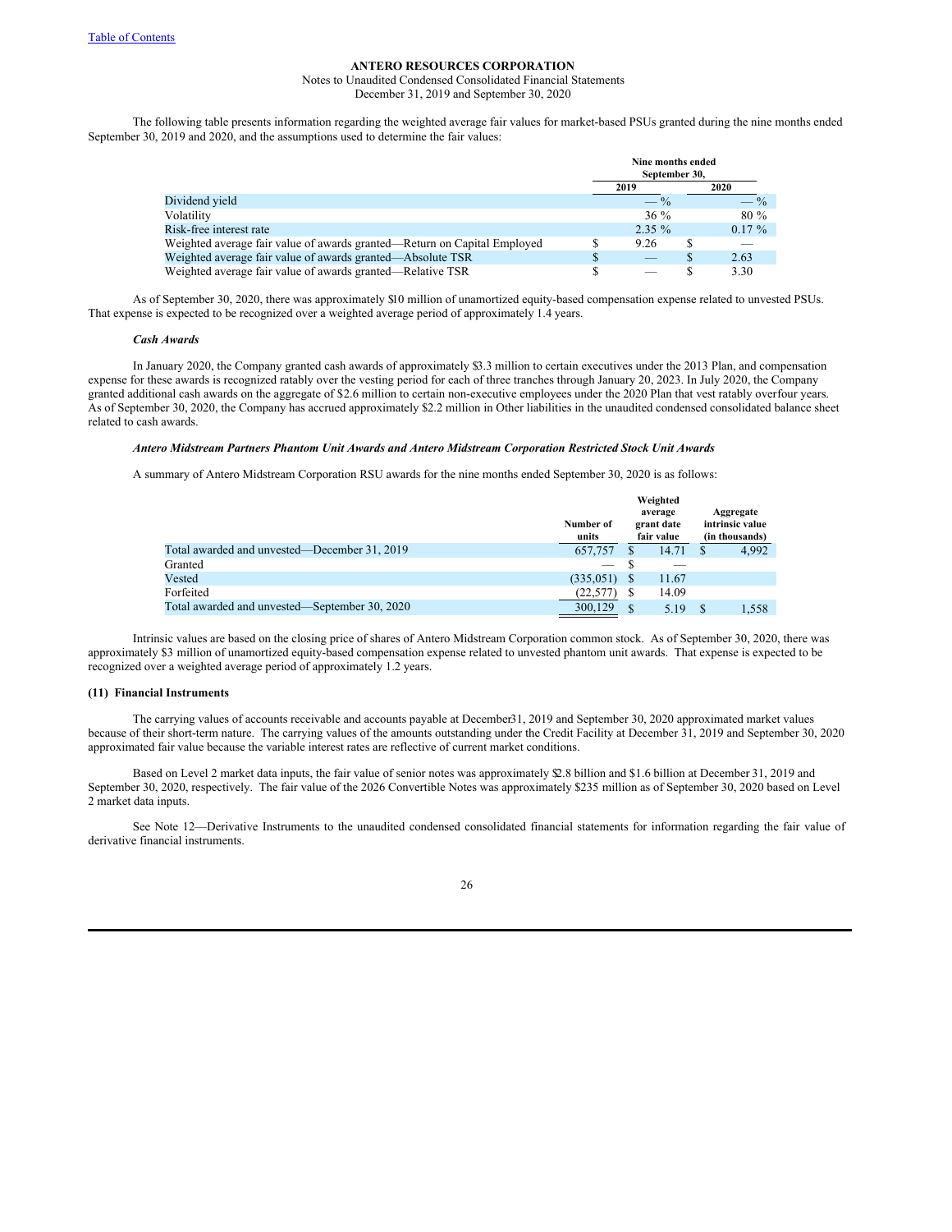Notes to Unaudited Condensed Consolidated Financial Statements

December 31, 2019 and September 30, 2020

The following table presents information regarding the weighted average fair values for market-based PSUs granted during the nine months ended September 30, 2019 and 2020, and the assumptions used to determine the fair values:

|                                                                          | Nine months ended<br>September 30, |          |    |          |  |
|--------------------------------------------------------------------------|------------------------------------|----------|----|----------|--|
|                                                                          | 2019                               | 2020     |    |          |  |
| Dividend yield                                                           |                                    | $-$ %    |    | $-$ %    |  |
| Volatility                                                               |                                    | $36\%$   |    | $80\%$   |  |
| Risk-free interest rate                                                  |                                    | $2.35\%$ |    | $0.17\%$ |  |
| Weighted average fair value of awards granted—Return on Capital Employed |                                    | 9.26     |    |          |  |
| Weighted average fair value of awards granted—Absolute TSR               |                                    | _        | S. | 2.63     |  |
| Weighted average fair value of awards granted—Relative TSR               |                                    | _        |    | 3.30     |  |

As of September 30, 2020, there was approximately \$10 million of unamortized equity-based compensation expense related to unvested PSUs. That expense is expected to be recognized over a weighted average period of approximately 1.4 years.

#### *Cash Awards*

In January 2020, the Company granted cash awards of approximately \$3.3 million to certain executives under the 2013 Plan, and compensation expense for these awards is recognized ratably over the vesting period for each of three tranches through January 20, 2023. In July 2020, the Company granted additional cash awards on the aggregate of \$2.6 million to certain non-executive employees under the 2020 Plan that vest ratably overfour years. As of September 30, 2020, the Company has accrued approximately \$2.2 million in Other liabilities in the unaudited condensed consolidated balance sheet related to cash awards.

### *Antero Midstream Partners Phantom Unit Awards and Antero Midstream Corporation Restricted Stock Unit Awards*

A summary of Antero Midstream Corporation RSU awards for the nine months ended September 30, 2020 is as follows:

|                                               | Number of<br>units                    | Weighted<br>average<br>grant date<br>fair value |               | Aggregate<br>intrinsic value<br>(in thousands) |
|-----------------------------------------------|---------------------------------------|-------------------------------------------------|---------------|------------------------------------------------|
| Total awarded and unvested—December 31, 2019  | 657,757                               | 14.71                                           | <sup>\$</sup> | 4.992                                          |
| Granted                                       | $\hspace{1.0cm} \rule{1.5cm}{0.15cm}$ |                                                 |               |                                                |
| Vested                                        | (335.051)                             | 11.67                                           |               |                                                |
| Forfeited                                     | (22, 577)                             | 14.09                                           |               |                                                |
| Total awarded and unvested—September 30, 2020 | 300,129                               | 5.19                                            |               | 1.558                                          |

Intrinsic values are based on the closing price of shares of Antero Midstream Corporation common stock. As of September 30, 2020, there was approximately \$3 million of unamortized equity-based compensation expense related to unvested phantom unit awards. That expense is expected to be recognized over a weighted average period of approximately 1.2 years.

### **(11) Financial Instruments**

The carrying values of accounts receivable and accounts payable at December31, 2019 and September 30, 2020 approximated market values because of their short-term nature. The carrying values of the amounts outstanding under the Credit Facility at December 31, 2019 and September 30, 2020 approximated fair value because the variable interest rates are reflective of current market conditions.

Based on Level 2 market data inputs, the fair value of senior notes was approximately \$2.8 billion and \$1.6 billion at December 31, 2019 and September 30, 2020, respectively. The fair value of the 2026 Convertible Notes was approximately \$235 million as of September 30, 2020 based on Level 2 market data inputs.

See Note 12—Derivative Instruments to the unaudited condensed consolidated financial statements for information regarding the fair value of derivative financial instruments.

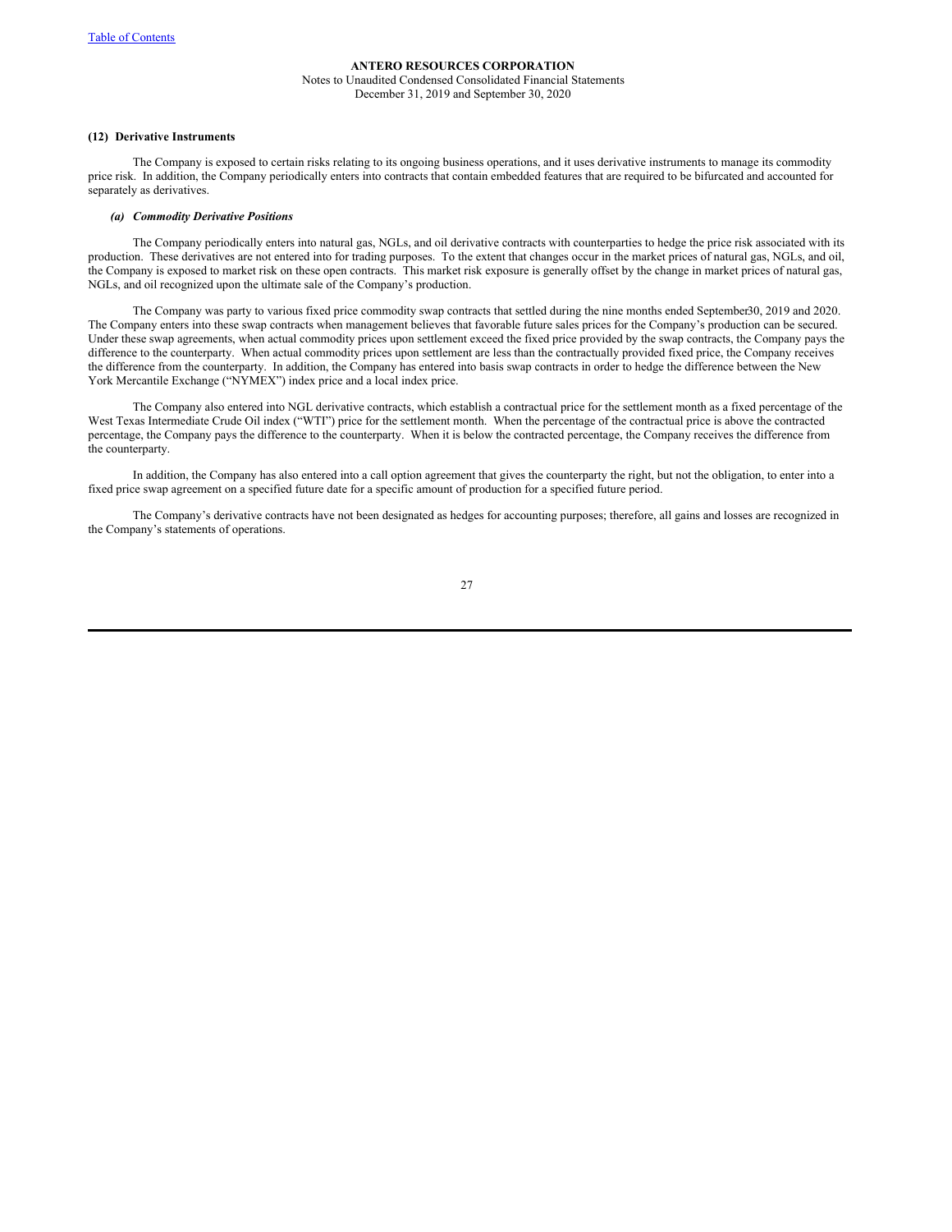Notes to Unaudited Condensed Consolidated Financial Statements December 31, 2019 and September 30, 2020

#### **(12) Derivative Instruments**

The Company is exposed to certain risks relating to its ongoing business operations, and it uses derivative instruments to manage its commodity price risk. In addition, the Company periodically enters into contracts that contain embedded features that are required to be bifurcated and accounted for separately as derivatives.

#### *(a) Commodity Derivative Positions*

The Company periodically enters into natural gas, NGLs, and oil derivative contracts with counterparties to hedge the price risk associated with its production. These derivatives are not entered into for trading purposes. To the extent that changes occur in the market prices of natural gas, NGLs, and oil, the Company is exposed to market risk on these open contracts. This market risk exposure is generally offset by the change in market prices of natural gas, NGLs, and oil recognized upon the ultimate sale of the Company's production.

The Company was party to various fixed price commodity swap contracts that settled during the nine months ended September30, 2019 and 2020. The Company enters into these swap contracts when management believes that favorable future sales prices for the Company's production can be secured. Under these swap agreements, when actual commodity prices upon settlement exceed the fixed price provided by the swap contracts, the Company pays the difference to the counterparty. When actual commodity prices upon settlement are less than the contractually provided fixed price, the Company receives the difference from the counterparty. In addition, the Company has entered into basis swap contracts in order to hedge the difference between the New York Mercantile Exchange ("NYMEX") index price and a local index price.

The Company also entered into NGL derivative contracts, which establish a contractual price for the settlement month as a fixed percentage of the West Texas Intermediate Crude Oil index ("WTI") price for the settlement month. When the percentage of the contractual price is above the contracted percentage, the Company pays the difference to the counterparty. When it is below the contracted percentage, the Company receives the difference from the counterparty.

In addition, the Company has also entered into a call option agreement that gives the counterparty the right, but not the obligation, to enter into a fixed price swap agreement on a specified future date for a specific amount of production for a specified future period.

The Company's derivative contracts have not been designated as hedges for accounting purposes; therefore, all gains and losses are recognized in the Company's statements of operations.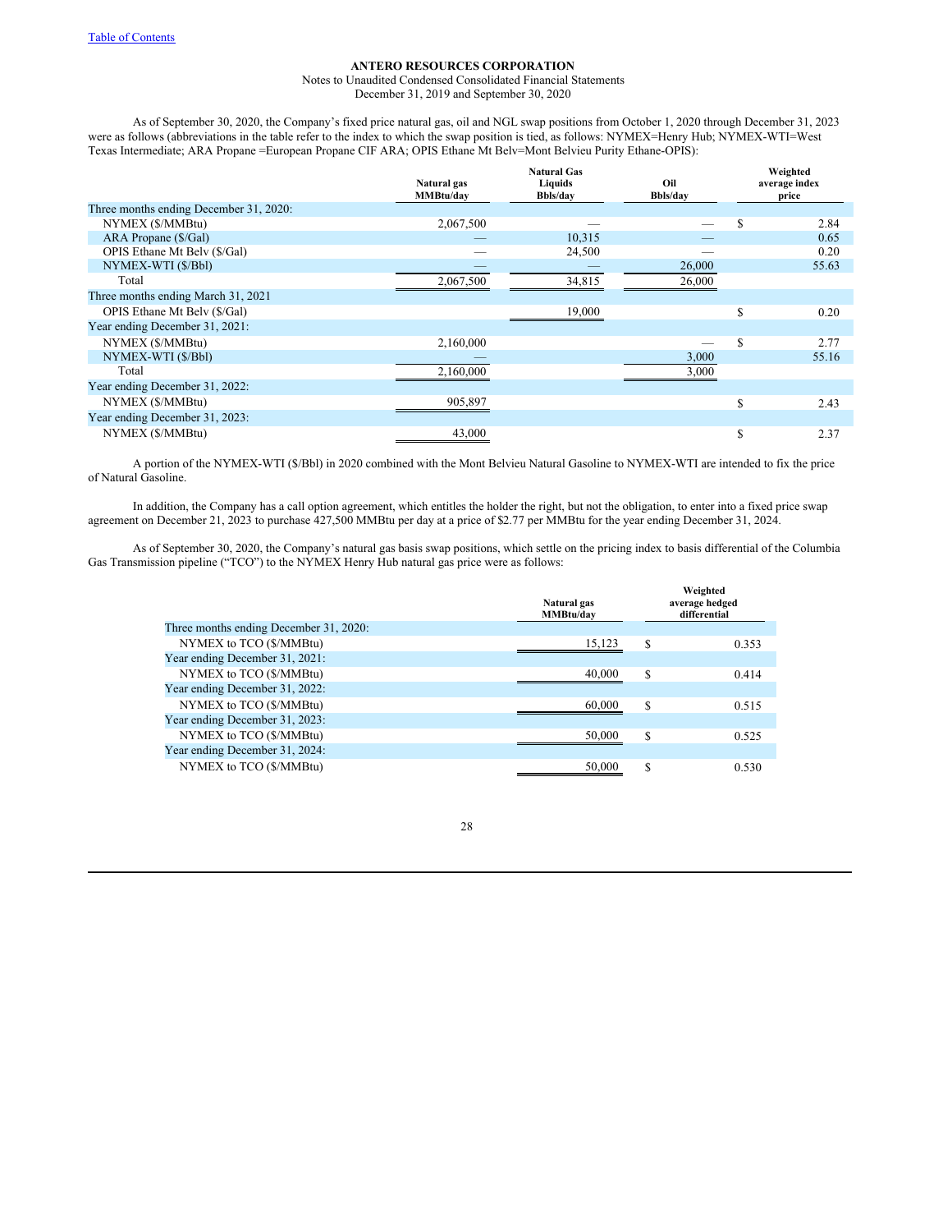Notes to Unaudited Condensed Consolidated Financial Statements December 31, 2019 and September 30, 2020

As of September 30, 2020, the Company's fixed price natural gas, oil and NGL swap positions from October 1, 2020 through December 31, 2023 were as follows (abbreviations in the table refer to the index to which the swap position is tied, as follows: NYMEX=Henry Hub; NYMEX-WTI=West Texas Intermediate; ARA Propane =European Propane CIF ARA; OPIS Ethane Mt Belv=Mont Belvieu Purity Ethane-OPIS):

|                                        | Natural gas<br>MMBtu/day | <b>Natural Gas</b><br>Liquids<br><b>Bbls/day</b> | Oil<br><b>Bbls/day</b> |             | Weighted<br>average index<br>price |
|----------------------------------------|--------------------------|--------------------------------------------------|------------------------|-------------|------------------------------------|
| Three months ending December 31, 2020: |                          |                                                  |                        |             |                                    |
| NYMEX (\$/MMBtu)                       | 2,067,500                |                                                  |                        | S           | 2.84                               |
| ARA Propane (\$/Gal)                   |                          | 10,315                                           |                        |             | 0.65                               |
| OPIS Ethane Mt Belv (\$/Gal)           |                          | 24,500                                           |                        |             | 0.20                               |
| NYMEX-WTI (\$/Bbl)                     |                          |                                                  | 26,000                 |             | 55.63                              |
| Total                                  | 2,067,500                | 34,815                                           | 26,000                 |             |                                    |
| Three months ending March 31, 2021     |                          |                                                  |                        |             |                                    |
| OPIS Ethane Mt Belv (\$/Gal)           |                          | 19,000                                           |                        | \$          | 0.20                               |
| Year ending December 31, 2021:         |                          |                                                  |                        |             |                                    |
| NYMEX (\$/MMBtu)                       | 2,160,000                |                                                  |                        | \$          | 2.77                               |
| NYMEX-WTI (\$/Bbl)                     |                          |                                                  | 3,000                  |             | 55.16                              |
| Total                                  | 2,160,000                |                                                  | 3,000                  |             |                                    |
| Year ending December 31, 2022:         |                          |                                                  |                        |             |                                    |
| NYMEX (\$/MMBtu)                       | 905,897                  |                                                  |                        | S           | 2.43                               |
| Year ending December 31, 2023:         |                          |                                                  |                        |             |                                    |
| NYMEX (\$/MMBtu)                       | 43,000                   |                                                  |                        | $\mathbf S$ | 2.37                               |

A portion of the NYMEX-WTI (\$/Bbl) in 2020 combined with the Mont Belvieu Natural Gasoline to NYMEX-WTI are intended to fix the price of Natural Gasoline.

In addition, the Company has a call option agreement, which entitles the holder the right, but not the obligation, to enter into a fixed price swap agreement on December 21, 2023 to purchase 427,500 MMBtu per day at a price of \$2.77 per MMBtu for the year ending December 31, 2024.

As of September 30, 2020, the Company's natural gas basis swap positions, which settle on the pricing index to basis differential of the Columbia Gas Transmission pipeline ("TCO") to the NYMEX Henry Hub natural gas price were as follows:

|                                        | Natural gas<br>MMBtu/dav | Weighted<br>average hedged<br>differential |
|----------------------------------------|--------------------------|--------------------------------------------|
| Three months ending December 31, 2020: |                          |                                            |
| NYMEX to TCO (\$/MMBtu)                | 15.123                   | \$<br>0.353                                |
| Year ending December 31, 2021:         |                          |                                            |
| NYMEX to TCO (\$/MMBtu)                | 40.000                   | \$<br>0.414                                |
| Year ending December 31, 2022:         |                          |                                            |
| NYMEX to TCO (\$/MMBtu)                | 60.000                   | \$<br>0.515                                |
| Year ending December 31, 2023:         |                          |                                            |
| NYMEX to TCO (\$/MMBtu)                | 50.000                   | \$<br>0.525                                |
| Year ending December 31, 2024:         |                          |                                            |
| NYMEX to TCO (\$/MMBtu)                | 50.000                   | \$<br>0.530                                |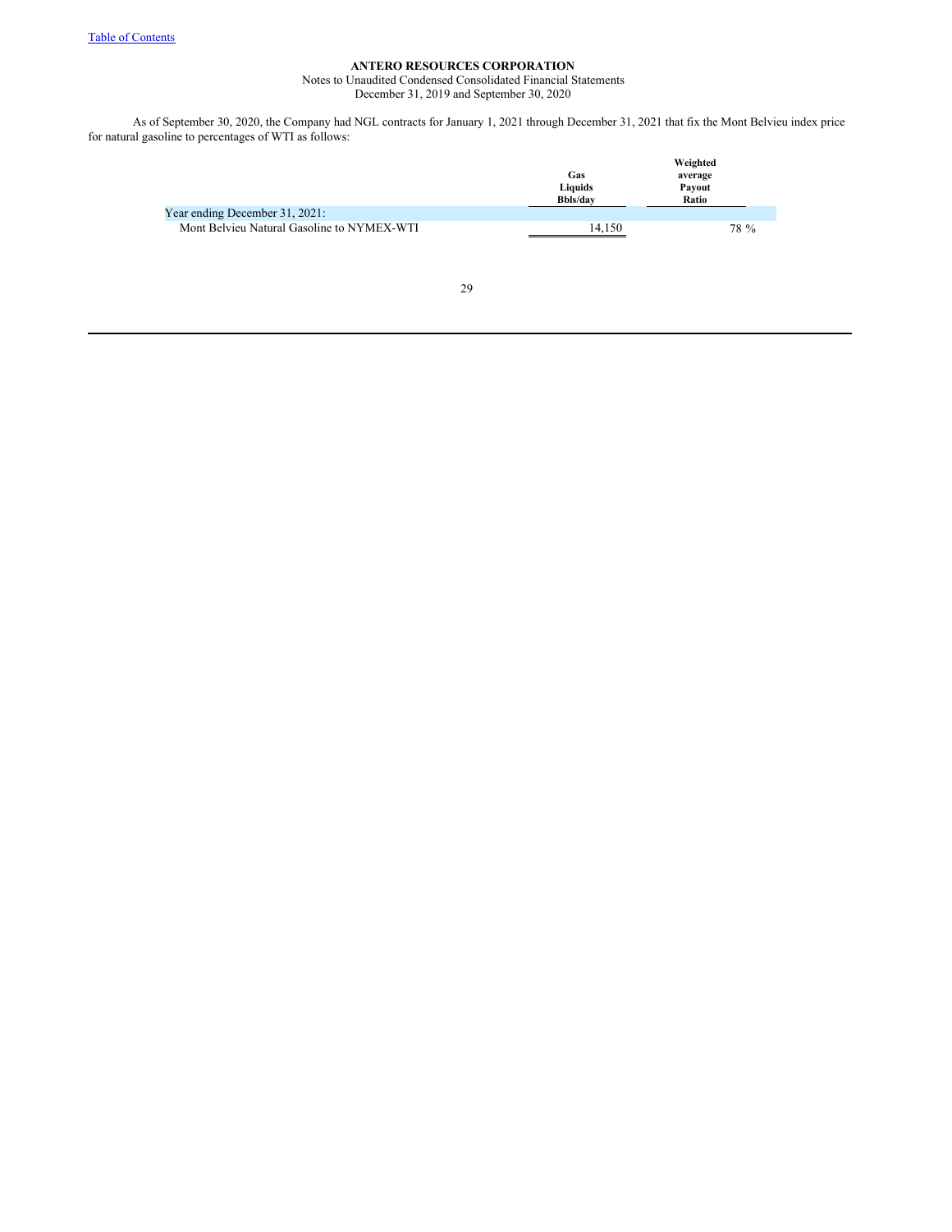Notes to Unaudited Condensed Consolidated Financial Statements December 31, 2019 and September 30, 2020

As of September 30, 2020, the Company had NGL contracts for January 1, 2021 through December 31, 2021 that fix the Mont Belvieu index price for natural gasoline to percentages of WTI as follows:

|                                            |                                   | Weighted                   |
|--------------------------------------------|-----------------------------------|----------------------------|
|                                            | Gas<br>Liquids<br><b>Bbls/dav</b> | average<br>Payout<br>Ratio |
| Year ending December 31, 2021:             |                                   |                            |
| Mont Belvieu Natural Gasoline to NYMEX-WTI | 14.150                            | 78 %                       |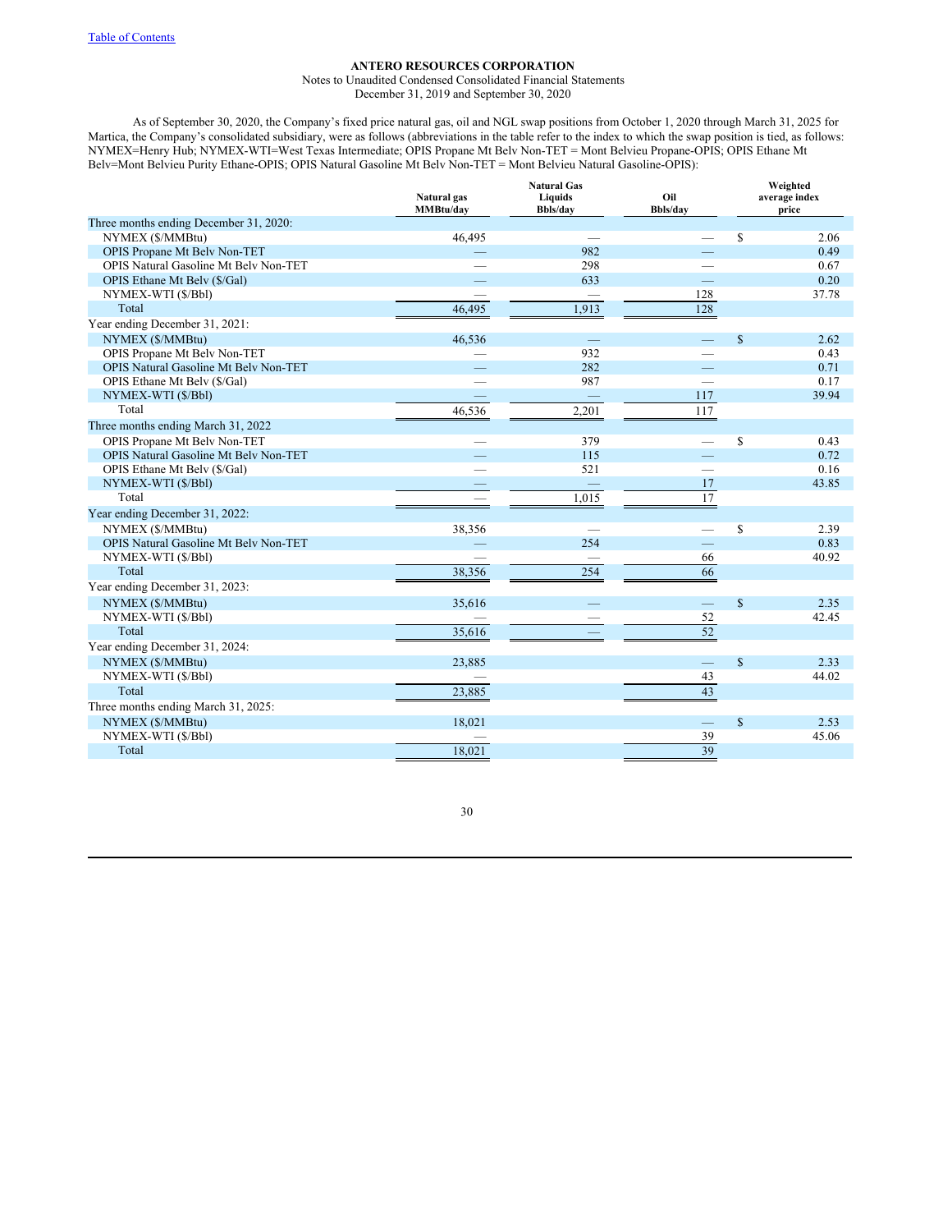Notes to Unaudited Condensed Consolidated Financial Statements December 31, 2019 and September 30, 2020

As of September 30, 2020, the Company's fixed price natural gas, oil and NGL swap positions from October 1, 2020 through March 31, 2025 for Martica, the Company's consolidated subsidiary, were as follows (abbreviations in the table refer to the index to which the swap position is tied, as follows: NYMEX=Henry Hub; NYMEX-WTI=West Texas Intermediate; OPIS Propane Mt Belv Non-TET = Mont Belvieu Propane-OPIS; OPIS Ethane Mt Belv=Mont Belvieu Purity Ethane-OPIS; OPIS Natural Gasoline Mt Belv Non-TET = Mont Belvieu Natural Gasoline-OPIS):

|                                              |             | <b>Natural Gas</b>       | Weighted                 |               |               |
|----------------------------------------------|-------------|--------------------------|--------------------------|---------------|---------------|
|                                              | Natural gas | Liquids                  | Oil                      |               | average index |
|                                              | MMBtu/day   | Bbls/day                 | Bbls/day                 |               | price         |
| Three months ending December 31, 2020:       |             |                          |                          |               |               |
| NYMEX (\$/MMBtu)                             | 46,495      | $\overline{\phantom{m}}$ |                          | \$            | 2.06          |
| OPIS Propane Mt Belv Non-TET                 |             | 982                      |                          |               | 0.49          |
| OPIS Natural Gasoline Mt Belv Non-TET        |             | 298                      |                          |               | 0.67          |
| OPIS Ethane Mt Belv (\$/Gal)                 |             | 633                      |                          |               | 0.20          |
| NYMEX-WTI (\$/Bbl)                           |             |                          | 128                      |               | 37.78         |
| Total                                        | 46,495      | 1,913                    | 128                      |               |               |
| Year ending December 31, 2021:               |             |                          |                          |               |               |
| NYMEX (\$/MMBtu)                             | 46,536      | $\overline{\phantom{0}}$ |                          | $\mathbf S$   | 2.62          |
| <b>OPIS Propane Mt Belv Non-TET</b>          |             | 932                      |                          |               | 0.43          |
| <b>OPIS Natural Gasoline Mt Belv Non-TET</b> |             | 282                      |                          |               | 0.71          |
| OPIS Ethane Mt Belv (\$/Gal)                 | -           | 987                      | $\overline{\phantom{0}}$ |               | 0.17          |
| NYMEX-WTI (\$/Bbl)                           |             |                          | 117                      |               | 39.94         |
| Total                                        | 46,536      | 2,201                    | 117                      |               |               |
| Three months ending March 31, 2022           |             |                          |                          |               |               |
| <b>OPIS Propane Mt Belv Non-TET</b>          |             | 379                      |                          | \$            | 0.43          |
| <b>OPIS Natural Gasoline Mt Belv Non-TET</b> |             | 115                      |                          |               | 0.72          |
| OPIS Ethane Mt Belv (\$/Gal)                 |             | 521                      |                          |               | 0.16          |
| NYMEX-WTI (\$/Bbl)                           |             |                          | 17                       |               | 43.85         |
| Total                                        |             | 1,015                    | 17                       |               |               |
| Year ending December 31, 2022:               |             |                          |                          |               |               |
| NYMEX (\$/MMBtu)                             | 38,356      | $\overline{\phantom{0}}$ | $\overline{\phantom{0}}$ | \$            | 2.39          |
| OPIS Natural Gasoline Mt Belv Non-TET        |             | 254                      | $\equiv$                 |               | 0.83          |
| NYMEX-WTI (\$/Bbl)                           |             |                          | 66                       |               | 40.92         |
| Total                                        | 38,356      | 254                      | 66                       |               |               |
| Year ending December 31, 2023:               |             |                          |                          |               |               |
| NYMEX (\$/MMBtu)                             | 35,616      |                          | $\qquad \qquad$          | $\mathsf{\$}$ | 2.35          |
| NYMEX-WTI (\$/Bbl)                           |             |                          | 52                       |               | 42.45         |
| Total                                        | 35,616      |                          | 52                       |               |               |
| Year ending December 31, 2024:               |             |                          |                          |               |               |
| NYMEX (\$/MMBtu)                             | 23,885      |                          | ═                        | $\mathcal{S}$ | 2.33          |
| NYMEX-WTI (\$/Bbl)                           |             |                          | 43                       |               | 44.02         |
| Total                                        | 23,885      |                          | 43                       |               |               |
| Three months ending March 31, 2025:          |             |                          |                          |               |               |
| NYMEX (\$/MMBtu)                             | 18,021      |                          | $\equiv$                 | $\mathbf S$   | 2.53          |
| NYMEX-WTI (\$/Bbl)                           |             |                          | 39                       |               | 45.06         |
| Total                                        | 18,021      |                          | 39                       |               |               |
|                                              |             |                          |                          |               |               |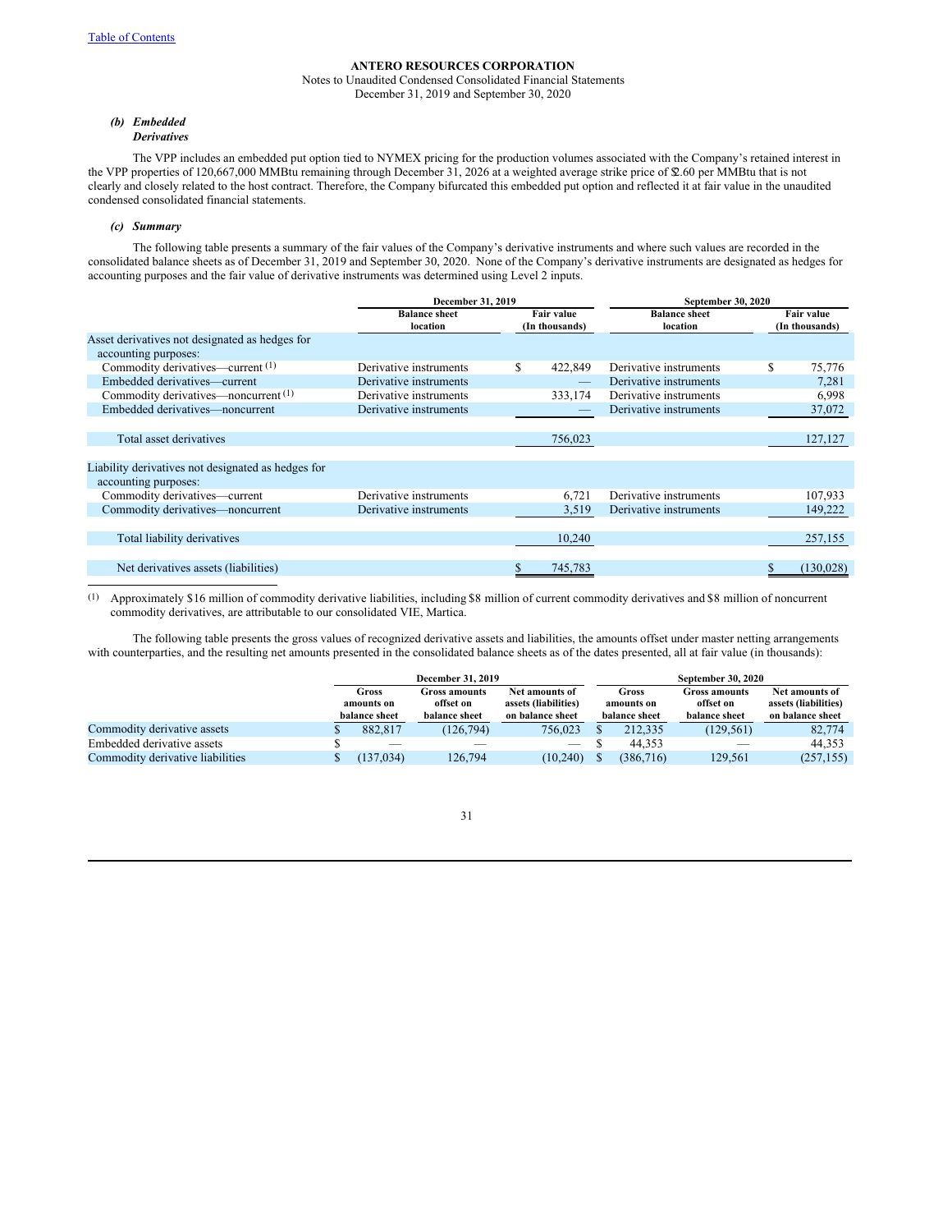Notes to Unaudited Condensed Consolidated Financial Statements December 31, 2019 and September 30, 2020

#### *(b) Embedded Derivatives*

The VPP includes an embedded put option tied to NYMEX pricing for the production volumes associated with the Company's retained interest in the VPP properties of 120,667,000 MMBtu remaining through December 31, 2026 at a weighted average strike price of \$2.60 per MMBtu that is not clearly and closely related to the host contract. Therefore, the Company bifurcated this embedded put option and reflected it at fair value in the unaudited condensed consolidated financial statements.

## *(c) Summary*

The following table presents a summary of the fair values of the Company's derivative instruments and where such values are recorded in the consolidated balance sheets as of December 31, 2019 and September 30, 2020. None of the Company's derivative instruments are designated as hedges for accounting purposes and the fair value of derivative instruments was determined using Level 2 inputs.

|                                                    | December 31, 2019                |                              |         | September 30, 2020               |   |                              |  |  |
|----------------------------------------------------|----------------------------------|------------------------------|---------|----------------------------------|---|------------------------------|--|--|
|                                                    | <b>Balance sheet</b><br>location | Fair value<br>(In thousands) |         | <b>Balance sheet</b><br>location |   | Fair value<br>(In thousands) |  |  |
| Asset derivatives not designated as hedges for     |                                  |                              |         |                                  |   |                              |  |  |
| accounting purposes:                               |                                  |                              |         |                                  |   |                              |  |  |
| Commodity derivatives—current <sup>(1)</sup>       | Derivative instruments           | S                            | 422,849 | Derivative instruments           | S | 75,776                       |  |  |
| Embedded derivatives—current                       | Derivative instruments           |                              |         | Derivative instruments           |   | 7,281                        |  |  |
| Commodity derivatives—noncurrent <sup>(1)</sup>    | Derivative instruments           |                              | 333,174 | Derivative instruments           |   | 6,998                        |  |  |
| Embedded derivatives—noncurrent                    | Derivative instruments           |                              |         | Derivative instruments           |   | 37,072                       |  |  |
|                                                    |                                  |                              |         |                                  |   |                              |  |  |
| Total asset derivatives                            |                                  |                              | 756,023 |                                  |   | 127,127                      |  |  |
|                                                    |                                  |                              |         |                                  |   |                              |  |  |
| Liability derivatives not designated as hedges for |                                  |                              |         |                                  |   |                              |  |  |
| accounting purposes:                               |                                  |                              |         |                                  |   |                              |  |  |
| Commodity derivatives-current                      | Derivative instruments           |                              | 6,721   | Derivative instruments           |   | 107,933                      |  |  |
| Commodity derivatives—noncurrent                   | Derivative instruments           |                              | 3,519   | Derivative instruments           |   | 149,222                      |  |  |
|                                                    |                                  |                              |         |                                  |   |                              |  |  |
| Total liability derivatives                        |                                  |                              | 10,240  |                                  |   | 257,155                      |  |  |
|                                                    |                                  |                              |         |                                  |   |                              |  |  |
| Net derivatives assets (liabilities)               |                                  |                              | 745,783 |                                  |   | (130, 028)                   |  |  |
|                                                    |                                  |                              |         |                                  |   |                              |  |  |

(1) Approximately \$16 million of commodity derivative liabilities, including \$8 million of current commodity derivatives and \$8 million of noncurrent commodity derivatives, are attributable to our consolidated VIE, Martica.

The following table presents the gross values of recognized derivative assets and liabilities, the amounts offset under master netting arrangements with counterparties, and the resulting net amounts presented in the consolidated balance sheets as of the dates presented, all at fair value (in thousands):

|                                  |                                             |                          | <b>December 31, 2019</b>                                            |                             | September 30, 2020                   |           |                                             |                                                            |  |  |  |
|----------------------------------|---------------------------------------------|--------------------------|---------------------------------------------------------------------|-----------------------------|--------------------------------------|-----------|---------------------------------------------|------------------------------------------------------------|--|--|--|
|                                  | <b>Gross</b><br>amounts on<br>balance sheet |                          | Gross amounts<br>assets (liabilities)<br>offset on<br>balance sheet |                             | Gross<br>amounts on<br>balance sheet |           | Gross amounts<br>offset on<br>balance sheet | Net amounts of<br>assets (liabilities)<br>on balance sheet |  |  |  |
| Commodity derivative assets      |                                             | 882.817                  | (126.794)                                                           | on balance sheet<br>756,023 | 212.335                              |           | (129.561)                                   | 82,774                                                     |  |  |  |
| Embedded derivative assets       |                                             | $\overline{\phantom{a}}$ | $\overline{\phantom{a}}$                                            | $\qquad \qquad$             |                                      | 44.353    |                                             | 44.353                                                     |  |  |  |
| Commodity derivative liabilities |                                             | (137.034)                | 126.794                                                             | (10.240)                    |                                      | (386.716) | 129.561                                     | (257, 155)                                                 |  |  |  |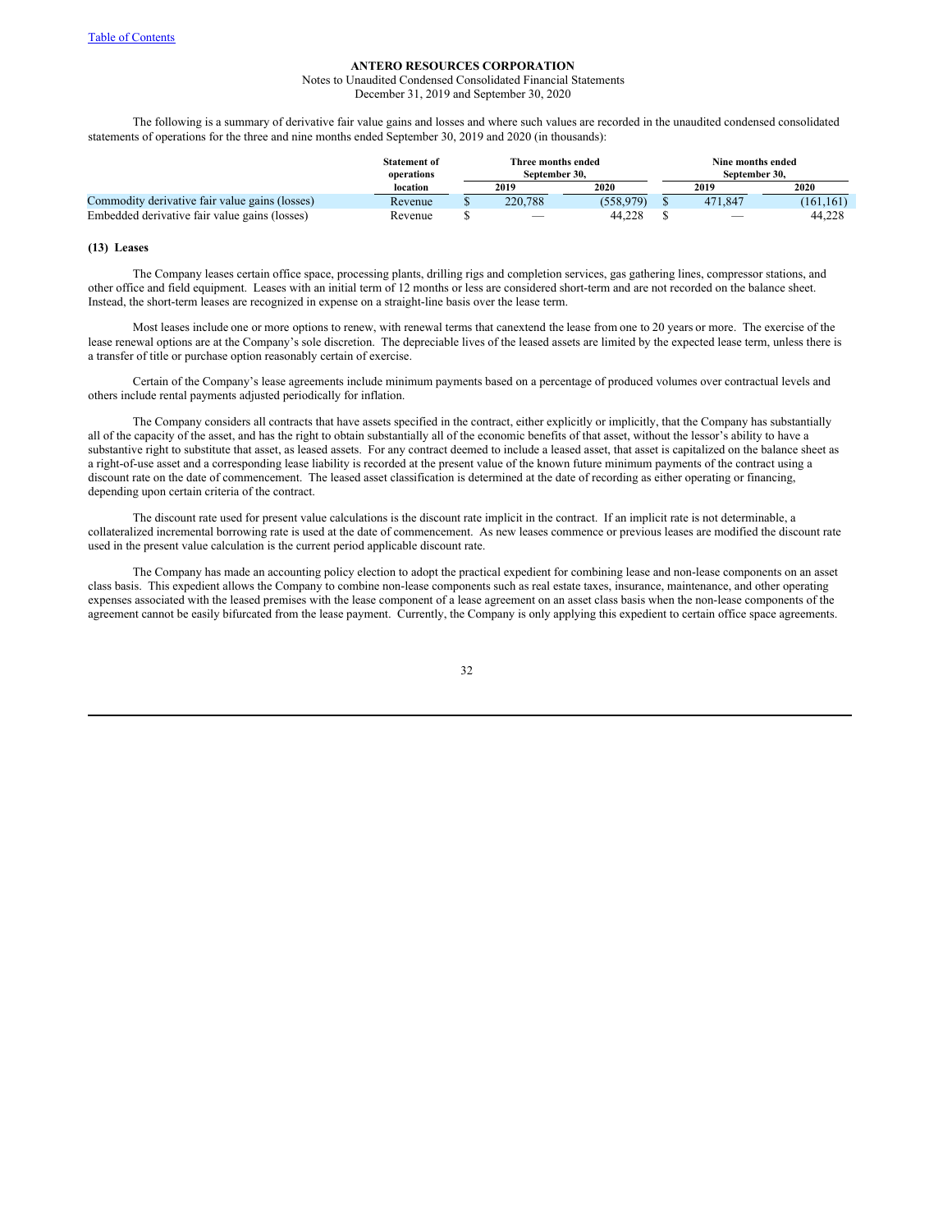Notes to Unaudited Condensed Consolidated Financial Statements

December 31, 2019 and September 30, 2020

The following is a summary of derivative fair value gains and losses and where such values are recorded in the unaudited condensed consolidated statements of operations for the three and nine months ended September 30, 2019 and 2020 (in thousands):

|                                                | <b>Statement of</b><br>operations | Three months ended<br>September 30.   |           |  | Nine months ended<br>September 30. |           |
|------------------------------------------------|-----------------------------------|---------------------------------------|-----------|--|------------------------------------|-----------|
|                                                | location                          | 2019                                  | 2020      |  | 2019                               | 2020      |
| Commodity derivative fair value gains (losses) | Revenue                           | 220,788                               | (558.979) |  | 471.847                            | (161.161) |
| Embedded derivative fair value gains (losses)  | Revenue                           | $\hspace{1.0cm} \rule{1.5cm}{0.15cm}$ | 44.228    |  | -                                  | 44.228    |

## **(13) Leases**

The Company leases certain office space, processing plants, drilling rigs and completion services, gas gathering lines, compressor stations, and other office and field equipment. Leases with an initial term of 12 months or less are considered short-term and are not recorded on the balance sheet. Instead, the short-term leases are recognized in expense on a straight-line basis over the lease term.

Most leases include one or more options to renew, with renewal terms that canextend the lease from one to 20 years or more. The exercise of the lease renewal options are at the Company's sole discretion. The depreciable lives of the leased assets are limited by the expected lease term, unless there is a transfer of title or purchase option reasonably certain of exercise.

Certain of the Company's lease agreements include minimum payments based on a percentage of produced volumes over contractual levels and others include rental payments adjusted periodically for inflation.

The Company considers all contracts that have assets specified in the contract, either explicitly or implicitly, that the Company has substantially all of the capacity of the asset, and has the right to obtain substantially all of the economic benefits of that asset, without the lessor's ability to have a substantive right to substitute that asset, as leased assets. For any contract deemed to include a leased asset, that asset is capitalized on the balance sheet as a right-of-use asset and a corresponding lease liability is recorded at the present value of the known future minimum payments of the contract using a discount rate on the date of commencement. The leased asset classification is determined at the date of recording as either operating or financing, depending upon certain criteria of the contract.

The discount rate used for present value calculations is the discount rate implicit in the contract. If an implicit rate is not determinable, a collateralized incremental borrowing rate is used at the date of commencement. As new leases commence or previous leases are modified the discount rate used in the present value calculation is the current period applicable discount rate.

The Company has made an accounting policy election to adopt the practical expedient for combining lease and non-lease components on an asset class basis. This expedient allows the Company to combine non-lease components such as real estate taxes, insurance, maintenance, and other operating expenses associated with the leased premises with the lease component of a lease agreement on an asset class basis when the non-lease components of the agreement cannot be easily bifurcated from the lease payment. Currently, the Company is only applying this expedient to certain office space agreements.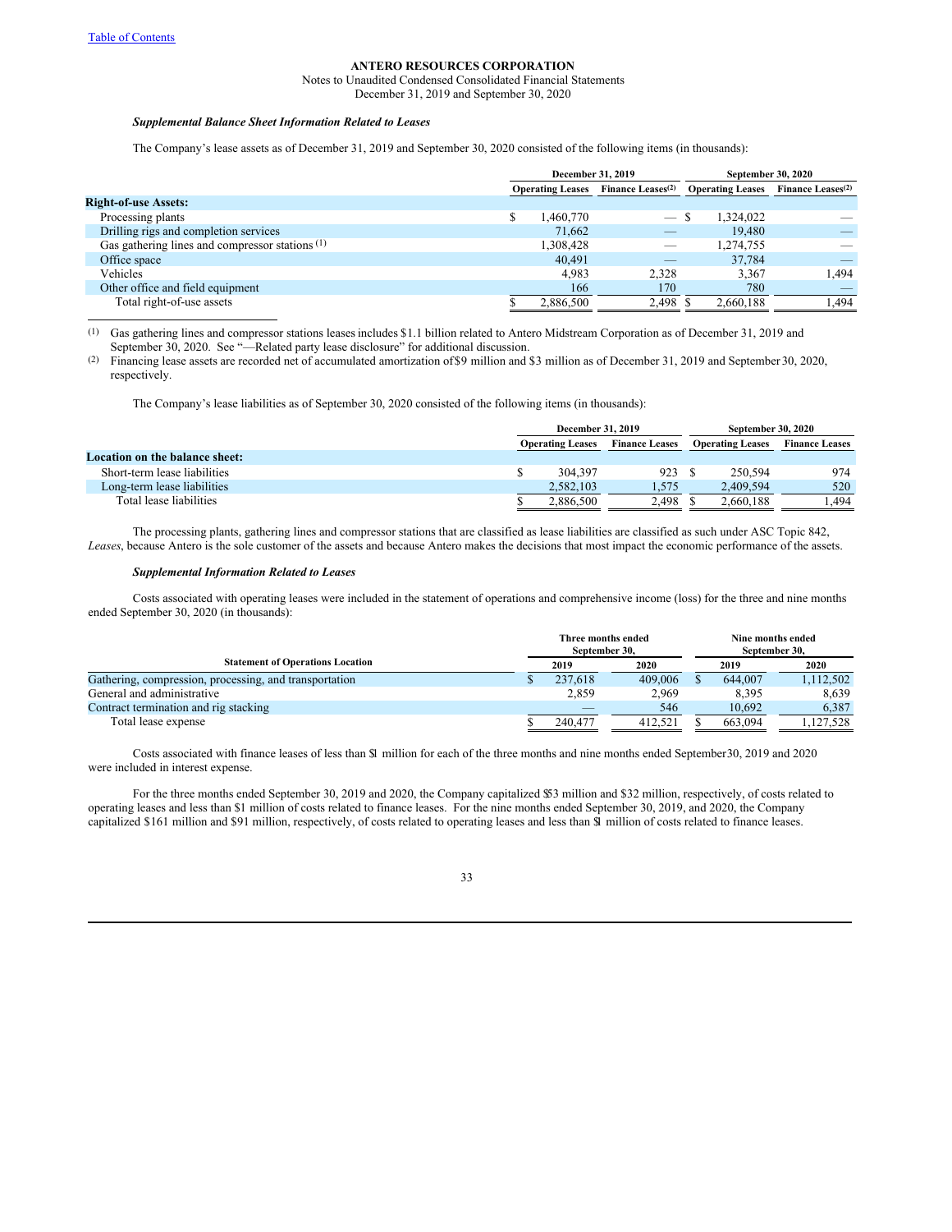Notes to Unaudited Condensed Consolidated Financial Statements December 31, 2019 and September 30, 2020

#### *Supplemental Balance Sheet Information Related to Leases*

The Company's lease assets as of December 31, 2019 and September 30, 2020 consisted of the following items (in thousands):

|                                                   | December 31, 2019 |                         |                               |                         | September 30, 2020            |
|---------------------------------------------------|-------------------|-------------------------|-------------------------------|-------------------------|-------------------------------|
|                                                   |                   | <b>Operating Leases</b> | Finance Leases <sup>(2)</sup> | <b>Operating Leases</b> | Finance Leases <sup>(2)</sup> |
| <b>Right-of-use Assets:</b>                       |                   |                         |                               |                         |                               |
| Processing plants                                 |                   | 1.460.770               |                               | 1,324,022               |                               |
| Drilling rigs and completion services             |                   | 71.662                  | _                             | 19.480                  |                               |
| Gas gathering lines and compressor stations $(1)$ |                   | 1,308,428               | -                             | 1.274.755               |                               |
| Office space                                      |                   | 40.491                  | $\overline{\phantom{a}}$      | 37,784                  |                               |
| Vehicles                                          |                   | 4.983                   | 2.328                         | 3,367                   | 1.494                         |
| Other office and field equipment                  |                   | 166                     | 170                           | 780                     |                               |
| Total right-of-use assets                         |                   | 2,886,500               | 2,498                         | 2,660,188               | l.494                         |

(1) Gas gathering lines and compressor stations leasesincludes \$1.1 billion related to Antero Midstream Corporation as of December 31, 2019 and September 30, 2020. See "—Related party lease disclosure" for additional discussion.

(2) Financing lease assets are recorded net of accumulated amortization of\$9 million and \$3 million as of December 31, 2019 and September 30, 2020, respectively.

The Company's lease liabilities as of September 30, 2020 consisted of the following items (in thousands):

|                                       | <b>December 31, 2019</b> |           |                       |  | <b>September 30, 2020</b> |                       |  |
|---------------------------------------|--------------------------|-----------|-----------------------|--|---------------------------|-----------------------|--|
|                                       | <b>Operating Leases</b>  |           | <b>Finance Leases</b> |  | <b>Operating Leases</b>   | <b>Finance Leases</b> |  |
| <b>Location on the balance sheet:</b> |                          |           |                       |  |                           |                       |  |
| Short-term lease liabilities          |                          | 304.397   | 923                   |  | 250.594                   | 974                   |  |
| Long-term lease liabilities           |                          | 2.582,103 | . 575                 |  | 2.409.594                 | 520                   |  |
| Total lease liabilities               |                          | 2.886.500 | 2.498                 |  | 2.660.188                 | .494                  |  |

The processing plants, gathering lines and compressor stations that are classified as lease liabilities are classified as such under ASC Topic 842, *Leases*, because Antero is the sole customer of the assets and because Antero makes the decisions that most impact the economic performance of the assets.

### *Supplemental Information Related to Leases*

Costs associated with operating leases were included in the statement of operations and comprehensive income (loss) for the three and nine months ended September 30, 2020 (in thousands):

|                                                        | Three months ended<br>September 30. |         |         |  |         | Nine months ended<br>September 30. |
|--------------------------------------------------------|-------------------------------------|---------|---------|--|---------|------------------------------------|
| <b>Statement of Operations Location</b>                |                                     | 2019    | 2020    |  | 2019    | 2020                               |
| Gathering, compression, processing, and transportation |                                     | 237,618 | 409,006 |  | 644,007 | 1,112,502                          |
| General and administrative                             |                                     | 2,859   | 2,969   |  | 8,395   | 8.639                              |
| Contract termination and rig stacking                  |                                     |         | 546     |  | 10.692  | 6.387                              |
| Total lease expense                                    |                                     | 240,477 | 412.521 |  | 663,094 | 1.127.528                          |

Costs associated with finance leases of less than \$1 million for each of the three months and nine months ended September30, 2019 and 2020 were included in interest expense.

For the three months ended September 30, 2019 and 2020, the Company capitalized \$53 million and \$32 million, respectively, of costs related to operating leases and less than \$1 million of costs related to finance leases. For the nine months ended September 30, 2019, and 2020, the Company capitalized \$161 million and \$91 million, respectively, of costs related to operating leases and less than \$1 million of costs related to finance leases.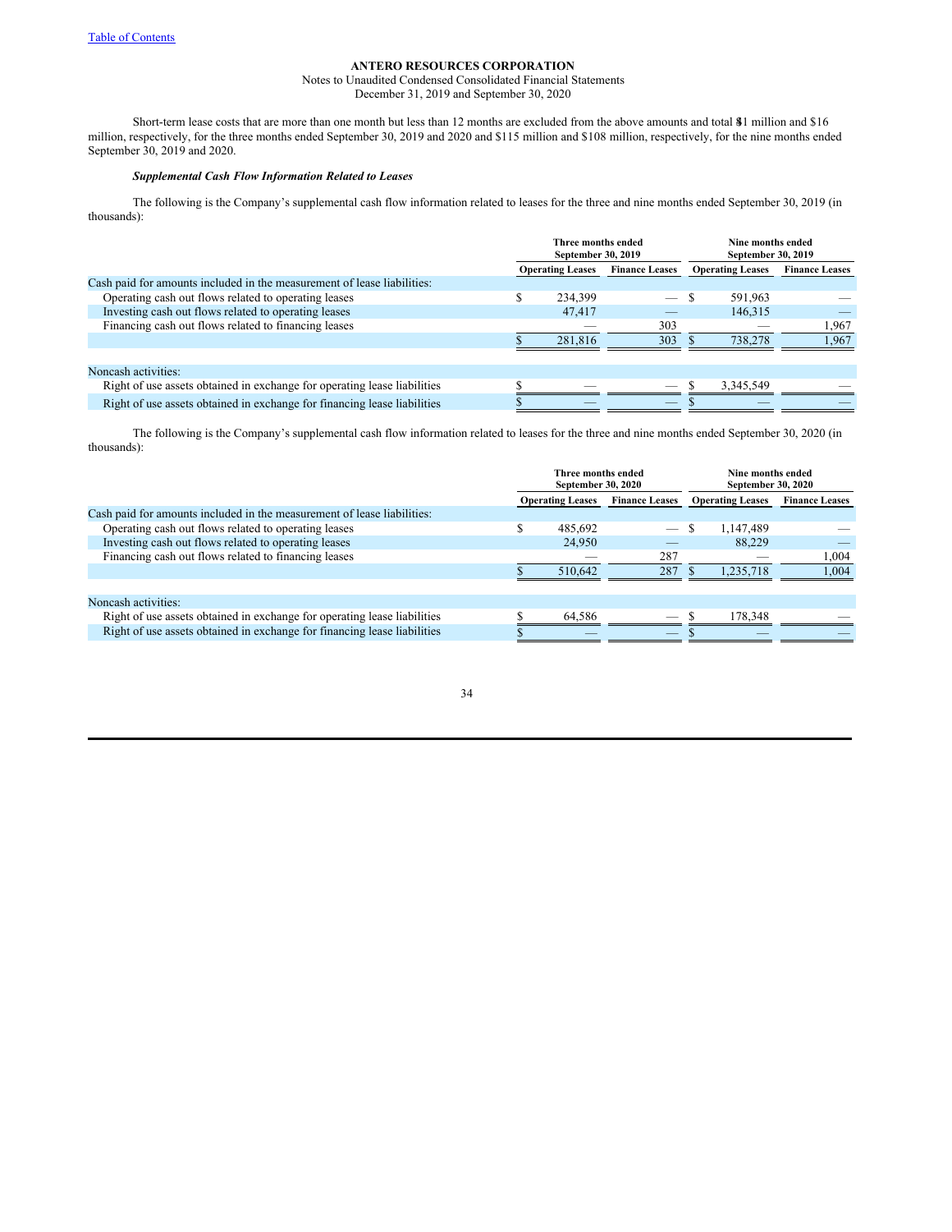Notes to Unaudited Condensed Consolidated Financial Statements

December 31, 2019 and September 30, 2020

Short-term lease costs that are more than one month but less than 12 months are excluded from the above amounts and total \$41 million and \$16 million, respectively, for the three months ended September 30, 2019 and 2020 and \$115 million and \$108 million, respectively, for the nine months ended September 30, 2019 and 2020.

### *Supplemental Cash Flow Information Related to Leases*

The following is the Company's supplemental cash flow information related to leases for the three and nine months ended September 30, 2019 (in thousands):

|                                                                          | Three months ended<br>September 30, 2019 |                         |                       |                         | Nine months ended<br><b>September 30, 2019</b> |                       |
|--------------------------------------------------------------------------|------------------------------------------|-------------------------|-----------------------|-------------------------|------------------------------------------------|-----------------------|
|                                                                          |                                          | <b>Operating Leases</b> | <b>Finance Leases</b> | <b>Operating Leases</b> |                                                | <b>Finance Leases</b> |
| Cash paid for amounts included in the measurement of lease liabilities:  |                                          |                         |                       |                         |                                                |                       |
| Operating cash out flows related to operating leases                     |                                          | 234,399                 |                       |                         | 591,963                                        |                       |
| Investing cash out flows related to operating leases                     |                                          | 47,417                  |                       |                         | 146,315                                        |                       |
| Financing cash out flows related to financing leases                     |                                          |                         | 303                   |                         |                                                | 1,967                 |
|                                                                          |                                          | 281,816                 | 303                   |                         | 738,278                                        | 1.967                 |
|                                                                          |                                          |                         |                       |                         |                                                |                       |
| Noncash activities:                                                      |                                          |                         |                       |                         |                                                |                       |
| Right of use assets obtained in exchange for operating lease liabilities |                                          |                         |                       |                         | 3.345.549                                      |                       |
| Right of use assets obtained in exchange for financing lease liabilities |                                          |                         | _                     |                         |                                                |                       |

The following is the Company's supplemental cash flow information related to leases for the three and nine months ended September 30, 2020 (in thousands):

|                                                                          | Three months ended<br>September 30, 2020 |                         |                          | Nine months ended<br>September 30, 2020 |                         |                       |
|--------------------------------------------------------------------------|------------------------------------------|-------------------------|--------------------------|-----------------------------------------|-------------------------|-----------------------|
|                                                                          |                                          | <b>Operating Leases</b> | <b>Finance Leases</b>    |                                         | <b>Operating Leases</b> | <b>Finance Leases</b> |
| Cash paid for amounts included in the measurement of lease liabilities:  |                                          |                         |                          |                                         |                         |                       |
| Operating cash out flows related to operating leases                     |                                          | 485,692                 | $\overline{\phantom{m}}$ | <b>S</b>                                | 1,147,489               |                       |
| Investing cash out flows related to operating leases                     |                                          | 24,950                  |                          |                                         | 88.229                  |                       |
| Financing cash out flows related to financing leases                     |                                          |                         | 287                      |                                         |                         | 1,004                 |
|                                                                          |                                          | 510.642                 | 287                      |                                         | 1.235.718               | 1.004                 |
|                                                                          |                                          |                         |                          |                                         |                         |                       |
| Noncash activities:                                                      |                                          |                         |                          |                                         |                         |                       |
| Right of use assets obtained in exchange for operating lease liabilities |                                          | 64.586                  | $\overline{\phantom{a}}$ |                                         | 178.348                 |                       |
| Right of use assets obtained in exchange for financing lease liabilities |                                          |                         | $-$                      |                                         |                         |                       |

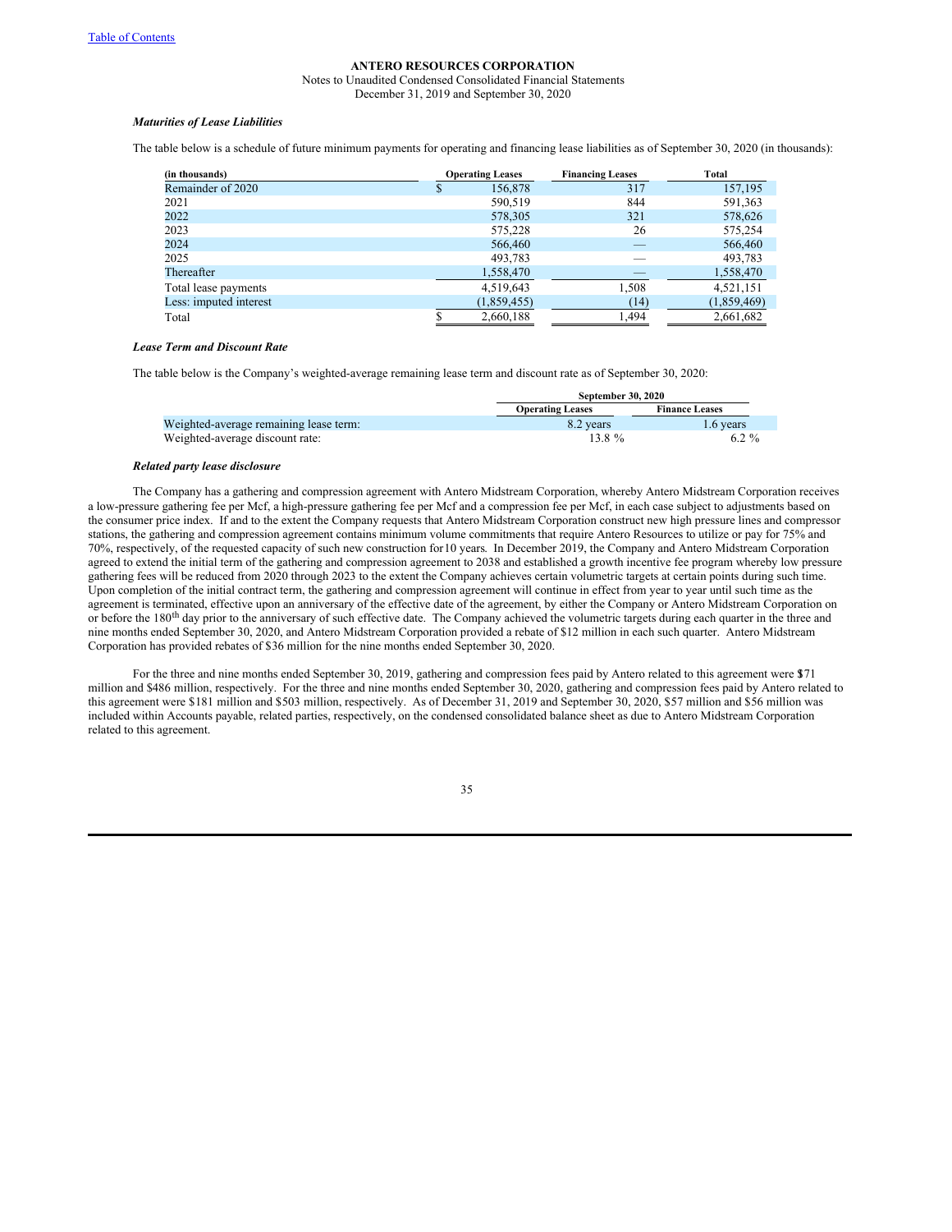Notes to Unaudited Condensed Consolidated Financial Statements December 31, 2019 and September 30, 2020

#### *Maturities of Lease Liabilities*

The table below is a schedule of future minimum payments for operating and financing lease liabilities as of September 30, 2020 (in thousands):

| (in thousands)         | <b>Operating Leases</b> | <b>Financing Leases</b> | Total       |  |
|------------------------|-------------------------|-------------------------|-------------|--|
| Remainder of 2020      | 156,878<br>ъ            | 317                     | 157,195     |  |
| 2021                   | 590,519                 | 844                     | 591,363     |  |
| 2022                   | 578,305                 | 321                     | 578,626     |  |
| 2023                   | 575,228                 | 26                      | 575,254     |  |
| 2024                   | 566,460                 |                         | 566,460     |  |
| 2025                   | 493,783                 |                         | 493,783     |  |
| Thereafter             | 1,558,470               |                         | 1,558,470   |  |
| Total lease payments   | 4,519,643               | 1,508                   | 4,521,151   |  |
| Less: imputed interest | (1,859,455)             | (14)                    | (1,859,469) |  |
| Total                  | 2,660,188               | 1,494                   | 2,661,682   |  |

#### *Lease Term and Discount Rate*

The table below is the Company's weighted-average remaining lease term and discount rate as of September 30, 2020:

|                                        | <b>September 30, 2020</b> |                       |  |  |
|----------------------------------------|---------------------------|-----------------------|--|--|
|                                        | <b>Operating Leases</b>   | <b>Finance Leases</b> |  |  |
| Weighted-average remaining lease term: | 8.2 years                 | 1.6 vears             |  |  |
| Weighted-average discount rate:        | 13.8 %                    | 6.2 $\%$              |  |  |

#### *Related party lease disclosure*

The Company has a gathering and compression agreement with Antero Midstream Corporation, whereby Antero Midstream Corporation receives a low-pressure gathering fee per Mcf, a high-pressure gathering fee per Mcf and a compression fee per Mcf, in each case subject to adjustments based on the consumer price index. If and to the extent the Company requests that Antero Midstream Corporation construct new high pressure lines and compressor stations, the gathering and compression agreement contains minimum volume commitments that require Antero Resources to utilize or pay for 75% and 70%, respectively, of the requested capacity of such new construction for10 years. In December 2019, the Company and Antero Midstream Corporation agreed to extend the initial term of the gathering and compression agreement to 2038 and established a growth incentive fee program whereby low pressure gathering fees will be reduced from 2020 through 2023 to the extent the Company achieves certain volumetric targets at certain points during such time. Upon completion of the initial contract term, the gathering and compression agreement will continue in effect from year to year until such time as the agreement is terminated, effective upon an anniversary of the effective date of the agreement, by either the Company or Antero Midstream Corporation on or before the 180<sup>th</sup> day prior to the anniversary of such effective date. The Company achieved the volumetric targets during each quarter in the three and nine months ended September 30, 2020, and Antero Midstream Corporation provided a rebate of \$12 million in each such quarter. Antero Midstream Corporation has provided rebates of \$36 million for the nine months ended September 30, 2020.

For the three and nine months ended September 30, 2019, gathering and compression fees paid by Antero related to this agreement were \$71 million and \$486 million, respectively. For the three and nine months ended September 30, 2020, gathering and compression fees paid by Antero related to this agreement were \$181 million and \$503 million, respectively. As of December 31, 2019 and September 30, 2020, \$57 million and \$56 million was included within Accounts payable, related parties, respectively, on the condensed consolidated balance sheet as due to Antero Midstream Corporation related to this agreement.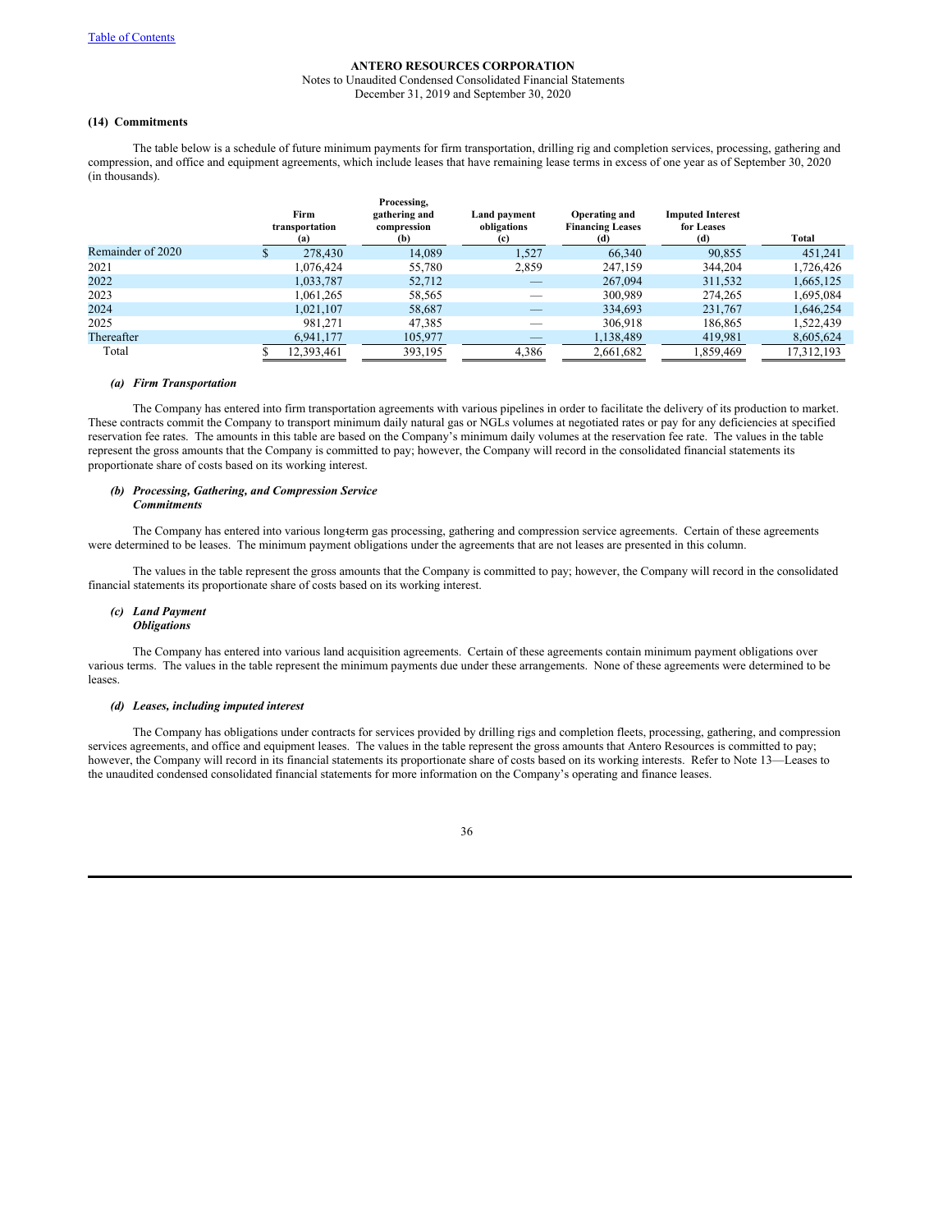Notes to Unaudited Condensed Consolidated Financial Statements December 31, 2019 and September 30, 2020

### **(14) Commitments**

The table below is a schedule of future minimum payments for firm transportation, drilling rig and completion services, processing, gathering and compression, and office and equipment agreements, which include leases that have remaining lease terms in excess of one year as of September 30, 2020 (in thousands).

|                   | Firm<br>transportation<br>(a) | Processing,<br>gathering and<br>compression<br>(b) | Land payment<br>obligations<br>(c) | Operating and<br><b>Financing Leases</b><br>(d) | <b>Imputed Interest</b><br>for Leases<br>(d) | Total      |
|-------------------|-------------------------------|----------------------------------------------------|------------------------------------|-------------------------------------------------|----------------------------------------------|------------|
| Remainder of 2020 | 278,430                       | 14.089                                             | 1,527                              | 66,340                                          | 90,855                                       | 451.241    |
| 2021              | 1,076,424                     | 55,780                                             | 2,859                              | 247.159                                         | 344.204                                      | 1,726,426  |
| 2022              | 1,033,787                     | 52,712                                             |                                    | 267,094                                         | 311,532                                      | 1,665,125  |
| 2023              | 1.061.265                     | 58,565                                             |                                    | 300.989                                         | 274,265                                      | 1,695,084  |
| 2024              | 1.021.107                     | 58,687                                             |                                    | 334.693                                         | 231.767                                      | 1.646.254  |
| 2025              | 981.271                       | 47,385                                             |                                    | 306.918                                         | 186.865                                      | 1,522,439  |
| Thereafter        | 6,941,177                     | 105,977                                            |                                    | 1,138,489                                       | 419,981                                      | 8,605,624  |
| Total             | 12,393,461                    | 393,195                                            | 4,386                              | 2,661,682                                       | 1,859,469                                    | 17,312,193 |

### *(a) Firm Transportation*

The Company has entered into firm transportation agreements with various pipelines in order to facilitate the delivery of its production to market. These contracts commit the Company to transport minimum daily natural gas or NGLs volumes at negotiated rates or pay for any deficiencies at specified reservation fee rates. The amounts in this table are based on the Company's minimum daily volumes at the reservation fee rate. The values in the table represent the gross amounts that the Company is committed to pay; however, the Company will record in the consolidated financial statements its proportionate share of costs based on its working interest.

#### *(b) Processing, Gathering, and Compression Service Commitments*

The Company has entered into various long-term gas processing, gathering and compression service agreements. Certain of these agreements were determined to be leases. The minimum payment obligations under the agreements that are not leases are presented in this column.

The values in the table represent the gross amounts that the Company is committed to pay; however, the Company will record in the consolidated financial statements its proportionate share of costs based on its working interest.

### *(c) Land Payment Obligations*

The Company has entered into various land acquisition agreements. Certain of these agreements contain minimum payment obligations over various terms. The values in the table represent the minimum payments due under these arrangements. None of these agreements were determined to be leases.

### *(d) Leases, including imputed interest*

The Company has obligations under contracts for services provided by drilling rigs and completion fleets, processing, gathering, and compression services agreements, and office and equipment leases. The values in the table represent the gross amounts that Antero Resources is committed to pay; however, the Company will record in its financial statements its proportionate share of costs based on its working interests. Refer to Note 13—Leases to the unaudited condensed consolidated financial statements for more information on the Company's operating and finance leases.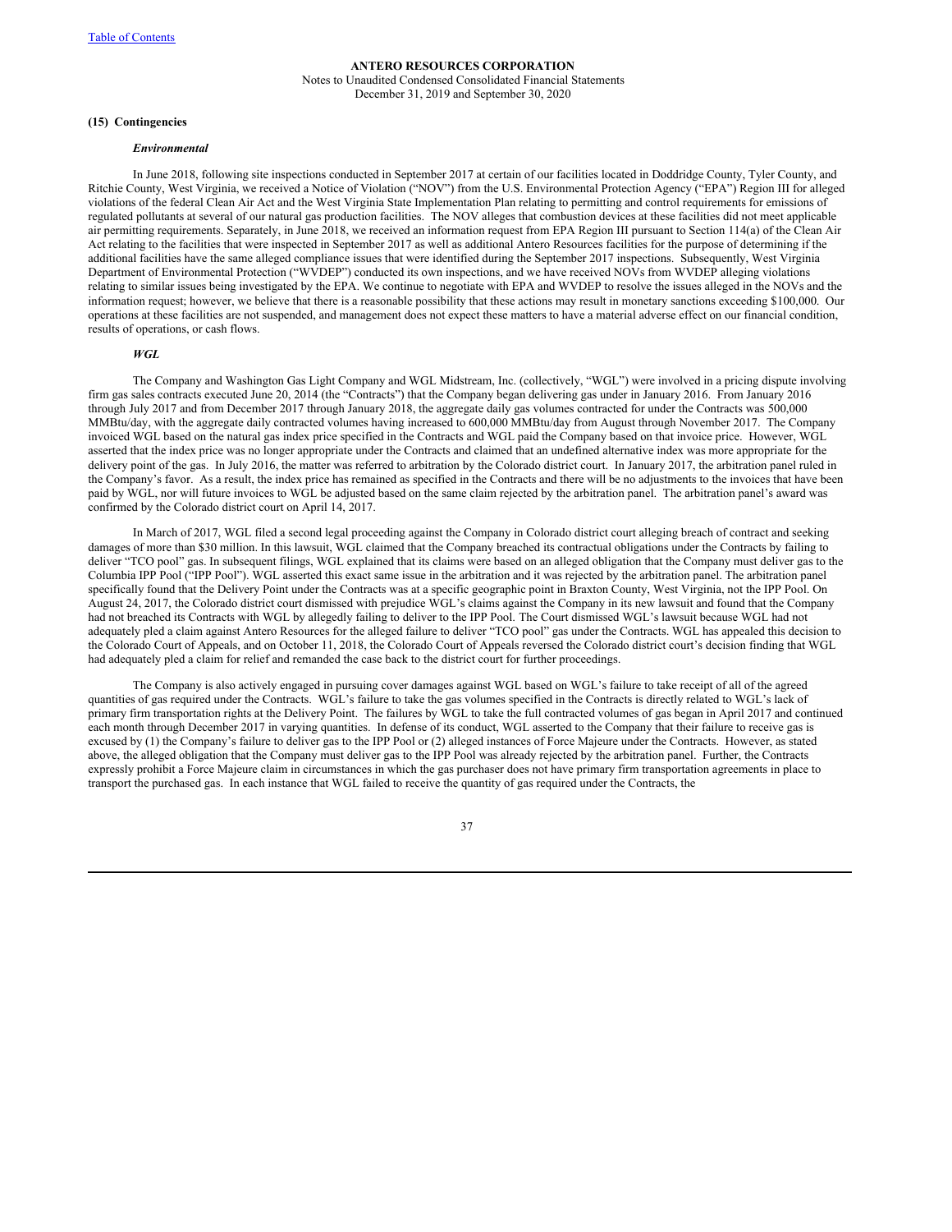# **ANTERO RESOURCES CORPORATION** Notes to Unaudited Condensed Consolidated Financial Statements December 31, 2019 and September 30, 2020

## **(15) Contingencies**

## *Environmental*

In June 2018, following site inspections conducted in September 2017 at certain of our facilities located in Doddridge County, Tyler County, and Ritchie County, West Virginia, we received a Notice of Violation ("NOV") from the U.S. Environmental Protection Agency ("EPA") Region III for alleged violations of the federal Clean Air Act and the West Virginia State Implementation Plan relating to permitting and control requirements for emissions of regulated pollutants at several of our natural gas production facilities. The NOV alleges that combustion devices at these facilities did not meet applicable air permitting requirements. Separately, in June 2018, we received an information request from EPA Region III pursuant to Section 114(a) of the Clean Air Act relating to the facilities that were inspected in September 2017 as well as additional Antero Resources facilities for the purpose of determining if the additional facilities have the same alleged compliance issues that were identified during the September 2017 inspections. Subsequently, West Virginia Department of Environmental Protection ("WVDEP") conducted its own inspections, and we have received NOVs from WVDEP alleging violations relating to similar issues being investigated by the EPA. We continue to negotiate with EPA and WVDEP to resolve the issues alleged in the NOVs and the information request; however, we believe that there is a reasonable possibility that these actions may result in monetary sanctions exceeding \$100,000. Our operations at these facilities are not suspended, and management does not expect these matters to have a material adverse effect on our financial condition, results of operations, or cash flows.

## *WGL*

The Company and Washington Gas Light Company and WGL Midstream, Inc. (collectively, "WGL") were involved in a pricing dispute involving firm gas sales contracts executed June 20, 2014 (the "Contracts") that the Company began delivering gas under in January 2016. From January 2016 through July 2017 and from December 2017 through January 2018, the aggregate daily gas volumes contracted for under the Contracts was 500,000 MMBtu/day, with the aggregate daily contracted volumes having increased to 600,000 MMBtu/day from August through November 2017. The Company invoiced WGL based on the natural gas index price specified in the Contracts and WGL paid the Company based on that invoice price. However, WGL asserted that the index price was no longer appropriate under the Contracts and claimed that an undefined alternative index was more appropriate for the delivery point of the gas. In July 2016, the matter was referred to arbitration by the Colorado district court. In January 2017, the arbitration panel ruled in the Company's favor. As a result, the index price has remained as specified in the Contracts and there will be no adjustments to the invoices that have been paid by WGL, nor will future invoices to WGL be adjusted based on the same claim rejected by the arbitration panel. The arbitration panel's award was confirmed by the Colorado district court on April 14, 2017.

In March of 2017, WGL filed a second legal proceeding against the Company in Colorado district court alleging breach of contract and seeking damages of more than \$30 million. In this lawsuit, WGL claimed that the Company breached its contractual obligations under the Contracts by failing to deliver "TCO pool" gas. In subsequent filings, WGL explained that its claims were based on an alleged obligation that the Company must deliver gas to the Columbia IPP Pool ("IPP Pool"). WGL asserted this exact same issue in the arbitration and it was rejected by the arbitration panel. The arbitration panel specifically found that the Delivery Point under the Contracts was at a specific geographic point in Braxton County, West Virginia, not the IPP Pool. On August 24, 2017, the Colorado district court dismissed with prejudice WGL's claims against the Company in its new lawsuit and found that the Company had not breached its Contracts with WGL by allegedly failing to deliver to the IPP Pool. The Court dismissed WGL's lawsuit because WGL had not adequately pled a claim against Antero Resources for the alleged failure to deliver "TCO pool" gas under the Contracts. WGL has appealed this decision to the Colorado Court of Appeals, and on October 11, 2018, the Colorado Court of Appeals reversed the Colorado district court's decision finding that WGL had adequately pled a claim for relief and remanded the case back to the district court for further proceedings.

The Company is also actively engaged in pursuing cover damages against WGL based on WGL's failure to take receipt of all of the agreed quantities of gas required under the Contracts. WGL's failure to take the gas volumes specified in the Contracts is directly related to WGL's lack of primary firm transportation rights at the Delivery Point. The failures by WGL to take the full contracted volumes of gas began in April 2017 and continued each month through December 2017 in varying quantities. In defense of its conduct, WGL asserted to the Company that their failure to receive gas is excused by (1) the Company's failure to deliver gas to the IPP Pool or (2) alleged instances of Force Majeure under the Contracts. However, as stated above, the alleged obligation that the Company must deliver gas to the IPP Pool was already rejected by the arbitration panel. Further, the Contracts expressly prohibit a Force Majeure claim in circumstances in which the gas purchaser does not have primary firm transportation agreements in place to transport the purchased gas. In each instance that WGL failed to receive the quantity of gas required under the Contracts, the

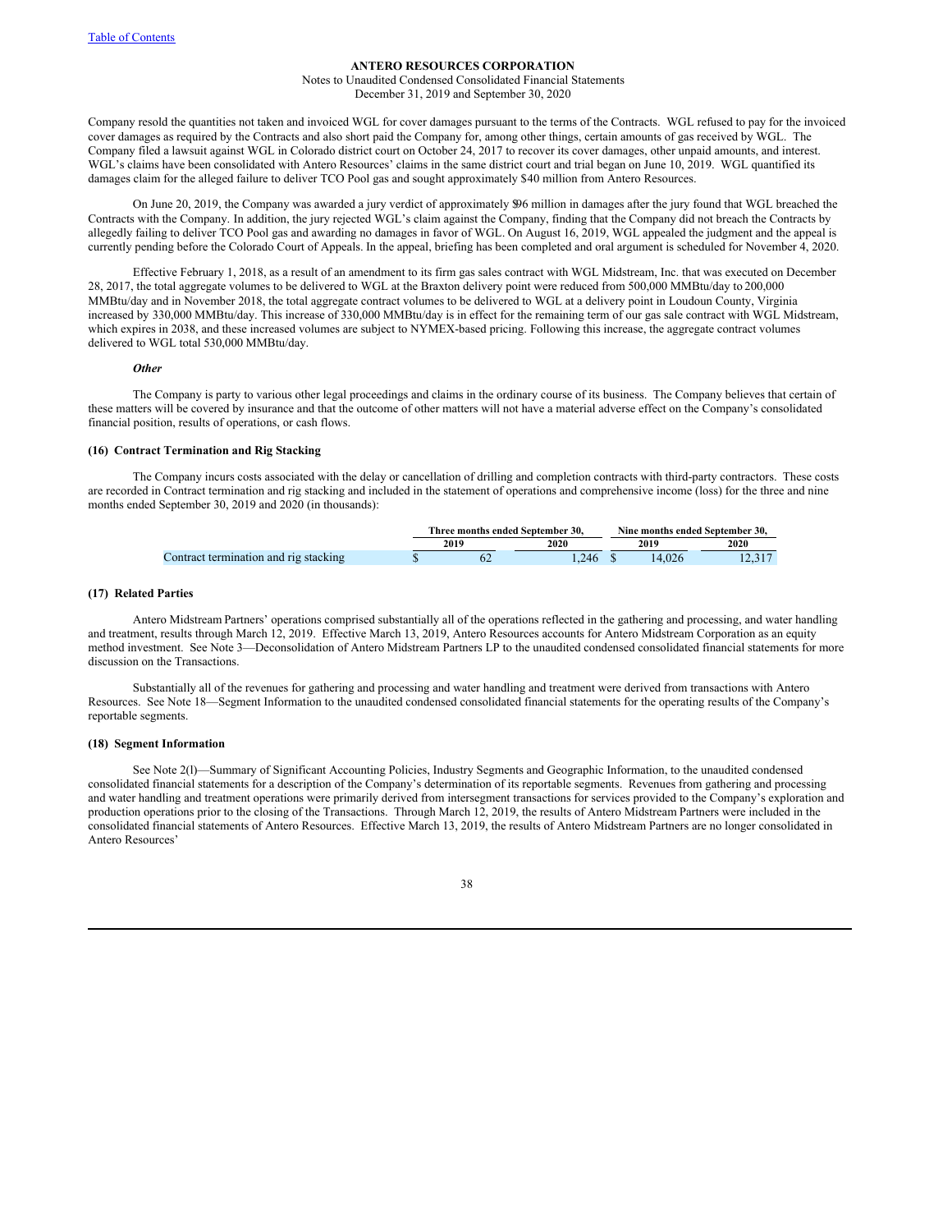Notes to Unaudited Condensed Consolidated Financial Statements December 31, 2019 and September 30, 2020

Company resold the quantities not taken and invoiced WGL for cover damages pursuant to the terms of the Contracts. WGL refused to pay for the invoiced cover damages as required by the Contracts and also short paid the Company for, among other things, certain amounts of gas received by WGL. The Company filed a lawsuit against WGL in Colorado district court on October 24, 2017 to recover its cover damages, other unpaid amounts, and interest. WGL's claims have been consolidated with Antero Resources' claims in the same district court and trial began on June 10, 2019. WGL quantified its damages claim for the alleged failure to deliver TCO Pool gas and sought approximately \$40 million from Antero Resources.

On June 20, 2019, the Company was awarded a jury verdict of approximately \$96 million in damages after the jury found that WGL breached the Contracts with the Company. In addition, the jury rejected WGL's claim against the Company, finding that the Company did not breach the Contracts by allegedly failing to deliver TCO Pool gas and awarding no damages in favor of WGL. On August 16, 2019, WGL appealed the judgment and the appeal is currently pending before the Colorado Court of Appeals. In the appeal, briefing has been completed and oral argument is scheduled for November 4, 2020.

Effective February 1, 2018, as a result of an amendment to its firm gas sales contract with WGL Midstream, Inc. that was executed on December 28, 2017, the total aggregate volumes to be delivered to WGL at the Braxton delivery point were reduced from 500,000 MMBtu/day to 200,000 MMBtu/day and in November 2018, the total aggregate contract volumes to be delivered to WGL at a delivery point in Loudoun County, Virginia increased by 330,000 MMBtu/day. This increase of 330,000 MMBtu/day is in effect for the remaining term of our gas sale contract with WGL Midstream, which expires in 2038, and these increased volumes are subject to NYMEX-based pricing. Following this increase, the aggregate contract volumes delivered to WGL total 530,000 MMBtu/day.

## *Other*

The Company is party to various other legal proceedings and claims in the ordinary course of its business. The Company believes that certain of these matters will be covered by insurance and that the outcome of other matters will not have a material adverse effect on the Company's consolidated financial position, results of operations, or cash flows.

## **(16) Contract Termination and Rig Stacking**

The Company incurs costs associated with the delay or cancellation of drilling and completion contracts with third-party contractors. These costs are recorded in Contract termination and rig stacking and included in the statement of operations and comprehensive income (loss) for the three and nine months ended September 30, 2019 and 2020 (in thousands):

|                                       |      | Three months ended September 30. |      | Nine months ended September 30. |  |
|---------------------------------------|------|----------------------------------|------|---------------------------------|--|
|                                       | 2019 | 2020                             | 2019 | 2020                            |  |
| Contract termination and rig stacking |      |                                  |      |                                 |  |

#### **(17) Related Parties**

Antero Midstream Partners' operations comprised substantially all of the operations reflected in the gathering and processing, and water handling and treatment, results through March 12, 2019. Effective March 13, 2019, Antero Resources accounts for Antero Midstream Corporation as an equity method investment. See Note 3—Deconsolidation of Antero Midstream Partners LP to the unaudited condensed consolidated financial statements for more discussion on the Transactions.

Substantially all of the revenues for gathering and processing and water handling and treatment were derived from transactions with Antero Resources. See Note 18—Segment Information to the unaudited condensed consolidated financial statements for the operating results of the Company's reportable segments.

### **(18) Segment Information**

See Note 2(l)—Summary of Significant Accounting Policies, Industry Segments and Geographic Information, to the unaudited condensed consolidated financial statements for a description of the Company's determination of its reportable segments. Revenues from gathering and processing and water handling and treatment operations were primarily derived from intersegment transactions for services provided to the Company's exploration and production operations prior to the closing of the Transactions. Through March 12, 2019, the results of Antero Midstream Partners were included in the consolidated financial statements of Antero Resources. Effective March 13, 2019, the results of Antero Midstream Partners are no longer consolidated in Antero Resources'

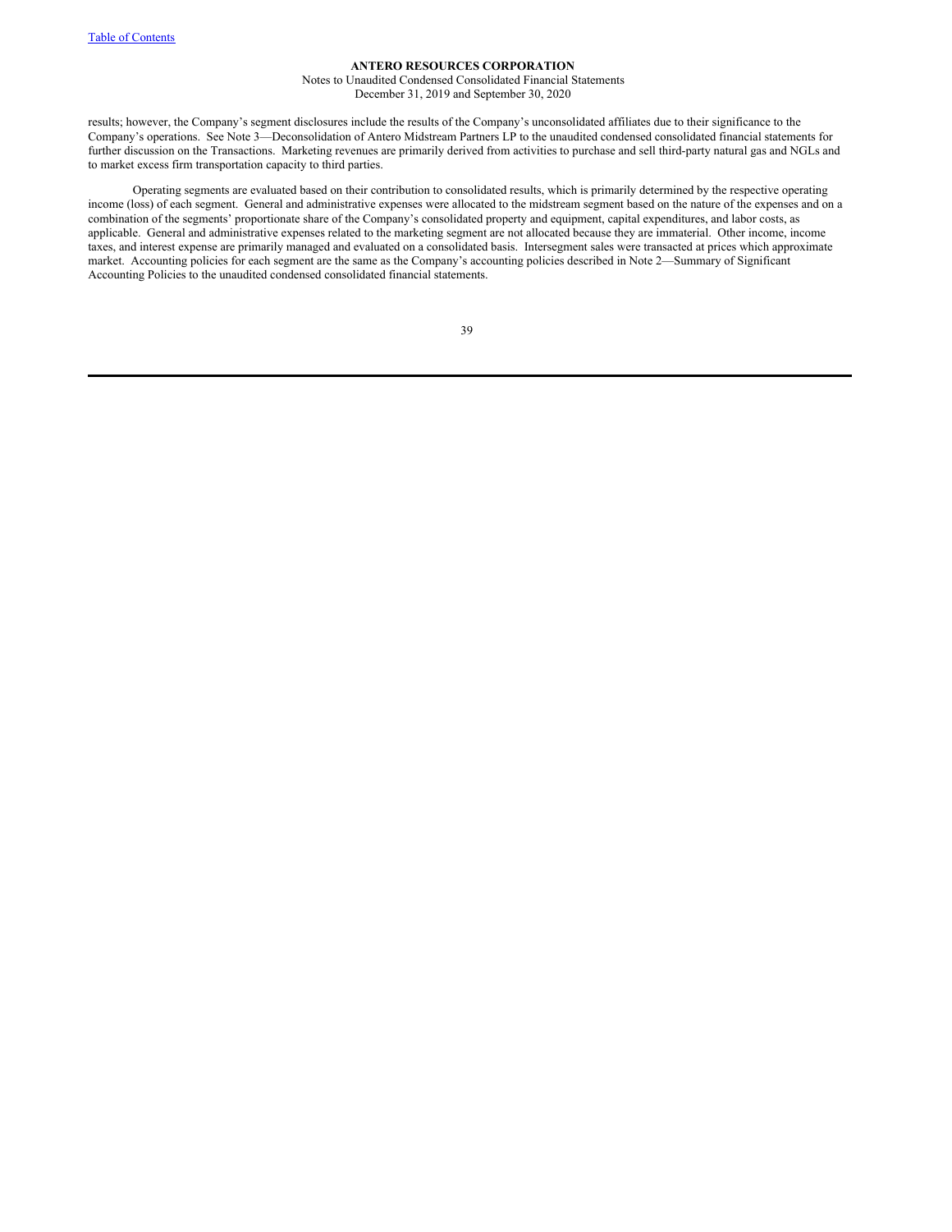Notes to Unaudited Condensed Consolidated Financial Statements December 31, 2019 and September 30, 2020

results; however, the Company's segment disclosures include the results of the Company's unconsolidated affiliates due to their significance to the Company's operations. See Note 3—Deconsolidation of Antero Midstream Partners LP to the unaudited condensed consolidated financial statements for further discussion on the Transactions. Marketing revenues are primarily derived from activities to purchase and sell third-party natural gas and NGLs and to market excess firm transportation capacity to third parties.

Operating segments are evaluated based on their contribution to consolidated results, which is primarily determined by the respective operating income (loss) of each segment. General and administrative expenses were allocated to the midstream segment based on the nature of the expenses and on a combination of the segments' proportionate share of the Company's consolidated property and equipment, capital expenditures, and labor costs, as applicable. General and administrative expenses related to the marketing segment are not allocated because they are immaterial. Other income, income taxes, and interest expense are primarily managed and evaluated on a consolidated basis. Intersegment sales were transacted at prices which approximate market. Accounting policies for each segment are the same as the Company's accounting policies described in Note 2—Summary of Significant Accounting Policies to the unaudited condensed consolidated financial statements.

|        | I<br>I |
|--------|--------|
| I      | I      |
| ۹      | I      |
| $\sim$ | ۰.     |
|        |        |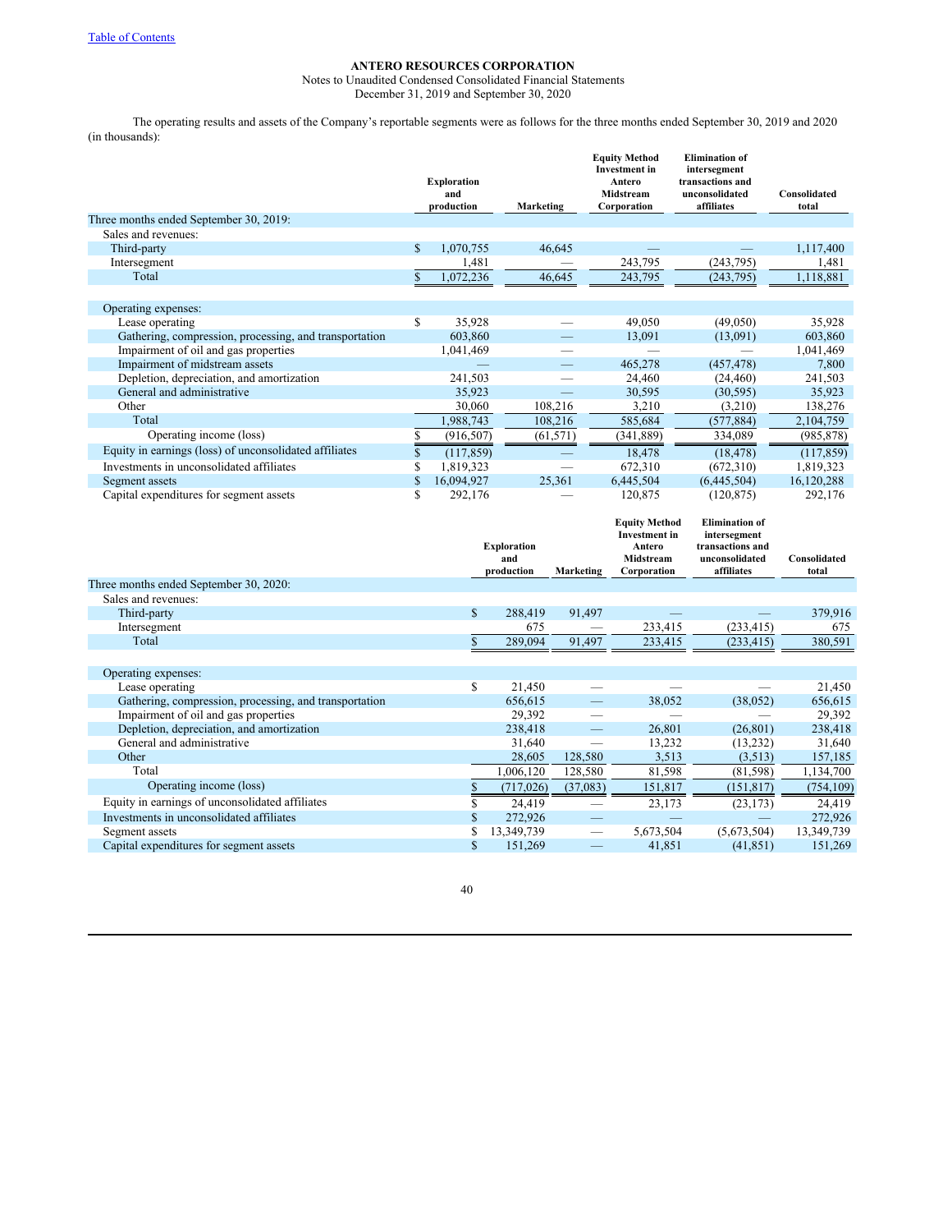Notes to Unaudited Condensed Consolidated Financial Statements December 31, 2019 and September 30, 2020

The operating results and assets of the Company's reportable segments were as follows for the three months ended September 30, 2019 and 2020 (in thousands):

|                                                        |    | <b>Exploration</b><br>and<br>production | Marketing | <b>Equity Method</b><br><b>Investment</b> in<br>Antero<br><b>Midstream</b><br>Corporation | <b>Elimination of</b><br>intersegment<br>transactions and<br>unconsolidated<br>affiliates | Consolidated<br>total |
|--------------------------------------------------------|----|-----------------------------------------|-----------|-------------------------------------------------------------------------------------------|-------------------------------------------------------------------------------------------|-----------------------|
| Three months ended September 30, 2019:                 |    |                                         |           |                                                                                           |                                                                                           |                       |
| Sales and revenues:                                    |    |                                         |           |                                                                                           |                                                                                           |                       |
| Third-party                                            | \$ | 1,070,755                               | 46,645    |                                                                                           |                                                                                           | 1,117,400             |
| Intersegment                                           |    | 1,481                                   |           | 243,795                                                                                   | (243, 795)                                                                                | 1,481                 |
| Total                                                  |    | 1,072,236                               | 46,645    | 243,795                                                                                   | (243, 795)                                                                                | 1,118,881             |
|                                                        |    |                                         |           |                                                                                           |                                                                                           |                       |
| Operating expenses:                                    |    |                                         |           |                                                                                           |                                                                                           |                       |
| Lease operating                                        | S  | 35,928                                  |           | 49,050                                                                                    | (49,050)                                                                                  | 35,928                |
| Gathering, compression, processing, and transportation |    | 603,860                                 |           | 13,091                                                                                    | (13,091)                                                                                  | 603,860               |
| Impairment of oil and gas properties                   |    | 1,041,469                               |           |                                                                                           |                                                                                           | 1,041,469             |
| Impairment of midstream assets                         |    |                                         |           | 465,278                                                                                   | (457, 478)                                                                                | 7,800                 |
| Depletion, depreciation, and amortization              |    | 241,503                                 |           | 24,460                                                                                    | (24, 460)                                                                                 | 241,503               |
| General and administrative                             |    | 35,923                                  |           | 30,595                                                                                    | (30, 595)                                                                                 | 35,923                |
| Other                                                  |    | 30,060                                  | 108,216   | 3,210                                                                                     | (3,210)                                                                                   | 138,276               |
| Total                                                  |    | 1,988,743                               | 108,216   | 585,684                                                                                   | (577, 884)                                                                                | 2,104,759             |
| Operating income (loss)                                |    | (916, 507)                              | (61, 571) | (341, 889)                                                                                | 334,089                                                                                   | (985, 878)            |
| Equity in earnings (loss) of unconsolidated affiliates | \$ | (117, 859)                              |           | 18,478                                                                                    | (18, 478)                                                                                 | (117, 859)            |
| Investments in unconsolidated affiliates               | S  | 1,819,323                               |           | 672,310                                                                                   | (672,310)                                                                                 | 1,819,323             |
| Segment assets                                         | \$ | 16,094,927                              | 25,361    | 6,445,504                                                                                 | (6,445,504)                                                                               | 16,120,288            |
| Capital expenditures for segment assets                | \$ | 292,176                                 |           | 120,875                                                                                   | (120, 875)                                                                                | 292,176               |

|                                                        | <b>Exploration</b><br>and<br>production | Marketing | <b>Equity Method</b><br>Investment in<br>Antero<br>Midstream<br>Corporation | <b>Elimination of</b><br>intersegment<br>transactions and<br>unconsolidated<br>affiliates | Consolidated<br>total |
|--------------------------------------------------------|-----------------------------------------|-----------|-----------------------------------------------------------------------------|-------------------------------------------------------------------------------------------|-----------------------|
| Three months ended September 30, 2020:                 |                                         |           |                                                                             |                                                                                           |                       |
| Sales and revenues:                                    |                                         |           |                                                                             |                                                                                           |                       |
| Third-party                                            | \$<br>288,419                           | 91,497    |                                                                             |                                                                                           | 379,916               |
| Intersegment                                           | 675                                     |           | 233,415                                                                     | (233, 415)                                                                                | 675                   |
| Total                                                  | 289,094                                 | 91,497    | 233,415                                                                     | (233, 415)                                                                                | 380,591               |
|                                                        |                                         |           |                                                                             |                                                                                           |                       |
| Operating expenses:                                    |                                         |           |                                                                             |                                                                                           |                       |
| Lease operating                                        | \$<br>21,450                            |           |                                                                             |                                                                                           | 21,450                |
| Gathering, compression, processing, and transportation | 656,615                                 |           | 38,052                                                                      | (38,052)                                                                                  | 656,615               |
| Impairment of oil and gas properties                   | 29,392                                  |           |                                                                             |                                                                                           | 29,392                |
| Depletion, depreciation, and amortization              | 238,418                                 |           | 26,801                                                                      | (26, 801)                                                                                 | 238,418               |
| General and administrative                             | 31,640                                  |           | 13,232                                                                      | (13,232)                                                                                  | 31,640                |
| Other                                                  | 28,605                                  | 128,580   | 3,513                                                                       | (3,513)                                                                                   | 157,185               |
| Total                                                  | ,006,120                                | 128,580   | 81,598                                                                      | (81, 598)                                                                                 | 1,134,700             |
| Operating income (loss)                                | (717, 026)                              | (37,083)  | 151,817                                                                     | (151, 817)                                                                                | (754, 109)            |
| Equity in earnings of unconsolidated affiliates        | 24,419                                  |           | 23,173                                                                      | (23, 173)                                                                                 | 24,419                |
| Investments in unconsolidated affiliates               | 272,926                                 |           |                                                                             |                                                                                           | 272,926               |
| Segment assets                                         | 13,349,739                              |           | 5,673,504                                                                   | (5,673,504)                                                                               | 13,349,739            |
| Capital expenditures for segment assets                | \$<br>151,269                           |           | 41,851                                                                      | (41, 851)                                                                                 | 151,269               |
|                                                        |                                         |           |                                                                             |                                                                                           |                       |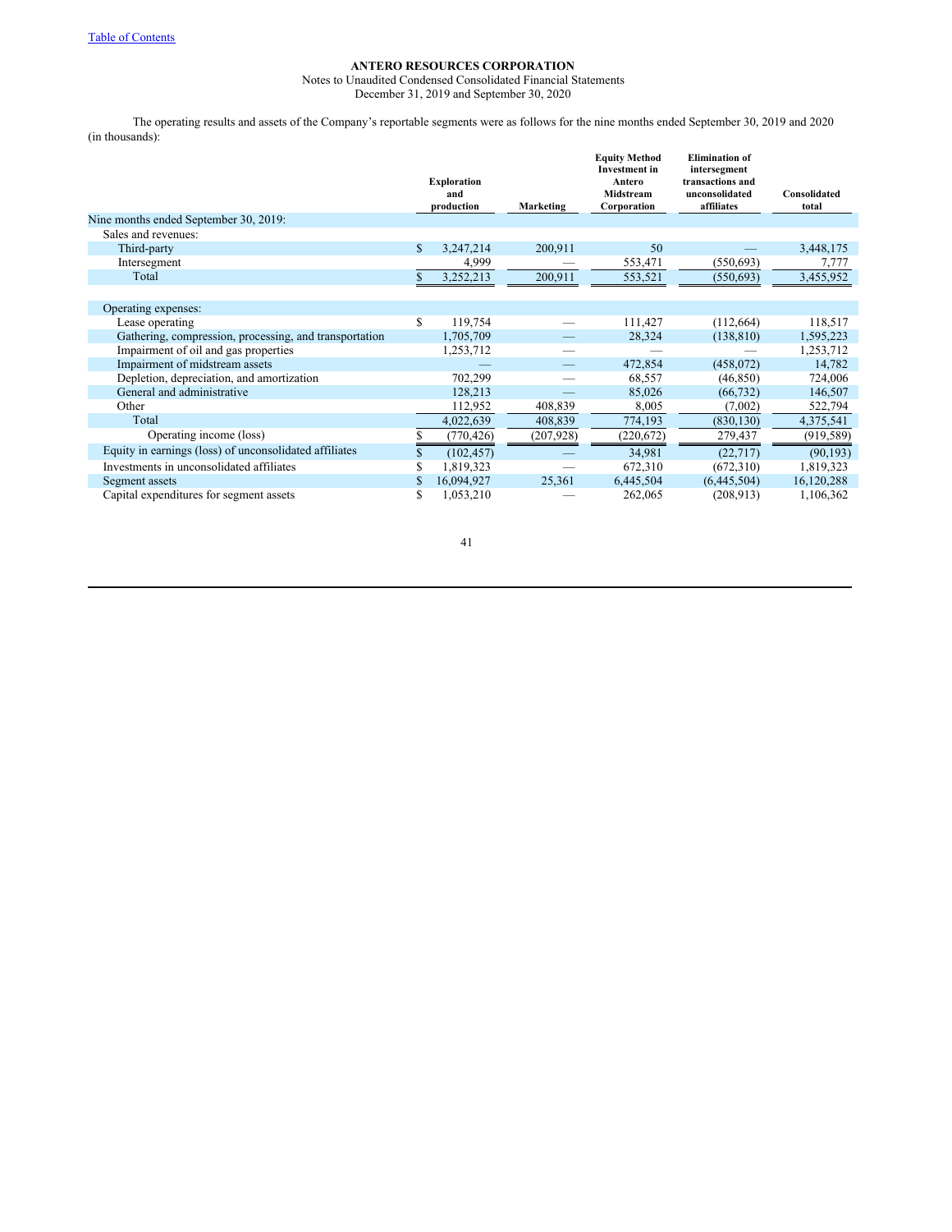Notes to Unaudited Condensed Consolidated Financial Statements December 31, 2019 and September 30, 2020

The operating results and assets of the Company's reportable segments were as follows for the nine months ended September 30, 2019 and 2020 (in thousands):

|                                                        |              | <b>Exploration</b><br>and<br>production | Marketing  | <b>Equity Method</b><br><b>Investment</b> in<br>Antero<br><b>Midstream</b><br>Corporation | <b>Elimination of</b><br>intersegment<br>transactions and<br>unconsolidated<br>affiliates | Consolidated<br>total |
|--------------------------------------------------------|--------------|-----------------------------------------|------------|-------------------------------------------------------------------------------------------|-------------------------------------------------------------------------------------------|-----------------------|
| Nine months ended September 30, 2019:                  |              |                                         |            |                                                                                           |                                                                                           |                       |
| Sales and revenues:                                    |              |                                         |            |                                                                                           |                                                                                           |                       |
| Third-party                                            | $\mathbf{s}$ | 3,247,214                               | 200,911    | 50                                                                                        |                                                                                           | 3,448,175             |
| Intersegment                                           |              | 4,999                                   |            | 553,471                                                                                   | (550, 693)                                                                                | 7,777                 |
| Total                                                  |              | 3,252,213                               | 200,911    | 553,521                                                                                   | (550, 693)                                                                                | 3,455,952             |
|                                                        |              |                                         |            |                                                                                           |                                                                                           |                       |
| Operating expenses:                                    |              |                                         |            |                                                                                           |                                                                                           |                       |
| Lease operating                                        | \$           | 119,754                                 |            | 111,427                                                                                   | (112, 664)                                                                                | 118,517               |
| Gathering, compression, processing, and transportation |              | 1,705,709                               |            | 28,324                                                                                    | (138, 810)                                                                                | 1,595,223             |
| Impairment of oil and gas properties                   |              | 1,253,712                               |            |                                                                                           |                                                                                           | 1,253,712             |
| Impairment of midstream assets                         |              |                                         |            | 472,854                                                                                   | (458, 072)                                                                                | 14,782                |
| Depletion, depreciation, and amortization              |              | 702,299                                 |            | 68,557                                                                                    | (46, 850)                                                                                 | 724,006               |
| General and administrative                             |              | 128,213                                 |            | 85,026                                                                                    | (66, 732)                                                                                 | 146,507               |
| Other                                                  |              | 112,952                                 | 408,839    | 8,005                                                                                     | (7,002)                                                                                   | 522,794               |
| Total                                                  |              | 4,022,639                               | 408,839    | 774,193                                                                                   | (830, 130)                                                                                | 4,375,541             |
| Operating income (loss)                                | S            | (770, 426)                              | (207, 928) | (220,672)                                                                                 | 279,437                                                                                   | (919, 589)            |
| Equity in earnings (loss) of unconsolidated affiliates | \$           | (102, 457)                              |            | 34,981                                                                                    | (22, 717)                                                                                 | (90, 193)             |
| Investments in unconsolidated affiliates               | \$           | 1,819,323                               |            | 672,310                                                                                   | (672,310)                                                                                 | 1,819,323             |
| Segment assets                                         | \$           | 16,094,927                              | 25,361     | 6,445,504                                                                                 | (6,445,504)                                                                               | 16,120,288            |
| Capital expenditures for segment assets                | \$           | 1,053,210                               |            | 262,065                                                                                   | (208, 913)                                                                                | 1,106,362             |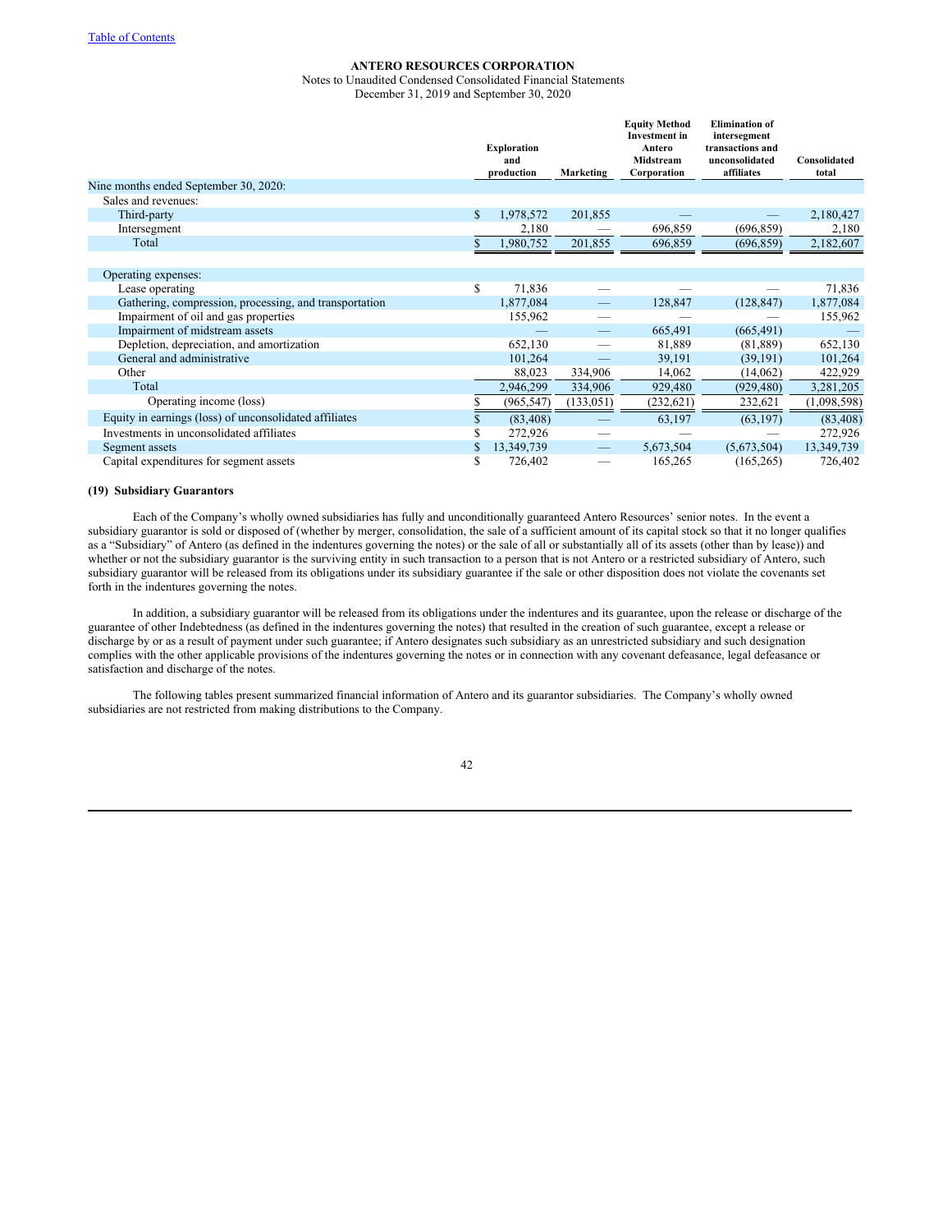Notes to Unaudited Condensed Consolidated Financial Statements December 31, 2019 and September 30, 2020

|                                                        |    | <b>Exploration</b><br>and<br>production | <b>Marketing</b> | <b>Equity Method</b><br><b>Investment</b> in<br>Antero<br><b>Midstream</b><br>Corporation | <b>Elimination of</b><br>intersegment<br>transactions and<br>unconsolidated<br>affiliates | Consolidated<br>total |
|--------------------------------------------------------|----|-----------------------------------------|------------------|-------------------------------------------------------------------------------------------|-------------------------------------------------------------------------------------------|-----------------------|
| Nine months ended September 30, 2020:                  |    |                                         |                  |                                                                                           |                                                                                           |                       |
| Sales and revenues:                                    |    |                                         |                  |                                                                                           |                                                                                           |                       |
| Third-party                                            | \$ | 1,978,572                               | 201,855          |                                                                                           |                                                                                           | 2,180,427             |
| Intersegment                                           |    | 2,180                                   |                  | 696,859                                                                                   | (696, 859)                                                                                | 2,180                 |
| Total                                                  |    | 1,980,752                               | 201,855          | 696,859                                                                                   | (696, 859)                                                                                | 2,182,607             |
|                                                        |    |                                         |                  |                                                                                           |                                                                                           |                       |
| Operating expenses:                                    |    |                                         |                  |                                                                                           |                                                                                           |                       |
| Lease operating                                        | \$ | 71,836                                  |                  |                                                                                           |                                                                                           | 71,836                |
| Gathering, compression, processing, and transportation |    | 1,877,084                               |                  | 128,847                                                                                   | (128, 847)                                                                                | 1,877,084             |
| Impairment of oil and gas properties                   |    | 155,962                                 |                  |                                                                                           |                                                                                           | 155,962               |
| Impairment of midstream assets                         |    |                                         |                  | 665,491                                                                                   | (665, 491)                                                                                |                       |
| Depletion, depreciation, and amortization              |    | 652,130                                 |                  | 81,889                                                                                    | (81,889)                                                                                  | 652,130               |
| General and administrative                             |    | 101,264                                 |                  | 39,191                                                                                    | (39,191)                                                                                  | 101,264               |
| Other                                                  |    | 88,023                                  | 334,906          | 14,062                                                                                    | (14,062)                                                                                  | 422,929               |
| Total                                                  |    | 2,946,299                               | 334,906          | 929,480                                                                                   | (929, 480)                                                                                | 3,281,205             |
| Operating income (loss)                                |    | (965, 547)                              | (133, 051)       | (232, 621)                                                                                | 232,621                                                                                   | (1,098,598)           |
| Equity in earnings (loss) of unconsolidated affiliates |    | (83, 408)                               |                  | 63,197                                                                                    | (63, 197)                                                                                 | (83, 408)             |
| Investments in unconsolidated affiliates               |    | 272,926                                 |                  |                                                                                           |                                                                                           | 272,926               |
| Segment assets                                         |    | 13,349,739                              |                  | 5,673,504                                                                                 | (5,673,504)                                                                               | 13,349,739            |
| Capital expenditures for segment assets                | S  | 726,402                                 |                  | 165,265                                                                                   | (165, 265)                                                                                | 726,402               |

### **(19) Subsidiary Guarantors**

Each of the Company's wholly owned subsidiaries has fully and unconditionally guaranteed Antero Resources' senior notes. In the event a subsidiary guarantor is sold or disposed of (whether by merger, consolidation, the sale of a sufficient amount of its capital stock so that it no longer qualifies as a "Subsidiary" of Antero (as defined in the indentures governing the notes) or the sale of all or substantially all of its assets (other than by lease)) and whether or not the subsidiary guarantor is the surviving entity in such transaction to a person that is not Antero or a restricted subsidiary of Antero, such subsidiary guarantor will be released from its obligations under its subsidiary guarantee if the sale or other disposition does not violate the covenants set forth in the indentures governing the notes.

In addition, a subsidiary guarantor will be released from its obligations under the indentures and its guarantee, upon the release or discharge of the guarantee of other Indebtedness (as defined in the indentures governing the notes) that resulted in the creation of such guarantee, except a release or discharge by or as a result of payment under such guarantee; if Antero designates such subsidiary as an unrestricted subsidiary and such designation complies with the other applicable provisions of the indentures governing the notes or in connection with any covenant defeasance, legal defeasance or satisfaction and discharge of the notes.

The following tables present summarized financial information of Antero and its guarantor subsidiaries. The Company's wholly owned subsidiaries are not restricted from making distributions to the Company.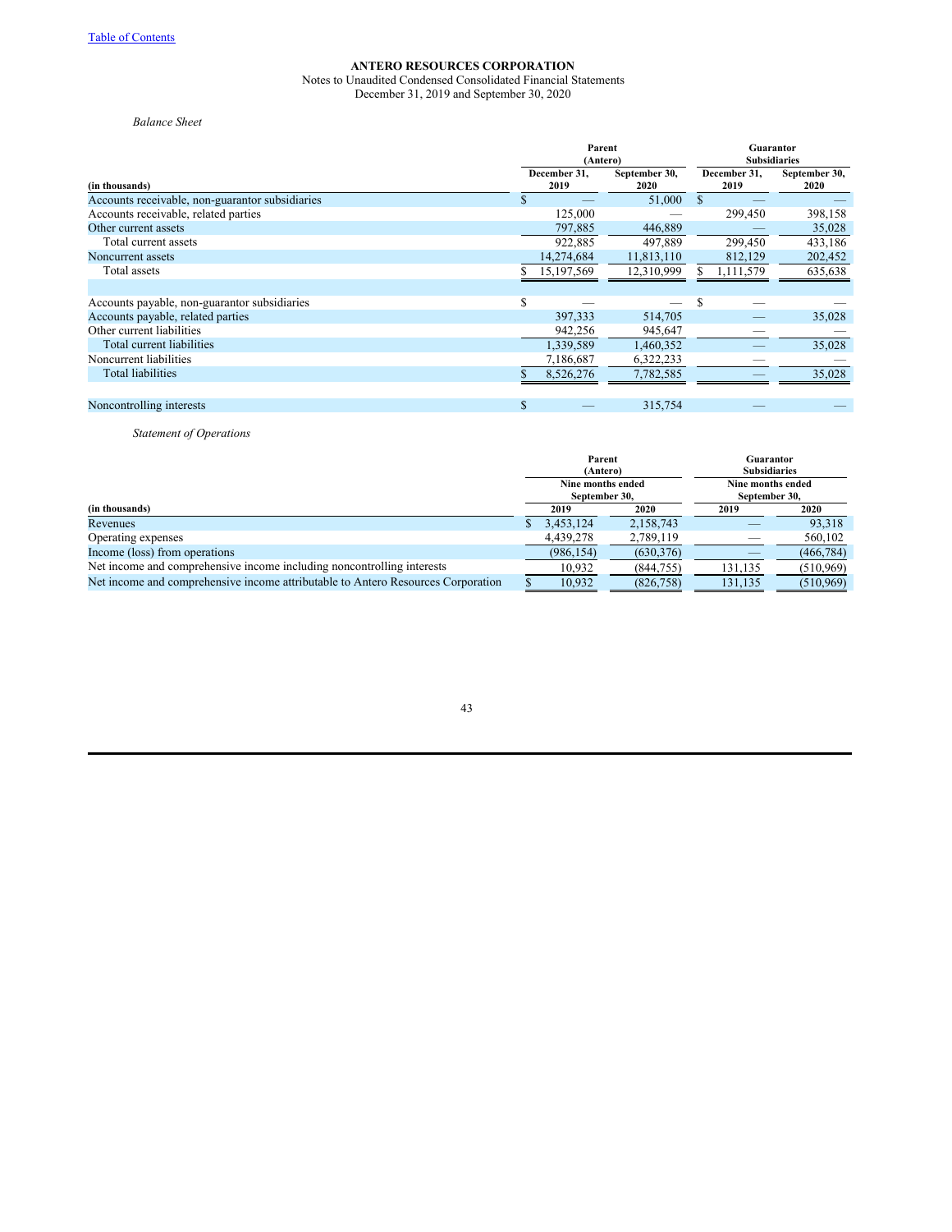Notes to Unaudited Condensed Consolidated Financial Statements December 31, 2019 and September 30, 2020

*Balance Sheet*

|                                                 | Parent<br>(Antero) |                      |                       |              |                      | Guarantor<br><b>Subsidiaries</b> |  |  |  |
|-------------------------------------------------|--------------------|----------------------|-----------------------|--------------|----------------------|----------------------------------|--|--|--|
| (in thousands)                                  |                    | December 31,<br>2019 | September 30,<br>2020 |              | December 31,<br>2019 | September 30,<br>2020            |  |  |  |
| Accounts receivable, non-guarantor subsidiaries | \$.                |                      | 51,000                | <sup>S</sup> |                      |                                  |  |  |  |
| Accounts receivable, related parties            |                    | 125,000              |                       |              | 299,450              | 398,158                          |  |  |  |
| Other current assets                            |                    | 797,885              | 446,889               |              |                      | 35,028                           |  |  |  |
| Total current assets                            |                    | 922,885              | 497,889               |              | 299,450              | 433,186                          |  |  |  |
| Noncurrent assets                               |                    | 14,274,684           | 11,813,110            |              | 812,129              | 202,452                          |  |  |  |
| Total assets                                    |                    | 15,197,569           | 12,310,999            |              | 1,111,579            | 635,638                          |  |  |  |
|                                                 |                    |                      |                       |              |                      |                                  |  |  |  |
| Accounts payable, non-guarantor subsidiaries    | \$                 |                      |                       | S            |                      |                                  |  |  |  |
| Accounts payable, related parties               |                    | 397,333              | 514,705               |              |                      | 35,028                           |  |  |  |
| Other current liabilities                       |                    | 942,256              | 945,647               |              |                      |                                  |  |  |  |
| Total current liabilities                       |                    | 1,339,589            | 1,460,352             |              |                      | 35,028                           |  |  |  |
| Noncurrent liabilities                          |                    | 7,186,687            | 6,322,233             |              |                      |                                  |  |  |  |
| <b>Total liabilities</b>                        |                    | 8,526,276            | 7,782,585             |              |                      | 35,028                           |  |  |  |
|                                                 |                    |                      |                       |              |                      |                                  |  |  |  |
| Noncontrolling interests                        | \$                 |                      | 315,754               |              |                      |                                  |  |  |  |

*Statement of Operations*

|                                                                                  | Parent<br>(Antero)                 |            | Guarantor<br><b>Subsidiaries</b>   |            |  |
|----------------------------------------------------------------------------------|------------------------------------|------------|------------------------------------|------------|--|
|                                                                                  | Nine months ended<br>September 30, |            | Nine months ended<br>September 30, |            |  |
| (in thousands)                                                                   | 2019                               | 2020       | 2019                               | 2020       |  |
| Revenues                                                                         | 3,453,124                          | 2,158,743  |                                    | 93,318     |  |
| Operating expenses                                                               | 4,439,278                          | 2,789,119  |                                    | 560,102    |  |
| Income (loss) from operations                                                    | (986, 154)                         | (630, 376) |                                    | (466, 784) |  |
| Net income and comprehensive income including noncontrolling interests           | 10,932                             | (844, 755) | 131,135                            | (510, 969) |  |
| Net income and comprehensive income attributable to Antero Resources Corporation | 10,932                             | (826, 758) | 131,135                            | (510, 969) |  |

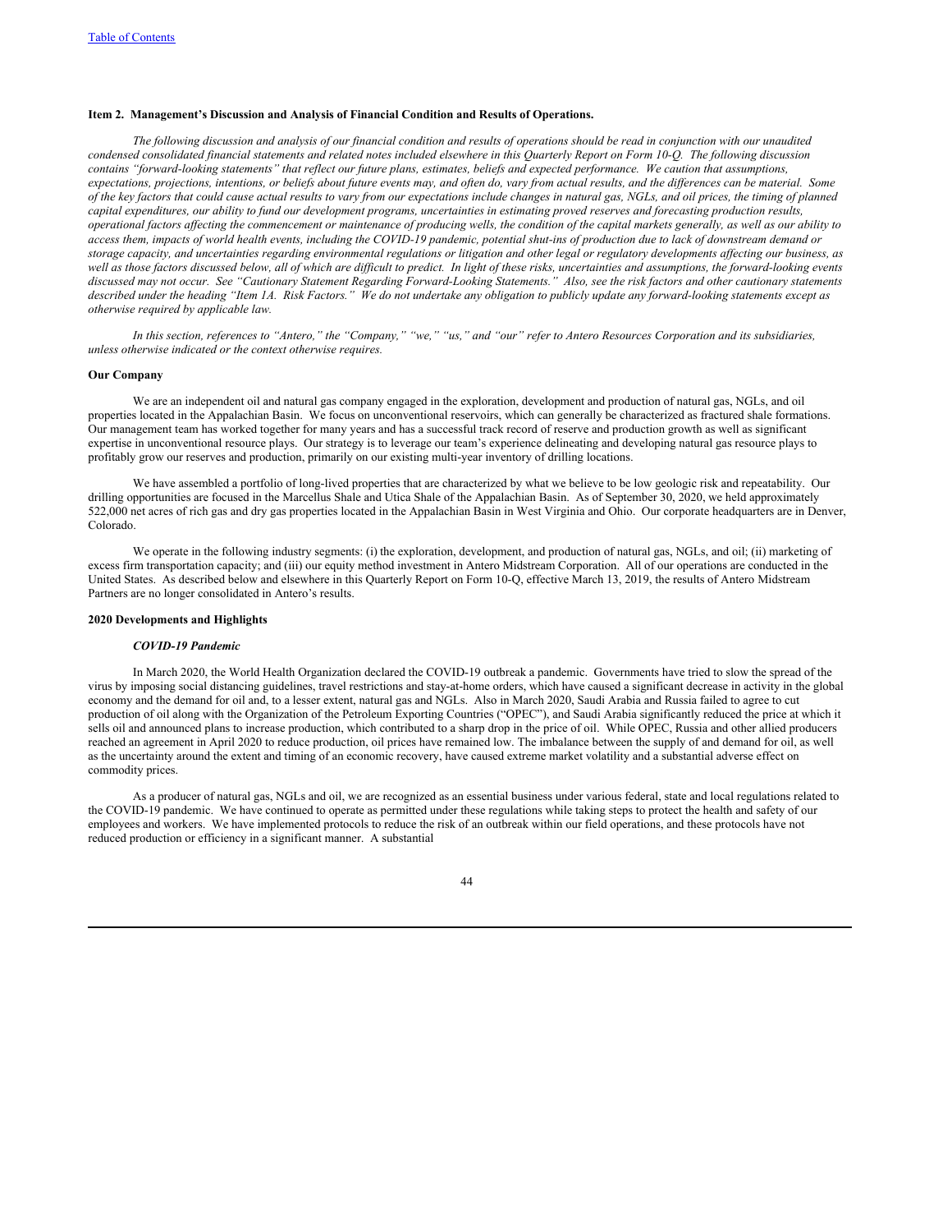## **Item 2. Management's Discussion and Analysis of Financial Condition and Results of Operations.**

The following discussion and analysis of our financial condition and results of operations should be read in conjunction with our unaudited condensed consolidated financial statements and related notes included elsewhere in this Quarterly Report on Form 10-Q. The following discussion contains "forward-looking statements" that reflect our future plans, estimates, beliefs and expected performance. We caution that assumptions, expectations, projections, intentions, or beliefs about future events may, and often do, vary from actual results, and the differences can be material. Some of the key factors that could cause actual results to vary from our expectations include changes in natural gas, NGLs, and oil prices, the timing of planned capital expenditures, our ability to fund our development programs, uncertainties in estimating proved reserves and forecasting production results, operational factors affecting the commencement or maintenance of producing wells, the condition of the capital markets generally, as well as our ability to  $\alpha$  ccess them, impacts of world health events, including the COVID-19 pandemic, potential shut-ins of production due to lack of downstream demand or storage capacity, and uncertainties regarding environmental regulations or litigation and other legal or regulatory developments affecting our business, as well as those factors discussed below, all of which are difficult to predict. In light of these risks, uncertainties and assumptions, the forward-looking events discussed may not occur. See "Cautionary Statement Regarding Forward-Looking Statements." Also, see the risk factors and other cautionary statements described under the heading "Item 1A. Risk Factors." We do not undertake any obligation to publicly update any forward-looking statements except as *otherwise required by applicable law.*

In this section, references to "Antero," the "Company," "we," "us," and "our" refer to Antero Resources Corporation and its subsidiaries, *unless otherwise indicated or the context otherwise requires.*

## **Our Company**

We are an independent oil and natural gas company engaged in the exploration, development and production of natural gas, NGLs, and oil properties located in the Appalachian Basin. We focus on unconventional reservoirs, which can generally be characterized as fractured shale formations. Our management team has worked together for many years and has a successful track record of reserve and production growth as well as significant expertise in unconventional resource plays. Our strategy is to leverage our team's experience delineating and developing natural gas resource plays to profitably grow our reserves and production, primarily on our existing multi-year inventory of drilling locations.

We have assembled a portfolio of long-lived properties that are characterized by what we believe to be low geologic risk and repeatability. Our drilling opportunities are focused in the Marcellus Shale and Utica Shale of the Appalachian Basin. As of September 30, 2020, we held approximately 522,000 net acres of rich gas and dry gas properties located in the Appalachian Basin in West Virginia and Ohio. Our corporate headquarters are in Denver, Colorado.

We operate in the following industry segments: (i) the exploration, development, and production of natural gas, NGLs, and oil; (ii) marketing of excess firm transportation capacity; and (iii) our equity method investment in Antero Midstream Corporation. All of our operations are conducted in the United States. As described below and elsewhere in this Quarterly Report on Form 10-Q, effective March 13, 2019, the results of Antero Midstream Partners are no longer consolidated in Antero's results.

## **2020 Developments and Highlights**

### *COVID-19 Pandemic*

In March 2020, the World Health Organization declared the COVID-19 outbreak a pandemic. Governments have tried to slow the spread of the virus by imposing social distancing guidelines, travel restrictions and stay-at-home orders, which have caused a significant decrease in activity in the global economy and the demand for oil and, to a lesser extent, natural gas and NGLs. Also in March 2020, Saudi Arabia and Russia failed to agree to cut production of oil along with the Organization of the Petroleum Exporting Countries ("OPEC"), and Saudi Arabia significantly reduced the price at which it sells oil and announced plans to increase production, which contributed to a sharp drop in the price of oil. While OPEC, Russia and other allied producers reached an agreement in April 2020 to reduce production, oil prices have remained low. The imbalance between the supply of and demand for oil, as well as the uncertainty around the extent and timing of an economic recovery, have caused extreme market volatility and a substantial adverse effect on commodity prices.

As a producer of natural gas, NGLs and oil, we are recognized as an essential business under various federal, state and local regulations related to the COVID-19 pandemic. We have continued to operate as permitted under these regulations while taking steps to protect the health and safety of our employees and workers. We have implemented protocols to reduce the risk of an outbreak within our field operations, and these protocols have not reduced production or efficiency in a significant manner. A substantial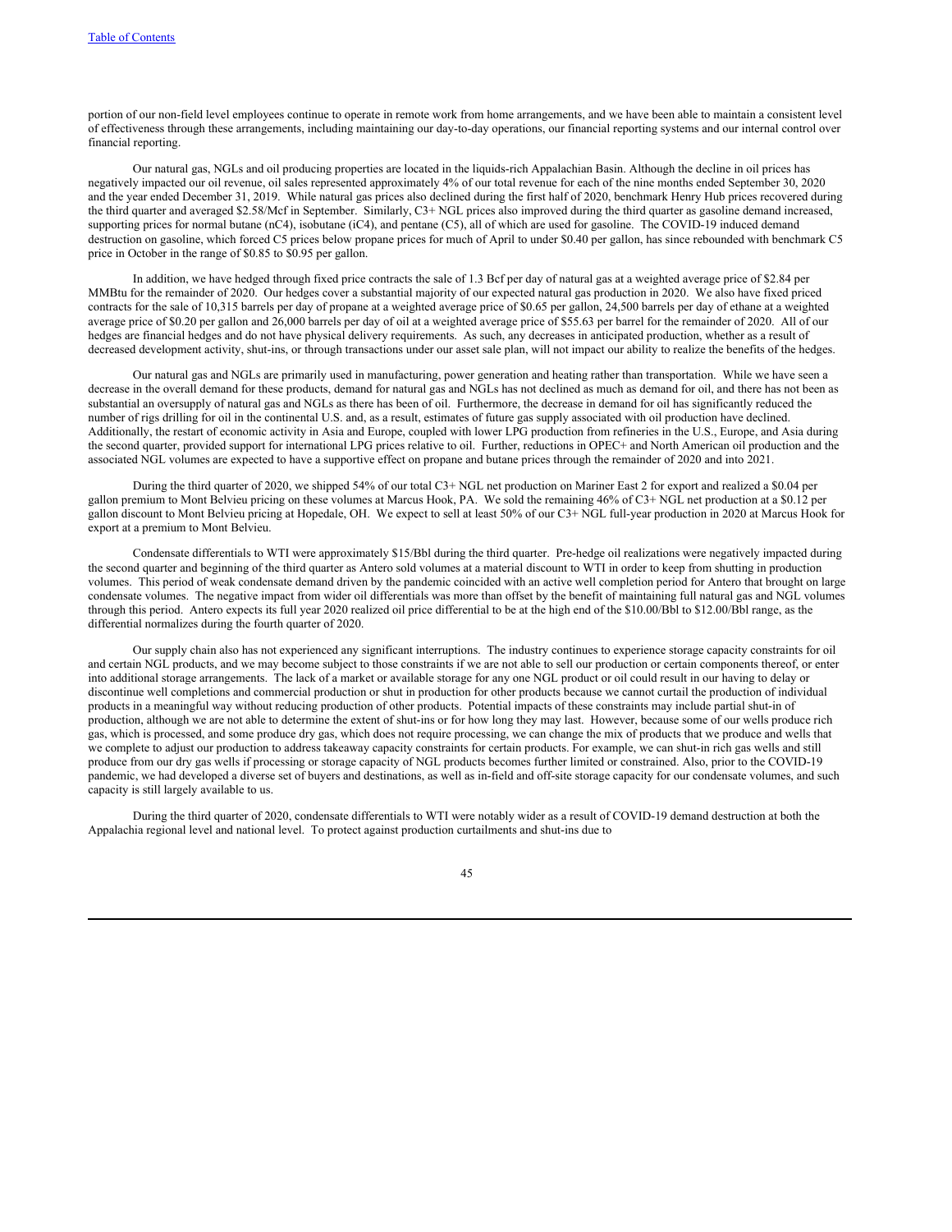portion of our non-field level employees continue to operate in remote work from home arrangements, and we have been able to maintain a consistent level of effectiveness through these arrangements, including maintaining our day-to-day operations, our financial reporting systems and our internal control over financial reporting.

Our natural gas, NGLs and oil producing properties are located in the liquids-rich Appalachian Basin. Although the decline in oil prices has negatively impacted our oil revenue, oil sales represented approximately 4% of our total revenue for each of the nine months ended September 30, 2020 and the year ended December 31, 2019. While natural gas prices also declined during the first half of 2020, benchmark Henry Hub prices recovered during the third quarter and averaged \$2.58/Mcf in September. Similarly, C3+ NGL prices also improved during the third quarter as gasoline demand increased, supporting prices for normal butane (nC4), isobutane (iC4), and pentane (C5), all of which are used for gasoline. The COVID-19 induced demand destruction on gasoline, which forced C5 prices below propane prices for much of April to under \$0.40 per gallon, has since rebounded with benchmark C5 price in October in the range of \$0.85 to \$0.95 per gallon.

In addition, we have hedged through fixed price contracts the sale of 1.3 Bcf per day of natural gas at a weighted average price of \$2.84 per MMBtu for the remainder of 2020. Our hedges cover a substantial majority of our expected natural gas production in 2020. We also have fixed priced contracts for the sale of 10,315 barrels per day of propane at a weighted average price of \$0.65 per gallon, 24,500 barrels per day of ethane at a weighted average price of \$0.20 per gallon and 26,000 barrels per day of oil at a weighted average price of \$55.63 per barrel for the remainder of 2020. All of our hedges are financial hedges and do not have physical delivery requirements. As such, any decreases in anticipated production, whether as a result of decreased development activity, shut-ins, or through transactions under our asset sale plan, will not impact our ability to realize the benefits of the hedges.

Our natural gas and NGLs are primarily used in manufacturing, power generation and heating rather than transportation. While we have seen a decrease in the overall demand for these products, demand for natural gas and NGLs has not declined as much as demand for oil, and there has not been as substantial an oversupply of natural gas and NGLs as there has been of oil. Furthermore, the decrease in demand for oil has significantly reduced the number of rigs drilling for oil in the continental U.S. and, as a result, estimates of future gas supply associated with oil production have declined. Additionally, the restart of economic activity in Asia and Europe, coupled with lower LPG production from refineries in the U.S., Europe, and Asia during the second quarter, provided support for international LPG prices relative to oil. Further, reductions in OPEC+ and North American oil production and the associated NGL volumes are expected to have a supportive effect on propane and butane prices through the remainder of 2020 and into 2021.

During the third quarter of 2020, we shipped 54% of our total C3+ NGL net production on Mariner East 2 for export and realized a \$0.04 per gallon premium to Mont Belvieu pricing on these volumes at Marcus Hook, PA. We sold the remaining 46% of C3+ NGL net production at a \$0.12 per gallon discount to Mont Belvieu pricing at Hopedale, OH. We expect to sell at least 50% of our C3+ NGL full-year production in 2020 at Marcus Hook for export at a premium to Mont Belvieu.

Condensate differentials to WTI were approximately \$15/Bbl during the third quarter. Pre-hedge oil realizations were negatively impacted during the second quarter and beginning of the third quarter as Antero sold volumes at a material discount to WTI in order to keep from shutting in production volumes. This period of weak condensate demand driven by the pandemic coincided with an active well completion period for Antero that brought on large condensate volumes. The negative impact from wider oil differentials was more than offset by the benefit of maintaining full natural gas and NGL volumes through this period. Antero expects its full year 2020 realized oil price differential to be at the high end of the \$10.00/Bbl to \$12.00/Bbl range, as the differential normalizes during the fourth quarter of 2020.

Our supply chain also has not experienced any significant interruptions. The industry continues to experience storage capacity constraints for oil and certain NGL products, and we may become subject to those constraints if we are not able to sell our production or certain components thereof, or enter into additional storage arrangements. The lack of a market or available storage for any one NGL product or oil could result in our having to delay or discontinue well completions and commercial production or shut in production for other products because we cannot curtail the production of individual products in a meaningful way without reducing production of other products. Potential impacts of these constraints may include partial shut-in of production, although we are not able to determine the extent of shut-ins or for how long they may last. However, because some of our wells produce rich gas, which is processed, and some produce dry gas, which does not require processing, we can change the mix of products that we produce and wells that we complete to adjust our production to address takeaway capacity constraints for certain products. For example, we can shut-in rich gas wells and still produce from our dry gas wells if processing or storage capacity of NGL products becomes further limited or constrained. Also, prior to the COVID-19 pandemic, we had developed a diverse set of buyers and destinations, as well as in-field and off-site storage capacity for our condensate volumes, and such capacity is still largely available to us.

During the third quarter of 2020, condensate differentials to WTI were notably wider as a result of COVID-19 demand destruction at both the Appalachia regional level and national level. To protect against production curtailments and shut-ins due to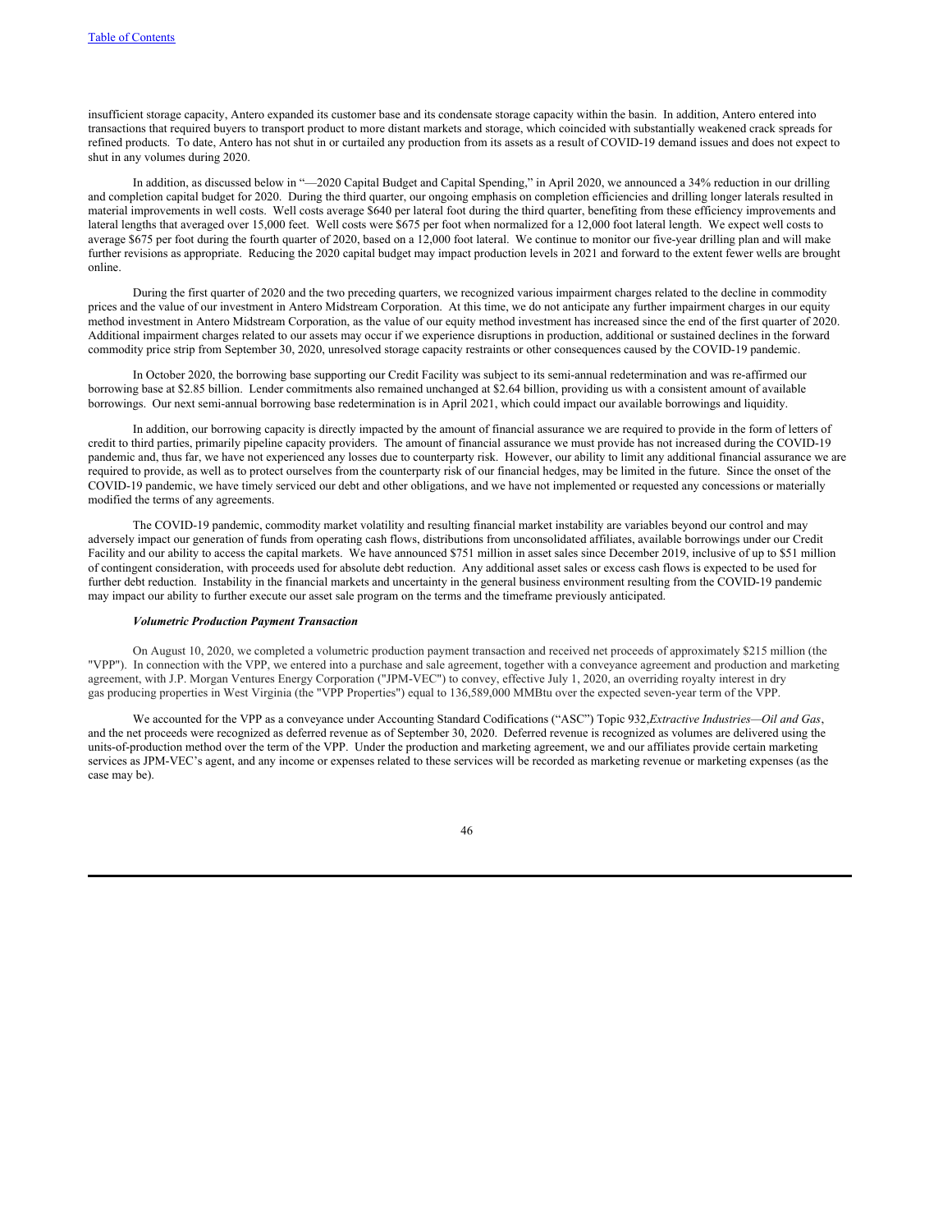insufficient storage capacity, Antero expanded its customer base and its condensate storage capacity within the basin. In addition, Antero entered into transactions that required buyers to transport product to more distant markets and storage, which coincided with substantially weakened crack spreads for refined products. To date, Antero has not shut in or curtailed any production from its assets as a result of COVID-19 demand issues and does not expect to shut in any volumes during 2020.

In addition, as discussed below in "—2020 Capital Budget and Capital Spending," in April 2020, we announced a 34% reduction in our drilling and completion capital budget for 2020. During the third quarter, our ongoing emphasis on completion efficiencies and drilling longer laterals resulted in material improvements in well costs. Well costs average \$640 per lateral foot during the third quarter, benefiting from these efficiency improvements and lateral lengths that averaged over 15,000 feet. Well costs were \$675 per foot when normalized for a 12,000 foot lateral length. We expect well costs to average \$675 per foot during the fourth quarter of 2020, based on a 12,000 foot lateral. We continue to monitor our five-year drilling plan and will make further revisions as appropriate. Reducing the 2020 capital budget may impact production levels in 2021 and forward to the extent fewer wells are brought online.

During the first quarter of 2020 and the two preceding quarters, we recognized various impairment charges related to the decline in commodity prices and the value of our investment in Antero Midstream Corporation. At this time, we do not anticipate any further impairment charges in our equity method investment in Antero Midstream Corporation, as the value of our equity method investment has increased since the end of the first quarter of 2020. Additional impairment charges related to our assets may occur if we experience disruptions in production, additional or sustained declines in the forward commodity price strip from September 30, 2020, unresolved storage capacity restraints or other consequences caused by the COVID-19 pandemic.

In October 2020, the borrowing base supporting our Credit Facility was subject to its semi-annual redetermination and was re-affirmed our borrowing base at \$2.85 billion. Lender commitments also remained unchanged at \$2.64 billion, providing us with a consistent amount of available borrowings. Our next semi-annual borrowing base redetermination is in April 2021, which could impact our available borrowings and liquidity.

In addition, our borrowing capacity is directly impacted by the amount of financial assurance we are required to provide in the form of letters of credit to third parties, primarily pipeline capacity providers. The amount of financial assurance we must provide has not increased during the COVID-19 pandemic and, thus far, we have not experienced any losses due to counterparty risk. However, our ability to limit any additional financial assurance we are required to provide, as well as to protect ourselves from the counterparty risk of our financial hedges, may be limited in the future. Since the onset of the COVID-19 pandemic, we have timely serviced our debt and other obligations, and we have not implemented or requested any concessions or materially modified the terms of any agreements.

The COVID-19 pandemic, commodity market volatility and resulting financial market instability are variables beyond our control and may adversely impact our generation of funds from operating cash flows, distributions from unconsolidated affiliates, available borrowings under our Credit Facility and our ability to access the capital markets. We have announced \$751 million in asset sales since December 2019, inclusive of up to \$51 million of contingent consideration, with proceeds used for absolute debt reduction. Any additional asset sales or excess cash flows is expected to be used for further debt reduction. Instability in the financial markets and uncertainty in the general business environment resulting from the COVID-19 pandemic may impact our ability to further execute our asset sale program on the terms and the timeframe previously anticipated.

#### *Volumetric Production Payment Transaction*

On August 10, 2020, we completed a volumetric production payment transaction and received net proceeds of approximately \$215 million (the "VPP"). In connection with the VPP, we entered into a purchase and sale agreement, together with a conveyance agreement and production and marketing agreement, with J.P. Morgan Ventures Energy Corporation ("JPM-VEC") to convey, effective July 1, 2020, an overriding royalty interest in dry gas producing properties in West Virginia (the "VPP Properties") equal to 136,589,000 MMBtu over the expected seven-year term of the VPP.

We accounted for the VPP as a conveyance under Accounting Standard Codifications ("ASC") Topic 932,*Extractive Industries—Oil and Gas*, and the net proceeds were recognized as deferred revenue as of September 30, 2020. Deferred revenue is recognized as volumes are delivered using the units-of-production method over the term of the VPP. Under the production and marketing agreement, we and our affiliates provide certain marketing services as JPM-VEC's agent, and any income or expenses related to these services will be recorded as marketing revenue or marketing expenses (as the case may be).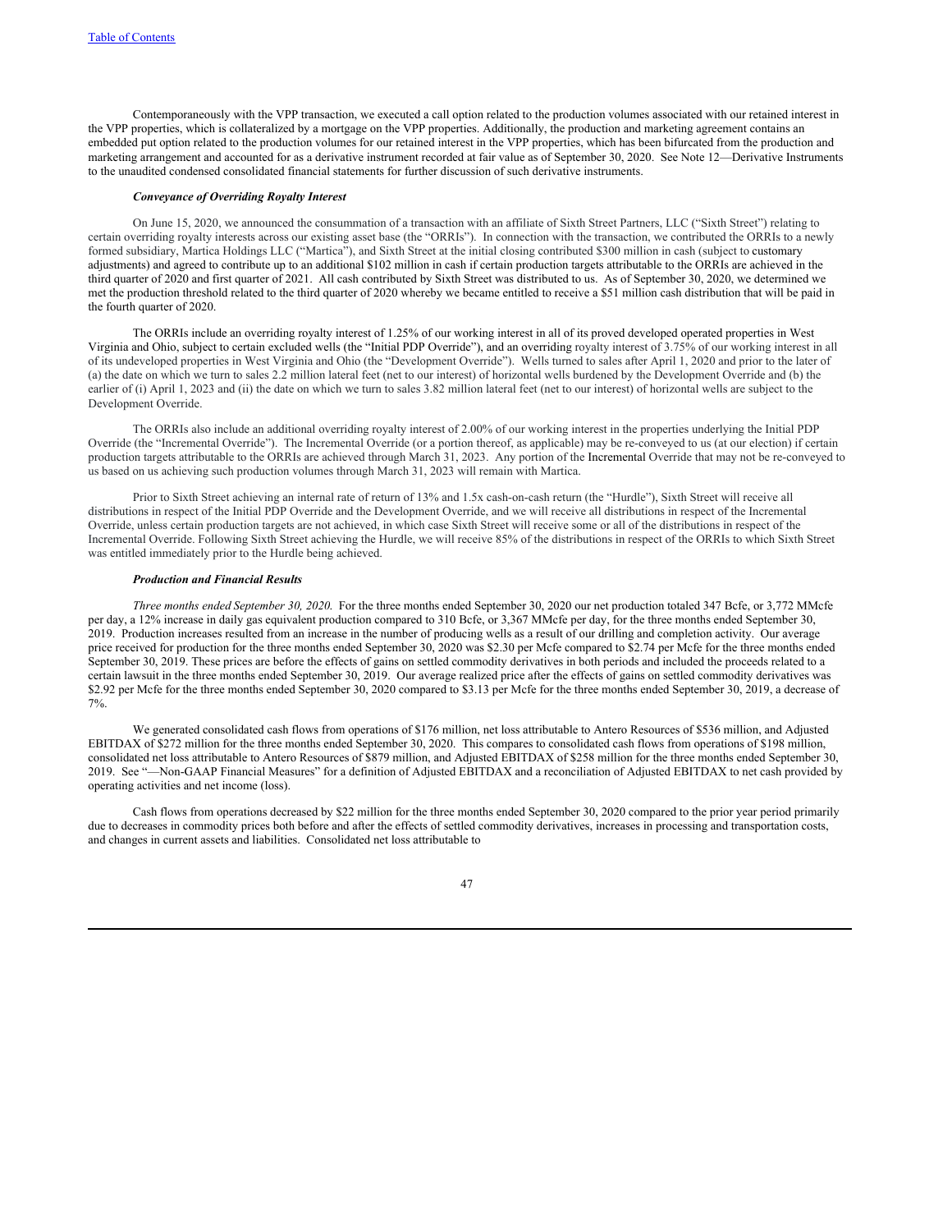Contemporaneously with the VPP transaction, we executed a call option related to the production volumes associated with our retained interest in the VPP properties, which is collateralized by a mortgage on the VPP properties. Additionally, the production and marketing agreement contains an embedded put option related to the production volumes for our retained interest in the VPP properties, which has been bifurcated from the production and marketing arrangement and accounted for as a derivative instrument recorded at fair value as of September 30, 2020. See Note 12—Derivative Instruments to the unaudited condensed consolidated financial statements for further discussion of such derivative instruments.

## *Conveyance of Overriding Royalty Interest*

On June 15, 2020, we announced the consummation of a transaction with an affiliate of Sixth Street Partners, LLC ("Sixth Street") relating to certain overriding royalty interests across our existing asset base (the "ORRIs"). In connection with the transaction, we contributed the ORRIs to a newly formed subsidiary, Martica Holdings LLC ("Martica"), and Sixth Street at the initial closing contributed \$300 million in cash (subject to customary adjustments) and agreed to contribute up to an additional \$102 million in cash if certain production targets attributable to the ORRIs are achieved in the third quarter of 2020 and first quarter of 2021. All cash contributed by Sixth Street was distributed to us. As of September 30, 2020, we determined we met the production threshold related to the third quarter of 2020 whereby we became entitled to receive a \$51 million cash distribution that will be paid in the fourth quarter of 2020.

The ORRIs include an overriding royalty interest of 1.25% of our working interest in all of its proved developed operated properties in West Virginia and Ohio, subject to certain excluded wells (the "Initial PDP Override"), and an overriding royalty interest of 3.75% of our working interest in all of its undeveloped properties in West Virginia and Ohio (the "Development Override"). Wells turned to sales after April 1, 2020 and prior to the later of (a) the date on which we turn to sales 2.2 million lateral feet (net to our interest) of horizontal wells burdened by the Development Override and (b) the earlier of (i) April 1, 2023 and (ii) the date on which we turn to sales 3.82 million lateral feet (net to our interest) of horizontal wells are subject to the Development Override.

The ORRIs also include an additional overriding royalty interest of 2.00% of our working interest in the properties underlying the Initial PDP Override (the "Incremental Override"). The Incremental Override (or a portion thereof, as applicable) may be re-conveyed to us (at our election) if certain production targets attributable to the ORRIs are achieved through March 31, 2023. Any portion of the Incremental Override that may not be re-conveyed to us based on us achieving such production volumes through March 31, 2023 will remain with Martica.

Prior to Sixth Street achieving an internal rate of return of 13% and 1.5x cash-on-cash return (the "Hurdle"), Sixth Street will receive all distributions in respect of the Initial PDP Override and the Development Override, and we will receive all distributions in respect of the Incremental Override, unless certain production targets are not achieved, in which case Sixth Street will receive some or all of the distributions in respect of the Incremental Override. Following Sixth Street achieving the Hurdle, we will receive 85% of the distributions in respect of the ORRIs to which Sixth Street was entitled immediately prior to the Hurdle being achieved.

## *Production and Financial Results*

*Three months ended September 30, 2020*. For the three months ended September 30, 2020 our net production totaled 347 Bcfe, or 3,772 MMcfe per day, a 12% increase in daily gas equivalent production compared to 310 Bcfe, or 3,367 MMcfe per day, for the three months ended September 30, 2019. Production increases resulted from an increase in the number of producing wells as a result of our drilling and completion activity. Our average price received for production for the three months ended September 30, 2020 was \$2.30 per Mcfe compared to \$2.74 per Mcfe for the three months ended September 30, 2019. These prices are before the effects of gains on settled commodity derivatives in both periods and included the proceeds related to a certain lawsuit in the three months ended September 30, 2019. Our average realized price after the effects of gains on settled commodity derivatives was \$2.92 per Mcfe for the three months ended September 30, 2020 compared to \$3.13 per Mcfe for the three months ended September 30, 2019, a decrease of 7%.

We generated consolidated cash flows from operations of \$176 million, net loss attributable to Antero Resources of \$536 million, and Adjusted EBITDAX of \$272 million for the three months ended September 30, 2020. This compares to consolidated cash flows from operations of \$198 million, consolidated net loss attributable to Antero Resources of \$879 million, and Adjusted EBITDAX of \$258 million for the three months ended September 30, 2019. See "—Non-GAAP Financial Measures" for a definition of Adjusted EBITDAX and a reconciliation of Adjusted EBITDAX to net cash provided by operating activities and net income (loss).

Cash flows from operations decreased by \$22 million for the three months ended September 30, 2020 compared to the prior year period primarily due to decreases in commodity prices both before and after the effects of settled commodity derivatives, increases in processing and transportation costs, and changes in current assets and liabilities. Consolidated net loss attributable to

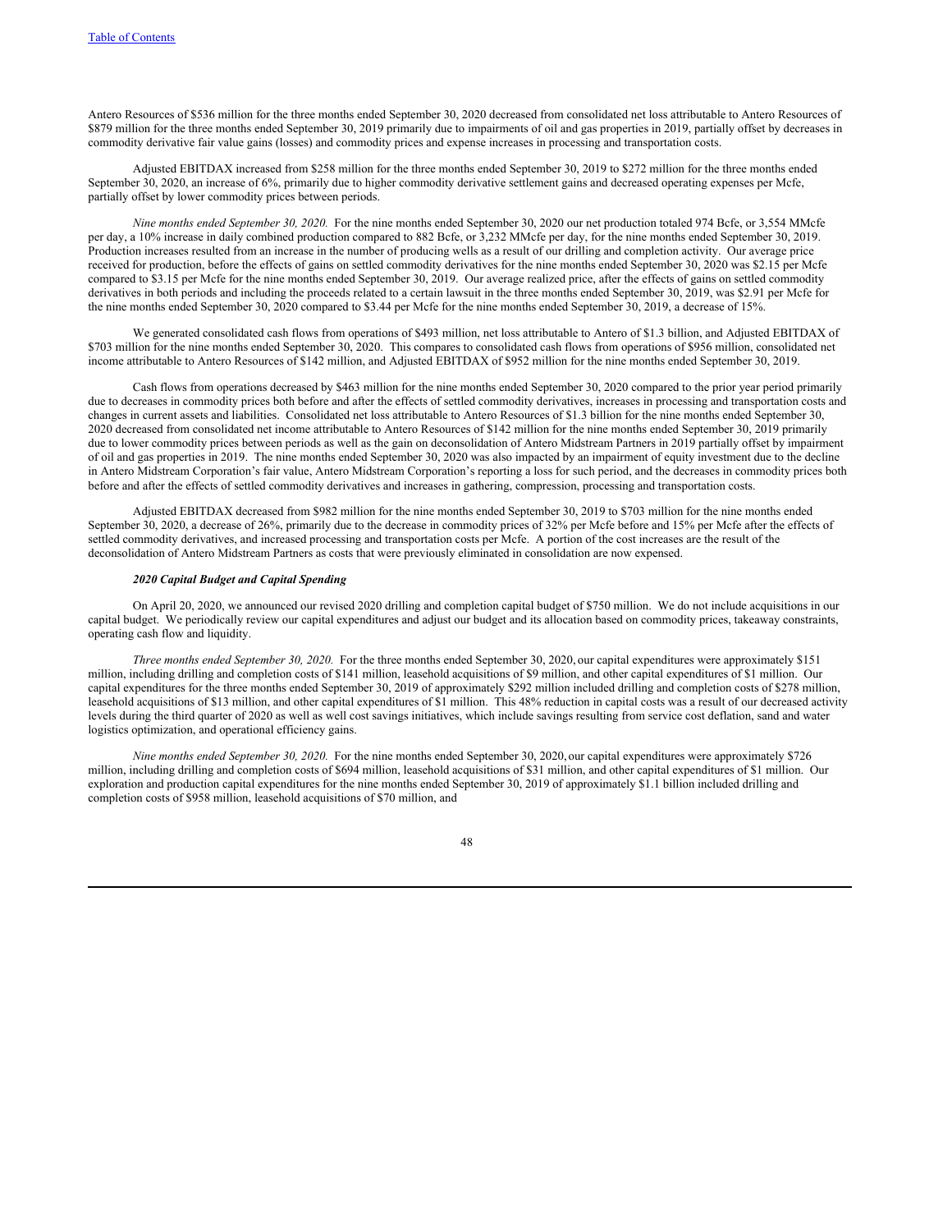Antero Resources of \$536 million for the three months ended September 30, 2020 decreased from consolidated net loss attributable to Antero Resources of \$879 million for the three months ended September 30, 2019 primarily due to impairments of oil and gas properties in 2019, partially offset by decreases in commodity derivative fair value gains (losses) and commodity prices and expense increases in processing and transportation costs.

Adjusted EBITDAX increased from \$258 million for the three months ended September 30, 2019 to \$272 million for the three months ended September 30, 2020, an increase of 6%, primarily due to higher commodity derivative settlement gains and decreased operating expenses per Mcfe, partially offset by lower commodity prices between periods.

*Nine months ended September 30, 2020.* For the nine months ended September 30, 2020 our net production totaled 974 Bcfe, or 3,554 MMcfe per day, a 10% increase in daily combined production compared to 882 Bcfe, or 3,232 MMcfe per day, for the nine months ended September 30, 2019. Production increases resulted from an increase in the number of producing wells as a result of our drilling and completion activity. Our average price received for production, before the effects of gains on settled commodity derivatives for the nine months ended September 30, 2020 was \$2.15 per Mcfe compared to \$3.15 per Mcfe for the nine months ended September 30, 2019. Our average realized price, after the effects of gains on settled commodity derivatives in both periods and including the proceeds related to a certain lawsuit in the three months ended September 30, 2019, was \$2.91 per Mcfe for the nine months ended September 30, 2020 compared to \$3.44 per Mcfe for the nine months ended September 30, 2019, a decrease of 15%.

We generated consolidated cash flows from operations of \$493 million, net loss attributable to Antero of \$1.3 billion, and Adjusted EBITDAX of \$703 million for the nine months ended September 30, 2020. This compares to consolidated cash flows from operations of \$956 million, consolidated net income attributable to Antero Resources of \$142 million, and Adjusted EBITDAX of \$952 million for the nine months ended September 30, 2019.

Cash flows from operations decreased by \$463 million for the nine months ended September 30, 2020 compared to the prior year period primarily due to decreases in commodity prices both before and after the effects of settled commodity derivatives, increases in processing and transportation costs and changes in current assets and liabilities. Consolidated net loss attributable to Antero Resources of \$1.3 billion for the nine months ended September 30, 2020 decreased from consolidated net income attributable to Antero Resources of \$142 million for the nine months ended September 30, 2019 primarily due to lower commodity prices between periods as well as the gain on deconsolidation of Antero Midstream Partners in 2019 partially offset by impairment of oil and gas properties in 2019. The nine months ended September 30, 2020 was also impacted by an impairment of equity investment due to the decline in Antero Midstream Corporation's fair value, Antero Midstream Corporation's reporting a loss for such period, and the decreases in commodity prices both before and after the effects of settled commodity derivatives and increases in gathering, compression, processing and transportation costs.

Adjusted EBITDAX decreased from \$982 million for the nine months ended September 30, 2019 to \$703 million for the nine months ended September 30, 2020, a decrease of 26%, primarily due to the decrease in commodity prices of 32% per Mcfe before and 15% per Mcfe after the effects of settled commodity derivatives, and increased processing and transportation costs per Mcfe. A portion of the cost increases are the result of the deconsolidation of Antero Midstream Partners as costs that were previously eliminated in consolidation are now expensed.

## *2020 Capital Budget and Capital Spending*

On April 20, 2020, we announced our revised 2020 drilling and completion capital budget of \$750 million. We do not include acquisitions in our capital budget. We periodically review our capital expenditures and adjust our budget and its allocation based on commodity prices, takeaway constraints, operating cash flow and liquidity.

*Three months ended September 30, 2020.* For the three months ended September 30, 2020, our capital expenditures were approximately \$151 million, including drilling and completion costs of \$141 million, leasehold acquisitions of \$9 million, and other capital expenditures of \$1 million. Our capital expenditures for the three months ended September 30, 2019 of approximately \$292 million included drilling and completion costs of \$278 million, leasehold acquisitions of \$13 million, and other capital expenditures of \$1 million. This 48% reduction in capital costs was a result of our decreased activity levels during the third quarter of 2020 as well as well cost savings initiatives, which include savings resulting from service cost deflation, sand and water logistics optimization, and operational efficiency gains.

*Nine months ended September 30, 2020.* For the nine months ended September 30, 2020, our capital expenditures were approximately \$726 million, including drilling and completion costs of \$694 million, leasehold acquisitions of \$31 million, and other capital expenditures of \$1 million. Our exploration and production capital expenditures for the nine months ended September 30, 2019 of approximately \$1.1 billion included drilling and completion costs of \$958 million, leasehold acquisitions of \$70 million, and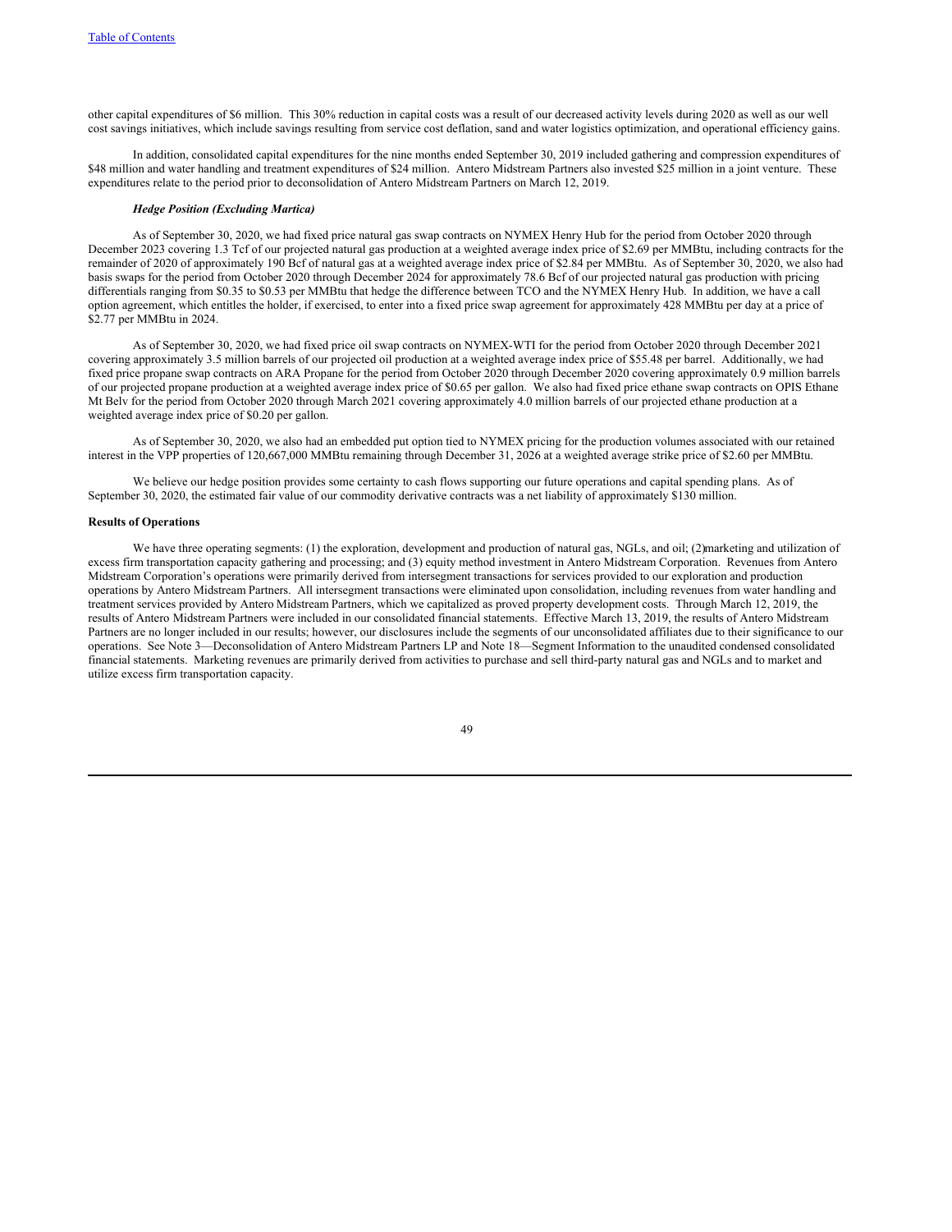other capital expenditures of \$6 million. This 30% reduction in capital costs was a result of our decreased activity levels during 2020 as well as our well cost savings initiatives, which include savings resulting from service cost deflation, sand and water logistics optimization, and operational efficiency gains.

In addition, consolidated capital expenditures for the nine months ended September 30, 2019 included gathering and compression expenditures of \$48 million and water handling and treatment expenditures of \$24 million. Antero Midstream Partners also invested \$25 million in a joint venture. These expenditures relate to the period prior to deconsolidation of Antero Midstream Partners on March 12, 2019.

## *Hedge Position (Excluding Martica)*

As of September 30, 2020, we had fixed price natural gas swap contracts on NYMEX Henry Hub for the period from October 2020 through December 2023 covering 1.3 Tcf of our projected natural gas production at a weighted average index price of \$2.69 per MMBtu, including contracts for the remainder of 2020 of approximately 190 Bcf of natural gas at a weighted average index price of \$2.84 per MMBtu. As of September 30, 2020, we also had basis swaps for the period from October 2020 through December 2024 for approximately 78.6 Bcf of our projected natural gas production with pricing differentials ranging from \$0.35 to \$0.53 per MMBtu that hedge the difference between TCO and the NYMEX Henry Hub. In addition, we have a call option agreement, which entitles the holder, if exercised, to enter into a fixed price swap agreement for approximately 428 MMBtu per day at a price of \$2.77 per MMBtu in 2024.

As of September 30, 2020, we had fixed price oil swap contracts on NYMEX-WTI for the period from October 2020 through December 2021 covering approximately 3.5 million barrels of our projected oil production at a weighted average index price of \$55.48 per barrel. Additionally, we had fixed price propane swap contracts on ARA Propane for the period from October 2020 through December 2020 covering approximately 0.9 million barrels of our projected propane production at a weighted average index price of \$0.65 per gallon. We also had fixed price ethane swap contracts on OPIS Ethane Mt Belv for the period from October 2020 through March 2021 covering approximately 4.0 million barrels of our projected ethane production at a weighted average index price of \$0.20 per gallon.

As of September 30, 2020, we also had an embedded put option tied to NYMEX pricing for the production volumes associated with our retained interest in the VPP properties of 120,667,000 MMBtu remaining through December 31, 2026 at a weighted average strike price of \$2.60 per MMBtu.

We believe our hedge position provides some certainty to cash flows supporting our future operations and capital spending plans. As of September 30, 2020, the estimated fair value of our commodity derivative contracts was a net liability of approximately \$130 million.

## **Results of Operations**

We have three operating segments: (1) the exploration, development and production of natural gas, NGLs, and oil; (2)marketing and utilization of excess firm transportation capacity gathering and processing; and (3) equity method investment in Antero Midstream Corporation. Revenues from Antero Midstream Corporation's operations were primarily derived from intersegment transactions for services provided to our exploration and production operations by Antero Midstream Partners. All intersegment transactions were eliminated upon consolidation, including revenues from water handling and treatment services provided by Antero Midstream Partners, which we capitalized as proved property development costs. Through March 12, 2019, the results of Antero Midstream Partners were included in our consolidated financial statements. Effective March 13, 2019, the results of Antero Midstream Partners are no longer included in our results; however, our disclosures include the segments of our unconsolidated affiliates due to their significance to our operations. See Note 3—Deconsolidation of Antero Midstream Partners LP and Note 18—Segment Information to the unaudited condensed consolidated financial statements. Marketing revenues are primarily derived from activities to purchase and sell third-party natural gas and NGLs and to market and utilize excess firm transportation capacity.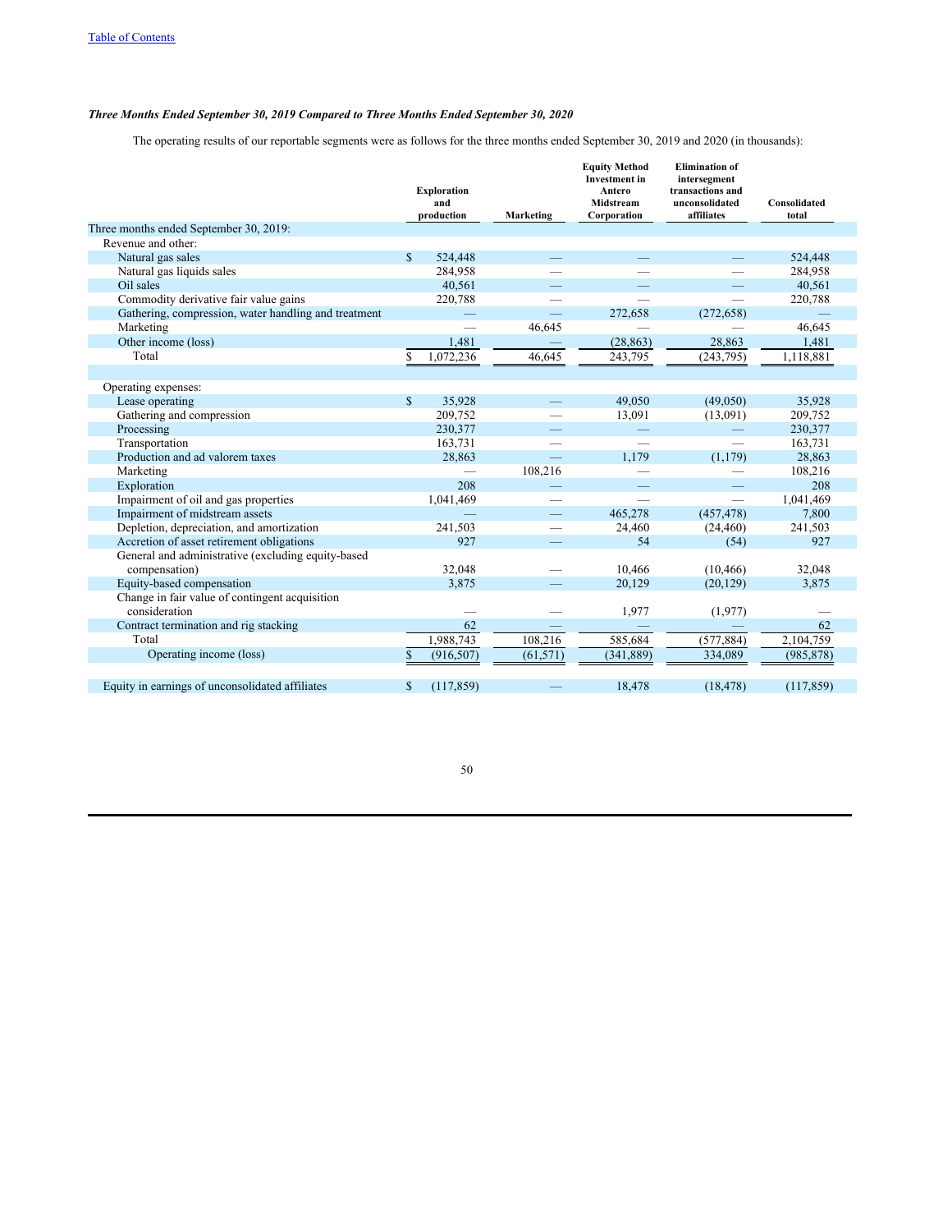# *Three Months Ended September 30, 2019 Compared to Three Months Ended September 30, 2020*

The operating results of our reportable segments were as follows for the three months ended September 30, 2019 and 2020 (in thousands):

|                                                      |              | <b>Exploration</b><br>and<br>production | Marketing                | <b>Equity Method</b><br><b>Investment</b> in<br>Antero<br>Midstream<br>Corporation | <b>Elimination</b> of<br>intersegment<br>transactions and<br>unconsolidated<br>affiliates | Consolidated<br>total |
|------------------------------------------------------|--------------|-----------------------------------------|--------------------------|------------------------------------------------------------------------------------|-------------------------------------------------------------------------------------------|-----------------------|
| Three months ended September 30, 2019:               |              |                                         |                          |                                                                                    |                                                                                           |                       |
| Revenue and other:                                   |              |                                         |                          |                                                                                    |                                                                                           |                       |
| Natural gas sales                                    | $\mathbb{S}$ | 524,448                                 |                          |                                                                                    |                                                                                           | 524,448               |
| Natural gas liquids sales                            |              | 284,958                                 |                          |                                                                                    |                                                                                           | 284,958               |
| Oil sales                                            |              | 40,561                                  |                          |                                                                                    | $\qquad \qquad -$                                                                         | 40,561                |
| Commodity derivative fair value gains                |              | 220,788                                 |                          |                                                                                    |                                                                                           | 220,788               |
| Gathering, compression, water handling and treatment |              |                                         | $\overline{\phantom{a}}$ | 272,658                                                                            | (272, 658)                                                                                |                       |
| Marketing                                            |              |                                         | 46,645                   |                                                                                    |                                                                                           | 46,645                |
| Other income (loss)                                  |              | 1,481                                   |                          | (28, 863)                                                                          | 28,863                                                                                    | 1,481                 |
| Total                                                | \$.          | 1,072,236                               | 46,645                   | 243,795                                                                            | (243, 795)                                                                                | 1,118,881             |
|                                                      |              |                                         |                          |                                                                                    |                                                                                           |                       |
| Operating expenses:                                  |              |                                         |                          |                                                                                    |                                                                                           |                       |
| Lease operating                                      | \$           | 35,928                                  |                          | 49,050                                                                             | (49,050)                                                                                  | 35,928                |
| Gathering and compression                            |              | 209,752                                 |                          | 13,091                                                                             | (13,091)                                                                                  | 209,752               |
| Processing                                           |              | 230,377                                 |                          |                                                                                    |                                                                                           | 230,377               |
| Transportation                                       |              | 163,731                                 |                          |                                                                                    |                                                                                           | 163,731               |
| Production and ad valorem taxes                      |              | 28,863                                  | $\overline{\phantom{a}}$ | 1.179                                                                              | (1, 179)                                                                                  | 28,863                |
| Marketing                                            |              |                                         | 108,216                  |                                                                                    |                                                                                           | 108,216               |
| Exploration                                          |              | 208                                     | $\overline{\phantom{0}}$ | $\overline{\phantom{0}}$                                                           | $\qquad \qquad -$                                                                         | 208                   |
| Impairment of oil and gas properties                 |              | 1,041,469                               |                          |                                                                                    |                                                                                           | 1,041,469             |
| Impairment of midstream assets                       |              |                                         |                          | 465,278                                                                            | (457, 478)                                                                                | 7,800                 |
| Depletion, depreciation, and amortization            |              | 241,503                                 |                          | 24,460                                                                             | (24, 460)                                                                                 | 241,503               |
| Accretion of asset retirement obligations            |              | 927                                     | $\equiv$                 | 54                                                                                 | (54)                                                                                      | 927                   |
| General and administrative (excluding equity-based   |              |                                         |                          |                                                                                    |                                                                                           |                       |
| compensation)                                        |              | 32,048                                  |                          | 10,466                                                                             | (10, 466)                                                                                 | 32,048                |
| Equity-based compensation                            |              | 3,875                                   |                          | 20,129                                                                             | (20, 129)                                                                                 | 3,875                 |
| Change in fair value of contingent acquisition       |              |                                         |                          |                                                                                    |                                                                                           |                       |
| consideration                                        |              |                                         |                          | 1,977                                                                              | (1,977)                                                                                   |                       |
| Contract termination and rig stacking                |              | 62                                      |                          |                                                                                    |                                                                                           | 62                    |
| Total                                                |              | 1,988,743                               | 108,216                  | 585,684                                                                            | (577, 884)                                                                                | 2,104,759             |
| Operating income (loss)                              | $\mathbb{S}$ | (916, 507)                              | (61, 571)                | (341, 889)                                                                         | 334,089                                                                                   | (985, 878)            |
|                                                      |              |                                         |                          |                                                                                    |                                                                                           |                       |
| Equity in earnings of unconsolidated affiliates      | \$           | (117, 859)                              |                          | 18,478                                                                             | (18, 478)                                                                                 | (117, 859)            |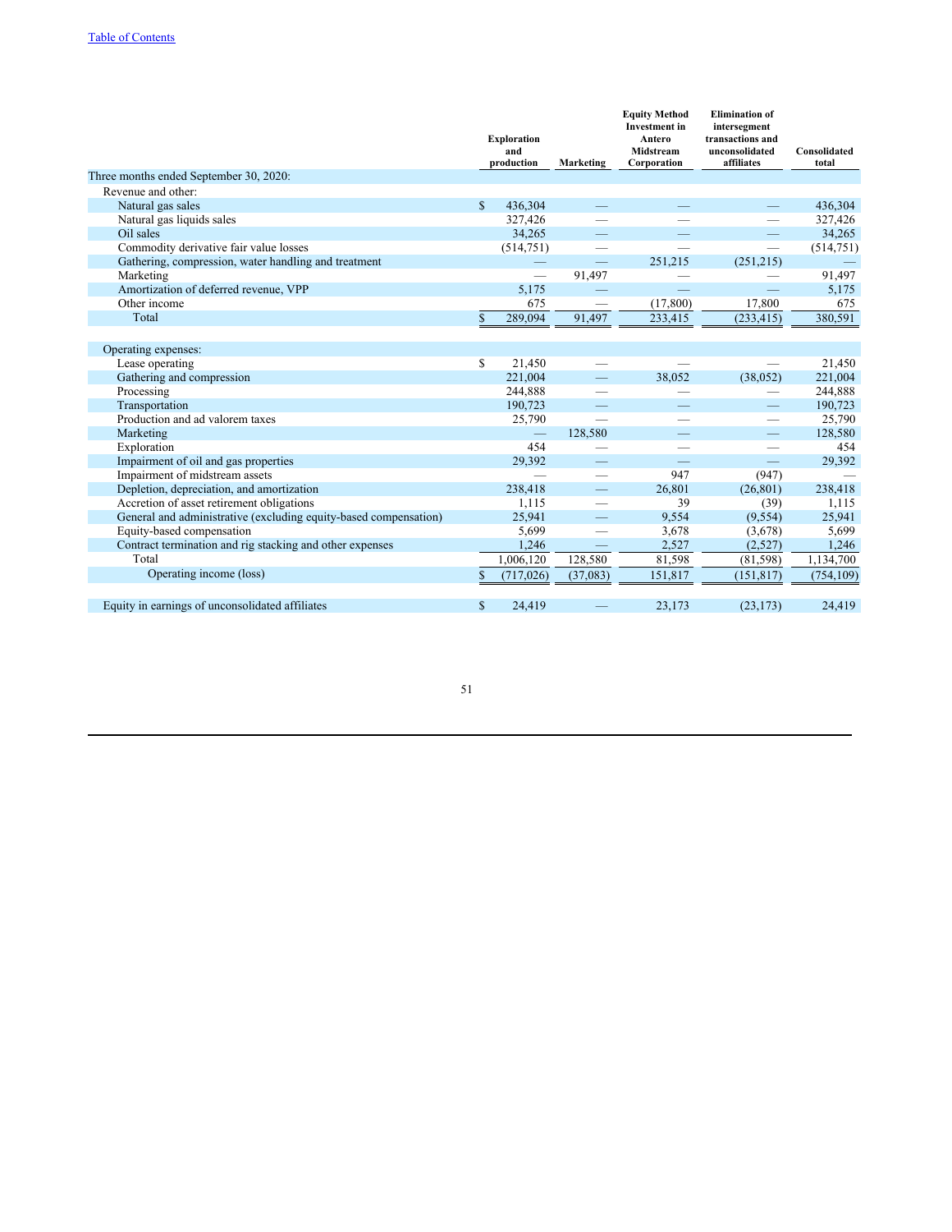|                                                                                                     | <b>Exploration</b><br>and<br>production       | Marketing | <b>Equity Method</b><br><b>Investment</b> in<br>Antero<br><b>Midstream</b><br>Corporation | <b>Elimination</b> of<br>intersegment<br>transactions and<br>unconsolidated<br>affiliates | Consolidated<br>total                   |
|-----------------------------------------------------------------------------------------------------|-----------------------------------------------|-----------|-------------------------------------------------------------------------------------------|-------------------------------------------------------------------------------------------|-----------------------------------------|
| Three months ended September 30, 2020:                                                              |                                               |           |                                                                                           |                                                                                           |                                         |
| Revenue and other:                                                                                  |                                               |           |                                                                                           |                                                                                           |                                         |
| Natural gas sales                                                                                   | \$<br>436,304                                 |           |                                                                                           |                                                                                           | 436,304                                 |
| Natural gas liquids sales                                                                           | 327,426                                       |           |                                                                                           |                                                                                           | 327,426                                 |
| Oil sales                                                                                           | 34,265                                        |           |                                                                                           |                                                                                           | 34,265                                  |
| Commodity derivative fair value losses                                                              | (514, 751)                                    |           |                                                                                           |                                                                                           | (514, 751)                              |
| Gathering, compression, water handling and treatment                                                |                                               | $\equiv$  | 251,215                                                                                   | (251, 215)                                                                                |                                         |
| Marketing                                                                                           | $\overline{\phantom{0}}$                      | 91,497    |                                                                                           |                                                                                           | 91,497                                  |
| Amortization of deferred revenue, VPP                                                               | 5,175                                         |           |                                                                                           |                                                                                           | 5,175                                   |
| Other income                                                                                        | 675                                           |           | (17, 800)                                                                                 | 17,800                                                                                    | 675                                     |
| Total                                                                                               | \$<br>289,094                                 | 91,497    | 233,415                                                                                   | (233, 415)                                                                                | 380,591                                 |
| Operating expenses:<br>Lease operating<br>Gathering and compression<br>Processing<br>Transportation | \$<br>21,450<br>221,004<br>244,888<br>190,723 | -         | 38.052                                                                                    | (38, 052)                                                                                 | 21,450<br>221,004<br>244,888<br>190,723 |
| Production and ad valorem taxes                                                                     | 25,790                                        |           |                                                                                           | $\overline{\phantom{a}}$                                                                  | 25,790                                  |
| Marketing                                                                                           | $\qquad \qquad -$                             | 128,580   |                                                                                           |                                                                                           | 128,580                                 |
| Exploration                                                                                         | 454                                           |           | -                                                                                         | -                                                                                         | 454                                     |
| Impairment of oil and gas properties                                                                | 29,392                                        | $\equiv$  |                                                                                           | $\equiv$                                                                                  | 29,392                                  |
| Impairment of midstream assets                                                                      |                                               |           | 947                                                                                       | (947)                                                                                     |                                         |
| Depletion, depreciation, and amortization                                                           | 238,418                                       | $\equiv$  | 26,801                                                                                    | (26, 801)                                                                                 | 238,418                                 |
| Accretion of asset retirement obligations                                                           | 1,115                                         |           | 39                                                                                        | (39)                                                                                      | 1,115                                   |
| General and administrative (excluding equity-based compensation)                                    | 25,941                                        | $\equiv$  | 9,554                                                                                     | (9, 554)                                                                                  | 25,941                                  |
| Equity-based compensation                                                                           | 5,699                                         |           | 3,678                                                                                     | (3,678)                                                                                   | 5,699                                   |
| Contract termination and rig stacking and other expenses                                            | 1.246                                         |           | 2,527                                                                                     | (2,527)                                                                                   | 1.246                                   |
| Total                                                                                               | 1,006,120                                     | 128,580   | 81,598                                                                                    | (81, 598)                                                                                 | 1,134,700                               |
| Operating income (loss)                                                                             | \$<br>(717, 026)                              | (37,083)  | 151,817                                                                                   | (151, 817)                                                                                | (754, 109)                              |
|                                                                                                     |                                               |           |                                                                                           |                                                                                           |                                         |
| Equity in earnings of unconsolidated affiliates                                                     | \$<br>24.419                                  |           | 23,173                                                                                    | (23, 173)                                                                                 | 24,419                                  |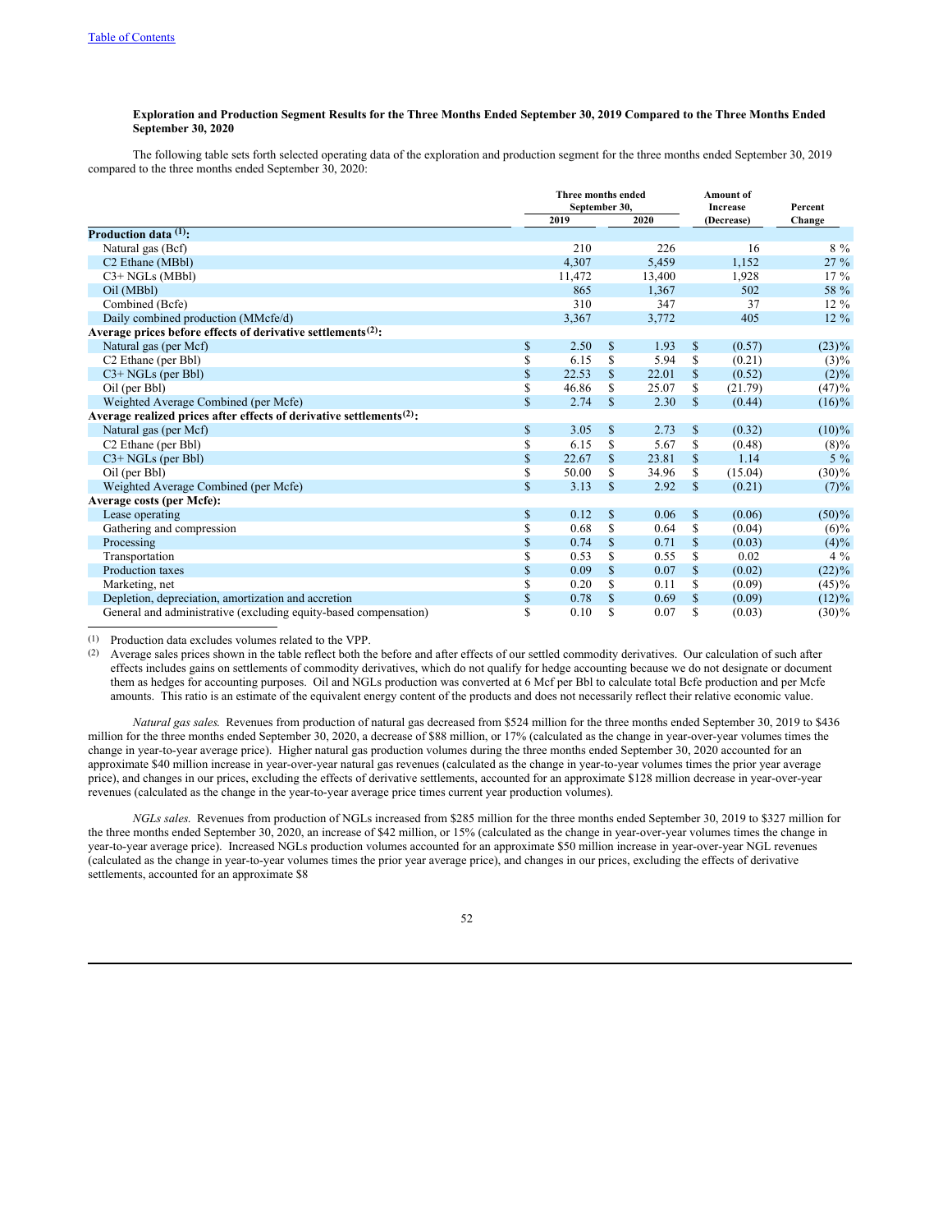# Exploration and Production Segment Results for the Three Months Ended September 30, 2019 Compared to the Three Months Ended **September 30, 2020**

The following table sets forth selected operating data of the exploration and production segment for the three months ended September 30, 2019 compared to the three months ended September 30, 2020:

|                                                                                  |              | Three months ended<br>September 30, |               |        | <b>Amount</b> of<br><b>Increase</b> | Percent    |          |
|----------------------------------------------------------------------------------|--------------|-------------------------------------|---------------|--------|-------------------------------------|------------|----------|
|                                                                                  |              | 2019                                |               | 2020   |                                     | (Decrease) | Change   |
| Production data $(1)$ :                                                          |              |                                     |               |        |                                     |            |          |
| Natural gas (Bcf)                                                                |              | 210                                 |               | 226    |                                     | 16         | $8\%$    |
| C <sub>2</sub> Ethane (MBbl)                                                     |              | 4,307                               |               | 5,459  |                                     | 1,152      | 27 %     |
| $C3+NGLs$ (MBbl)                                                                 |              | 11,472                              |               | 13,400 |                                     | 1,928      | $17\%$   |
| Oil (MBbl)                                                                       |              | 865                                 |               | 1.367  |                                     | 502        | 58 %     |
| Combined (Bcfe)                                                                  |              | 310                                 |               | 347    |                                     | 37         | $12\%$   |
| Daily combined production (MMcfe/d)                                              |              | 3,367                               |               | 3,772  |                                     | 405        | $12\%$   |
| Average prices before effects of derivative settlements <sup>(2)</sup> :         |              |                                     |               |        |                                     |            |          |
| Natural gas (per Mcf)                                                            | \$           | 2.50                                | $\mathbf S$   | 1.93   | \$                                  | (0.57)     | $(23)\%$ |
| C <sub>2</sub> Ethane (per Bbl)                                                  | S            | 6.15                                | S             | 5.94   | S                                   | (0.21)     | $(3)\%$  |
| $C3+NGLs$ (per Bbl)                                                              | S            | 22.53                               | S             | 22.01  | S                                   | (0.52)     | $(2)\%$  |
| Oil (per Bbl)                                                                    | S            | 46.86                               | S             | 25.07  | S                                   | (21.79)    | (47)%    |
| Weighted Average Combined (per Mcfe)                                             | $\mathbb{S}$ | 2.74                                | $\mathbf S$   | 2.30   | $\mathbf S$                         | (0.44)     | $(16)\%$ |
| Average realized prices after effects of derivative settlements <sup>(2)</sup> : |              |                                     |               |        |                                     |            |          |
| Natural gas (per Mcf)                                                            | \$           | 3.05                                | \$            | 2.73   | \$                                  | (0.32)     | $(10)\%$ |
| C <sub>2</sub> Ethane (per Bbl)                                                  | \$           | 6.15                                | S             | 5.67   | S                                   | (0.48)     | $(8)\%$  |
| $C3+NGLs$ (per Bbl)                                                              | S            | 22.67                               | $\mathbf{s}$  | 23.81  | $\mathbf{s}$                        | 1.14       | $5\%$    |
| Oil (per Bbl)                                                                    | \$           | 50.00                               | S             | 34.96  | S                                   | (15.04)    | $(30)\%$ |
| Weighted Average Combined (per Mcfe)                                             | $\mathbb{S}$ | 3.13                                | <sup>\$</sup> | 2.92   | <sup>\$</sup>                       | (0.21)     | $(7)\%$  |
| <b>Average costs (per Mcfe):</b>                                                 |              |                                     |               |        |                                     |            |          |
| Lease operating                                                                  | \$           | 0.12                                | $\mathbf S$   | 0.06   | \$                                  | (0.06)     | $(50)\%$ |
| Gathering and compression                                                        | S            | 0.68                                | \$.           | 0.64   | \$.                                 | (0.04)     | $(6)\%$  |
| Processing                                                                       | $\mathbb{S}$ | 0.74                                | <sup>\$</sup> | 0.71   | S                                   | (0.03)     | $(4)\%$  |
| Transportation                                                                   | S            | 0.53                                | S             | 0.55   | S                                   | 0.02       | $4\%$    |
| Production taxes                                                                 | \$           | 0.09                                | $\mathbf S$   | 0.07   | S                                   | (0.02)     | $(22)\%$ |
| Marketing, net                                                                   | S            | 0.20                                | S             | 0.11   | S                                   | (0.09)     | $(45)\%$ |
| Depletion, depreciation, amortization and accretion                              | $\mathbb{S}$ | 0.78                                | $\mathbf{s}$  | 0.69   | <sup>\$</sup>                       | (0.09)     | $(12)\%$ |
| General and administrative (excluding equity-based compensation)                 | S            | 0.10                                | S             | 0.07   | S                                   | (0.03)     | $(30)\%$ |

(1) Production data excludes volumes related to the VPP.

(2) Average sales prices shown in the table reflect both the before and after effects of our settled commodity derivatives. Our calculation of such after effects includes gains on settlements of commodity derivatives, which do not qualify for hedge accounting because we do not designate or document them as hedges for accounting purposes. Oil and NGLs production was converted at 6 Mcf per Bbl to calculate total Bcfe production and per Mcfe amounts. This ratio is an estimate of the equivalent energy content of the products and does not necessarily reflect their relative economic value.

*Natural gas sales*. Revenues from production of natural gas decreased from \$524 million for the three months ended September 30, 2019 to \$436 million for the three months ended September 30, 2020, a decrease of \$88 million, or 17% (calculated as the change in year-over-year volumes times the change in year-to-year average price). Higher natural gas production volumes during the three months ended September 30, 2020 accounted for an approximate \$40 million increase in year-over-year natural gas revenues (calculated as the change in year-to-year volumes times the prior year average price), and changes in our prices, excluding the effects of derivative settlements, accounted for an approximate \$128 million decrease in year-over-year revenues (calculated as the change in the year-to-year average price times current year production volumes).

*NGLs sales*. Revenues from production of NGLs increased from \$285 million for the three months ended September 30, 2019 to \$327 million for the three months ended September 30, 2020, an increase of \$42 million, or 15% (calculated as the change in year-over-year volumes times the change in year-to-year average price). Increased NGLs production volumes accounted for an approximate \$50 million increase in year-over-year NGL revenues (calculated as the change in year-to-year volumes times the prior year average price), and changes in our prices, excluding the effects of derivative settlements, accounted for an approximate \$8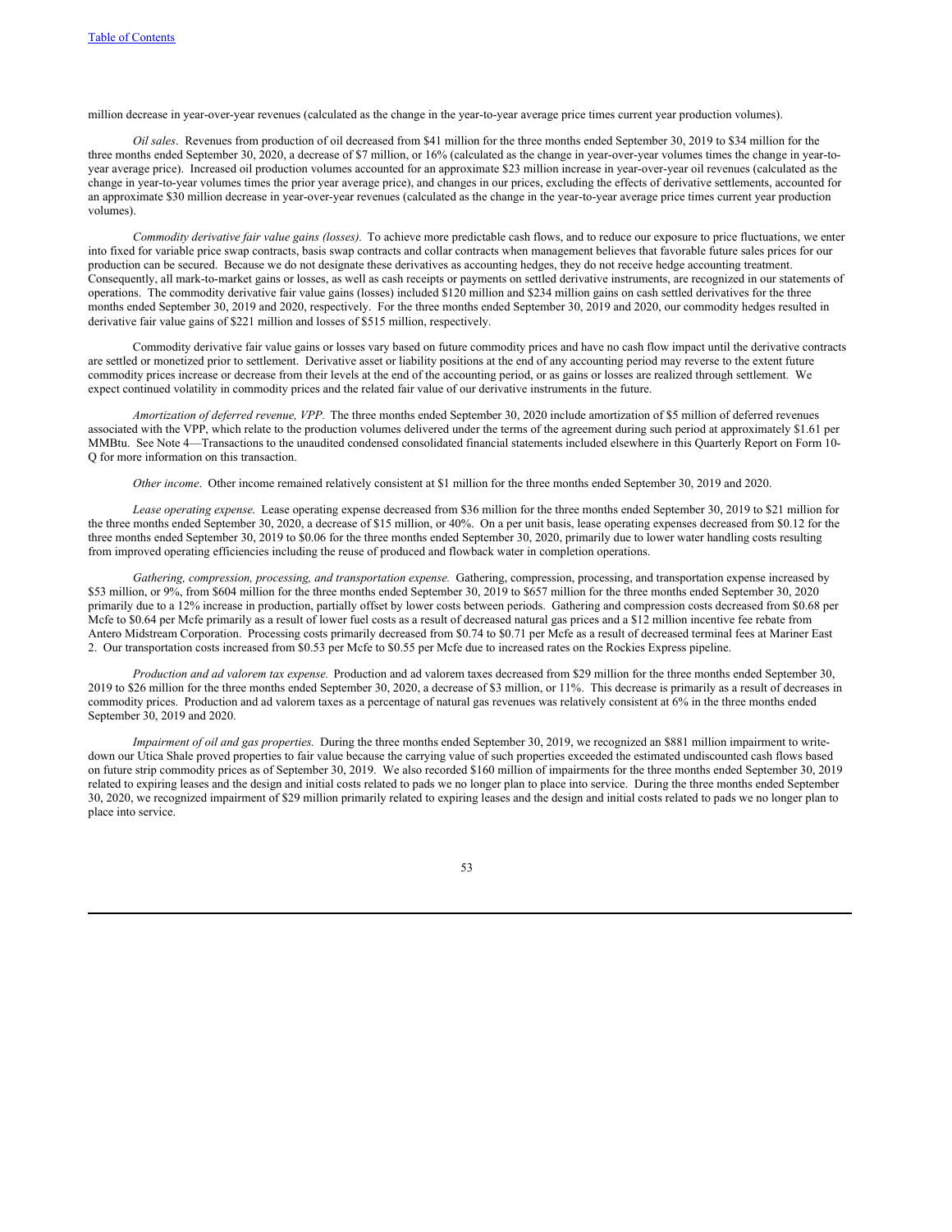million decrease in year-over-year revenues (calculated as the change in the year-to-year average price times current year production volumes).

*Oil sales*. Revenues from production of oil decreased from \$41 million for the three months ended September 30, 2019 to \$34 million for the three months ended September 30, 2020, a decrease of \$7 million, or 16% (calculated as the change in year-over-year volumes times the change in year-toyear average price). Increased oil production volumes accounted for an approximate \$23 million increase in year-over-year oil revenues (calculated as the change in year-to-year volumes times the prior year average price), and changes in our prices, excluding the effects of derivative settlements, accounted for an approximate \$30 million decrease in year-over-year revenues (calculated as the change in the year-to-year average price times current year production volumes).

*Commodity derivative fair value gains (losses).* To achieve more predictable cash flows, and to reduce our exposure to price fluctuations, we enter into fixed for variable price swap contracts, basis swap contracts and collar contracts when management believes that favorable future sales prices for our production can be secured. Because we do not designate these derivatives as accounting hedges, they do not receive hedge accounting treatment. Consequently, all mark-to-market gains or losses, as well as cash receipts or payments on settled derivative instruments, are recognized in our statements of operations. The commodity derivative fair value gains (losses) included \$120 million and \$234 million gains on cash settled derivatives for the three months ended September 30, 2019 and 2020, respectively. For the three months ended September 30, 2019 and 2020, our commodity hedges resulted in derivative fair value gains of \$221 million and losses of \$515 million, respectively.

Commodity derivative fair value gains or losses vary based on future commodity prices and have no cash flow impact until the derivative contracts are settled or monetized prior to settlement. Derivative asset or liability positions at the end of any accounting period may reverse to the extent future commodity prices increase or decrease from their levels at the end of the accounting period, or as gains or losses are realized through settlement. We expect continued volatility in commodity prices and the related fair value of our derivative instruments in the future.

*Amortization of deferred revenue, VPP.* The three months ended September 30, 2020 include amortization of \$5 million of deferred revenues associated with the VPP, which relate to the production volumes delivered under the terms of the agreement during such period at approximately \$1.61 per MMBtu. See Note 4—Transactions to the unaudited condensed consolidated financial statements included elsewhere in this Quarterly Report on Form 10- Q for more information on this transaction.

*Other income*. Other income remained relatively consistent at \$1 million for the three months ended September 30, 2019 and 2020.

*Lease operating expense*. Lease operating expense decreased from \$36 million for the three months ended September 30, 2019 to \$21 million for the three months ended September 30, 2020, a decrease of \$15 million, or 40%. On a per unit basis, lease operating expenses decreased from \$0.12 for the three months ended September 30, 2019 to \$0.06 for the three months ended September 30, 2020, primarily due to lower water handling costs resulting from improved operating efficiencies including the reuse of produced and flowback water in completion operations.

*Gathering, compression, processing, and transportation expense.* Gathering, compression, processing, and transportation expense increased by \$53 million, or 9%, from \$604 million for the three months ended September 30, 2019 to \$657 million for the three months ended September 30, 2020 primarily due to a 12% increase in production, partially offset by lower costs between periods. Gathering and compression costs decreased from \$0.68 per Mcfe to \$0.64 per Mcfe primarily as a result of lower fuel costs as a result of decreased natural gas prices and a \$12 million incentive fee rebate from Antero Midstream Corporation. Processing costs primarily decreased from \$0.74 to \$0.71 per Mcfe as a result of decreased terminal fees at Mariner East 2. Our transportation costs increased from \$0.53 per Mcfe to \$0.55 per Mcfe due to increased rates on the Rockies Express pipeline.

*Production and ad valorem tax expense.* Production and ad valorem taxes decreased from \$29 million for the three months ended September 30, 2019 to \$26 million for the three months ended September 30, 2020, a decrease of \$3 million, or 11%. This decrease is primarily as a result of decreases in commodity prices. Production and ad valorem taxes as a percentage of natural gas revenues was relatively consistent at 6% in the three months ended September 30, 2019 and 2020.

*Impairment of oil and gas properties*. During the three months ended September 30, 2019, we recognized an \$881 million impairment to writedown our Utica Shale proved properties to fair value because the carrying value of such properties exceeded the estimated undiscounted cash flows based on future strip commodity prices as of September 30, 2019. We also recorded \$160 million of impairments for the three months ended September 30, 2019 related to expiring leases and the design and initial costs related to pads we no longer plan to place into service. During the three months ended September 30, 2020, we recognized impairment of \$29 million primarily related to expiring leases and the design and initial costs related to pads we no longer plan to place into service.

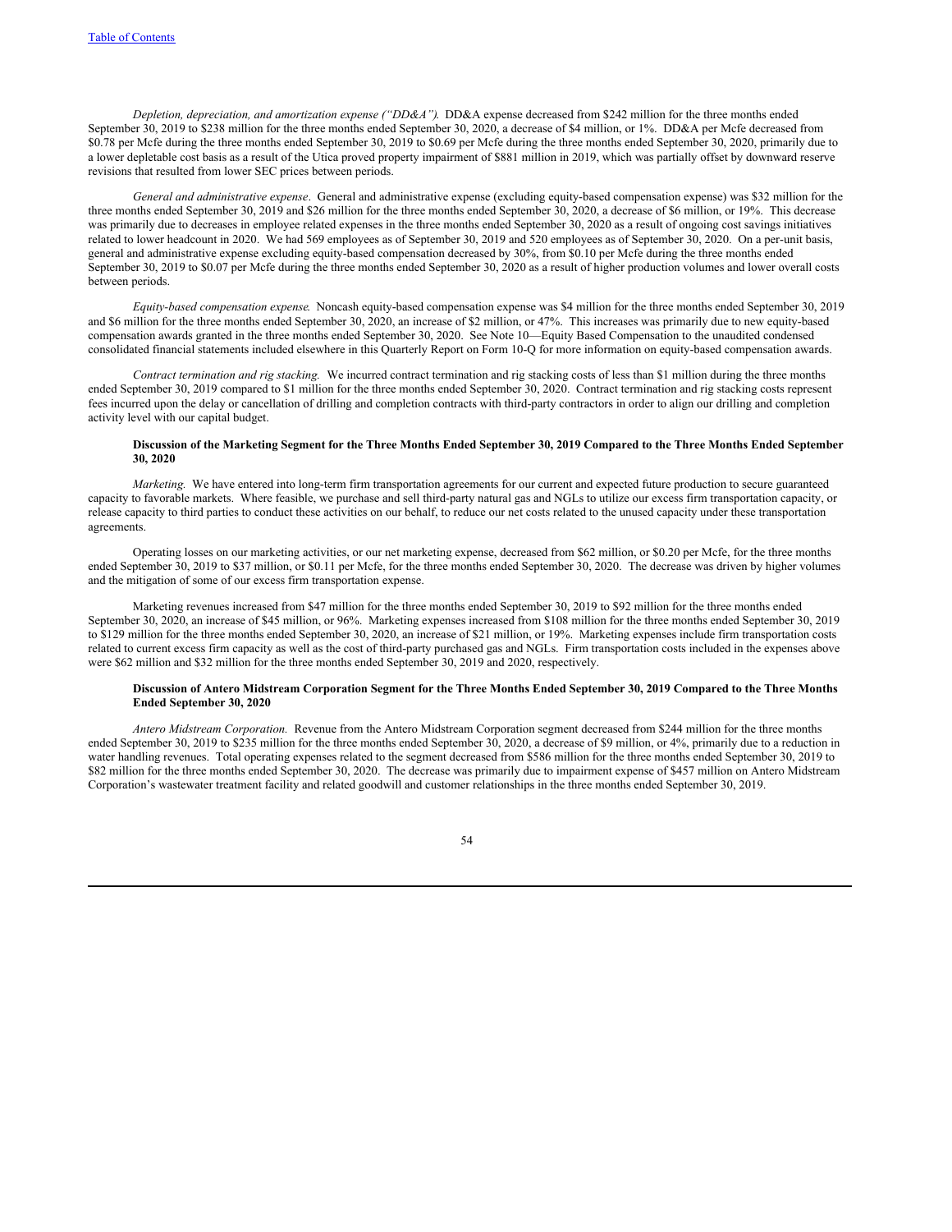*Depletion, depreciation, and amortization expense ("DD&A")*. DD&A expense decreased from \$242 million for the three months ended September 30, 2019 to \$238 million for the three months ended September 30, 2020, a decrease of \$4 million, or 1%. DD&A per Mcfe decreased from \$0.78 per Mcfe during the three months ended September 30, 2019 to \$0.69 per Mcfe during the three months ended September 30, 2020, primarily due to a lower depletable cost basis as a result of the Utica proved property impairment of \$881 million in 2019, which was partially offset by downward reserve revisions that resulted from lower SEC prices between periods.

*General and administrative expense*. General and administrative expense (excluding equity-based compensation expense) was \$32 million for the three months ended September 30, 2019 and \$26 million for the three months ended September 30, 2020, a decrease of \$6 million, or 19%. This decrease was primarily due to decreases in employee related expenses in the three months ended September 30, 2020 as a result of ongoing cost savings initiatives related to lower headcount in 2020. We had 569 employees as of September 30, 2019 and 520 employees as of September 30, 2020. On a per-unit basis, general and administrative expense excluding equity-based compensation decreased by 30%, from \$0.10 per Mcfe during the three months ended September 30, 2019 to \$0.07 per Mcfe during the three months ended September 30, 2020 as a result of higher production volumes and lower overall costs between periods.

*Equity-based compensation expense*. Noncash equity-based compensation expense was \$4 million for the three months ended September 30, 2019 and \$6 million for the three months ended September 30, 2020, an increase of \$2 million, or 47%. This increases was primarily due to new equity-based compensation awards granted in the three months ended September 30, 2020. See Note 10—Equity Based Compensation to the unaudited condensed consolidated financial statements included elsewhere in this Quarterly Report on Form 10-Q for more information on equity-based compensation awards.

*Contract termination and rig stacking.* We incurred contract termination and rig stacking costs of less than \$1 million during the three months ended September 30, 2019 compared to \$1 million for the three months ended September 30, 2020. Contract termination and rig stacking costs represent fees incurred upon the delay or cancellation of drilling and completion contracts with third-party contractors in order to align our drilling and completion activity level with our capital budget.

## Discussion of the Marketing Segment for the Three Months Ended September 30, 2019 Compared to the Three Months Ended September **30, 2020**

*Marketing.* We have entered into long-term firm transportation agreements for our current and expected future production to secure guaranteed capacity to favorable markets. Where feasible, we purchase and sell third-party natural gas and NGLs to utilize our excess firm transportation capacity, or release capacity to third parties to conduct these activities on our behalf, to reduce our net costs related to the unused capacity under these transportation agreements.

Operating losses on our marketing activities, or our net marketing expense, decreased from \$62 million, or \$0.20 per Mcfe, for the three months ended September 30, 2019 to \$37 million, or \$0.11 per Mcfe, for the three months ended September 30, 2020. The decrease was driven by higher volumes and the mitigation of some of our excess firm transportation expense.

Marketing revenues increased from \$47 million for the three months ended September 30, 2019 to \$92 million for the three months ended September 30, 2020, an increase of \$45 million, or 96%. Marketing expenses increased from \$108 million for the three months ended September 30, 2019 to \$129 million for the three months ended September 30, 2020, an increase of \$21 million, or 19%. Marketing expenses include firm transportation costs related to current excess firm capacity as well as the cost of third-party purchased gas and NGLs. Firm transportation costs included in the expenses above were \$62 million and \$32 million for the three months ended September 30, 2019 and 2020, respectively.

### Discussion of Antero Midstream Corporation Segment for the Three Months Ended September 30, 2019 Compared to the Three Months **Ended September 30, 2020**

*Antero Midstream Corporation.* Revenue from the Antero Midstream Corporation segment decreased from \$244 million for the three months ended September 30, 2019 to \$235 million for the three months ended September 30, 2020, a decrease of \$9 million, or 4%, primarily due to a reduction in water handling revenues. Total operating expenses related to the segment decreased from \$586 million for the three months ended September 30, 2019 to \$82 million for the three months ended September 30, 2020. The decrease was primarily due to impairment expense of \$457 million on Antero Midstream Corporation's wastewater treatment facility and related goodwill and customer relationships in the three months ended September 30, 2019.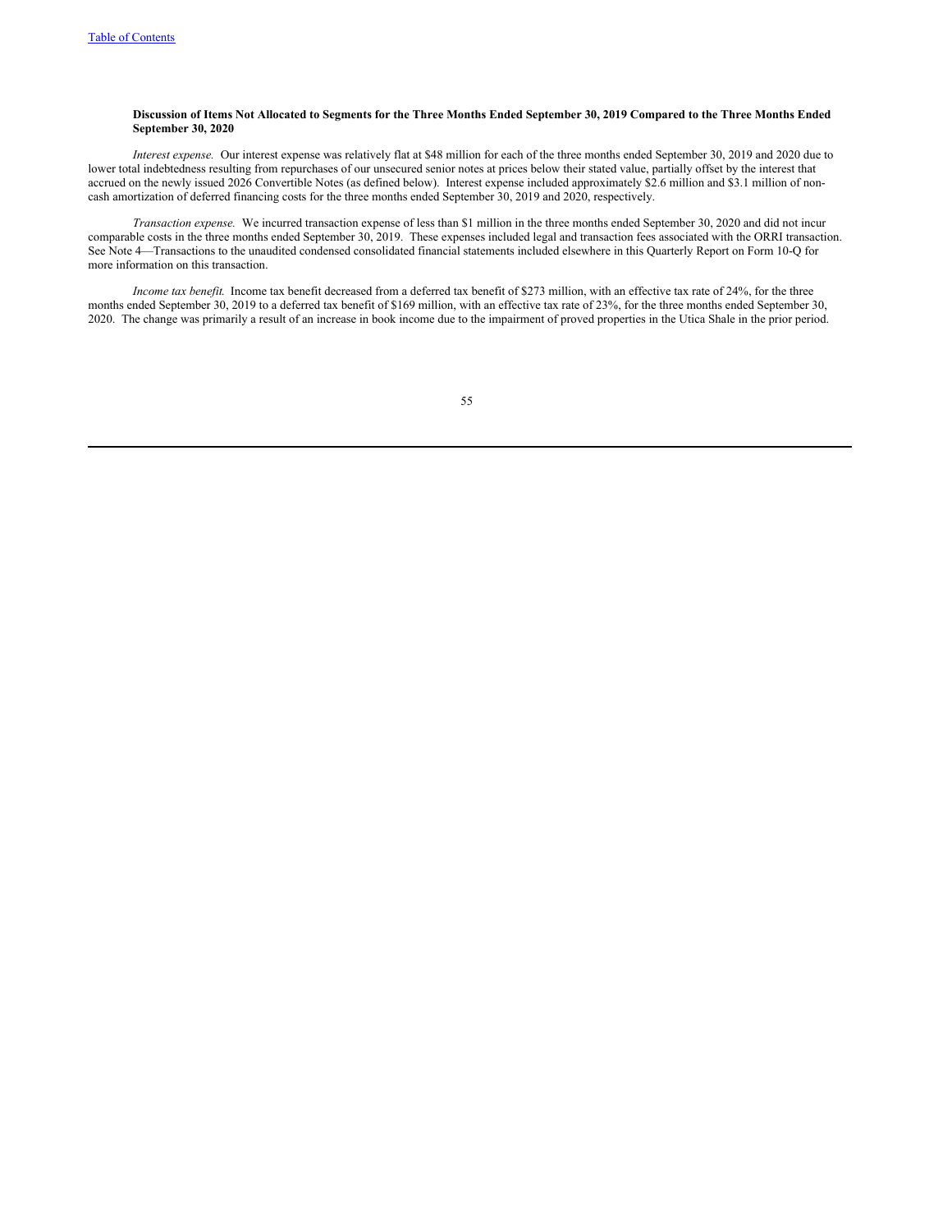## Discussion of Items Not Allocated to Segments for the Three Months Ended September 30, 2019 Compared to the Three Months Ended **September 30, 2020**

*Interest expense.* Our interest expense was relatively flat at \$48 million for each of the three months ended September 30, 2019 and 2020 due to lower total indebtedness resulting from repurchases of our unsecured senior notes at prices below their stated value, partially offset by the interest that accrued on the newly issued 2026 Convertible Notes (as defined below). Interest expense included approximately \$2.6 million and \$3.1 million of noncash amortization of deferred financing costs for the three months ended September 30, 2019 and 2020, respectively.

*Transaction expense.* We incurred transaction expense of less than \$1 million in the three months ended September 30, 2020 and did not incur comparable costs in the three months ended September 30, 2019. These expenses included legal and transaction fees associated with the ORRI transaction. See Note 4—Transactions to the unaudited condensed consolidated financial statements included elsewhere in this Quarterly Report on Form 10-Q for more information on this transaction.

*Income tax benefit*. Income tax benefit decreased from a deferred tax benefit of \$273 million, with an effective tax rate of 24%, for the three months ended September 30, 2019 to a deferred tax benefit of \$169 million, with an effective tax rate of 23%, for the three months ended September 30, 2020. The change was primarily a result of an increase in book income due to the impairment of proved properties in the Utica Shale in the prior period.

| I      | ۰,     |
|--------|--------|
| I      | ۰,     |
| $\sim$ | $\sim$ |
|        |        |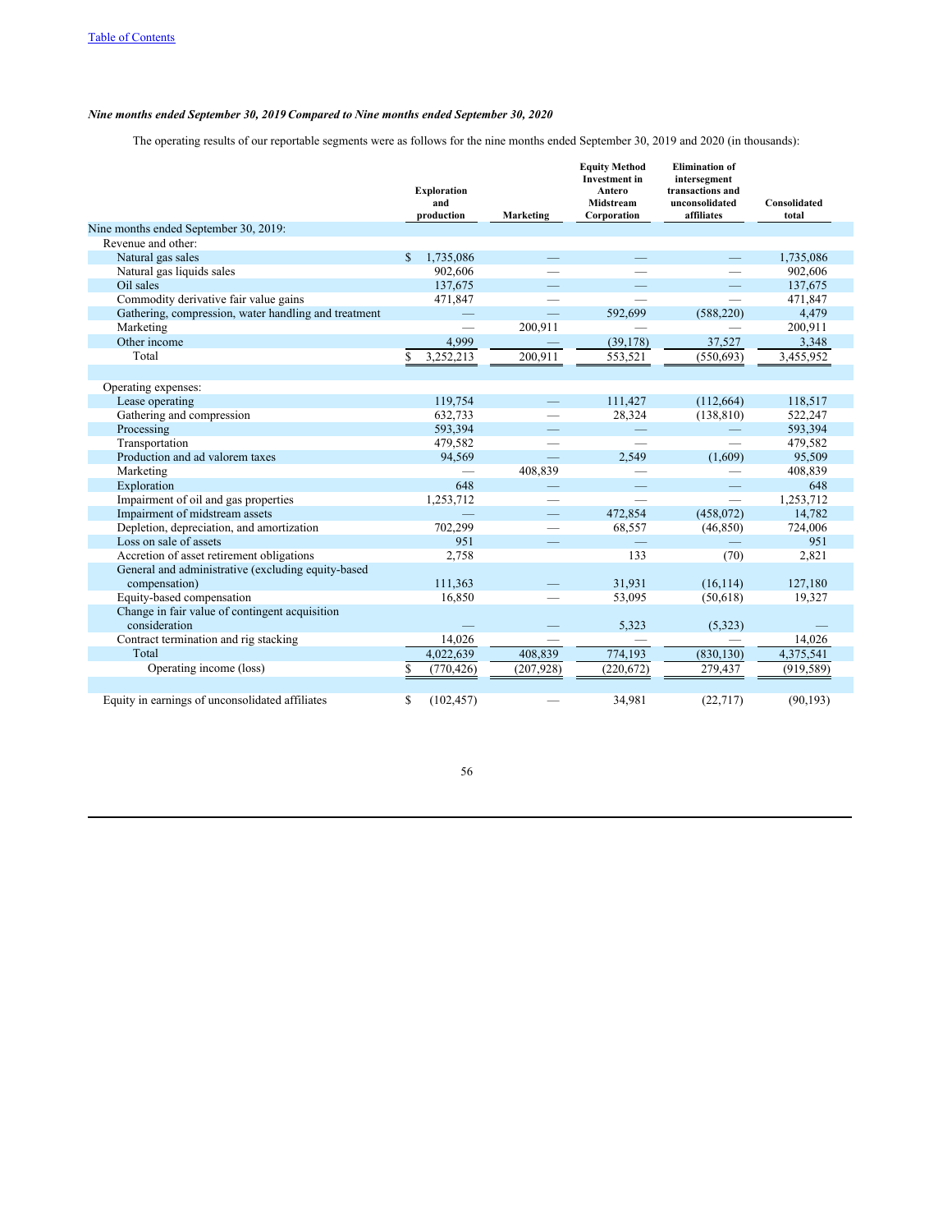# *Nine months ended September 30, 2019Compared to Nine months ended September 30, 2020*

The operating results of our reportable segments were as follows for the nine months ended September 30, 2019 and 2020 (in thousands):

|                                                                 |    | <b>Exploration</b><br>and<br>production | Marketing                | <b>Equity Method</b><br><b>Investment</b> in<br>Antero<br>Midstream<br>Corporation | <b>Elimination of</b><br>intersegment<br>transactions and<br>unconsolidated<br>affiliates | Consolidated<br>total |
|-----------------------------------------------------------------|----|-----------------------------------------|--------------------------|------------------------------------------------------------------------------------|-------------------------------------------------------------------------------------------|-----------------------|
| Nine months ended September 30, 2019:                           |    |                                         |                          |                                                                                    |                                                                                           |                       |
| Revenue and other:                                              |    |                                         |                          |                                                                                    |                                                                                           |                       |
| Natural gas sales                                               | S. | 1,735,086                               |                          |                                                                                    |                                                                                           | 1,735,086             |
| Natural gas liquids sales                                       |    | 902,606                                 |                          |                                                                                    |                                                                                           | 902,606               |
| Oil sales                                                       |    | 137,675                                 |                          |                                                                                    |                                                                                           | 137,675               |
| Commodity derivative fair value gains                           |    | 471,847                                 |                          |                                                                                    |                                                                                           | 471,847               |
| Gathering, compression, water handling and treatment            |    |                                         |                          | 592,699                                                                            | (588, 220)                                                                                | 4,479                 |
| Marketing                                                       |    | $\overline{\phantom{0}}$                | 200,911                  |                                                                                    |                                                                                           | 200,911               |
| Other income                                                    |    | 4,999                                   |                          | (39, 178)                                                                          | 37,527                                                                                    | 3,348                 |
| Total                                                           | \$ | 3,252,213                               | 200,911                  | 553,521                                                                            | (550, 693)                                                                                | 3,455,952             |
|                                                                 |    |                                         |                          |                                                                                    |                                                                                           |                       |
| Operating expenses:                                             |    |                                         |                          |                                                                                    |                                                                                           |                       |
| Lease operating                                                 |    | 119,754                                 | $\overline{\phantom{0}}$ | 111,427                                                                            | (112, 664)                                                                                | 118,517               |
| Gathering and compression                                       |    | 632,733                                 |                          | 28,324                                                                             | (138, 810)                                                                                | 522,247               |
| Processing                                                      |    | 593,394                                 | $\overline{\phantom{0}}$ |                                                                                    |                                                                                           | 593,394               |
| Transportation                                                  |    | 479,582                                 |                          |                                                                                    |                                                                                           | 479,582               |
| Production and ad valorem taxes                                 |    | 94,569                                  | $\equiv$                 | 2,549                                                                              | (1,609)                                                                                   | 95,509                |
| Marketing                                                       |    |                                         | 408,839                  |                                                                                    |                                                                                           | 408,839               |
| Exploration                                                     |    | 648                                     |                          |                                                                                    |                                                                                           | 648                   |
| Impairment of oil and gas properties                            |    | 1,253,712                               | -                        | $\overline{\phantom{m}}$                                                           |                                                                                           | 1,253,712             |
| Impairment of midstream assets                                  |    |                                         | $\equiv$                 | 472,854                                                                            | (458, 072)                                                                                | 14,782                |
| Depletion, depreciation, and amortization                       |    | 702,299                                 |                          | 68,557                                                                             | (46, 850)                                                                                 | 724,006               |
| Loss on sale of assets                                          |    | 951                                     |                          |                                                                                    |                                                                                           | 951                   |
| Accretion of asset retirement obligations                       |    | 2,758                                   |                          | 133                                                                                | (70)                                                                                      | 2,821                 |
| General and administrative (excluding equity-based              |    |                                         |                          |                                                                                    |                                                                                           |                       |
| compensation)                                                   |    | 111,363                                 |                          | 31,931                                                                             | (16, 114)                                                                                 | 127,180               |
| Equity-based compensation                                       |    | 16,850                                  |                          | 53,095                                                                             | (50,618)                                                                                  | 19,327                |
| Change in fair value of contingent acquisition<br>consideration |    |                                         |                          | 5,323                                                                              | (5,323)                                                                                   |                       |
| Contract termination and rig stacking                           |    | 14,026                                  |                          |                                                                                    |                                                                                           | 14,026                |
| Total                                                           |    | 4,022,639                               | 408,839                  | 774,193                                                                            | (830, 130)                                                                                | 4,375,541             |
| Operating income (loss)                                         | S  | (770, 426)                              | (207, 928)               | (220, 672)                                                                         | 279,437                                                                                   | (919, 589)            |
|                                                                 |    |                                         |                          |                                                                                    |                                                                                           |                       |
| Equity in earnings of unconsolidated affiliates                 | \$ | (102, 457)                              |                          | 34,981                                                                             | (22, 717)                                                                                 | (90, 193)             |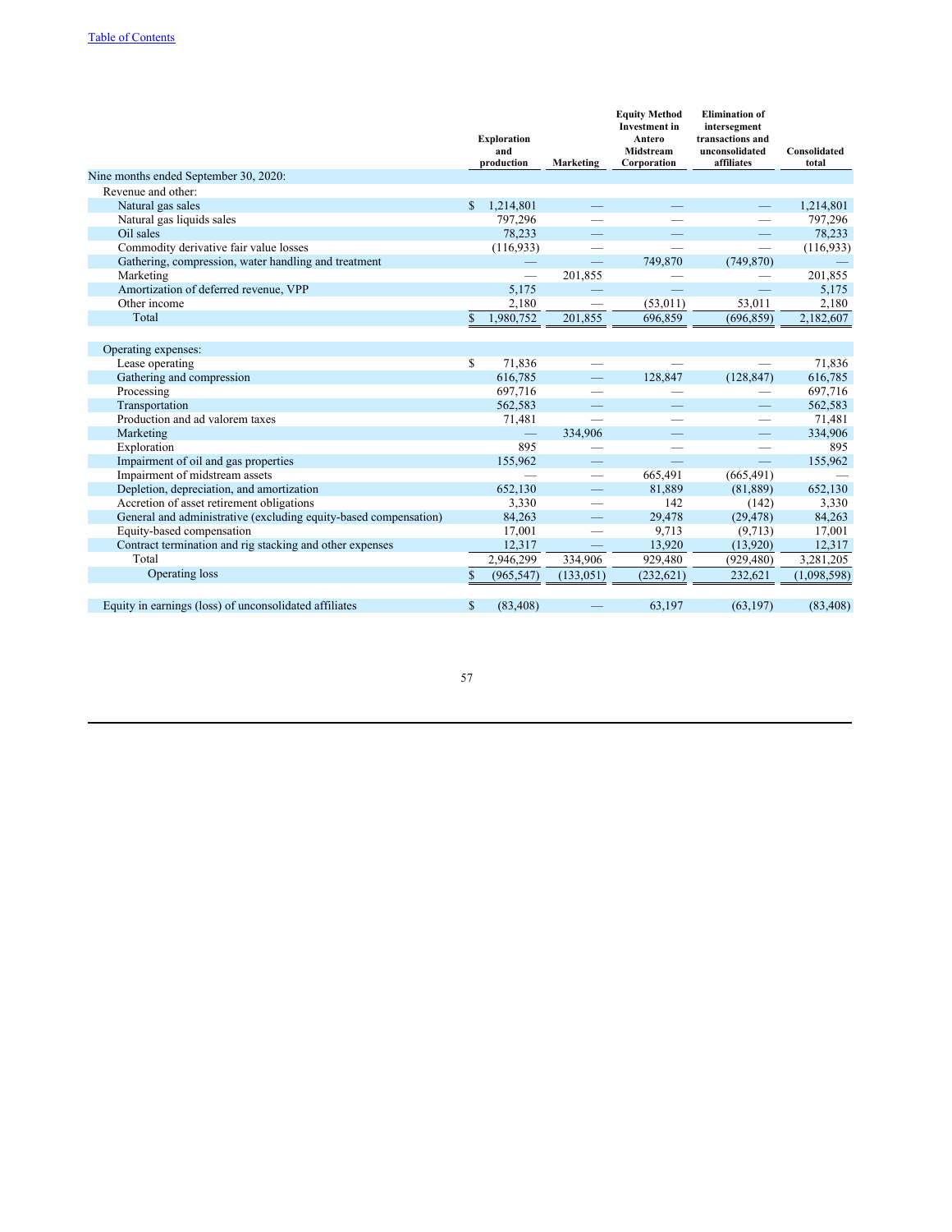|                                                                  |             | <b>Exploration</b><br>and<br>production | Marketing                | <b>Equity Method</b><br><b>Investment</b> in<br>Antero<br>Midstream<br>Corporation | <b>Elimination of</b><br>intersegment<br>transactions and<br>unconsolidated<br>affiliates | Consolidated<br>total |
|------------------------------------------------------------------|-------------|-----------------------------------------|--------------------------|------------------------------------------------------------------------------------|-------------------------------------------------------------------------------------------|-----------------------|
| Nine months ended September 30, 2020:                            |             |                                         |                          |                                                                                    |                                                                                           |                       |
| Revenue and other:                                               |             |                                         |                          |                                                                                    |                                                                                           |                       |
| Natural gas sales                                                | $\mathbf S$ | 1,214,801                               | $\overline{\phantom{0}}$ | $\qquad \qquad -$                                                                  | $\overline{\phantom{0}}$                                                                  | 1,214,801             |
| Natural gas liquids sales                                        |             | 797,296                                 |                          |                                                                                    |                                                                                           | 797,296               |
| Oil sales                                                        |             | 78,233                                  |                          |                                                                                    |                                                                                           | 78,233                |
| Commodity derivative fair value losses                           |             | (116, 933)                              |                          | ÷.                                                                                 | $\overline{\phantom{0}}$                                                                  | (116, 933)            |
| Gathering, compression, water handling and treatment             |             |                                         | $\equiv$                 | 749,870                                                                            | (749, 870)                                                                                |                       |
| Marketing                                                        |             | $\overline{\phantom{0}}$                | 201.855                  |                                                                                    |                                                                                           | 201,855               |
| Amortization of deferred revenue, VPP                            |             | 5,175                                   |                          |                                                                                    |                                                                                           | 5,175                 |
| Other income                                                     |             | 2,180                                   |                          | (53, 011)                                                                          | 53,011                                                                                    | 2,180                 |
| Total                                                            | \$          | 1,980,752                               | 201,855                  | 696,859                                                                            | (696, 859)                                                                                | 2,182,607             |
|                                                                  |             |                                         |                          |                                                                                    |                                                                                           |                       |
| Operating expenses:                                              |             |                                         |                          |                                                                                    |                                                                                           |                       |
| Lease operating                                                  | $\mathbf S$ | 71.836                                  |                          |                                                                                    |                                                                                           | 71.836                |
| Gathering and compression                                        |             | 616,785                                 | <u>—</u>                 | 128,847                                                                            | (128, 847)                                                                                | 616,785               |
| Processing                                                       |             | 697,716                                 | $\overline{\phantom{0}}$ |                                                                                    |                                                                                           | 697,716               |
| Transportation                                                   |             | 562,583                                 |                          |                                                                                    |                                                                                           | 562,583               |
| Production and ad valorem taxes                                  |             | 71,481                                  | $\overline{\phantom{0}}$ |                                                                                    | $\overline{\phantom{0}}$                                                                  | 71,481                |
| Marketing                                                        |             | $\equiv$                                | 334,906                  |                                                                                    |                                                                                           | 334,906               |
| Exploration                                                      |             | 895                                     |                          |                                                                                    |                                                                                           | 895                   |
| Impairment of oil and gas properties                             |             | 155,962                                 | $\equiv$                 |                                                                                    |                                                                                           | 155,962               |
| Impairment of midstream assets                                   |             |                                         | $\overline{\phantom{0}}$ | 665,491                                                                            | (665, 491)                                                                                |                       |
| Depletion, depreciation, and amortization                        |             | 652.130                                 | $\overline{\phantom{0}}$ | 81.889                                                                             | (81, 889)                                                                                 | 652,130               |
| Accretion of asset retirement obligations                        |             | 3,330                                   |                          | 142                                                                                | (142)                                                                                     | 3,330                 |
| General and administrative (excluding equity-based compensation) |             | 84,263                                  |                          | 29,478                                                                             | (29, 478)                                                                                 | 84,263                |
| Equity-based compensation                                        |             | 17,001                                  |                          | 9,713                                                                              | (9,713)                                                                                   | 17,001                |
| Contract termination and rig stacking and other expenses         |             | 12,317                                  |                          | 13,920                                                                             | (13,920)                                                                                  | 12,317                |
| Total                                                            |             | 2,946,299                               | 334,906                  | 929,480                                                                            | (929, 480)                                                                                | 3,281,205             |
| Operating loss                                                   | <b>S</b>    | (965, 547)                              | (133, 051)               | (232, 621)                                                                         | 232,621                                                                                   | (1,098,598)           |
|                                                                  |             |                                         |                          |                                                                                    |                                                                                           |                       |
| Equity in earnings (loss) of unconsolidated affiliates           | $\mathbf S$ | (83, 408)                               |                          | 63.197                                                                             | (63, 197)                                                                                 | (83, 408)             |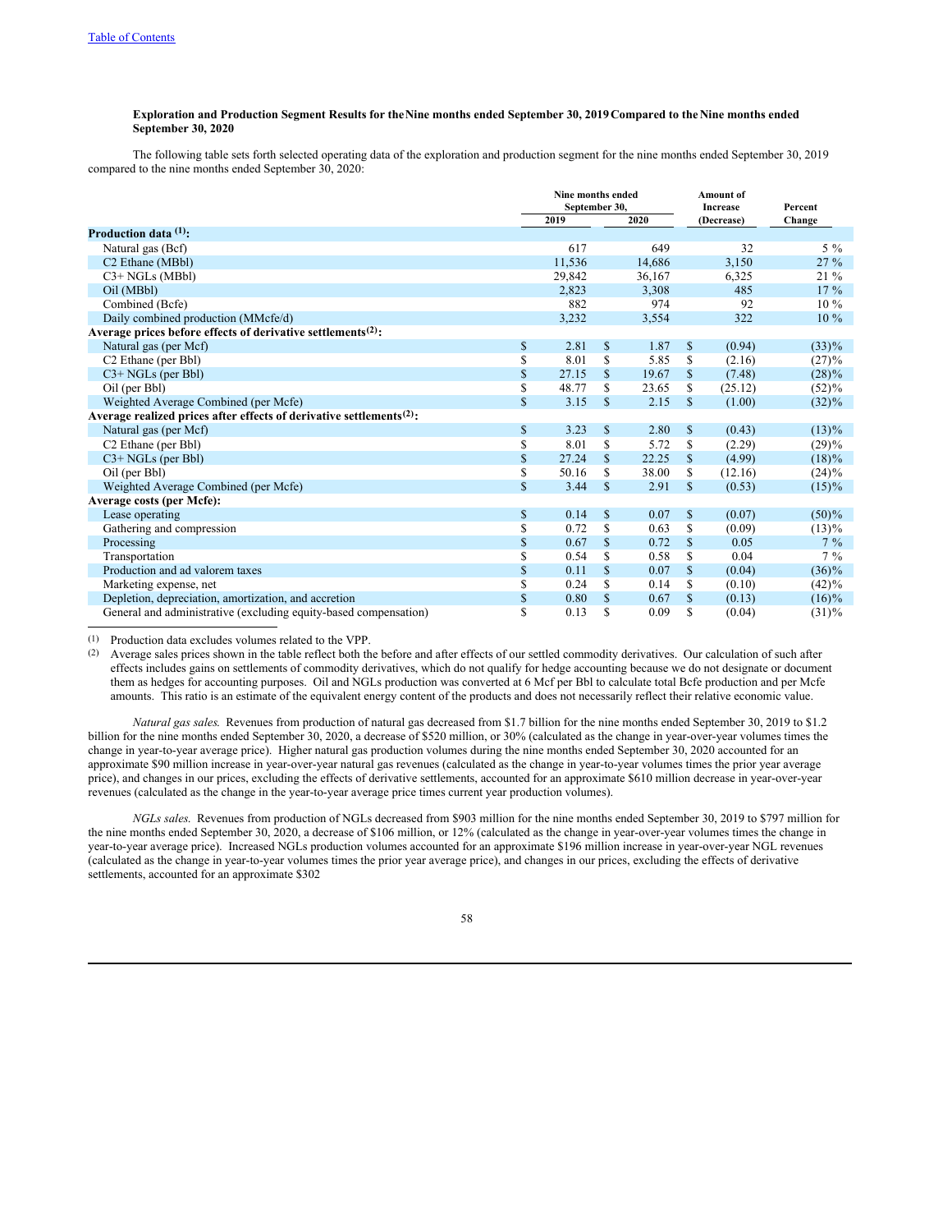# Exploration and Production Segment Results for the Nine months ended September 30, 2019 Compared to the Nine months ended **September 30, 2020**

The following table sets forth selected operating data of the exploration and production segment for the nine months ended September 30, 2019 compared to the nine months ended September 30, 2020:

|                                                                                  | Nine months ended<br>September 30, |        |               |        | <b>Amount</b> of<br><b>Increase</b> | Percent    |          |  |
|----------------------------------------------------------------------------------|------------------------------------|--------|---------------|--------|-------------------------------------|------------|----------|--|
|                                                                                  | 2020<br>2019                       |        |               |        |                                     | (Decrease) | Change   |  |
| <b>Production data</b> $(1)$ :                                                   |                                    |        |               |        |                                     |            |          |  |
| Natural gas (Bcf)                                                                |                                    | 617    |               | 649    |                                     | 32         | $5\%$    |  |
| C <sub>2</sub> Ethane (MBbl)                                                     |                                    | 11,536 |               | 14,686 |                                     | 3.150      | $27\%$   |  |
| $C3+NGLs$ (MBbl)                                                                 |                                    | 29,842 |               | 36,167 |                                     | 6,325      | 21 %     |  |
| Oil (MBbl)                                                                       |                                    | 2,823  |               | 3,308  |                                     | 485        | $17\%$   |  |
| Combined (Bcfe)                                                                  |                                    | 882    |               | 974    |                                     | 92         | $10\%$   |  |
| Daily combined production (MMcfe/d)                                              |                                    | 3,232  |               | 3,554  |                                     | 322        | 10 %     |  |
| Average prices before effects of derivative settlements $(2)$ :                  |                                    |        |               |        |                                     |            |          |  |
| Natural gas (per Mcf)                                                            | \$                                 | 2.81   | S             | 1.87   | <sup>\$</sup>                       | (0.94)     | $(33)\%$ |  |
| C <sub>2</sub> Ethane (per Bbl)                                                  | \$                                 | 8.01   | S             | 5.85   | S                                   | (2.16)     | (27)%    |  |
| $C3+NGLs$ (per Bbl)                                                              | \$                                 | 27.15  | S             | 19.67  | <sup>\$</sup>                       | (7.48)     | $(28)\%$ |  |
| Oil (per Bbl)                                                                    | \$                                 | 48.77  | S             | 23.65  | S                                   | (25.12)    | $(52)\%$ |  |
| Weighted Average Combined (per Mcfe)                                             | \$                                 | 3.15   | S             | 2.15   | $\mathbb{S}$                        | (1.00)     | $(32)\%$ |  |
| Average realized prices after effects of derivative settlements <sup>(2)</sup> : |                                    |        |               |        |                                     |            |          |  |
| Natural gas (per Mcf)                                                            | \$                                 | 3.23   | $\mathbb{S}$  | 2.80   | \$                                  | (0.43)     | $(13)\%$ |  |
| C <sub>2</sub> Ethane (per Bbl)                                                  | \$                                 | 8.01   | S             | 5.72   | S                                   | (2.29)     | $(29)\%$ |  |
| $C3+NGLs$ (per Bbl)                                                              | $\mathbb{S}$                       | 27.24  | <b>S</b>      | 22.25  | <sup>\$</sup>                       | (4.99)     | $(18)\%$ |  |
| Oil (per Bbl)                                                                    | \$                                 | 50.16  | S             | 38.00  | \$.                                 | (12.16)    | $(24)\%$ |  |
| Weighted Average Combined (per Mcfe)                                             | \$                                 | 3.44   | <sup>\$</sup> | 2.91   | $\mathsf{\$}$                       | (0.53)     | $(15)\%$ |  |
| <b>Average costs (per Mcfe):</b>                                                 |                                    |        |               |        |                                     |            |          |  |
| Lease operating                                                                  | \$                                 | 0.14   | <sup>\$</sup> | 0.07   | $\mathbb{S}$                        | (0.07)     | $(50)\%$ |  |
| Gathering and compression                                                        | \$                                 | 0.72   | \$.           | 0.63   | S                                   | (0.09)     | $(13)\%$ |  |
| Processing                                                                       | \$                                 | 0.67   | S             | 0.72   | $\mathbb{S}$                        | 0.05       | $7\%$    |  |
| Transportation                                                                   | \$                                 | 0.54   | S             | 0.58   | S                                   | 0.04       | $7\%$    |  |
| Production and ad valorem taxes                                                  | \$                                 | 0.11   | S             | 0.07   | \$                                  | (0.04)     | $(36)\%$ |  |
| Marketing expense, net                                                           | \$                                 | 0.24   | \$.           | 0.14   | S                                   | (0.10)     | $(42)\%$ |  |
| Depletion, depreciation, amortization, and accretion                             | \$                                 | 0.80   | $\mathbf{s}$  | 0.67   | $\mathbf{s}$                        | (0.13)     | $(16)\%$ |  |
| General and administrative (excluding equity-based compensation)                 | \$                                 | 0.13   | S             | 0.09   | S                                   | (0.04)     | $(31)\%$ |  |

(1) Production data excludes volumes related to the VPP.

(2) Average sales prices shown in the table reflect both the before and after effects of our settled commodity derivatives. Our calculation of such after effects includes gains on settlements of commodity derivatives, which do not qualify for hedge accounting because we do not designate or document them as hedges for accounting purposes. Oil and NGLs production was converted at 6 Mcf per Bbl to calculate total Bcfe production and per Mcfe amounts. This ratio is an estimate of the equivalent energy content of the products and does not necessarily reflect their relative economic value.

*Natural gas sales*. Revenues from production of natural gas decreased from \$1.7 billion for the nine months ended September 30, 2019 to \$1.2 billion for the nine months ended September 30, 2020, a decrease of \$520 million, or 30% (calculated as the change in year-over-year volumes times the change in year-to-year average price). Higher natural gas production volumes during the nine months ended September 30, 2020 accounted for an approximate \$90 million increase in year-over-year natural gas revenues (calculated as the change in year-to-year volumes times the prior year average price), and changes in our prices, excluding the effects of derivative settlements, accounted for an approximate \$610 million decrease in year-over-year revenues (calculated as the change in the year-to-year average price times current year production volumes).

*NGLs sales*. Revenues from production of NGLs decreased from \$903 million for the nine months ended September 30, 2019 to \$797 million for the nine months ended September 30, 2020, a decrease of \$106 million, or 12% (calculated as the change in year-over-year volumes times the change in year-to-year average price). Increased NGLs production volumes accounted for an approximate \$196 million increase in year-over-year NGL revenues (calculated as the change in year-to-year volumes times the prior year average price), and changes in our prices, excluding the effects of derivative settlements, accounted for an approximate \$302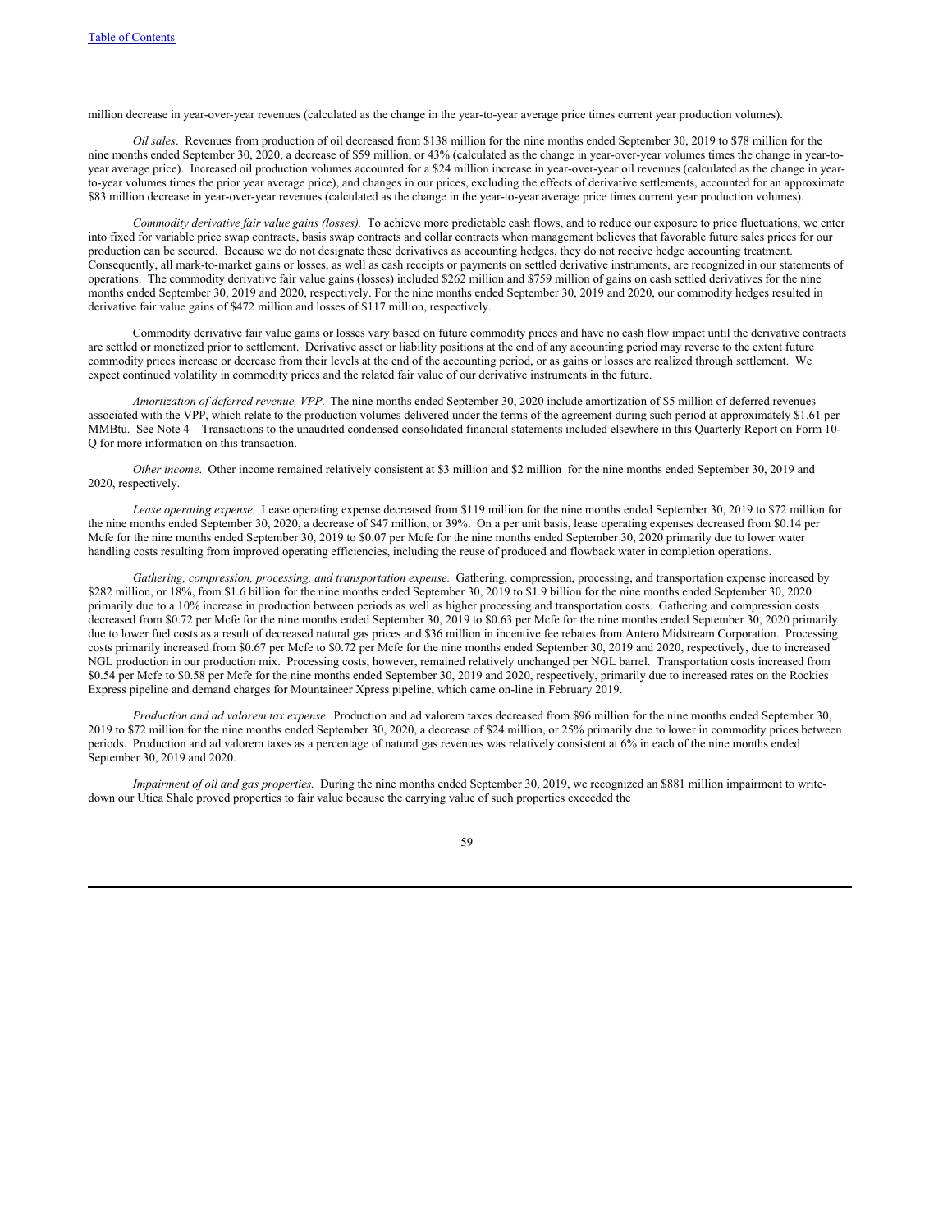million decrease in year-over-year revenues (calculated as the change in the year-to-year average price times current year production volumes).

*Oil sales*. Revenues from production of oil decreased from \$138 million for the nine months ended September 30, 2019 to \$78 million for the nine months ended September 30, 2020, a decrease of \$59 million, or 43% (calculated as the change in year-over-year volumes times the change in year-toyear average price). Increased oil production volumes accounted for a \$24 million increase in year-over-year oil revenues (calculated as the change in yearto-year volumes times the prior year average price), and changes in our prices, excluding the effects of derivative settlements, accounted for an approximate \$83 million decrease in year-over-year revenues (calculated as the change in the year-to-year average price times current year production volumes).

*Commodity derivative fair value gains (losses).* To achieve more predictable cash flows, and to reduce our exposure to price fluctuations, we enter into fixed for variable price swap contracts, basis swap contracts and collar contracts when management believes that favorable future sales prices for our production can be secured. Because we do not designate these derivatives as accounting hedges, they do not receive hedge accounting treatment. Consequently, all mark-to-market gains or losses, as well as cash receipts or payments on settled derivative instruments, are recognized in our statements of operations. The commodity derivative fair value gains (losses) included \$262 million and \$759 million of gains on cash settled derivatives for the nine months ended September 30, 2019 and 2020, respectively. For the nine months ended September 30, 2019 and 2020, our commodity hedges resulted in derivative fair value gains of \$472 million and losses of \$117 million, respectively.

Commodity derivative fair value gains or losses vary based on future commodity prices and have no cash flow impact until the derivative contracts are settled or monetized prior to settlement. Derivative asset or liability positions at the end of any accounting period may reverse to the extent future commodity prices increase or decrease from their levels at the end of the accounting period, or as gains or losses are realized through settlement. We expect continued volatility in commodity prices and the related fair value of our derivative instruments in the future.

*Amortization of deferred revenue, VPP.* The nine months ended September 30, 2020 include amortization of \$5 million of deferred revenues associated with the VPP, which relate to the production volumes delivered under the terms of the agreement during such period at approximately \$1.61 per MMBtu. See Note 4—Transactions to the unaudited condensed consolidated financial statements included elsewhere in this Quarterly Report on Form 10- Q for more information on this transaction.

*Other income*. Other income remained relatively consistent at \$3 million and \$2 million for the nine months ended September 30, 2019 and 2020, respectively.

*Lease operating expense*. Lease operating expense decreased from \$119 million for the nine months ended September 30, 2019 to \$72 million for the nine months ended September 30, 2020, a decrease of \$47 million, or 39%. On a per unit basis, lease operating expenses decreased from \$0.14 per Mcfe for the nine months ended September 30, 2019 to \$0.07 per Mcfe for the nine months ended September 30, 2020 primarily due to lower water handling costs resulting from improved operating efficiencies, including the reuse of produced and flowback water in completion operations.

*Gathering, compression, processing, and transportation expense.* Gathering, compression, processing, and transportation expense increased by \$282 million, or 18%, from \$1.6 billion for the nine months ended September 30, 2019 to \$1.9 billion for the nine months ended September 30, 2020 primarily due to a 10% increase in production between periods as well as higher processing and transportation costs. Gathering and compression costs decreased from \$0.72 per Mcfe for the nine months ended September 30, 2019 to \$0.63 per Mcfe for the nine months ended September 30, 2020 primarily due to lower fuel costs as a result of decreased natural gas prices and \$36 million in incentive fee rebates from Antero Midstream Corporation. Processing costs primarily increased from \$0.67 per Mcfe to \$0.72 per Mcfe for the nine months ended September 30, 2019 and 2020, respectively, due to increased NGL production in our production mix. Processing costs, however, remained relatively unchanged per NGL barrel. Transportation costs increased from \$0.54 per Mcfe to \$0.58 per Mcfe for the nine months ended September 30, 2019 and 2020, respectively, primarily due to increased rates on the Rockies Express pipeline and demand charges for Mountaineer Xpress pipeline, which came on-line in February 2019.

*Production and ad valorem tax expense.* Production and ad valorem taxes decreased from \$96 million for the nine months ended September 30, 2019 to \$72 million for the nine months ended September 30, 2020, a decrease of \$24 million, or 25% primarily due to lower in commodity prices between periods. Production and ad valorem taxes as a percentage of natural gas revenues was relatively consistent at 6% in each of the nine months ended September 30, 2019 and 2020.

*Impairment of oil and gas properties*. During the nine months ended September 30, 2019, we recognized an \$881 million impairment to writedown our Utica Shale proved properties to fair value because the carrying value of such properties exceeded the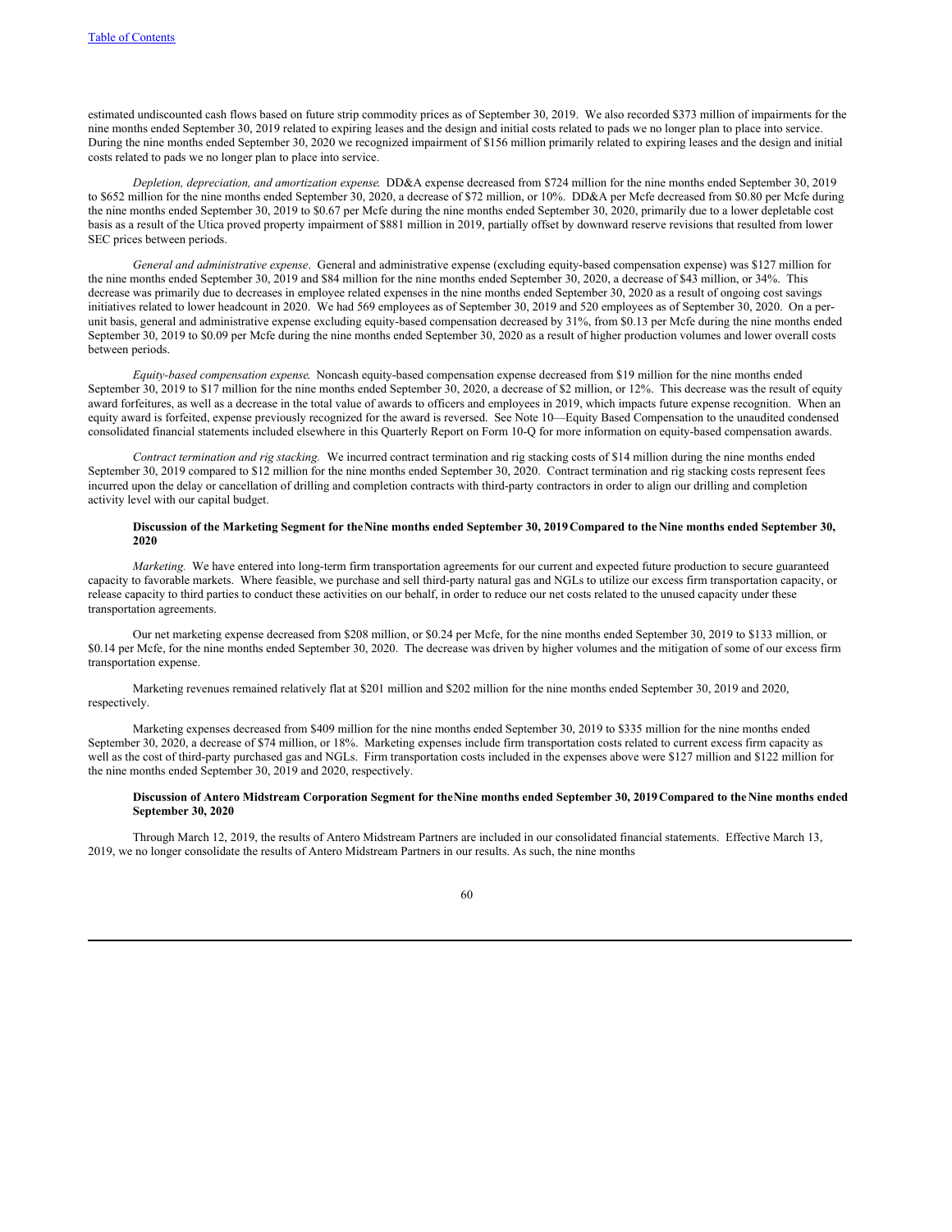estimated undiscounted cash flows based on future strip commodity prices as of September 30, 2019. We also recorded \$373 million of impairments for the nine months ended September 30, 2019 related to expiring leases and the design and initial costs related to pads we no longer plan to place into service. During the nine months ended September 30, 2020 we recognized impairment of \$156 million primarily related to expiring leases and the design and initial costs related to pads we no longer plan to place into service.

*Depletion, depreciation, and amortization expense*. DD&A expense decreased from \$724 million for the nine months ended September 30, 2019 to \$652 million for the nine months ended September 30, 2020, a decrease of \$72 million, or 10%. DD&A per Mcfe decreased from \$0.80 per Mcfe during the nine months ended September 30, 2019 to \$0.67 per Mcfe during the nine months ended September 30, 2020, primarily due to a lower depletable cost basis as a result of the Utica proved property impairment of \$881 million in 2019, partially offset by downward reserve revisions that resulted from lower SEC prices between periods.

*General and administrative expense*. General and administrative expense (excluding equity-based compensation expense) was \$127 million for the nine months ended September 30, 2019 and \$84 million for the nine months ended September 30, 2020, a decrease of \$43 million, or 34%. This decrease was primarily due to decreases in employee related expenses in the nine months ended September 30, 2020 as a result of ongoing cost savings initiatives related to lower headcount in 2020. We had 569 employees as of September 30, 2019 and 520 employees as of September 30, 2020. On a perunit basis, general and administrative expense excluding equity-based compensation decreased by 31%, from \$0.13 per Mcfe during the nine months ended September 30, 2019 to \$0.09 per Mcfe during the nine months ended September 30, 2020 as a result of higher production volumes and lower overall costs between periods.

*Equity-based compensation expense*. Noncash equity-based compensation expense decreased from \$19 million for the nine months ended September 30, 2019 to \$17 million for the nine months ended September 30, 2020, a decrease of \$2 million, or 12%. This decrease was the result of equity award forfeitures, as well as a decrease in the total value of awards to officers and employees in 2019, which impacts future expense recognition. When an equity award is forfeited, expense previously recognized for the award is reversed. See Note 10—Equity Based Compensation to the unaudited condensed consolidated financial statements included elsewhere in this Quarterly Report on Form 10-Q for more information on equity-based compensation awards.

*Contract termination and rig stacking.* We incurred contract termination and rig stacking costs of \$14 million during the nine months ended September 30, 2019 compared to \$12 million for the nine months ended September 30, 2020. Contract termination and rig stacking costs represent fees incurred upon the delay or cancellation of drilling and completion contracts with third-party contractors in order to align our drilling and completion activity level with our capital budget.

## Discussion of the Marketing Segment for the Nine months ended September 30, 2019 Compared to the Nine months ended September 30, **2020**

*Marketing.* We have entered into long-term firm transportation agreements for our current and expected future production to secure guaranteed capacity to favorable markets. Where feasible, we purchase and sell third-party natural gas and NGLs to utilize our excess firm transportation capacity, or release capacity to third parties to conduct these activities on our behalf, in order to reduce our net costs related to the unused capacity under these transportation agreements.

Our net marketing expense decreased from \$208 million, or \$0.24 per Mcfe, for the nine months ended September 30, 2019 to \$133 million, or \$0.14 per Mcfe, for the nine months ended September 30, 2020. The decrease was driven by higher volumes and the mitigation of some of our excess firm transportation expense.

Marketing revenues remained relatively flat at \$201 million and \$202 million for the nine months ended September 30, 2019 and 2020, respectively.

Marketing expenses decreased from \$409 million for the nine months ended September 30, 2019 to \$335 million for the nine months ended September 30, 2020, a decrease of \$74 million, or 18%. Marketing expenses include firm transportation costs related to current excess firm capacity as well as the cost of third-party purchased gas and NGLs. Firm transportation costs included in the expenses above were \$127 million and \$122 million for the nine months ended September 30, 2019 and 2020, respectively.

# Discussion of Antero Midstream Corporation Segment for the Nine months ended September 30, 2019 Compared to the Nine months ended **September 30, 2020**

Through March 12, 2019, the results of Antero Midstream Partners are included in our consolidated financial statements. Effective March 13, 2019, we no longer consolidate the results of Antero Midstream Partners in our results. As such, the nine months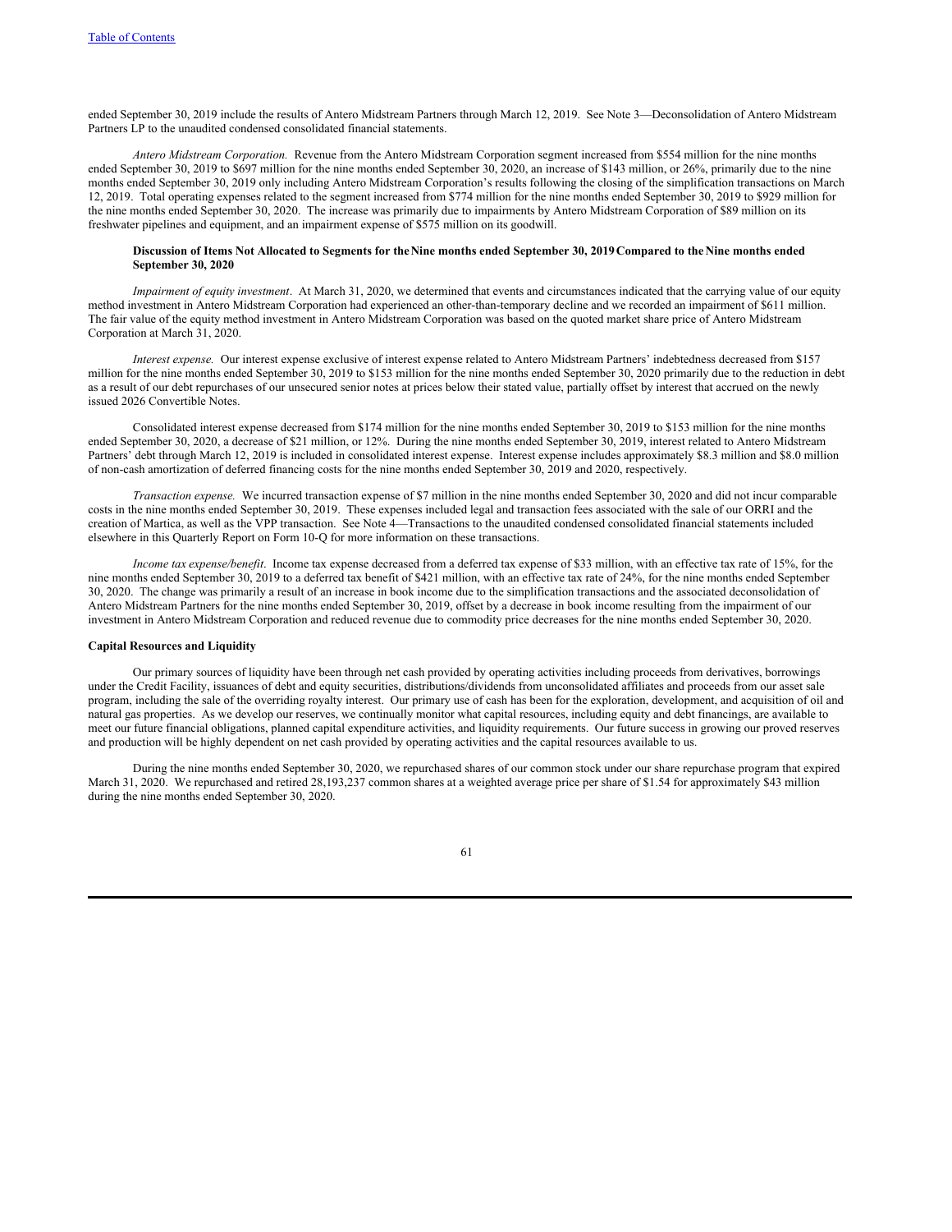ended September 30, 2019 include the results of Antero Midstream Partners through March 12, 2019. See Note 3—Deconsolidation of Antero Midstream Partners LP to the unaudited condensed consolidated financial statements.

*Antero Midstream Corporation.* Revenue from the Antero Midstream Corporation segment increased from \$554 million for the nine months ended September 30, 2019 to \$697 million for the nine months ended September 30, 2020, an increase of \$143 million, or 26%, primarily due to the nine months ended September 30, 2019 only including Antero Midstream Corporation's results following the closing of the simplification transactions on March 12, 2019. Total operating expenses related to the segment increased from \$774 million for the nine months ended September 30, 2019 to \$929 million for the nine months ended September 30, 2020. The increase was primarily due to impairments by Antero Midstream Corporation of \$89 million on its freshwater pipelines and equipment, and an impairment expense of \$575 million on its goodwill.

## Discussion of Items Not Allocated to Segments for the Nine months ended September 30, 2019 Compared to the Nine months ended **September 30, 2020**

*Impairment of equity investment*. At March 31, 2020, we determined that events and circumstances indicated that the carrying value of our equity method investment in Antero Midstream Corporation had experienced an other-than-temporary decline and we recorded an impairment of \$611 million. The fair value of the equity method investment in Antero Midstream Corporation was based on the quoted market share price of Antero Midstream Corporation at March 31, 2020.

*Interest expense.* Our interest expense exclusive of interest expense related to Antero Midstream Partners' indebtedness decreased from \$157 million for the nine months ended September 30, 2019 to \$153 million for the nine months ended September 30, 2020 primarily due to the reduction in debt as a result of our debt repurchases of our unsecured senior notes at prices below their stated value, partially offset by interest that accrued on the newly issued 2026 Convertible Notes.

Consolidated interest expense decreased from \$174 million for the nine months ended September 30, 2019 to \$153 million for the nine months ended September 30, 2020, a decrease of \$21 million, or 12%. During the nine months ended September 30, 2019, interest related to Antero Midstream Partners' debt through March 12, 2019 is included in consolidated interest expense. Interest expense includes approximately \$8.3 million and \$8.0 million of non-cash amortization of deferred financing costs for the nine months ended September 30, 2019 and 2020, respectively.

*Transaction expense.* We incurred transaction expense of \$7 million in the nine months ended September 30, 2020 and did not incur comparable costs in the nine months ended September 30, 2019. These expenses included legal and transaction fees associated with the sale of our ORRI and the creation of Martica, as well as the VPP transaction. See Note 4—Transactions to the unaudited condensed consolidated financial statements included elsewhere in this Quarterly Report on Form 10-Q for more information on these transactions.

*Income tax expense/benefit*. Income tax expense decreased from a deferred tax expense of \$33 million, with an effective tax rate of 15%, for the nine months ended September 30, 2019 to a deferred tax benefit of \$421 million, with an effective tax rate of 24%, for the nine months ended September 30, 2020. The change was primarily a result of an increase in book income due to the simplification transactions and the associated deconsolidation of Antero Midstream Partners for the nine months ended September 30, 2019, offset by a decrease in book income resulting from the impairment of our investment in Antero Midstream Corporation and reduced revenue due to commodity price decreases for the nine months ended September 30, 2020.

# **Capital Resources and Liquidity**

Our primary sources of liquidity have been through net cash provided by operating activities including proceeds from derivatives, borrowings under the Credit Facility, issuances of debt and equity securities, distributions/dividends from unconsolidated affiliates and proceeds from our asset sale program, including the sale of the overriding royalty interest. Our primary use of cash has been for the exploration, development, and acquisition of oil and natural gas properties. As we develop our reserves, we continually monitor what capital resources, including equity and debt financings, are available to meet our future financial obligations, planned capital expenditure activities, and liquidity requirements. Our future success in growing our proved reserves and production will be highly dependent on net cash provided by operating activities and the capital resources available to us.

During the nine months ended September 30, 2020, we repurchased shares of our common stock under our share repurchase program that expired March 31, 2020. We repurchased and retired 28,193,237 common shares at a weighted average price per share of \$1.54 for approximately \$43 million during the nine months ended September 30, 2020.

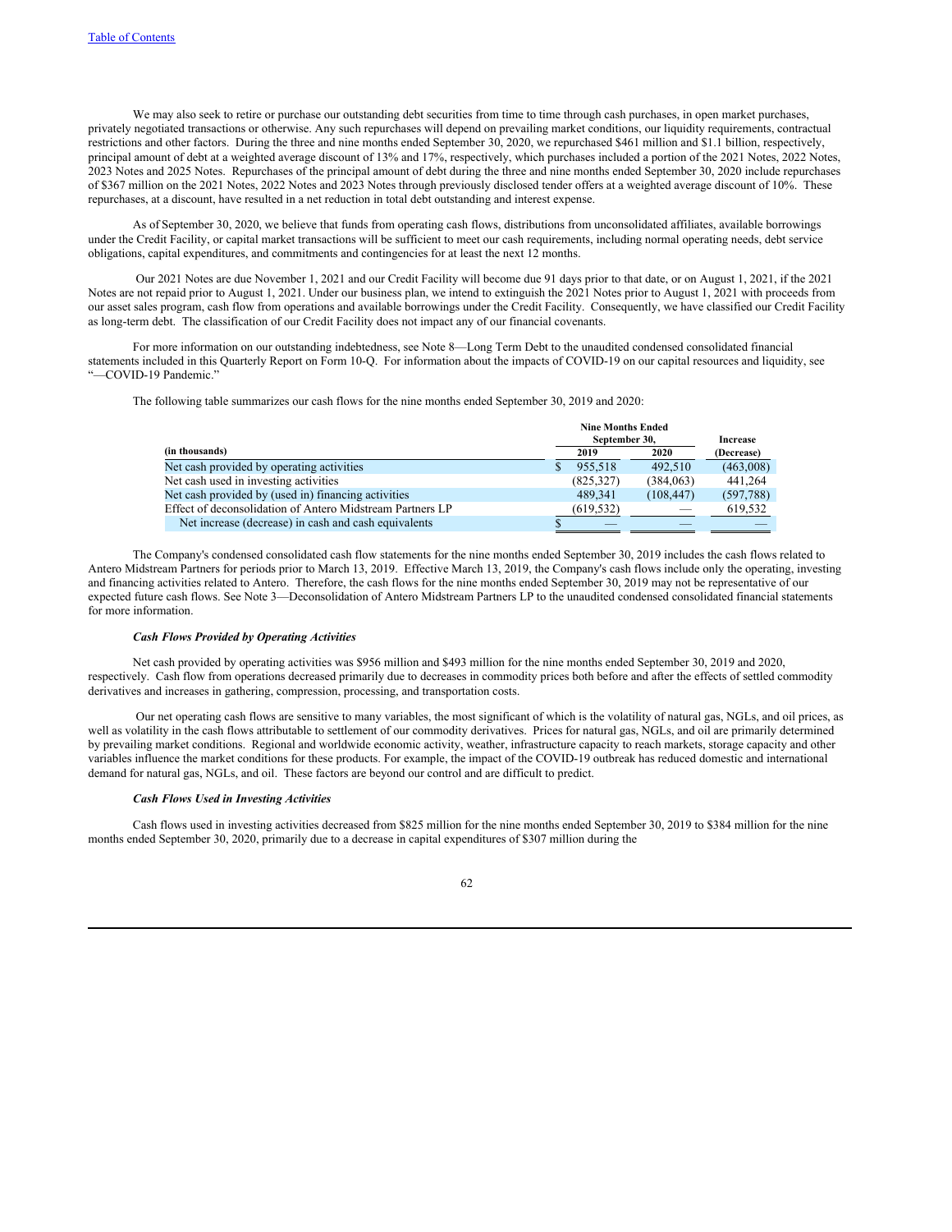We may also seek to retire or purchase our outstanding debt securities from time to time through cash purchases, in open market purchases, privately negotiated transactions or otherwise. Any such repurchases will depend on prevailing market conditions, our liquidity requirements, contractual restrictions and other factors. During the three and nine months ended September 30, 2020, we repurchased \$461 million and \$1.1 billion, respectively, principal amount of debt at a weighted average discount of 13% and 17%, respectively, which purchases included a portion of the 2021 Notes, 2022 Notes, 2023 Notes and 2025 Notes. Repurchases of the principal amount of debt during the three and nine months ended September 30, 2020 include repurchases of \$367 million on the 2021 Notes, 2022 Notes and 2023 Notes through previously disclosed tender offers at a weighted average discount of 10%. These repurchases, at a discount, have resulted in a net reduction in total debt outstanding and interest expense.

As of September 30, 2020, we believe that funds from operating cash flows, distributions from unconsolidated affiliates, available borrowings under the Credit Facility, or capital market transactions will be sufficient to meet our cash requirements, including normal operating needs, debt service obligations, capital expenditures, and commitments and contingencies for at least the next 12 months.

Our 2021 Notes are due November 1, 2021 and our Credit Facility will become due 91 days prior to that date, or on August 1, 2021, if the 2021 Notes are not repaid prior to August 1, 2021. Under our business plan, we intend to extinguish the 2021 Notes prior to August 1, 2021 with proceeds from our asset sales program, cash flow from operations and available borrowings under the Credit Facility. Consequently, we have classified our Credit Facility as long-term debt. The classification of our Credit Facility does not impact any of our financial covenants.

For more information on our outstanding indebtedness, see Note 8—Long Term Debt to the unaudited condensed consolidated financial statements included in this Quarterly Report on Form 10-Q. For information about the impacts of COVID-19 on our capital resources and liquidity, see "—COVID-19 Pandemic."

The following table summarizes our cash flows for the nine months ended September 30, 2019 and 2020:

|                                                           |  | <b>Nine Months Ended</b> |            |            |
|-----------------------------------------------------------|--|--------------------------|------------|------------|
|                                                           |  | <b>Increase</b>          |            |            |
| (in thousands)                                            |  | 2019                     | 2020       | (Decrease) |
| Net cash provided by operating activities                 |  | 955.518                  | 492.510    | (463,008)  |
| Net cash used in investing activities                     |  | (825,327)                | (384,063)  | 441.264    |
| Net cash provided by (used in) financing activities       |  | 489.341                  | (108, 447) | (597,788)  |
| Effect of deconsolidation of Antero Midstream Partners LP |  | (619, 532)               |            | 619.532    |
| Net increase (decrease) in cash and cash equivalents      |  |                          |            |            |

The Company's condensed consolidated cash flow statements for the nine months ended September 30, 2019 includes the cash flows related to Antero Midstream Partners for periods prior to March 13, 2019. Effective March 13, 2019, the Company's cash flows include only the operating, investing and financing activities related to Antero. Therefore, the cash flows for the nine months ended September 30, 2019 may not be representative of our expected future cash flows. See Note 3—Deconsolidation of Antero Midstream Partners LP to the unaudited condensed consolidated financial statements for more information.

### *Cash Flows Provided by Operating Activities*

Net cash provided by operating activities was \$956 million and \$493 million for the nine months ended September 30, 2019 and 2020, respectively. Cash flow from operations decreased primarily due to decreases in commodity prices both before and after the effects of settled commodity derivatives and increases in gathering, compression, processing, and transportation costs.

Our net operating cash flows are sensitive to many variables, the most significant of which is the volatility of natural gas, NGLs, and oil prices, as well as volatility in the cash flows attributable to settlement of our commodity derivatives. Prices for natural gas, NGLs, and oil are primarily determined by prevailing market conditions. Regional and worldwide economic activity, weather, infrastructure capacity to reach markets, storage capacity and other variables influence the market conditions for these products. For example, the impact of the COVID-19 outbreak has reduced domestic and international demand for natural gas, NGLs, and oil. These factors are beyond our control and are difficult to predict.

#### *Cash Flows Used in Investing Activities*

Cash flows used in investing activities decreased from \$825 million for the nine months ended September 30, 2019 to \$384 million for the nine months ended September 30, 2020, primarily due to a decrease in capital expenditures of \$307 million during the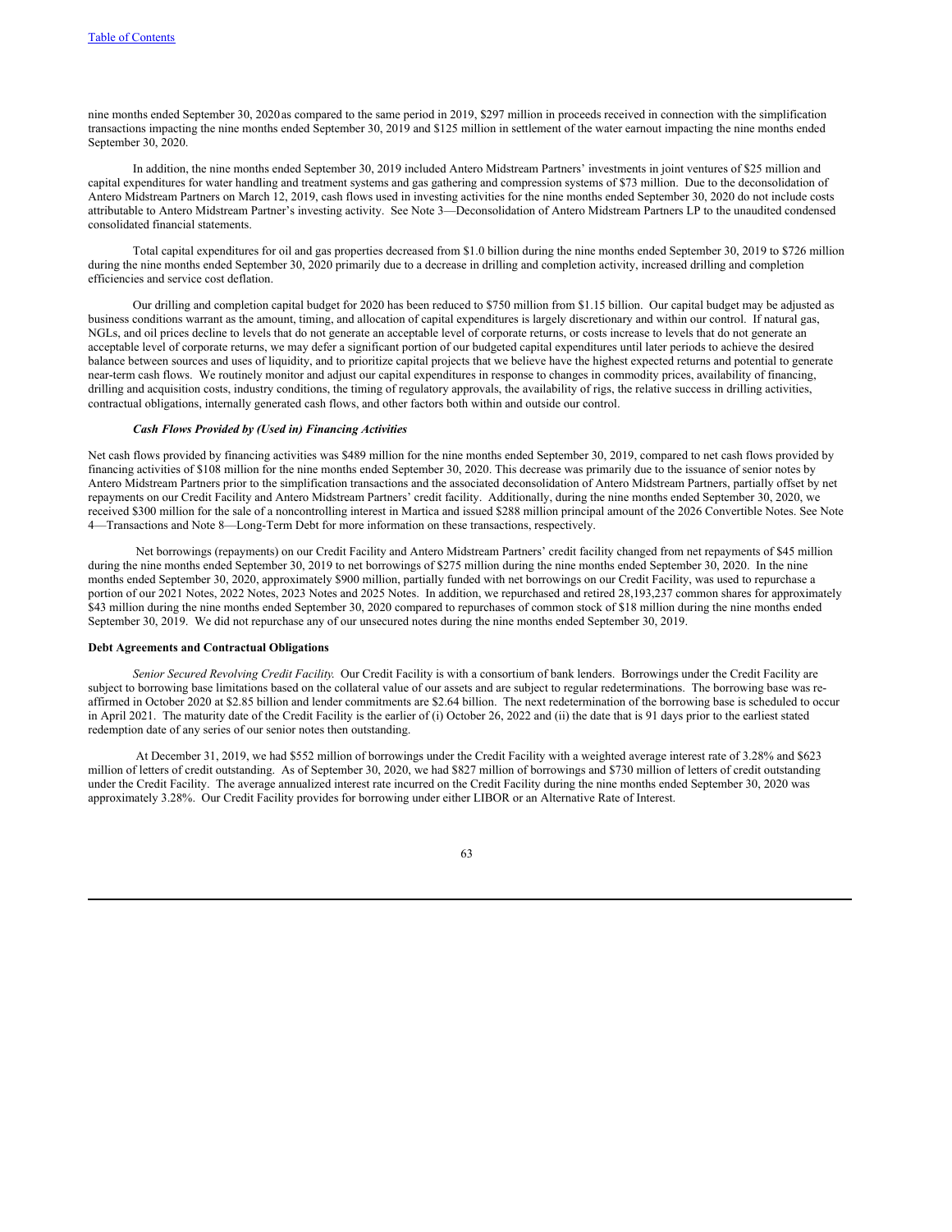nine months ended September 30, 2020as compared to the same period in 2019, \$297 million in proceeds received in connection with the simplification transactions impacting the nine months ended September 30, 2019 and \$125 million in settlement of the water earnout impacting the nine months ended September 30, 2020.

In addition, the nine months ended September 30, 2019 included Antero Midstream Partners' investments in joint ventures of \$25 million and capital expenditures for water handling and treatment systems and gas gathering and compression systems of \$73 million. Due to the deconsolidation of Antero Midstream Partners on March 12, 2019, cash flows used in investing activities for the nine months ended September 30, 2020 do not include costs attributable to Antero Midstream Partner's investing activity. See Note 3—Deconsolidation of Antero Midstream Partners LP to the unaudited condensed consolidated financial statements.

Total capital expenditures for oil and gas properties decreased from \$1.0 billion during the nine months ended September 30, 2019 to \$726 million during the nine months ended September 30, 2020 primarily due to a decrease in drilling and completion activity, increased drilling and completion efficiencies and service cost deflation.

Our drilling and completion capital budget for 2020 has been reduced to \$750 million from \$1.15 billion. Our capital budget may be adjusted as business conditions warrant as the amount, timing, and allocation of capital expenditures is largely discretionary and within our control. If natural gas, NGLs, and oil prices decline to levels that do not generate an acceptable level of corporate returns, or costs increase to levels that do not generate an acceptable level of corporate returns, we may defer a significant portion of our budgeted capital expenditures until later periods to achieve the desired balance between sources and uses of liquidity, and to prioritize capital projects that we believe have the highest expected returns and potential to generate near-term cash flows. We routinely monitor and adjust our capital expenditures in response to changes in commodity prices, availability of financing, drilling and acquisition costs, industry conditions, the timing of regulatory approvals, the availability of rigs, the relative success in drilling activities, contractual obligations, internally generated cash flows, and other factors both within and outside our control.

### *Cash Flows Provided by (Used in) Financing Activities*

Net cash flows provided by financing activities was \$489 million for the nine months ended September 30, 2019, compared to net cash flows provided by financing activities of \$108 million for the nine months ended September 30, 2020. This decrease was primarily due to the issuance of senior notes by Antero Midstream Partners prior to the simplification transactions and the associated deconsolidation of Antero Midstream Partners, partially offset by net repayments on our Credit Facility and Antero Midstream Partners' credit facility. Additionally, during the nine months ended September 30, 2020, we received \$300 million for the sale of a noncontrolling interest in Martica and issued \$288 million principal amount of the 2026 Convertible Notes. See Note 4—Transactions and Note 8—Long-Term Debt for more information on these transactions, respectively.

Net borrowings (repayments) on our Credit Facility and Antero Midstream Partners' credit facility changed from net repayments of \$45 million during the nine months ended September 30, 2019 to net borrowings of \$275 million during the nine months ended September 30, 2020. In the nine months ended September 30, 2020, approximately \$900 million, partially funded with net borrowings on our Credit Facility, was used to repurchase a portion of our 2021 Notes, 2022 Notes, 2023 Notes and 2025 Notes. In addition, we repurchased and retired 28,193,237 common shares for approximately \$43 million during the nine months ended September 30, 2020 compared to repurchases of common stock of \$18 million during the nine months ended September 30, 2019. We did not repurchase any of our unsecured notes during the nine months ended September 30, 2019.

# **Debt Agreements and Contractual Obligations**

*Senior Secured Revolving Credit Facility*. Our Credit Facility is with a consortium of bank lenders. Borrowings under the Credit Facility are subject to borrowing base limitations based on the collateral value of our assets and are subject to regular redeterminations. The borrowing base was reaffirmed in October 2020 at \$2.85 billion and lender commitments are \$2.64 billion. The next redetermination of the borrowing base is scheduled to occur in April 2021. The maturity date of the Credit Facility is the earlier of (i) October 26, 2022 and (ii) the date that is 91 days prior to the earliest stated redemption date of any series of our senior notes then outstanding.

At December 31, 2019, we had \$552 million of borrowings under the Credit Facility with a weighted average interest rate of 3.28% and \$623 million of letters of credit outstanding. As of September 30, 2020, we had \$827 million of borrowings and \$730 million of letters of credit outstanding under the Credit Facility. The average annualized interest rate incurred on the Credit Facility during the nine months ended September 30, 2020 was approximately 3.28%. Our Credit Facility provides for borrowing under either LIBOR or an Alternative Rate of Interest.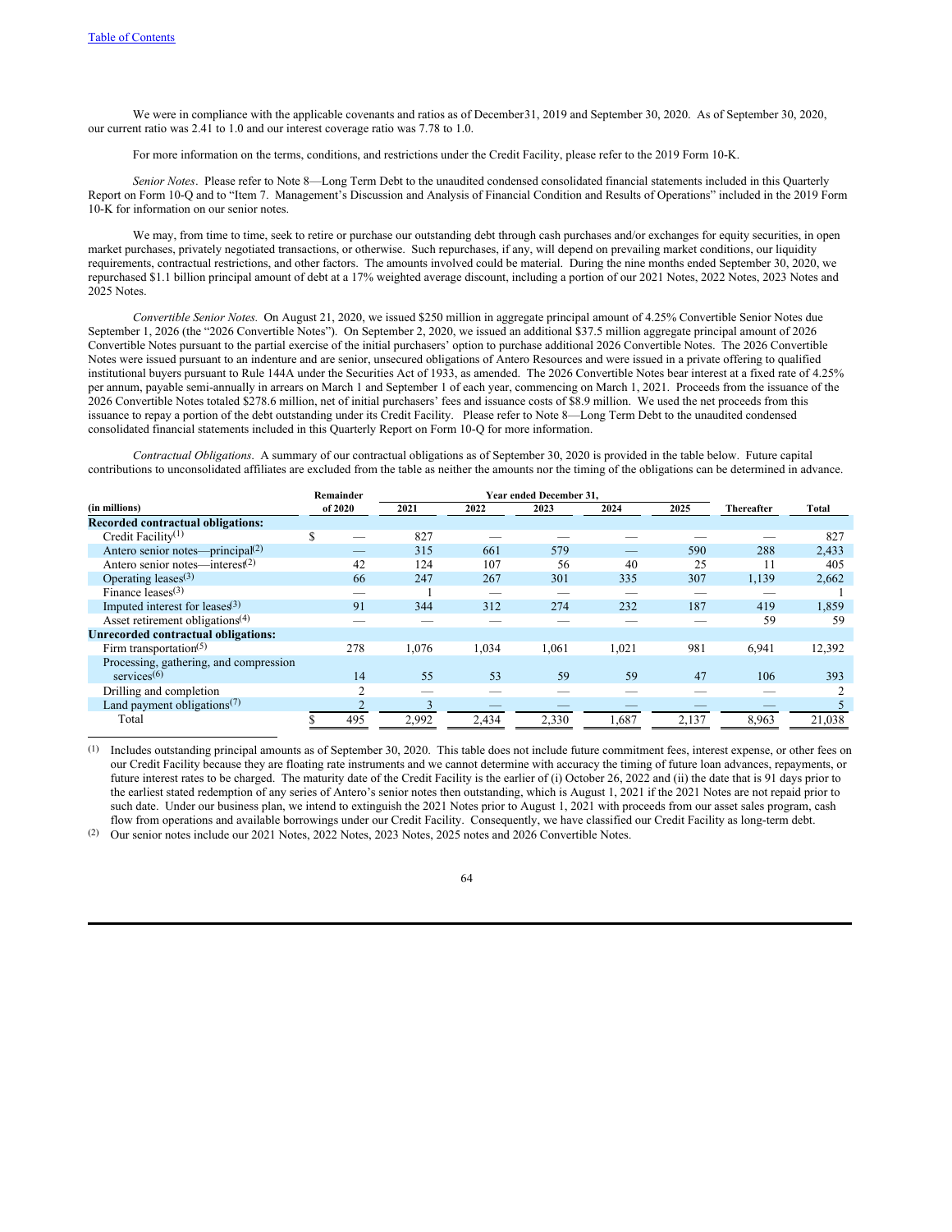We were in compliance with the applicable covenants and ratios as of December 31, 2019 and September 30, 2020. As of September 30, 2020, our current ratio was 2.41 to 1.0 and our interest coverage ratio was 7.78 to 1.0.

For more information on the terms, conditions, and restrictions under the Credit Facility, please refer to the 2019 Form 10-K.

*Senior Notes*. Please refer to Note 8—Long Term Debt to the unaudited condensed consolidated financial statements included in this Quarterly Report on Form 10-Q and to "Item 7. Management's Discussion and Analysis of Financial Condition and Results of Operations" included in the 2019 Form 10-K for information on our senior notes.

We may, from time to time, seek to retire or purchase our outstanding debt through cash purchases and/or exchanges for equity securities, in open market purchases, privately negotiated transactions, or otherwise. Such repurchases, if any, will depend on prevailing market conditions, our liquidity requirements, contractual restrictions, and other factors. The amounts involved could be material. During the nine months ended September 30, 2020, we repurchased \$1.1 billion principal amount of debt at a 17% weighted average discount, including a portion of our 2021 Notes, 2022 Notes, 2023 Notes and 2025 Notes.

*Convertible Senior Notes.* On August 21, 2020, we issued \$250 million in aggregate principal amount of 4.25% Convertible Senior Notes due September 1, 2026 (the "2026 Convertible Notes"). On September 2, 2020, we issued an additional \$37.5 million aggregate principal amount of 2026 Convertible Notes pursuant to the partial exercise of the initial purchasers' option to purchase additional 2026 Convertible Notes. The 2026 Convertible Notes were issued pursuant to an indenture and are senior, unsecured obligations of Antero Resources and were issued in a private offering to qualified institutional buyers pursuant to Rule 144A under the Securities Act of 1933, as amended. The 2026 Convertible Notes bear interest at a fixed rate of 4.25% per annum, payable semi-annually in arrears on March 1 and September 1 of each year, commencing on March 1, 2021. Proceeds from the issuance of the 2026 Convertible Notes totaled \$278.6 million, net of initial purchasers' fees and issuance costs of \$8.9 million. We used the net proceeds from this issuance to repay a portion of the debt outstanding under its Credit Facility. Please refer to Note 8—Long Term Debt to the unaudited condensed consolidated financial statements included in this Quarterly Report on Form 10-Q for more information.

*Contractual Obligations*. A summary of our contractual obligations as of September 30, 2020 is provided in the table below. Future capital contributions to unconsolidated affiliates are excluded from the table as neither the amounts nor the timing of the obligations can be determined in advance.

|                                                          | Remainder |      | Year ended December 31. |            |       |       |                   |              |
|----------------------------------------------------------|-----------|------|-------------------------|------------|-------|-------|-------------------|--------------|
| (in millions)                                            | of 2020   | 2021 | 2022                    | 2023       | 2024  | 2025  | <b>Thereafter</b> | <b>Total</b> |
| <b>Recorded contractual obligations:</b>                 |           |      |                         |            |       |       |                   |              |
| Credit Facility <sup>(1)</sup>                           | \$        |      | 827                     |            |       |       |                   | 827          |
| Antero senior notes—principal $(2)$                      |           |      | 315                     | 579<br>661 |       | 590   | 288               | 2,433        |
| Antero senior notes—interest <sup>(2)</sup>              |           | 42   | 124                     | 107<br>56  | 40    | 25    |                   | 405          |
| Operating leases $(3)$                                   |           | 66   | 247                     | 267<br>301 | 335   | 307   | 1,139             | 2,662        |
| Finance leases $(3)$                                     |           | _    |                         |            |       |       |                   |              |
| Imputed interest for leases $(3)$                        |           | 91   | 344                     | 312<br>274 | 232   | 187   | 419               | 1,859        |
| Asset retirement obligations <sup><math>(4)</math></sup> |           |      |                         |            |       |       | 59                | 59           |
| <b>Unrecorded contractual obligations:</b>               |           |      |                         |            |       |       |                   |              |
| Firm transportation <sup><math>(5)</math></sup>          | 278       |      | 1,076<br>1,034          | 1,061      | 1,021 | 981   | 6,941             | 12,392       |
| Processing, gathering, and compression                   |           |      |                         |            |       |       |                   |              |
| $s$ ervices $(6)$                                        |           | 14   | 55                      | 59<br>53   | 59    | 47    | 106               | 393          |
| Drilling and completion                                  |           |      |                         |            |       |       |                   |              |
| Land payment obligations <sup><math>(7)</math></sup>     |           |      | 3                       |            |       |       |                   |              |
| Total                                                    | 495       |      | 2,992<br>2,434          | 2,330      | 1,687 | 2,137 | 8,963             | 21,038       |

(1) Includes outstanding principal amounts as of September 30, 2020. This table does not include future commitment fees, interest expense, or other fees on our Credit Facility because they are floating rate instruments and we cannot determine with accuracy the timing of future loan advances, repayments, or future interest rates to be charged. The maturity date of the Credit Facility is the earlier of (i) October 26, 2022 and (ii) the date that is 91 days prior to the earliest stated redemption of any series of Antero's senior notes then outstanding, which is August 1, 2021 if the 2021 Notes are not repaid prior to such date. Under our business plan, we intend to extinguish the 2021 Notes prior to August 1, 2021 with proceeds from our asset sales program, cash flow from operations and available borrowings under our Credit Facility. Consequently, we have classified our Credit Facility as long-term debt.

(2) Our senior notes include our 2021 Notes, 2022 Notes, 2023 Notes, 2025 notes and 2026 Convertible Notes.

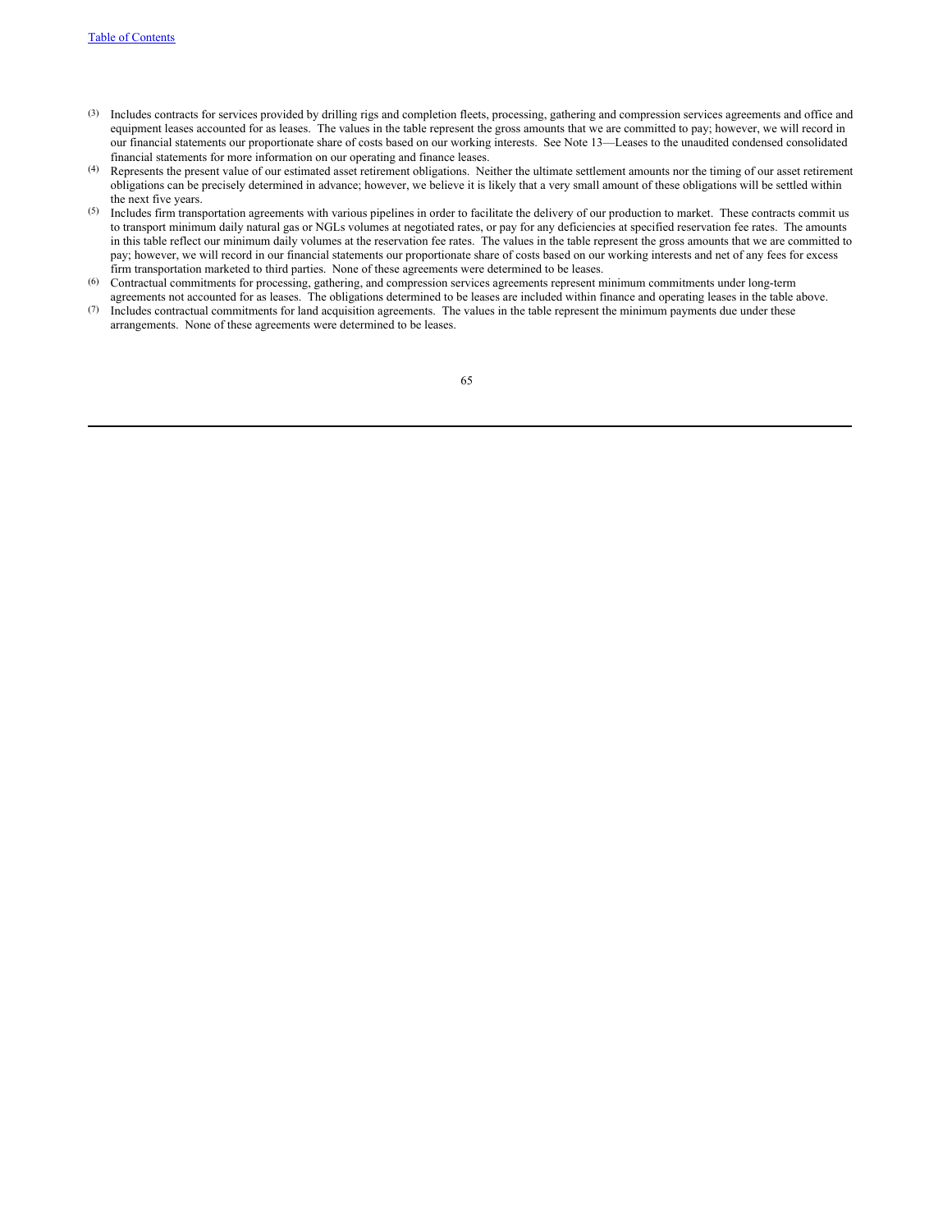- (3) Includes contracts for services provided by drilling rigs and completion fleets, processing, gathering and compression services agreements and office and equipment leases accounted for as leases. The values in the table represent the gross amounts that we are committed to pay; however, we will record in our financial statements our proportionate share of costs based on our working interests. See Note 13—Leases to the unaudited condensed consolidated financial statements for more information on our operating and finance leases.
- (4) Represents the present value of our estimated asset retirement obligations. Neither the ultimate settlement amounts nor the timing of our asset retirement obligations can be precisely determined in advance; however, we believe it is likely that a very small amount of these obligations will be settled within the next five years.
- <sup>(5)</sup> Includes firm transportation agreements with various pipelines in order to facilitate the delivery of our production to market. These contracts commit us to transport minimum daily natural gas or NGLs volumes at negotiated rates, or pay for any deficiencies at specified reservation fee rates. The amounts in this table reflect our minimum daily volumes at the reservation fee rates. The values in the table represent the gross amounts that we are committed to pay; however, we will record in our financial statements our proportionate share of costs based on our working interests and net of any fees for excess firm transportation marketed to third parties. None of these agreements were determined to be leases.
- (6) Contractual commitments for processing, gathering, and compression services agreements represent minimum commitments under long-term agreements not accounted for as leases. The obligations determined to be leases are included within finance and operating leases in the table above.
- (7) Includes contractual commitments for land acquisition agreements. The values in the table represent the minimum payments due under these arrangements. None of these agreements were determined to be leases.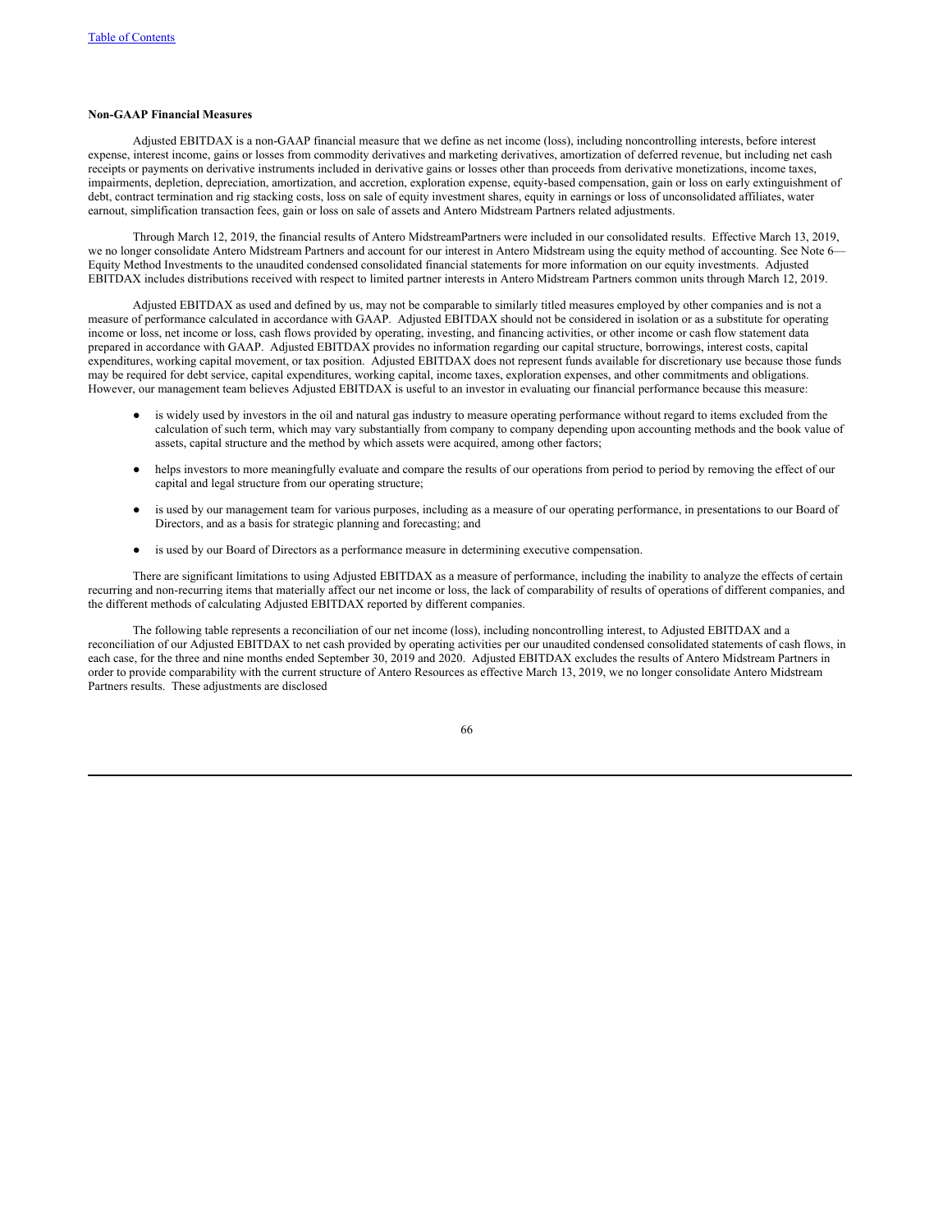## **Non-GAAP Financial Measures**

Adjusted EBITDAX is a non-GAAP financial measure that we define as net income (loss), including noncontrolling interests, before interest expense, interest income, gains or losses from commodity derivatives and marketing derivatives, amortization of deferred revenue, but including net cash receipts or payments on derivative instruments included in derivative gains or losses other than proceeds from derivative monetizations, income taxes, impairments, depletion, depreciation, amortization, and accretion, exploration expense, equity-based compensation, gain or loss on early extinguishment of debt, contract termination and rig stacking costs, loss on sale of equity investment shares, equity in earnings or loss of unconsolidated affiliates, water earnout, simplification transaction fees, gain or loss on sale of assets and Antero Midstream Partners related adjustments.

Through March 12, 2019, the financial results of Antero MidstreamPartners were included in our consolidated results. Effective March 13, 2019, we no longer consolidate Antero Midstream Partners and account for our interest in Antero Midstream using the equity method of accounting. See Note 6— Equity Method Investments to the unaudited condensed consolidated financial statements for more information on our equity investments. Adjusted EBITDAX includes distributions received with respect to limited partner interests in Antero Midstream Partners common units through March 12, 2019.

Adjusted EBITDAX as used and defined by us, may not be comparable to similarly titled measures employed by other companies and is not a measure of performance calculated in accordance with GAAP. Adjusted EBITDAX should not be considered in isolation or as a substitute for operating income or loss, net income or loss, cash flows provided by operating, investing, and financing activities, or other income or cash flow statement data prepared in accordance with GAAP. Adjusted EBITDAX provides no information regarding our capital structure, borrowings, interest costs, capital expenditures, working capital movement, or tax position. Adjusted EBITDAX does not represent funds available for discretionary use because those funds may be required for debt service, capital expenditures, working capital, income taxes, exploration expenses, and other commitments and obligations. However, our management team believes Adjusted EBITDAX is useful to an investor in evaluating our financial performance because this measure:

- is widely used by investors in the oil and natural gas industry to measure operating performance without regard to items excluded from the calculation of such term, which may vary substantially from company to company depending upon accounting methods and the book value of assets, capital structure and the method by which assets were acquired, among other factors;
- helps investors to more meaningfully evaluate and compare the results of our operations from period to period by removing the effect of our capital and legal structure from our operating structure;
- is used by our management team for various purposes, including as a measure of our operating performance, in presentations to our Board of Directors, and as a basis for strategic planning and forecasting; and
- is used by our Board of Directors as a performance measure in determining executive compensation.

There are significant limitations to using Adjusted EBITDAX as a measure of performance, including the inability to analyze the effects of certain recurring and non-recurring items that materially affect our net income or loss, the lack of comparability of results of operations of different companies, and the different methods of calculating Adjusted EBITDAX reported by different companies.

The following table represents a reconciliation of our net income (loss), including noncontrolling interest, to Adjusted EBITDAX and a reconciliation of our Adjusted EBITDAX to net cash provided by operating activities per our unaudited condensed consolidated statements of cash flows, in each case, for the three and nine months ended September 30, 2019 and 2020. Adjusted EBITDAX excludes the results of Antero Midstream Partners in order to provide comparability with the current structure of Antero Resources as effective March 13, 2019, we no longer consolidate Antero Midstream Partners results. These adjustments are disclosed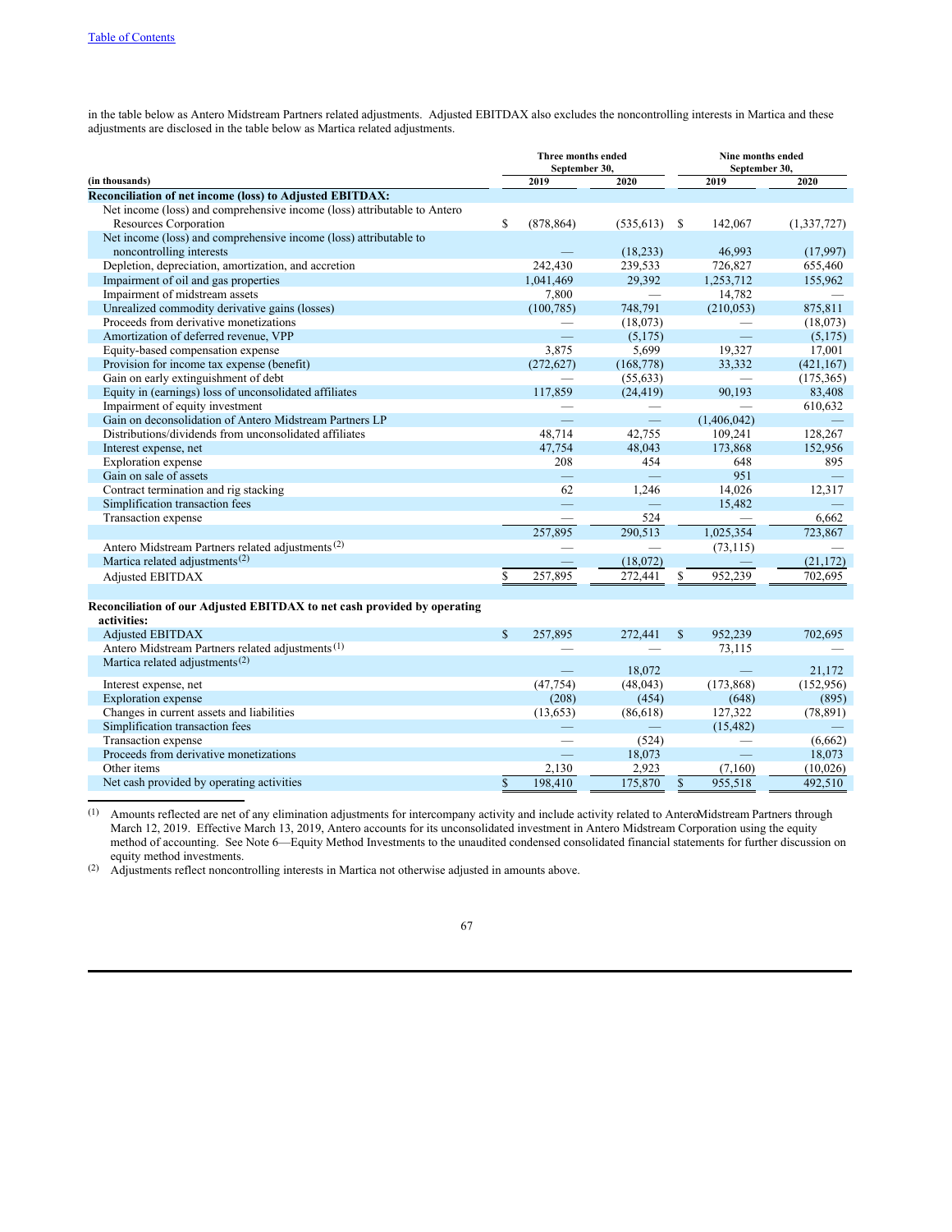in the table below as Antero Midstream Partners related adjustments. Adjusted EBITDAX also excludes the noncontrolling interests in Martica and these adjustments are disclosed in the table below as Martica related adjustments.

|                                                                          | Three months ended<br>September 30, |            |            | Nine months ended<br>September 30, |             |             |  |
|--------------------------------------------------------------------------|-------------------------------------|------------|------------|------------------------------------|-------------|-------------|--|
| (in thousands)                                                           |                                     | 2019       | 2020       |                                    | 2019        | 2020        |  |
| Reconciliation of net income (loss) to Adjusted EBITDAX:                 |                                     |            |            |                                    |             |             |  |
| Net income (loss) and comprehensive income (loss) attributable to Antero |                                     |            |            |                                    |             |             |  |
| Resources Corporation                                                    | S.                                  | (878, 864) | (535, 613) | $\mathbf{s}$                       | 142,067     | (1,337,727) |  |
| Net income (loss) and comprehensive income (loss) attributable to        |                                     |            |            |                                    |             |             |  |
| noncontrolling interests                                                 |                                     |            | (18, 233)  |                                    | 46,993      | (17,997)    |  |
| Depletion, depreciation, amortization, and accretion                     |                                     | 242,430    | 239,533    |                                    | 726,827     | 655,460     |  |
| Impairment of oil and gas properties                                     |                                     | 1,041,469  | 29,392     |                                    | 1,253,712   | 155,962     |  |
| Impairment of midstream assets                                           |                                     | 7,800      |            |                                    | 14,782      |             |  |
| Unrealized commodity derivative gains (losses)                           |                                     | (100, 785) | 748,791    |                                    | (210, 053)  | 875,811     |  |
| Proceeds from derivative monetizations                                   |                                     |            | (18,073)   |                                    |             | (18,073)    |  |
| Amortization of deferred revenue, VPP                                    |                                     |            | (5,175)    |                                    |             | (5,175)     |  |
| Equity-based compensation expense                                        |                                     | 3,875      | 5,699      |                                    | 19,327      | 17,001      |  |
| Provision for income tax expense (benefit)                               |                                     | (272, 627) | (168, 778) |                                    | 33,332      | (421, 167)  |  |
| Gain on early extinguishment of debt                                     |                                     |            | (55, 633)  |                                    |             | (175, 365)  |  |
| Equity in (earnings) loss of unconsolidated affiliates                   |                                     | 117,859    | (24, 419)  |                                    | 90,193      | 83,408      |  |
| Impairment of equity investment                                          |                                     |            |            |                                    |             | 610,632     |  |
| Gain on deconsolidation of Antero Midstream Partners LP                  |                                     |            |            |                                    | (1,406,042) |             |  |
| Distributions/dividends from unconsolidated affiliates                   |                                     | 48,714     | 42,755     |                                    | 109,241     | 128,267     |  |
| Interest expense, net                                                    |                                     | 47,754     | 48,043     |                                    | 173,868     | 152,956     |  |
| <b>Exploration</b> expense                                               |                                     | 208        | 454        |                                    | 648         | 895         |  |
| Gain on sale of assets                                                   |                                     |            |            |                                    | 951         |             |  |
| Contract termination and rig stacking                                    |                                     | 62         | 1,246      |                                    | 14,026      | 12,317      |  |
| Simplification transaction fees                                          |                                     |            |            |                                    | 15,482      |             |  |
| Transaction expense                                                      |                                     |            | 524        |                                    |             | 6,662       |  |
|                                                                          |                                     | 257,895    | 290,513    |                                    | 1,025,354   | 723,867     |  |
| Antero Midstream Partners related adjustments <sup>(2)</sup>             |                                     |            |            |                                    | (73, 115)   |             |  |
| Martica related adjustments <sup>(2)</sup>                               |                                     |            | (18,072)   |                                    |             | (21, 172)   |  |
| <b>Adjusted EBITDAX</b>                                                  | \$                                  | 257,895    | 272,441    | \$                                 | 952,239     | 702,695     |  |
|                                                                          |                                     |            |            |                                    |             |             |  |
| Reconciliation of our Adjusted EBITDAX to net cash provided by operating |                                     |            |            |                                    |             |             |  |
| activities:                                                              |                                     |            |            |                                    |             |             |  |

| <b>Adjusted EBITDAX</b>                                      | \$<br>257,895 | 272,441   | <sup>\$</sup> | 952,239    | 702,695    |
|--------------------------------------------------------------|---------------|-----------|---------------|------------|------------|
| Antero Midstream Partners related adjustments <sup>(1)</sup> |               |           |               | 73,115     |            |
| Martica related adjustments <sup>(2)</sup>                   |               | 18,072    |               | _          | 21,172     |
| Interest expense, net                                        | (47, 754)     | (48, 043) |               | (173, 868) | (152, 956) |
| Exploration expense                                          | (208)         | (454)     |               | (648)      | (895)      |
| Changes in current assets and liabilities                    | (13, 653)     | (86, 618) |               | 127,322    | (78, 891)  |
| Simplification transaction fees                              |               |           |               | (15, 482)  |            |
| Transaction expense                                          |               | (524)     |               |            | (6,662)    |
| Proceeds from derivative monetizations                       |               | 18.073    |               |            | 18,073     |
| Other items                                                  | 2,130         | 2,923     |               | (7,160)    | (10,026)   |
| Net cash provided by operating activities                    | 198,410       | 175,870   |               | 955,518    | 492,510    |

(1) Amounts reflected are net of any elimination adjustments for intercompany activity and include activity related to AnteroMidstream Partners through March 12, 2019. Effective March 13, 2019, Antero accounts for its unconsolidated investment in Antero Midstream Corporation using the equity method of accounting. See Note 6—Equity Method Investments to the unaudited condensed consolidated financial statements for further discussion on equity method investments.

(2) Adjustments reflect noncontrolling interests in Martica not otherwise adjusted in amounts above.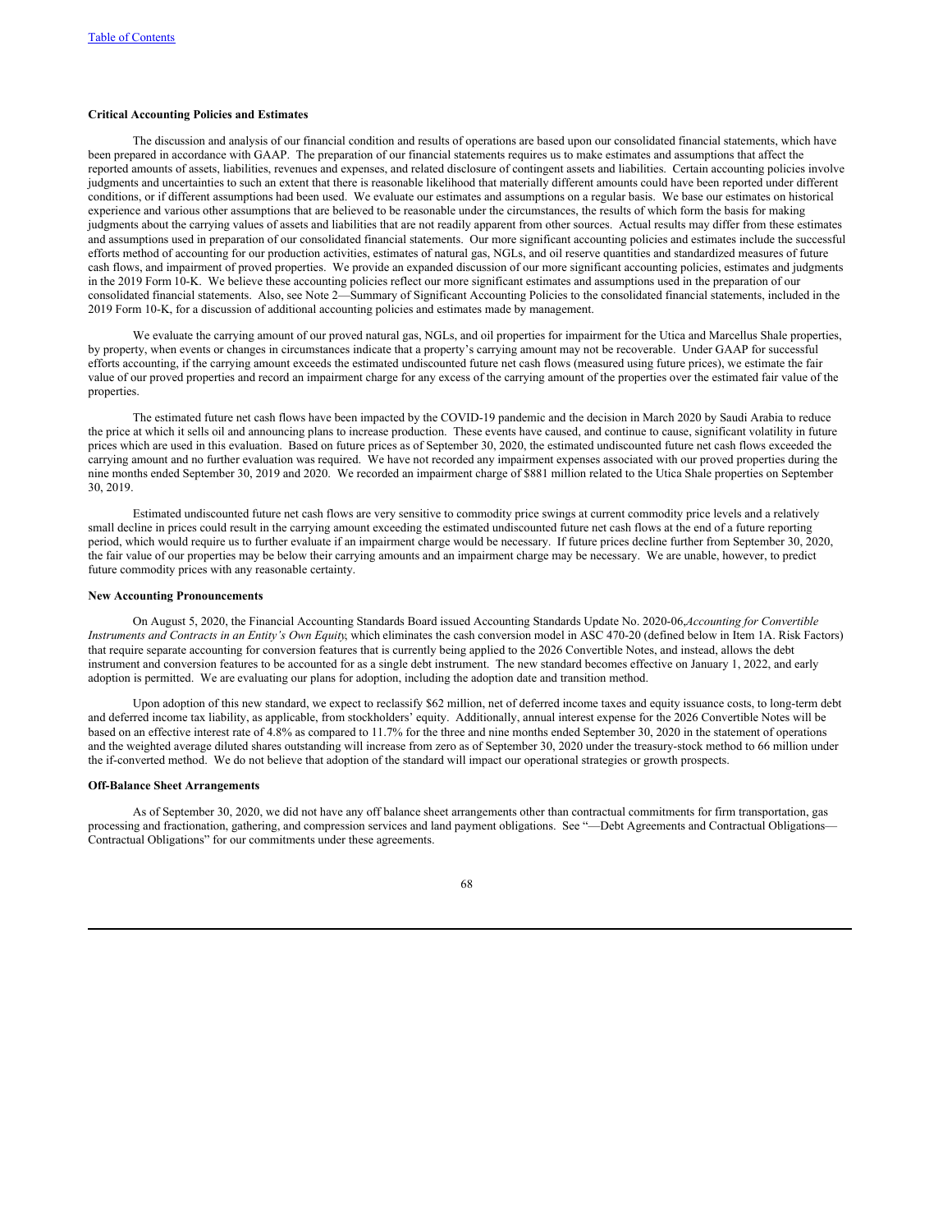### **Critical Accounting Policies and Estimates**

The discussion and analysis of our financial condition and results of operations are based upon our consolidated financial statements, which have been prepared in accordance with GAAP. The preparation of our financial statements requires us to make estimates and assumptions that affect the reported amounts of assets, liabilities, revenues and expenses, and related disclosure of contingent assets and liabilities. Certain accounting policies involve judgments and uncertainties to such an extent that there is reasonable likelihood that materially different amounts could have been reported under different conditions, or if different assumptions had been used. We evaluate our estimates and assumptions on a regular basis. We base our estimates on historical experience and various other assumptions that are believed to be reasonable under the circumstances, the results of which form the basis for making judgments about the carrying values of assets and liabilities that are not readily apparent from other sources. Actual results may differ from these estimates and assumptions used in preparation of our consolidated financial statements. Our more significant accounting policies and estimates include the successful efforts method of accounting for our production activities, estimates of natural gas, NGLs, and oil reserve quantities and standardized measures of future cash flows, and impairment of proved properties. We provide an expanded discussion of our more significant accounting policies, estimates and judgments in the 2019 Form 10-K. We believe these accounting policies reflect our more significant estimates and assumptions used in the preparation of our consolidated financial statements. Also, see Note 2—Summary of Significant Accounting Policies to the consolidated financial statements, included in the 2019 Form 10-K, for a discussion of additional accounting policies and estimates made by management.

We evaluate the carrying amount of our proved natural gas, NGLs, and oil properties for impairment for the Utica and Marcellus Shale properties, by property, when events or changes in circumstances indicate that a property's carrying amount may not be recoverable. Under GAAP for successful efforts accounting, if the carrying amount exceeds the estimated undiscounted future net cash flows (measured using future prices), we estimate the fair value of our proved properties and record an impairment charge for any excess of the carrying amount of the properties over the estimated fair value of the properties.

The estimated future net cash flows have been impacted by the COVID-19 pandemic and the decision in March 2020 by Saudi Arabia to reduce the price at which it sells oil and announcing plans to increase production. These events have caused, and continue to cause, significant volatility in future prices which are used in this evaluation. Based on future prices as of September 30, 2020, the estimated undiscounted future net cash flows exceeded the carrying amount and no further evaluation was required. We have not recorded any impairment expenses associated with our proved properties during the nine months ended September 30, 2019 and 2020. We recorded an impairment charge of \$881 million related to the Utica Shale properties on September 30, 2019.

Estimated undiscounted future net cash flows are very sensitive to commodity price swings at current commodity price levels and a relatively small decline in prices could result in the carrying amount exceeding the estimated undiscounted future net cash flows at the end of a future reporting period, which would require us to further evaluate if an impairment charge would be necessary. If future prices decline further from September 30, 2020, the fair value of our properties may be below their carrying amounts and an impairment charge may be necessary. We are unable, however, to predict future commodity prices with any reasonable certainty.

### **New Accounting Pronouncements**

On August 5, 2020, the Financial Accounting Standards Board issued Accounting Standards Update No. 2020-06,*Accounting for Convertible Instruments and Contracts in an Entity's Own Equity*, which eliminates the cash conversion model in ASC 470-20 (defined below in Item 1A. Risk Factors) that require separate accounting for conversion features that is currently being applied to the 2026 Convertible Notes, and instead, allows the debt instrument and conversion features to be accounted for as a single debt instrument. The new standard becomes effective on January 1, 2022, and early adoption is permitted. We are evaluating our plans for adoption, including the adoption date and transition method.

Upon adoption of this new standard, we expect to reclassify \$62 million, net of deferred income taxes and equity issuance costs, to long-term debt and deferred income tax liability, as applicable, from stockholders' equity. Additionally, annual interest expense for the 2026 Convertible Notes will be based on an effective interest rate of 4.8% as compared to 11.7% for the three and nine months ended September 30, 2020 in the statement of operations and the weighted average diluted shares outstanding will increase from zero as of September 30, 2020 under the treasury-stock method to 66 million under the if-converted method. We do not believe that adoption of the standard will impact our operational strategies or growth prospects.

### **Off-Balance Sheet Arrangements**

As of September 30, 2020, we did not have any off balance sheet arrangements other than contractual commitments for firm transportation, gas processing and fractionation, gathering, and compression services and land payment obligations. See "—Debt Agreements and Contractual Obligations— Contractual Obligations" for our commitments under these agreements.

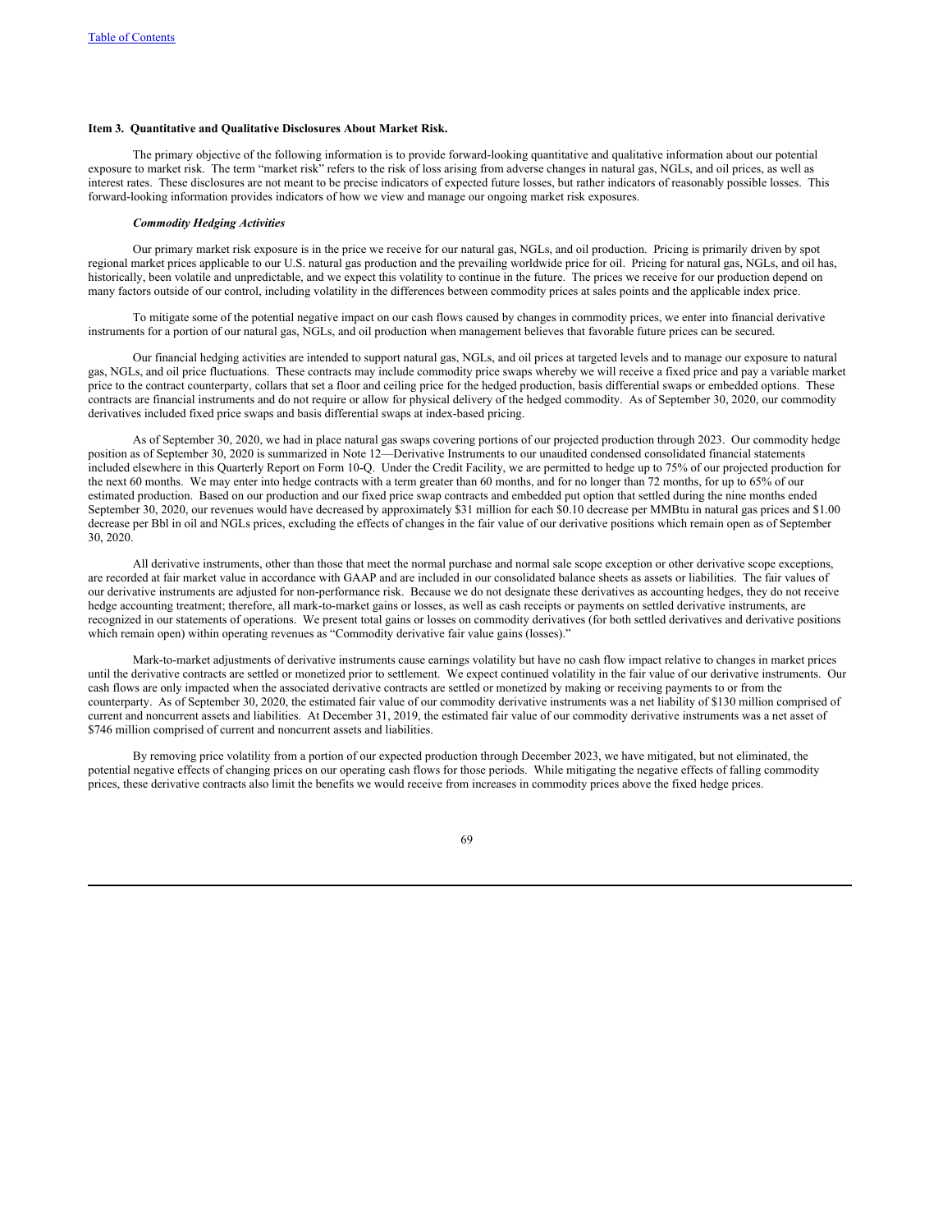## **Item 3. Quantitative and Qualitative Disclosures About Market Risk.**

The primary objective of the following information is to provide forward-looking quantitative and qualitative information about our potential exposure to market risk. The term "market risk" refers to the risk of loss arising from adverse changes in natural gas, NGLs, and oil prices, as well as interest rates. These disclosures are not meant to be precise indicators of expected future losses, but rather indicators of reasonably possible losses. This forward-looking information provides indicators of how we view and manage our ongoing market risk exposures.

## *Commodity Hedging Activities*

Our primary market risk exposure is in the price we receive for our natural gas, NGLs, and oil production. Pricing is primarily driven by spot regional market prices applicable to our U.S. natural gas production and the prevailing worldwide price for oil. Pricing for natural gas, NGLs, and oil has, historically, been volatile and unpredictable, and we expect this volatility to continue in the future. The prices we receive for our production depend on many factors outside of our control, including volatility in the differences between commodity prices at sales points and the applicable index price.

To mitigate some of the potential negative impact on our cash flows caused by changes in commodity prices, we enter into financial derivative instruments for a portion of our natural gas, NGLs, and oil production when management believes that favorable future prices can be secured.

Our financial hedging activities are intended to support natural gas, NGLs, and oil prices at targeted levels and to manage our exposure to natural gas, NGLs, and oil price fluctuations. These contracts may include commodity price swaps whereby we will receive a fixed price and pay a variable market price to the contract counterparty, collars that set a floor and ceiling price for the hedged production, basis differential swaps or embedded options. These contracts are financial instruments and do not require or allow for physical delivery of the hedged commodity. As of September 30, 2020, our commodity derivatives included fixed price swaps and basis differential swaps at index-based pricing.

As of September 30, 2020, we had in place natural gas swaps covering portions of our projected production through 2023. Our commodity hedge position as of September 30, 2020 is summarized in Note 12—Derivative Instruments to our unaudited condensed consolidated financial statements included elsewhere in this Quarterly Report on Form 10-Q. Under the Credit Facility, we are permitted to hedge up to 75% of our projected production for the next 60 months. We may enter into hedge contracts with a term greater than 60 months, and for no longer than 72 months, for up to 65% of our estimated production. Based on our production and our fixed price swap contracts and embedded put option that settled during the nine months ended September 30, 2020, our revenues would have decreased by approximately \$31 million for each \$0.10 decrease per MMBtu in natural gas prices and \$1.00 decrease per Bbl in oil and NGLs prices, excluding the effects of changes in the fair value of our derivative positions which remain open as of September 30, 2020.

All derivative instruments, other than those that meet the normal purchase and normal sale scope exception or other derivative scope exceptions, are recorded at fair market value in accordance with GAAP and are included in our consolidated balance sheets as assets or liabilities. The fair values of our derivative instruments are adjusted for non-performance risk. Because we do not designate these derivatives as accounting hedges, they do not receive hedge accounting treatment; therefore, all mark-to-market gains or losses, as well as cash receipts or payments on settled derivative instruments, are recognized in our statements of operations. We present total gains or losses on commodity derivatives (for both settled derivatives and derivative positions which remain open) within operating revenues as "Commodity derivative fair value gains (losses)."

Mark-to-market adjustments of derivative instruments cause earnings volatility but have no cash flow impact relative to changes in market prices until the derivative contracts are settled or monetized prior to settlement. We expect continued volatility in the fair value of our derivative instruments. Our cash flows are only impacted when the associated derivative contracts are settled or monetized by making or receiving payments to or from the counterparty. As of September 30, 2020, the estimated fair value of our commodity derivative instruments was a net liability of \$130 million comprised of current and noncurrent assets and liabilities. At December 31, 2019, the estimated fair value of our commodity derivative instruments was a net asset of \$746 million comprised of current and noncurrent assets and liabilities.

By removing price volatility from a portion of our expected production through December 2023, we have mitigated, but not eliminated, the potential negative effects of changing prices on our operating cash flows for those periods. While mitigating the negative effects of falling commodity prices, these derivative contracts also limit the benefits we would receive from increases in commodity prices above the fixed hedge prices.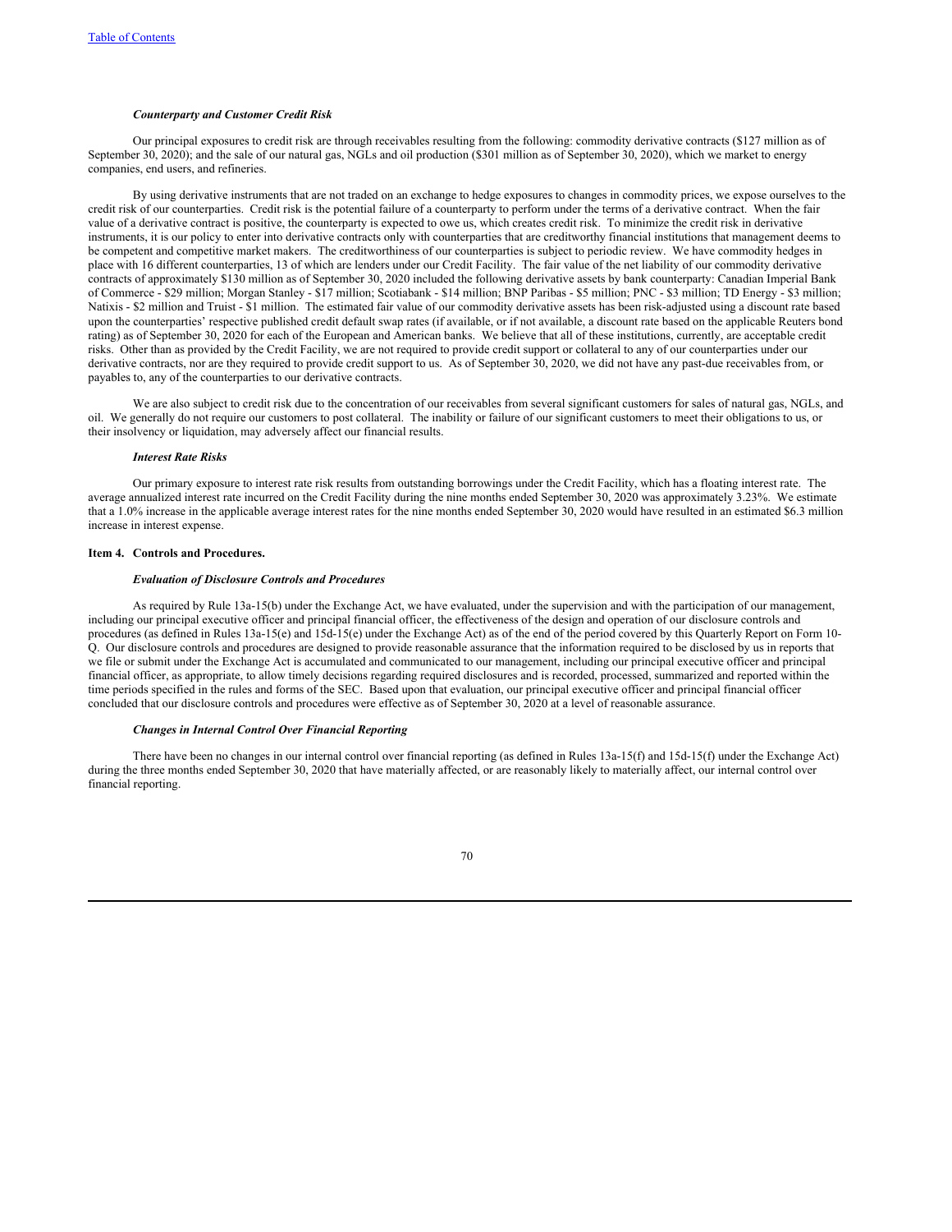### *Counterparty and Customer Credit Risk*

Our principal exposures to credit risk are through receivables resulting from the following: commodity derivative contracts (\$127 million as of September 30, 2020); and the sale of our natural gas, NGLs and oil production (\$301 million as of September 30, 2020), which we market to energy companies, end users, and refineries.

By using derivative instruments that are not traded on an exchange to hedge exposures to changes in commodity prices, we expose ourselves to the credit risk of our counterparties. Credit risk is the potential failure of a counterparty to perform under the terms of a derivative contract. When the fair value of a derivative contract is positive, the counterparty is expected to owe us, which creates credit risk. To minimize the credit risk in derivative instruments, it is our policy to enter into derivative contracts only with counterparties that are creditworthy financial institutions that management deems to be competent and competitive market makers. The creditworthiness of our counterparties is subject to periodic review. We have commodity hedges in place with 16 different counterparties, 13 of which are lenders under our Credit Facility. The fair value of the net liability of our commodity derivative contracts of approximately \$130 million as of September 30, 2020 included the following derivative assets by bank counterparty: Canadian Imperial Bank of Commerce - \$29 million; Morgan Stanley - \$17 million; Scotiabank - \$14 million; BNP Paribas - \$5 million; PNC - \$3 million; TD Energy - \$3 million; Natixis - \$2 million and Truist - \$1 million. The estimated fair value of our commodity derivative assets has been risk-adjusted using a discount rate based upon the counterparties' respective published credit default swap rates (if available, or if not available, a discount rate based on the applicable Reuters bond rating) as of September 30, 2020 for each of the European and American banks. We believe that all of these institutions, currently, are acceptable credit risks. Other than as provided by the Credit Facility, we are not required to provide credit support or collateral to any of our counterparties under our derivative contracts, nor are they required to provide credit support to us. As of September 30, 2020, we did not have any past-due receivables from, or payables to, any of the counterparties to our derivative contracts.

We are also subject to credit risk due to the concentration of our receivables from several significant customers for sales of natural gas, NGLs, and oil. We generally do not require our customers to post collateral. The inability or failure of our significant customers to meet their obligations to us, or their insolvency or liquidation, may adversely affect our financial results.

### *Interest Rate Risks*

Our primary exposure to interest rate risk results from outstanding borrowings under the Credit Facility, which has a floating interest rate. The average annualized interest rate incurred on the Credit Facility during the nine months ended September 30, 2020 was approximately 3.23%. We estimate that a 1.0% increase in the applicable average interest rates for the nine months ended September 30, 2020 would have resulted in an estimated \$6.3 million increase in interest expense.

## **Item 4. Controls and Procedures.**

### *Evaluation of Disclosure Controls and Procedures*

As required by Rule 13a-15(b) under the Exchange Act, we have evaluated, under the supervision and with the participation of our management, including our principal executive officer and principal financial officer, the effectiveness of the design and operation of our disclosure controls and procedures (as defined in Rules 13a-15(e) and 15d-15(e) under the Exchange Act) as of the end of the period covered by this Quarterly Report on Form 10- Q. Our disclosure controls and procedures are designed to provide reasonable assurance that the information required to be disclosed by us in reports that we file or submit under the Exchange Act is accumulated and communicated to our management, including our principal executive officer and principal financial officer, as appropriate, to allow timely decisions regarding required disclosures and is recorded, processed, summarized and reported within the time periods specified in the rules and forms of the SEC. Based upon that evaluation, our principal executive officer and principal financial officer concluded that our disclosure controls and procedures were effective as of September 30, 2020 at a level of reasonable assurance.

### *Changes in Internal Control Over Financial Reporting*

There have been no changes in our internal control over financial reporting (as defined in Rules 13a-15(f) and 15d-15(f) under the Exchange Act) during the three months ended September 30, 2020 that have materially affected, or are reasonably likely to materially affect, our internal control over financial reporting.

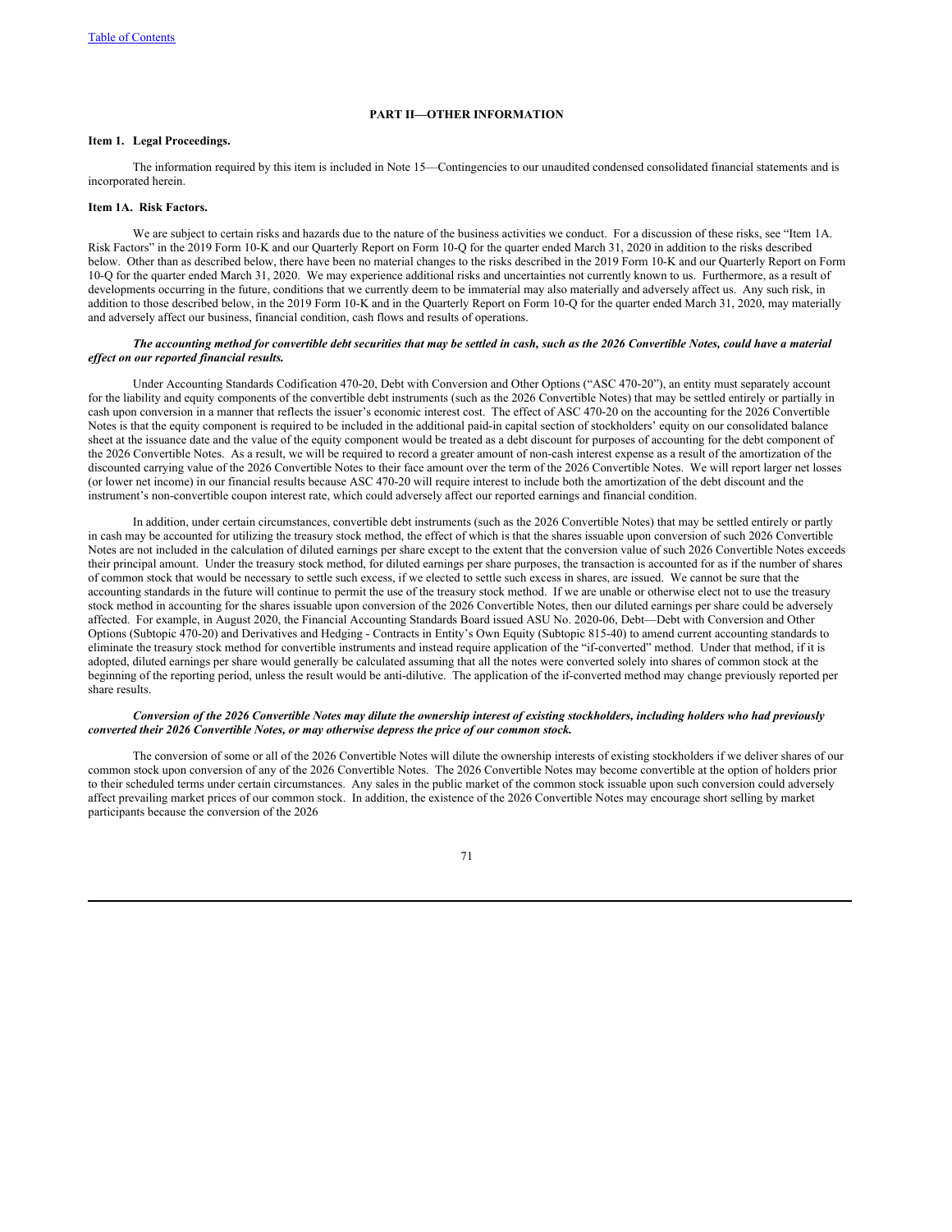## **PART II—OTHER INFORMATION**

## **Item 1. Legal Proceedings.**

The information required by this item is included in Note 15—Contingencies to our unaudited condensed consolidated financial statements and is incorporated herein.

### **Item 1A. Risk Factors.**

We are subject to certain risks and hazards due to the nature of the business activities we conduct. For a discussion of these risks, see "Item 1A. Risk Factors" in the 2019 Form 10-K and our Quarterly Report on Form 10-Q for the quarter ended March 31, 2020 in addition to the risks described below. Other than as described below, there have been no material changes to the risks described in the 2019 Form 10-K and our Quarterly Report on Form 10-Q for the quarter ended March 31, 2020. We may experience additional risks and uncertainties not currently known to us. Furthermore, as a result of developments occurring in the future, conditions that we currently deem to be immaterial may also materially and adversely affect us. Any such risk, in addition to those described below, in the 2019 Form 10-K and in the Quarterly Report on Form 10-Q for the quarter ended March 31, 2020, may materially and adversely affect our business, financial condition, cash flows and results of operations.

## The accounting method for convertible debt securities that may be settled in cash, such as the 2026 Convertible Notes, could have a material *ef ect on our reported financial results.*

Under Accounting Standards Codification 470-20, Debt with Conversion and Other Options ("ASC 470-20"), an entity must separately account for the liability and equity components of the convertible debt instruments (such as the 2026 Convertible Notes) that may be settled entirely or partially in cash upon conversion in a manner that reflects the issuer's economic interest cost. The effect of ASC 470-20 on the accounting for the 2026 Convertible Notes is that the equity component is required to be included in the additional paid-in capital section of stockholders' equity on our consolidated balance sheet at the issuance date and the value of the equity component would be treated as a debt discount for purposes of accounting for the debt component of the 2026 Convertible Notes. As a result, we will be required to record a greater amount of non-cash interest expense as a result of the amortization of the discounted carrying value of the 2026 Convertible Notes to their face amount over the term of the 2026 Convertible Notes. We will report larger net losses (or lower net income) in our financial results because ASC 470-20 will require interest to include both the amortization of the debt discount and the instrument's non-convertible coupon interest rate, which could adversely affect our reported earnings and financial condition.

In addition, under certain circumstances, convertible debt instruments (such as the 2026 Convertible Notes) that may be settled entirely or partly in cash may be accounted for utilizing the treasury stock method, the effect of which is that the shares issuable upon conversion of such 2026 Convertible Notes are not included in the calculation of diluted earnings per share except to the extent that the conversion value of such 2026 Convertible Notes exceeds their principal amount. Under the treasury stock method, for diluted earnings per share purposes, the transaction is accounted for as if the number of shares of common stock that would be necessary to settle such excess, if we elected to settle such excess in shares, are issued. We cannot be sure that the accounting standards in the future will continue to permit the use of the treasury stock method. If we are unable or otherwise elect not to use the treasury stock method in accounting for the shares issuable upon conversion of the 2026 Convertible Notes, then our diluted earnings per share could be adversely affected. For example, in August 2020, the Financial Accounting Standards Board issued ASU No. 2020-06, Debt—Debt with Conversion and Other Options (Subtopic 470-20) and Derivatives and Hedging - Contracts in Entity's Own Equity (Subtopic 815-40) to amend current accounting standards to eliminate the treasury stock method for convertible instruments and instead require application of the "if-converted" method. Under that method, if it is adopted, diluted earnings per share would generally be calculated assuming that all the notes were converted solely into shares of common stock at the beginning of the reporting period, unless the result would be anti-dilutive. The application of the if-converted method may change previously reported per share results.

## Conversion of the 2026 Convertible Notes may dilute the ownership interest of existing stockholders, including holders who had previously *converted their 2026 Convertible Notes, or may otherwise depress the price of our common stock.*

The conversion of some or all of the 2026 Convertible Notes will dilute the ownership interests of existing stockholders if we deliver shares of our common stock upon conversion of any of the 2026 Convertible Notes. The 2026 Convertible Notes may become convertible at the option of holders prior to their scheduled terms under certain circumstances. Any sales in the public market of the common stock issuable upon such conversion could adversely affect prevailing market prices of our common stock. In addition, the existence of the 2026 Convertible Notes may encourage short selling by market participants because the conversion of the 2026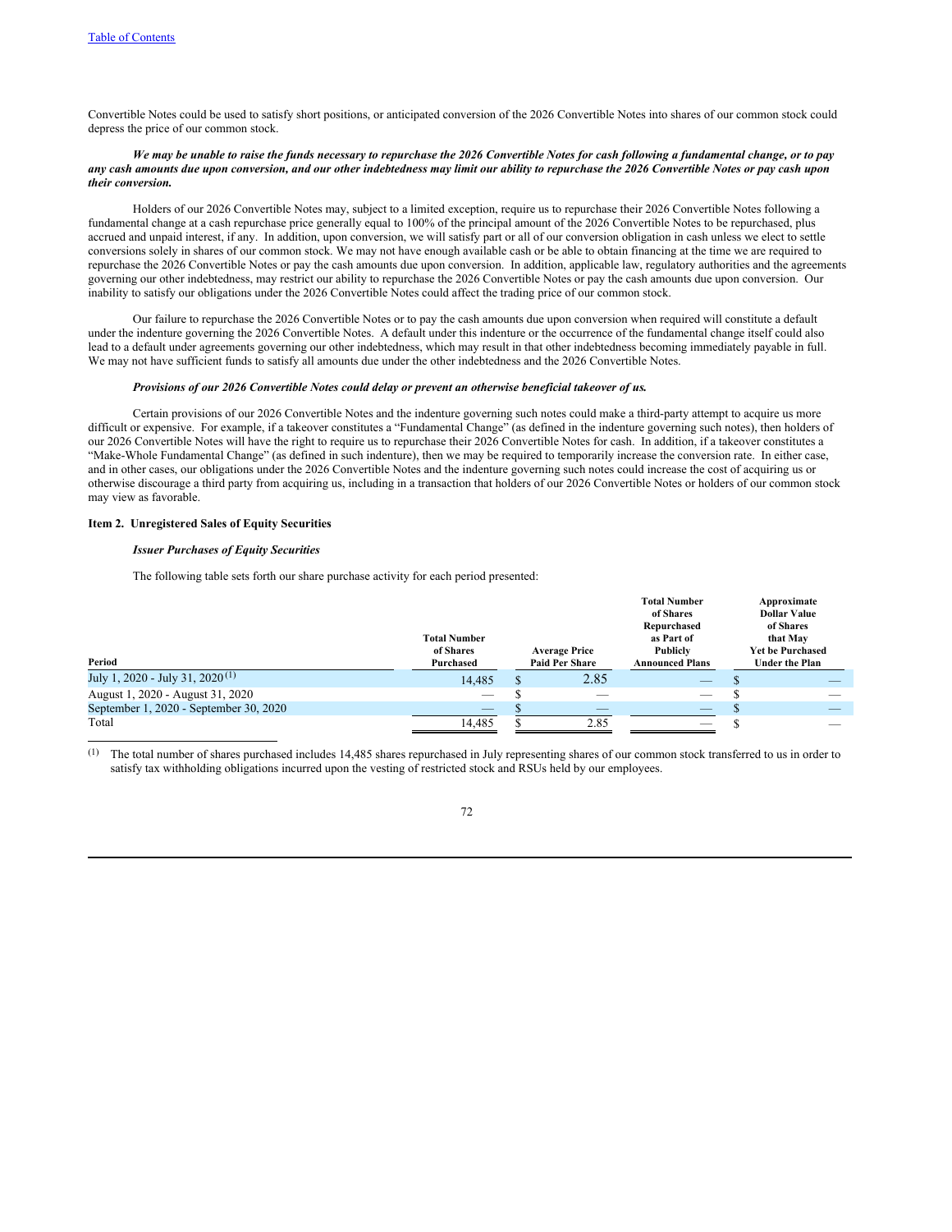Convertible Notes could be used to satisfy short positions, or anticipated conversion of the 2026 Convertible Notes into shares of our common stock could depress the price of our common stock.

#### We may be unable to raise the funds necessary to repurchase the 2026 Convertible Notes for cash following a fundamental change, or to pay any cash amounts due upon conversion, and our other indebtedness may limit our ability to repurchase the 2026 Convertible Notes or pay cash upon *their conversion.*

Holders of our 2026 Convertible Notes may, subject to a limited exception, require us to repurchase their 2026 Convertible Notes following a fundamental change at a cash repurchase price generally equal to 100% of the principal amount of the 2026 Convertible Notes to be repurchased, plus accrued and unpaid interest, if any. In addition, upon conversion, we will satisfy part or all of our conversion obligation in cash unless we elect to settle conversions solely in shares of our common stock. We may not have enough available cash or be able to obtain financing at the time we are required to repurchase the 2026 Convertible Notes or pay the cash amounts due upon conversion. In addition, applicable law, regulatory authorities and the agreements governing our other indebtedness, may restrict our ability to repurchase the 2026 Convertible Notes or pay the cash amounts due upon conversion. Our inability to satisfy our obligations under the 2026 Convertible Notes could affect the trading price of our common stock.

Our failure to repurchase the 2026 Convertible Notes or to pay the cash amounts due upon conversion when required will constitute a default under the indenture governing the 2026 Convertible Notes. A default under this indenture or the occurrence of the fundamental change itself could also lead to a default under agreements governing our other indebtedness, which may result in that other indebtedness becoming immediately payable in full. We may not have sufficient funds to satisfy all amounts due under the other indebtedness and the 2026 Convertible Notes.

#### *Provisions of our 2026 Convertible Notes could delay or prevent an otherwise beneficial takeover of us.*

Certain provisions of our 2026 Convertible Notes and the indenture governing such notes could make a third-party attempt to acquire us more difficult or expensive. For example, if a takeover constitutes a "Fundamental Change" (as defined in the indenture governing such notes), then holders of our 2026 Convertible Notes will have the right to require us to repurchase their 2026 Convertible Notes for cash. In addition, if a takeover constitutes a "Make-Whole Fundamental Change" (as defined in such indenture), then we may be required to temporarily increase the conversion rate. In either case, and in other cases, our obligations under the 2026 Convertible Notes and the indenture governing such notes could increase the cost of acquiring us or otherwise discourage a third party from acquiring us, including in a transaction that holders of our 2026 Convertible Notes or holders of our common stock may view as favorable.

#### **Item 2. Unregistered Sales of Equity Securities**

#### *Issuer Purchases of Equity Securities*

The following table sets forth our share purchase activity for each period presented:

|                                             | <b>Total Number</b><br>of Shares |   | <b>Average Price</b>  | <b>Total Number</b><br>of Shares<br>Repurchased<br>as Part of<br><b>Publicly</b> | Approximate<br><b>Dollar Value</b><br>of Shares<br>that May<br><b>Yet be Purchased</b> |
|---------------------------------------------|----------------------------------|---|-----------------------|----------------------------------------------------------------------------------|----------------------------------------------------------------------------------------|
| Period                                      | Purchased                        |   | <b>Paid Per Share</b> | <b>Announced Plans</b>                                                           | <b>Under the Plan</b>                                                                  |
| July 1, 2020 - July 31, 2020 <sup>(1)</sup> | 14.485                           | S | 2.85                  | $\qquad \qquad - \qquad$                                                         |                                                                                        |
| August 1, 2020 - August 31, 2020            |                                  |   |                       | __                                                                               |                                                                                        |
| September 1, 2020 - September 30, 2020      | $\overline{\phantom{a}}$         |   | _                     | $-$                                                                              |                                                                                        |
| Total                                       | 14,485                           |   | 2.85                  | _                                                                                |                                                                                        |

(1) The total number of shares purchased includes 14,485 shares repurchased in July representing shares of our common stock transferred to us in order to satisfy tax withholding obligations incurred upon the vesting of restricted stock and RSUs held by our employees.

72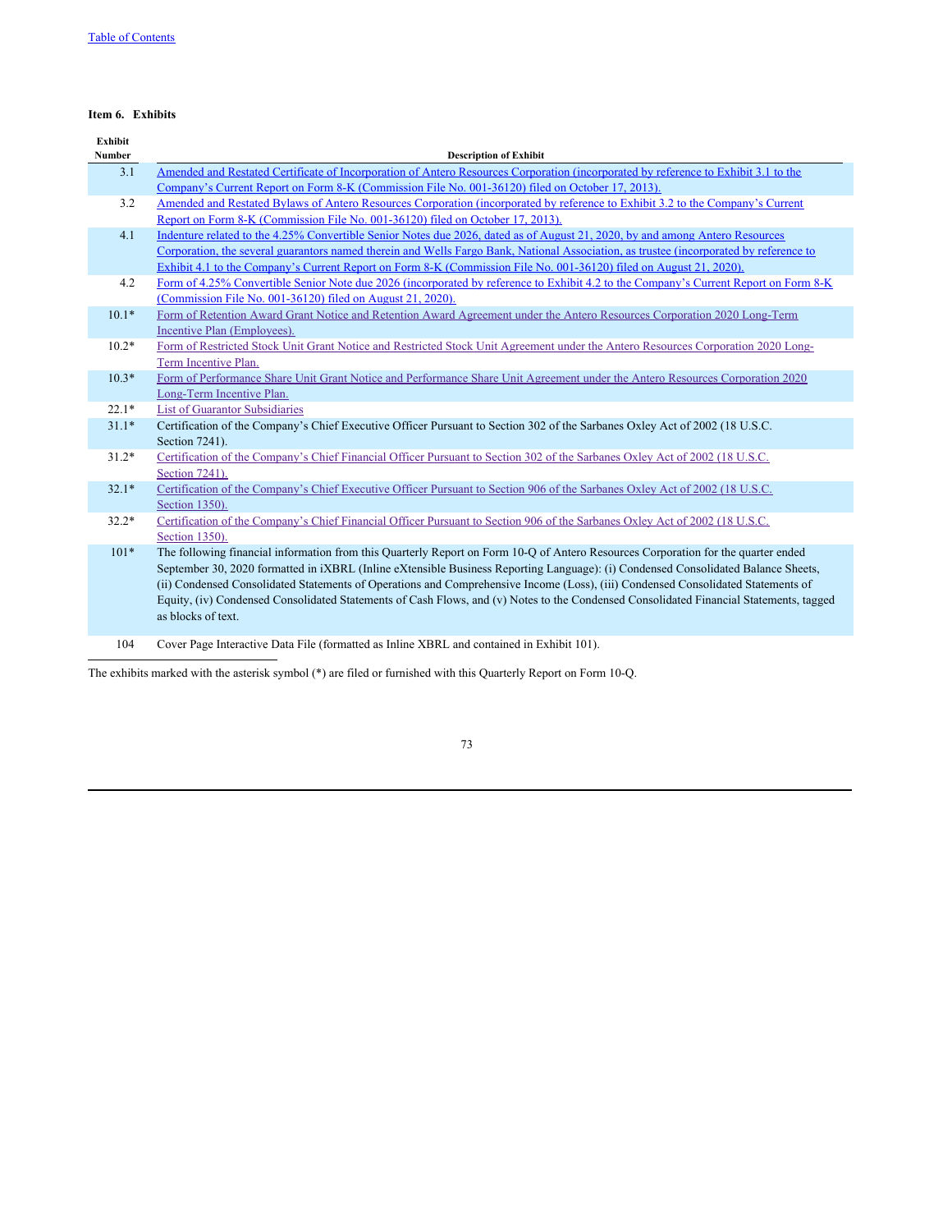#### **Item 6. Exhibits**

| Exhibit |                                                                                                                                        |
|---------|----------------------------------------------------------------------------------------------------------------------------------------|
| Number  | <b>Description of Exhibit</b>                                                                                                          |
| 3.1     | Amended and Restated Certificate of Incorporation of Antero Resources Corporation (incorporated by reference to Exhibit 3.1 to the     |
|         | Company's Current Report on Form 8-K (Commission File No. 001-36120) filed on October 17, 2013).                                       |
| 3.2     | Amended and Restated Bylaws of Antero Resources Corporation (incorporated by reference to Exhibit 3.2 to the Company's Current         |
|         | Report on Form 8-K (Commission File No. 001-36120) filed on October 17, 2013).                                                         |
| 4.1     | Indenture related to the 4.25% Convertible Senior Notes due 2026, dated as of August 21, 2020, by and among Antero Resources           |
|         | Corporation, the several guarantors named therein and Wells Fargo Bank, National Association, as trustee (incorporated by reference to |
|         | Exhibit 4.1 to the Company's Current Report on Form 8-K (Commission File No. 001-36120) filed on August 21, 2020).                     |
| 4.2     | Form of 4.25% Convertible Senior Note due 2026 (incorporated by reference to Exhibit 4.2 to the Company's Current Report on Form 8-K   |
|         | (Commission File No. 001-36120) filed on August 21, 2020).                                                                             |
| $10.1*$ | Form of Retention Award Grant Notice and Retention Award Agreement under the Antero Resources Corporation 2020 Long-Term               |
|         | Incentive Plan (Employees).                                                                                                            |
| $10.2*$ | Form of Restricted Stock Unit Grant Notice and Restricted Stock Unit Agreement under the Antero Resources Corporation 2020 Long-       |
|         | Term Incentive Plan.                                                                                                                   |
| $10.3*$ | Form of Performance Share Unit Grant Notice and Performance Share Unit Agreement under the Antero Resources Corporation 2020           |
|         | Long-Term Incentive Plan.                                                                                                              |
| $22.1*$ | <b>List of Guarantor Subsidiaries</b>                                                                                                  |
| $31.1*$ | Certification of the Company's Chief Executive Officer Pursuant to Section 302 of the Sarbanes Oxley Act of 2002 (18 U.S.C.            |
|         | Section 7241).                                                                                                                         |
| $31.2*$ | Certification of the Company's Chief Financial Officer Pursuant to Section 302 of the Sarbanes Oxley Act of 2002 (18 U.S.C.            |
|         | Section 7241).                                                                                                                         |
| $32.1*$ | Certification of the Company's Chief Executive Officer Pursuant to Section 906 of the Sarbanes Oxley Act of 2002 (18 U.S.C.            |
|         | Section 1350).                                                                                                                         |
| $32.2*$ | Certification of the Company's Chief Financial Officer Pursuant to Section 906 of the Sarbanes Oxley Act of 2002 (18 U.S.C.            |
|         | Section 1350).                                                                                                                         |
| $101*$  | The following financial information from this Quarterly Report on Form 10-Q of Antero Resources Corporation for the quarter ended      |
|         | September 30, 2020 formatted in iXBRL (Inline eXtensible Business Reporting Language): (i) Condensed Consolidated Balance Sheets,      |
|         | (ii) Condensed Consolidated Statements of Operations and Comprehensive Income (Loss), (iii) Condensed Consolidated Statements of       |
|         | Equity, (iv) Condensed Consolidated Statements of Cash Flows, and (v) Notes to the Condensed Consolidated Financial Statements, tagged |
|         | as blocks of text.                                                                                                                     |
| 104     | Cover Page Interactive Data File (formatted as Inline XBRL and contained in Exhibit 101).                                              |
|         |                                                                                                                                        |

The exhibits marked with the asterisk symbol (\*) are filed or furnished with this Quarterly Report on Form 10-Q.

73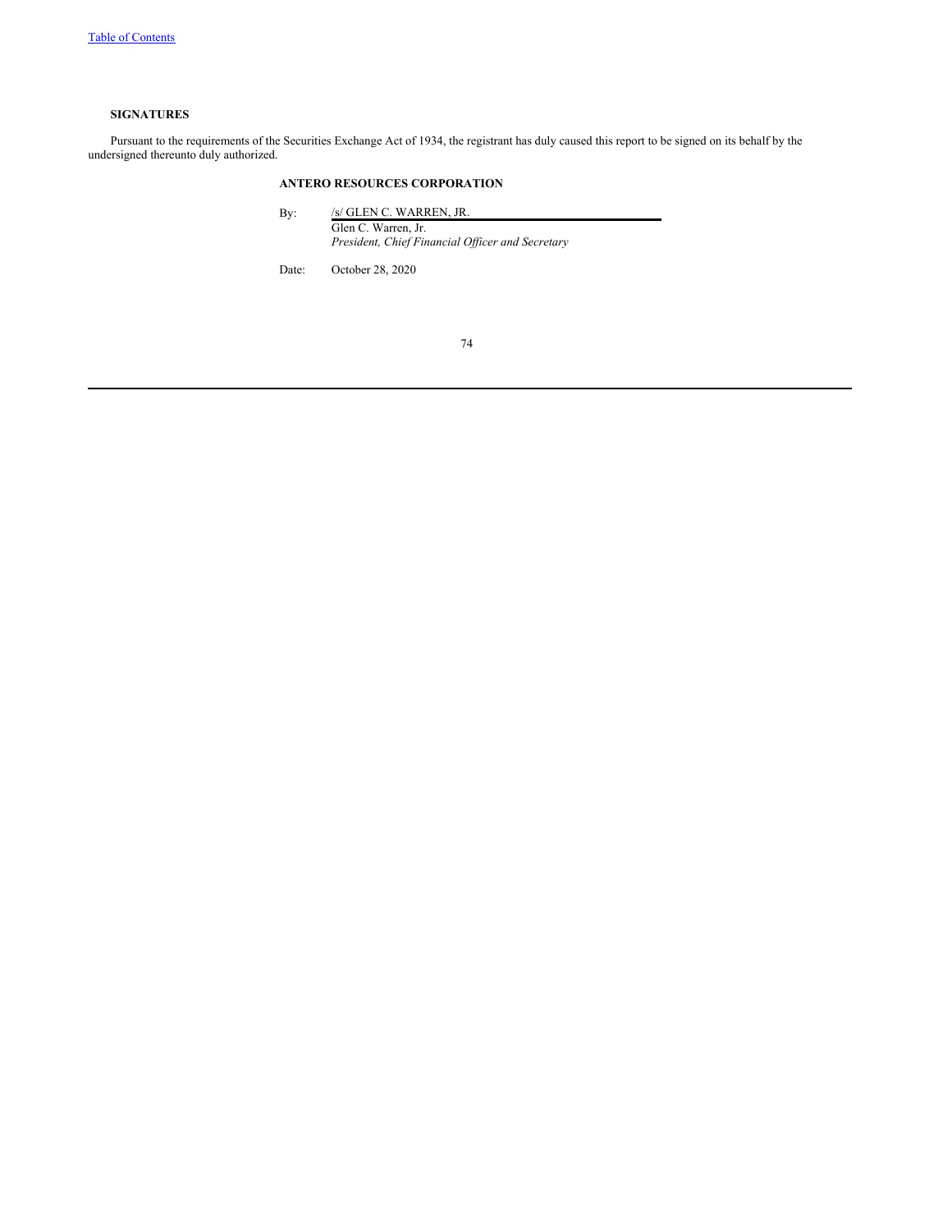#### **SIGNATURES**

Pursuant to the requirements of the Securities Exchange Act of 1934, the registrant has duly caused this report to be signed on its behalf by the undersigned thereunto duly authorized.

### **ANTERO RESOURCES CORPORATION**

By: /s/ GLEN C. WARREN, JR. Glen C. Warren, Jr.

*President, Chief Financial Of icer and Secretary*

Date: October 28, 2020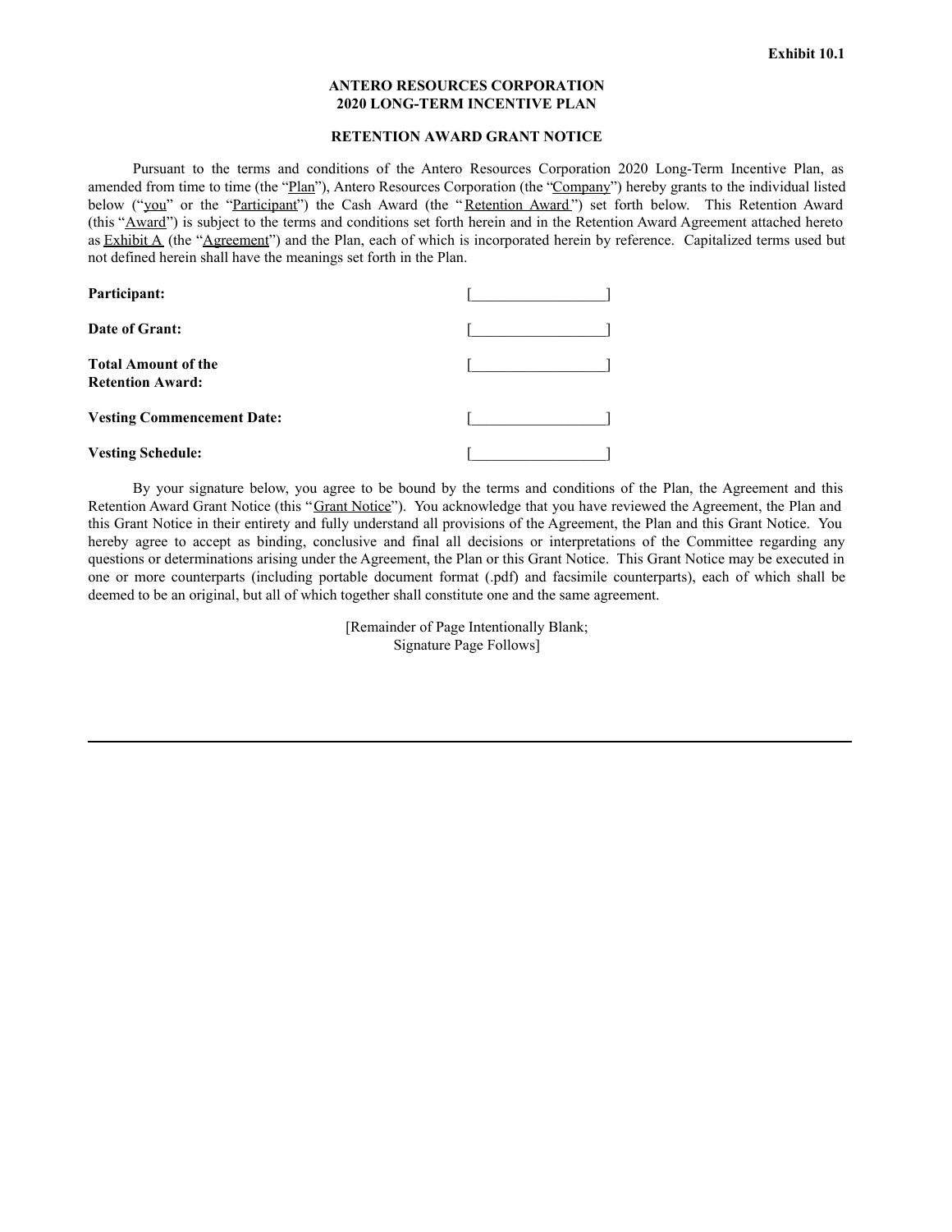### **ANTERO RESOURCES CORPORATION 2020 LONG-TERM INCENTIVE PLAN**

### **RETENTION AWARD GRANT NOTICE**

Pursuant to the terms and conditions of the Antero Resources Corporation 2020 Long-Term Incentive Plan, as amended from time to time (the "Plan"), Antero Resources Corporation (the "Company") hereby grants to the individual listed below ("you" or the "Participant") the Cash Award (the "Retention Award") set forth below. This Retention Award (this "Award") is subject to the terms and conditions set forth herein and in the Retention Award Agreement attached hereto as Exhibit A (the "Agreement") and the Plan, each of which is incorporated herein by reference. Capitalized terms used but not defined herein shall have the meanings set forth in the Plan.

| Participant:                                          |  |
|-------------------------------------------------------|--|
| Date of Grant:                                        |  |
| <b>Total Amount of the</b><br><b>Retention Award:</b> |  |
| <b>Vesting Commencement Date:</b>                     |  |
| <b>Vesting Schedule:</b>                              |  |

By your signature below, you agree to be bound by the terms and conditions of the Plan, the Agreement and this Retention Award Grant Notice (this "Grant Notice"). You acknowledge that you have reviewed the Agreement, the Plan and this Grant Notice in their entirety and fully understand all provisions of the Agreement, the Plan and this Grant Notice. You hereby agree to accept as binding, conclusive and final all decisions or interpretations of the Committee regarding any questions or determinations arising under the Agreement, the Plan or this Grant Notice. This Grant Notice may be executed in one or more counterparts (including portable document format (.pdf) and facsimile counterparts), each of which shall be deemed to be an original, but all of which together shall constitute one and the same agreement.

> [Remainder of Page Intentionally Blank; Signature Page Follows]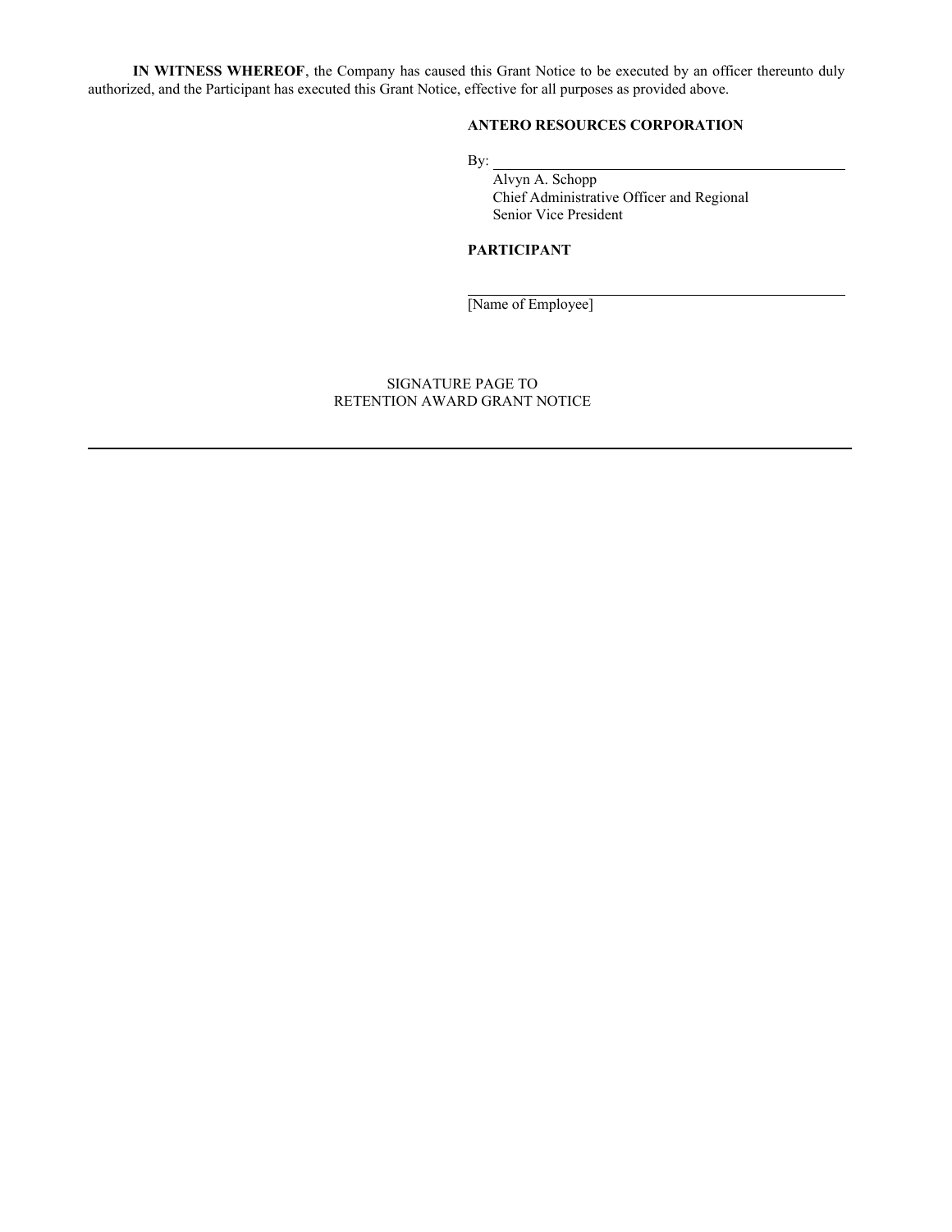**IN WITNESS WHEREOF**, the Company has caused this Grant Notice to be executed by an officer thereunto duly authorized, and the Participant has executed this Grant Notice, effective for all purposes as provided above.

# **ANTERO RESOURCES CORPORATION**

By:

Alvyn A. Schopp Chief Administrative Officer and Regional Senior Vice President

# **PARTICIPANT**

[Name of Employee]

### SIGNATURE PAGE TO RETENTION AWARD GRANT NOTICE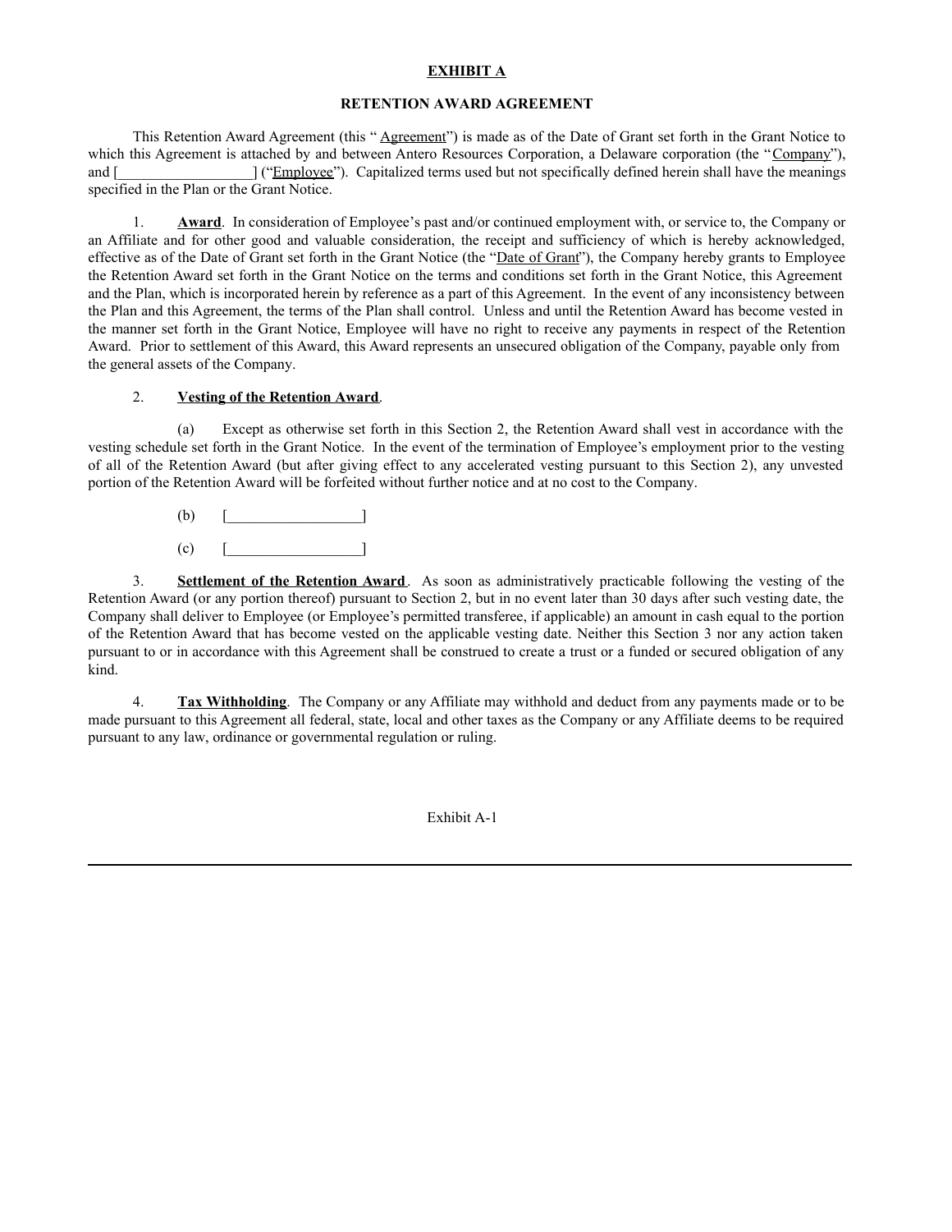### <span id="page-77-0"></span>**EXHIBIT A**

## **RETENTION AWARD AGREEMENT**

This Retention Award Agreement (this "Agreement") is made as of the Date of Grant set forth in the Grant Notice to which this Agreement is attached by and between Antero Resources Corporation, a Delaware corporation (the "Company"), and [ \_\_\_\_\_\_\_\_\_\_\_\_\_\_\_] ("Employee"). Capitalized terms used but not specifically defined herein shall have the meanings specified in the Plan or the Grant Notice.

1. **Award**. In consideration of Employee's past and/or continued employment with, or service to, the Company or an Affiliate and for other good and valuable consideration, the receipt and sufficiency of which is hereby acknowledged, effective as of the Date of Grant set forth in the Grant Notice (the "Date of Grant"), the Company hereby grants to Employee the Retention Award set forth in the Grant Notice on the terms and conditions set forth in the Grant Notice, this Agreement and the Plan, which is incorporated herein by reference as a part of this Agreement. In the event of any inconsistency between the Plan and this Agreement, the terms of the Plan shall control. Unless and until the Retention Award has become vested in the manner set forth in the Grant Notice, Employee will have no right to receive any payments in respect of the Retention Award. Prior to settlement of this Award, this Award represents an unsecured obligation of the Company, payable only from the general assets of the Company.

### 2. **Vesting of the Retention Award**.

(a) Except as otherwise set forth in this Section 2, the Retention Award shall vest in accordance with the vesting schedule set forth in the Grant Notice. In the event of the termination of Employee's employment prior to the vesting of all of the Retention Award (but after giving effect to any accelerated vesting pursuant to this Section 2), any unvested portion of the Retention Award will be forfeited without further notice and at no cost to the Company.

- (b) [\_\_\_\_\_\_\_\_\_\_\_\_\_\_\_\_\_\_]
- $(c)$  [

3. **Settlement of the Retention Award**. As soon as administratively practicable following the vesting of the Retention Award (or any portion thereof) pursuant to Section 2, but in no event later than 30 days after such vesting date, the Company shall deliver to Employee (or Employee's permitted transferee, if applicable) an amount in cash equal to the portion of the Retention Award that has become vested on the applicable vesting date. Neither this Section 3 nor any action taken pursuant to or in accordance with this Agreement shall be construed to create a trust or a funded or secured obligation of any kind.

4. **Tax Withholding**. The Company or any Affiliate may withhold and deduct from any payments made or to be made pursuant to this Agreement all federal, state, local and other taxes as the Company or any Affiliate deems to be required pursuant to any law, ordinance or governmental regulation or ruling.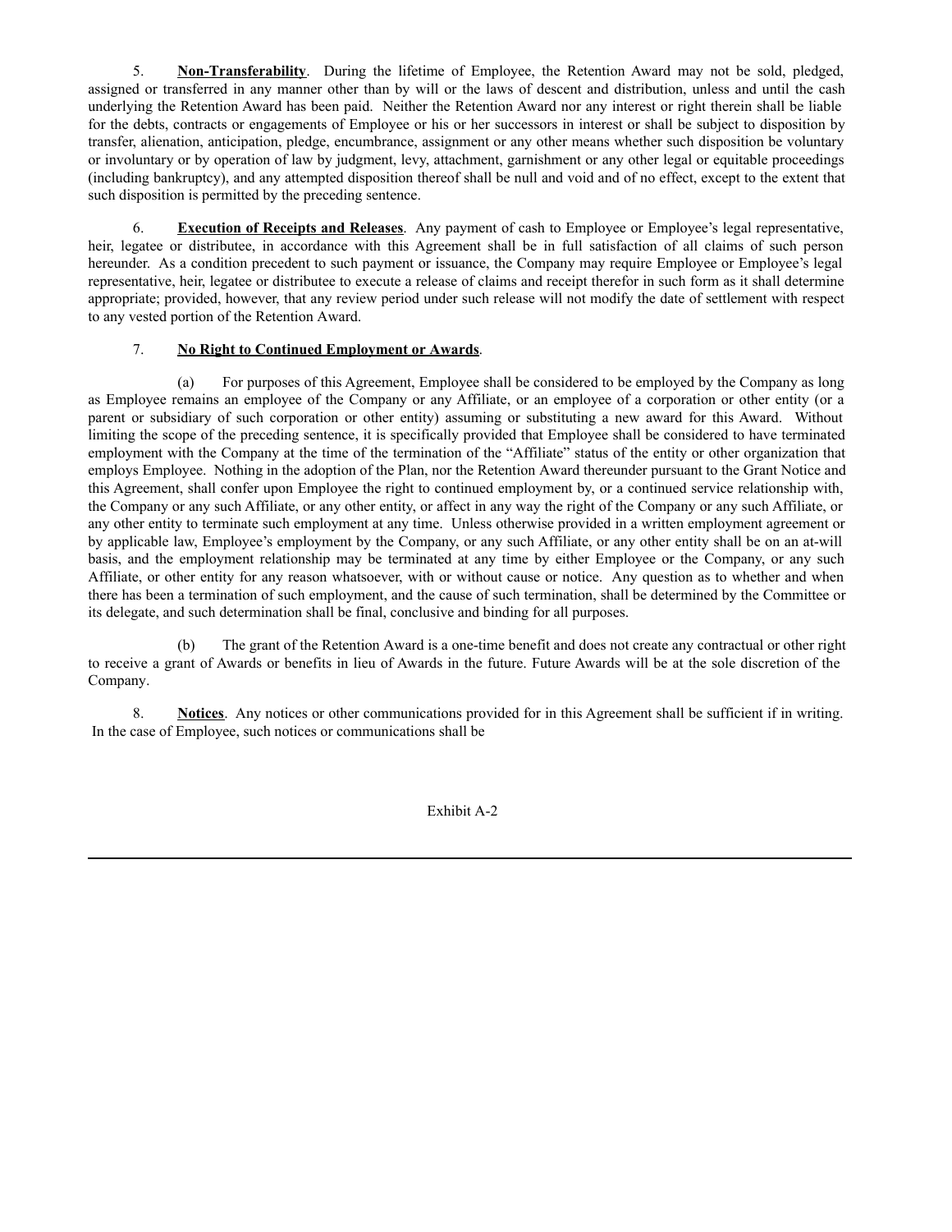5. **Non-Transferability**. During the lifetime of Employee, the Retention Award may not be sold, pledged, assigned or transferred in any manner other than by will or the laws of descent and distribution, unless and until the cash underlying the Retention Award has been paid. Neither the Retention Award nor any interest or right therein shall be liable for the debts, contracts or engagements of Employee or his or her successors in interest or shall be subject to disposition by transfer, alienation, anticipation, pledge, encumbrance, assignment or any other means whether such disposition be voluntary or involuntary or by operation of law by judgment, levy, attachment, garnishment or any other legal or equitable proceedings (including bankruptcy), and any attempted disposition thereof shall be null and void and of no effect, except to the extent that such disposition is permitted by the preceding sentence.

6. **Execution of Receipts and Releases**. Any payment of cash to Employee or Employee's legal representative, heir, legatee or distributee, in accordance with this Agreement shall be in full satisfaction of all claims of such person hereunder. As a condition precedent to such payment or issuance, the Company may require Employee or Employee's legal representative, heir, legatee or distributee to execute a release of claims and receipt therefor in such form as it shall determine appropriate; provided, however, that any review period under such release will not modify the date of settlement with respect to any vested portion of the Retention Award.

### 7. **No Right to Continued Employment or Awards**.

(a) For purposes of this Agreement, Employee shall be considered to be employed by the Company as long as Employee remains an employee of the Company or any Affiliate, or an employee of a corporation or other entity (or a parent or subsidiary of such corporation or other entity) assuming or substituting a new award for this Award. Without limiting the scope of the preceding sentence, it is specifically provided that Employee shall be considered to have terminated employment with the Company at the time of the termination of the "Affiliate" status of the entity or other organization that employs Employee. Nothing in the adoption of the Plan, nor the Retention Award thereunder pursuant to the Grant Notice and this Agreement, shall confer upon Employee the right to continued employment by, or a continued service relationship with, the Company or any such Affiliate, or any other entity, or affect in any way the right of the Company or any such Affiliate, or any other entity to terminate such employment at any time. Unless otherwise provided in a written employment agreement or by applicable law, Employee's employment by the Company, or any such Affiliate, or any other entity shall be on an at-will basis, and the employment relationship may be terminated at any time by either Employee or the Company, or any such Affiliate, or other entity for any reason whatsoever, with or without cause or notice. Any question as to whether and when there has been a termination of such employment, and the cause of such termination, shall be determined by the Committee or its delegate, and such determination shall be final, conclusive and binding for all purposes.

(b) The grant of the Retention Award is a one-time benefit and does not create any contractual or other right to receive a grant of Awards or benefits in lieu of Awards in the future. Future Awards will be at the sole discretion of the Company.

8. **Notices**. Any notices or other communications provided for in this Agreement shall be sufficient if in writing. In the case of Employee, such notices or communications shall be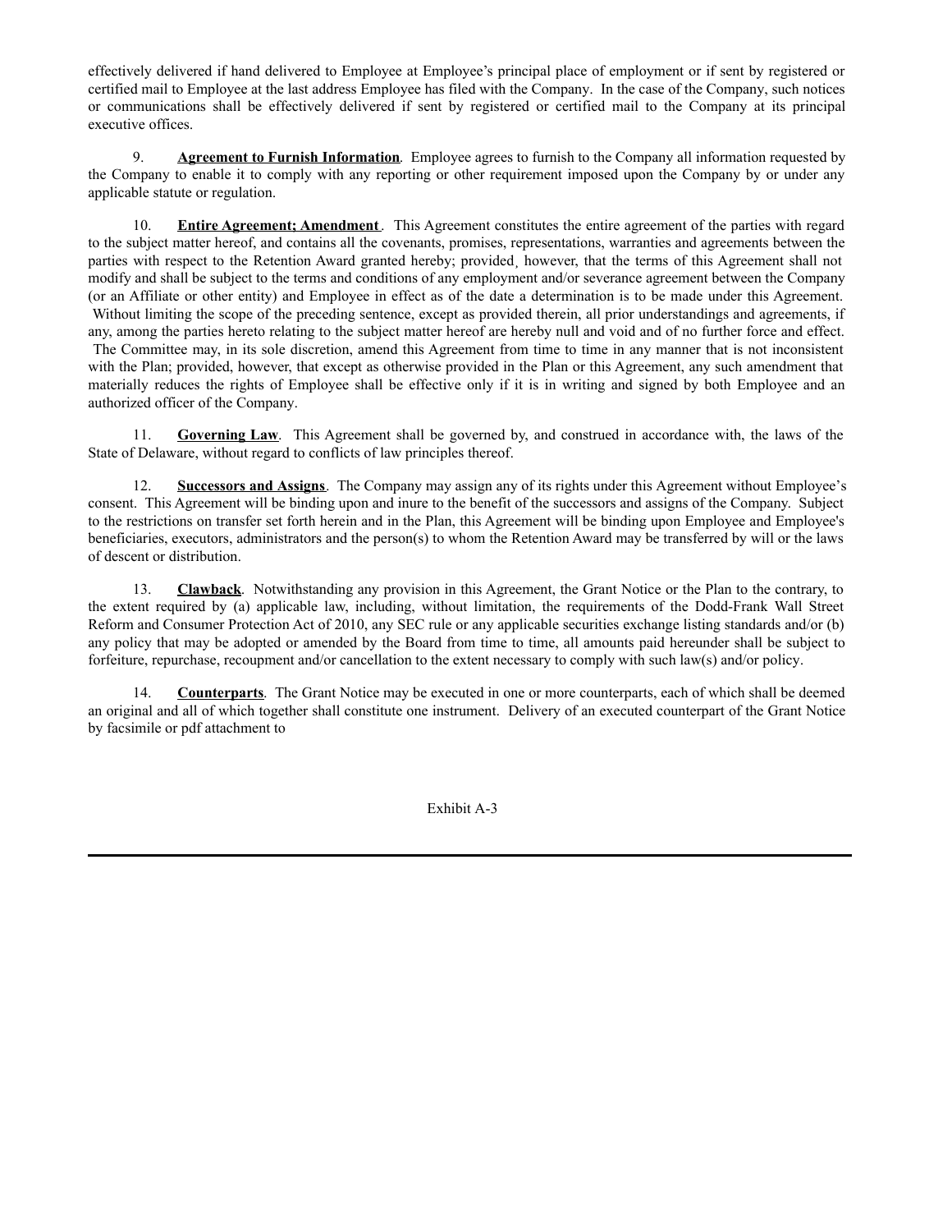effectively delivered if hand delivered to Employee at Employee's principal place of employment or if sent by registered or certified mail to Employee at the last address Employee has filed with the Company. In the case of the Company, such notices or communications shall be effectively delivered if sent by registered or certified mail to the Company at its principal executive offices.

9. **Agreement to Furnish Information**. Employee agrees to furnish to the Company all information requested by the Company to enable it to comply with any reporting or other requirement imposed upon the Company by or under any applicable statute or regulation.

10. **Entire Agreement; Amendment**. This Agreement constitutes the entire agreement of the parties with regard to the subject matter hereof, and contains all the covenants, promises, representations, warranties and agreements between the parties with respect to the Retention Award granted hereby; provided, however, that the terms of this Agreement shall not modify and shall be subject to the terms and conditions of any employment and/or severance agreement between the Company (or an Affiliate or other entity) and Employee in effect as of the date a determination is to be made under this Agreement. Without limiting the scope of the preceding sentence, except as provided therein, all prior understandings and agreements, if any, among the parties hereto relating to the subject matter hereof are hereby null and void and of no further force and effect. The Committee may, in its sole discretion, amend this Agreement from time to time in any manner that is not inconsistent with the Plan; provided, however, that except as otherwise provided in the Plan or this Agreement, any such amendment that materially reduces the rights of Employee shall be effective only if it is in writing and signed by both Employee and an authorized officer of the Company.

11. **Governing Law**. This Agreement shall be governed by, and construed in accordance with, the laws of the State of Delaware, without regard to conflicts of law principles thereof.

12. **Successors and Assigns**. The Company may assign any of its rights under this Agreement without Employee's consent. This Agreement will be binding upon and inure to the benefit of the successors and assigns of the Company. Subject to the restrictions on transfer set forth herein and in the Plan, this Agreement will be binding upon Employee and Employee's beneficiaries, executors, administrators and the person(s) to whom the Retention Award may be transferred by will or the laws of descent or distribution.

13. **Clawback**. Notwithstanding any provision in this Agreement, the Grant Notice or the Plan to the contrary, to the extent required by (a) applicable law, including, without limitation, the requirements of the Dodd-Frank Wall Street Reform and Consumer Protection Act of 2010, any SEC rule or any applicable securities exchange listing standards and/or (b) any policy that may be adopted or amended by the Board from time to time, all amounts paid hereunder shall be subject to forfeiture, repurchase, recoupment and/or cancellation to the extent necessary to comply with such law(s) and/or policy.

14. **Counterparts**. The Grant Notice may be executed in one or more counterparts, each of which shall be deemed an original and all of which together shall constitute one instrument. Delivery of an executed counterpart of the Grant Notice by facsimile or pdf attachment to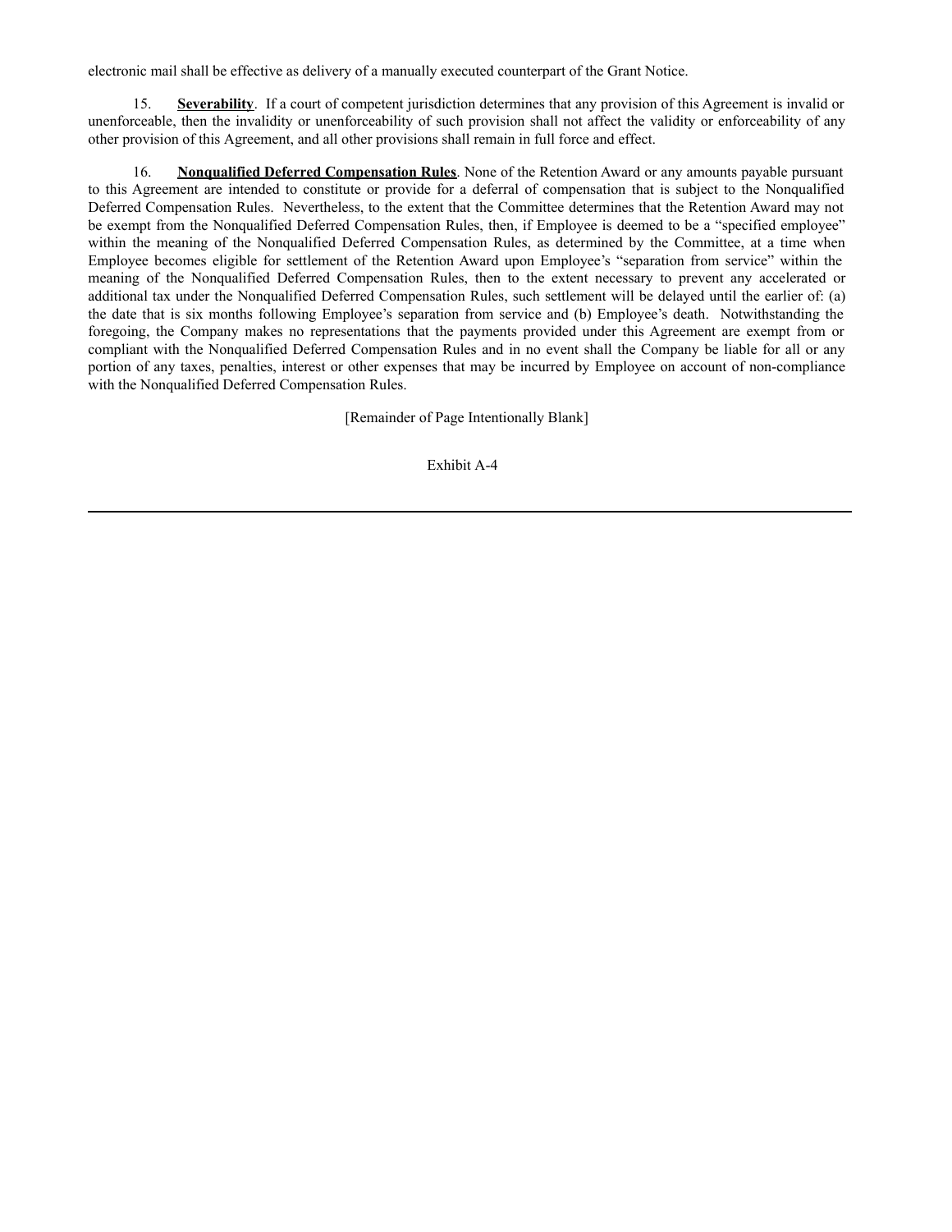electronic mail shall be effective as delivery of a manually executed counterpart of the Grant Notice.

15. **Severability**. If a court of competent jurisdiction determines that any provision of this Agreement is invalid or unenforceable, then the invalidity or unenforceability of such provision shall not affect the validity or enforceability of any other provision of this Agreement, and all other provisions shall remain in full force and effect.

16. **Nonqualified Deferred Compensation Rules**. None of the Retention Award or any amounts payable pursuant to this Agreement are intended to constitute or provide for a deferral of compensation that is subject to the Nonqualified Deferred Compensation Rules. Nevertheless, to the extent that the Committee determines that the Retention Award may not be exempt from the Nonqualified Deferred Compensation Rules, then, if Employee is deemed to be a "specified employee" within the meaning of the Nonqualified Deferred Compensation Rules, as determined by the Committee, at a time when Employee becomes eligible for settlement of the Retention Award upon Employee's "separation from service" within the meaning of the Nonqualified Deferred Compensation Rules, then to the extent necessary to prevent any accelerated or additional tax under the Nonqualified Deferred Compensation Rules, such settlement will be delayed until the earlier of: (a) the date that is six months following Employee's separation from service and (b) Employee's death. Notwithstanding the foregoing, the Company makes no representations that the payments provided under this Agreement are exempt from or compliant with the Nonqualified Deferred Compensation Rules and in no event shall the Company be liable for all or any portion of any taxes, penalties, interest or other expenses that may be incurred by Employee on account of non-compliance with the Nonqualified Deferred Compensation Rules.

[Remainder of Page Intentionally Blank]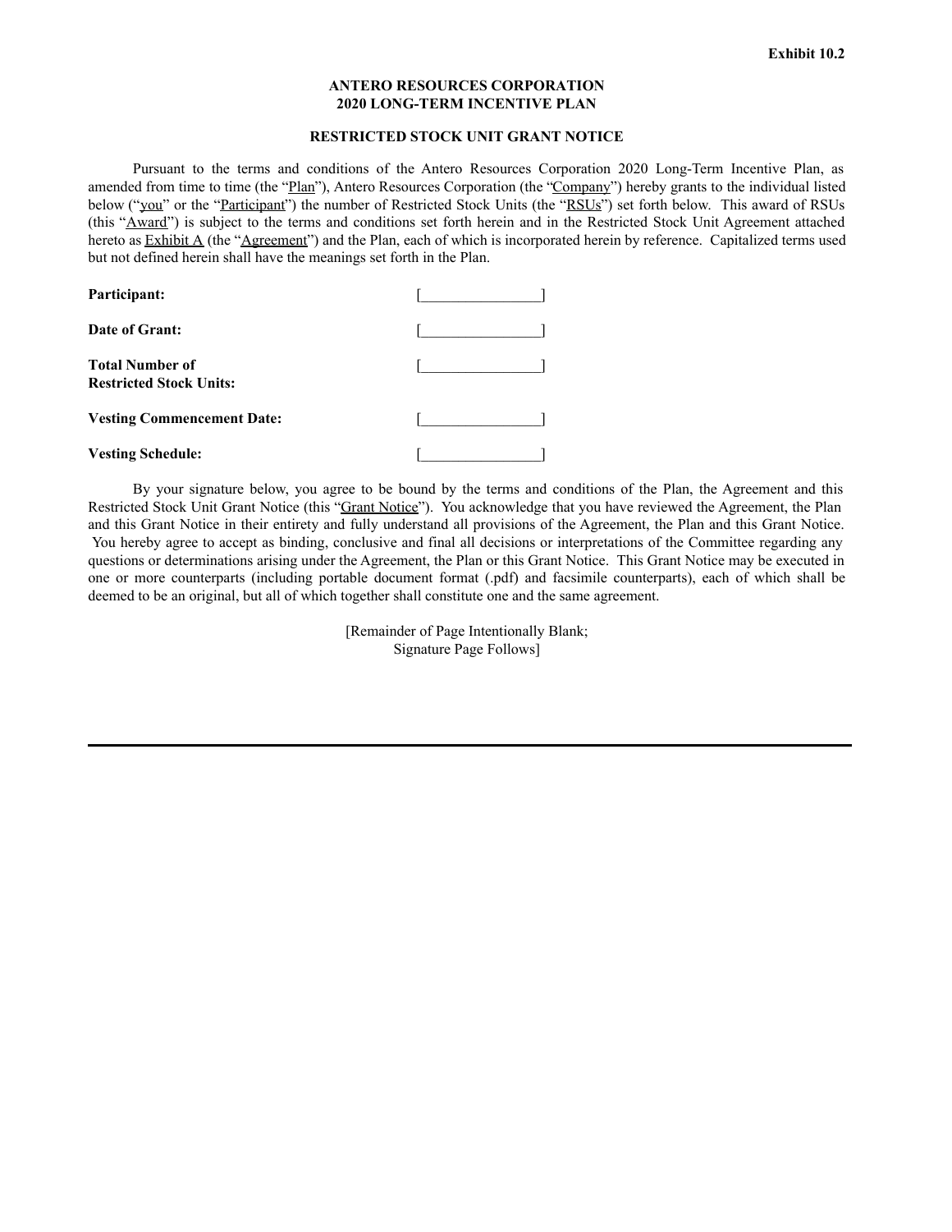### **ANTERO RESOURCES CORPORATION 2020 LONG-TERM INCENTIVE PLAN**

### **RESTRICTED STOCK UNIT GRANT NOTICE**

Pursuant to the terms and conditions of the Antero Resources Corporation 2020 Long-Term Incentive Plan, as amended from time to time (the "Plan"), Antero Resources Corporation (the "Company") hereby grants to the individual listed below ("you" or the "Participant") the number of Restricted Stock Units (the "RSUs") set forth below. This award of RSUs (this "Award") is subject to the terms and conditions set forth herein and in the Restricted Stock Unit Agreement attached hereto as  $Exhibit A$  (the "Agreement") and the Plan, each of which is incorporated herein by reference. Capitalized terms used but not defined herein shall have the meanings set forth in the Plan.

| Participant:                                             |  |
|----------------------------------------------------------|--|
| Date of Grant:                                           |  |
| <b>Total Number of</b><br><b>Restricted Stock Units:</b> |  |
| <b>Vesting Commencement Date:</b>                        |  |
| <b>Vesting Schedule:</b>                                 |  |

By your signature below, you agree to be bound by the terms and conditions of the Plan, the Agreement and this Restricted Stock Unit Grant Notice (this "Grant Notice"). You acknowledge that you have reviewed the Agreement, the Plan and this Grant Notice in their entirety and fully understand all provisions of the Agreement, the Plan and this Grant Notice. You hereby agree to accept as binding, conclusive and final all decisions or interpretations of the Committee regarding any questions or determinations arising under the Agreement, the Plan or this Grant Notice. This Grant Notice may be executed in one or more counterparts (including portable document format (.pdf) and facsimile counterparts), each of which shall be deemed to be an original, but all of which together shall constitute one and the same agreement.

> [Remainder of Page Intentionally Blank; Signature Page Follows]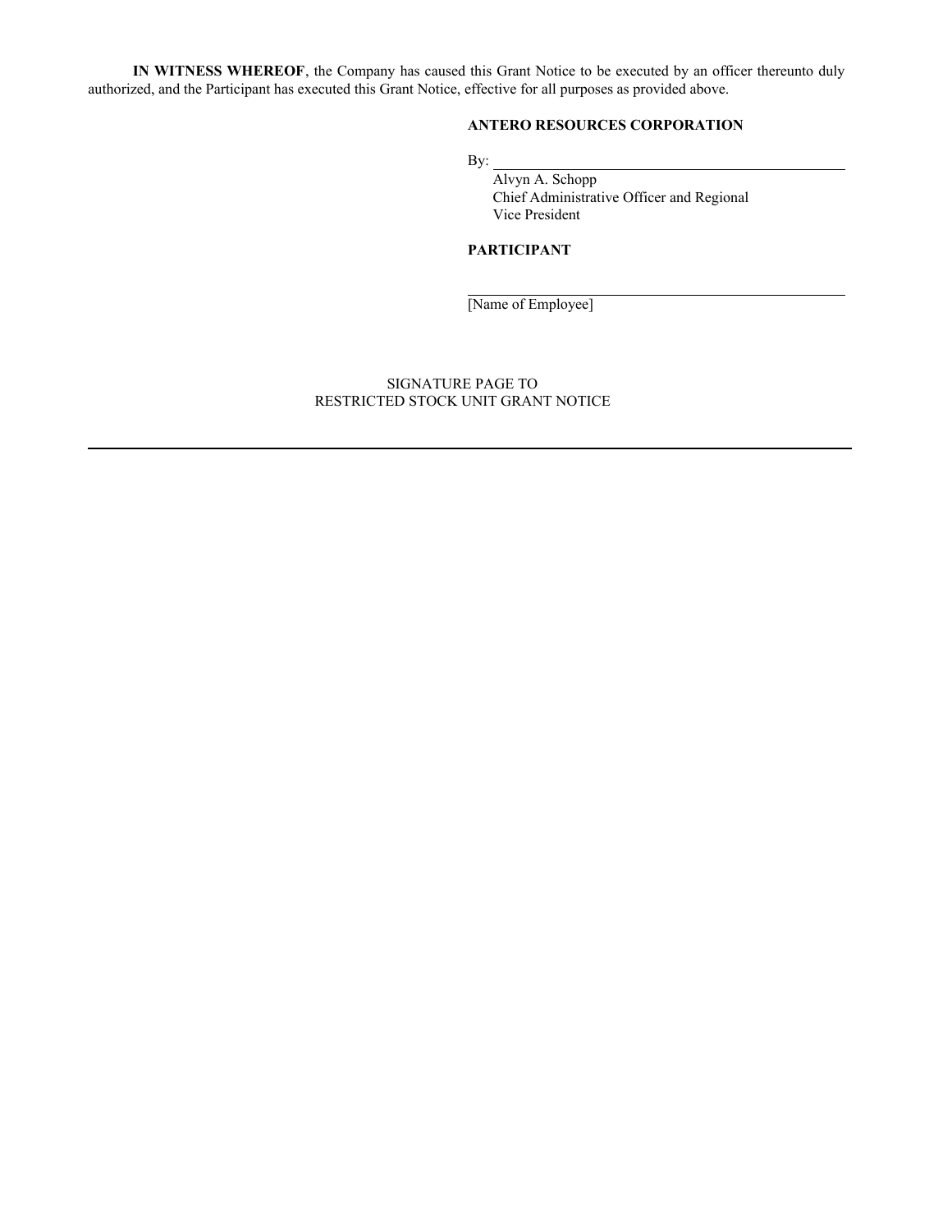**IN WITNESS WHEREOF**, the Company has caused this Grant Notice to be executed by an officer thereunto duly authorized, and the Participant has executed this Grant Notice, effective for all purposes as provided above.

# **ANTERO RESOURCES CORPORATION**

By:

Alvyn A. Schopp Chief Administrative Officer and Regional Vice President

# **PARTICIPANT**

[Name of Employee]

### SIGNATURE PAGE TO RESTRICTED STOCK UNIT GRANT NOTICE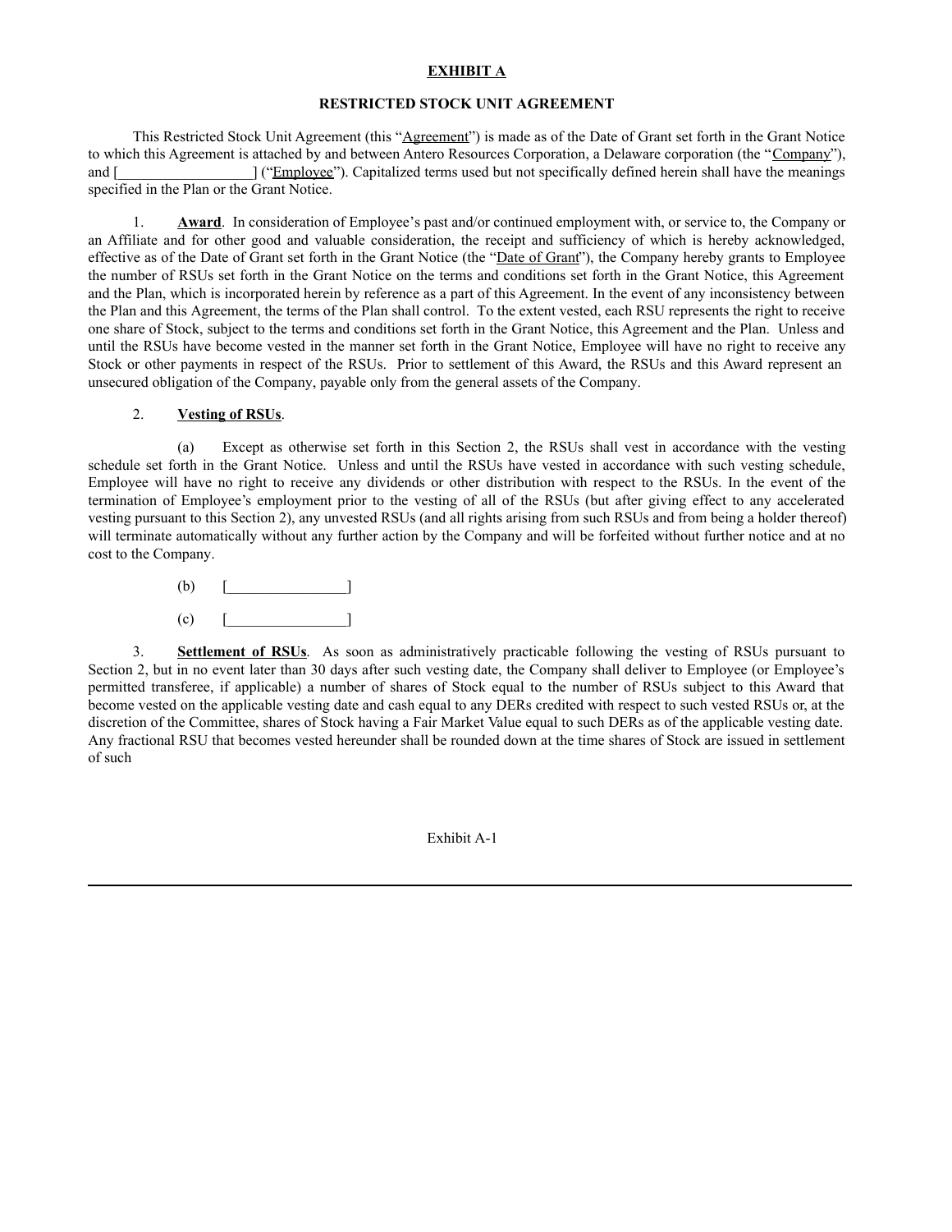### **EXHIBIT A**

### **RESTRICTED STOCK UNIT AGREEMENT**

This Restricted Stock Unit Agreement (this "Agreement") is made as of the Date of Grant set forth in the Grant Notice to which this Agreement is attached by and between Antero Resources Corporation, a Delaware corporation (the "Company"), and [  $\lvert$  ("Employee"). Capitalized terms used but not specifically defined herein shall have the meanings specified in the Plan or the Grant Notice.

1. **Award**. In consideration of Employee's past and/or continued employment with, or service to, the Company or an Affiliate and for other good and valuable consideration, the receipt and sufficiency of which is hereby acknowledged, effective as of the Date of Grant set forth in the Grant Notice (the "Date of Grant"), the Company hereby grants to Employee the number of RSUs set forth in the Grant Notice on the terms and conditions set forth in the Grant Notice, this Agreement and the Plan, which is incorporated herein by reference as a part of this Agreement. In the event of any inconsistency between the Plan and this Agreement, the terms of the Plan shall control. To the extent vested, each RSU represents the right to receive one share of Stock, subject to the terms and conditions set forth in the Grant Notice, this Agreement and the Plan. Unless and until the RSUs have become vested in the manner set forth in the Grant Notice, Employee will have no right to receive any Stock or other payments in respect of the RSUs. Prior to settlement of this Award, the RSUs and this Award represent an unsecured obligation of the Company, payable only from the general assets of the Company.

#### 2. **Vesting of RSUs**.

(a) Except as otherwise set forth in this Section 2, the RSUs shall vest in accordance with the vesting schedule set forth in the Grant Notice. Unless and until the RSUs have vested in accordance with such vesting schedule, Employee will have no right to receive any dividends or other distribution with respect to the RSUs. In the event of the termination of Employee's employment prior to the vesting of all of the RSUs (but after giving effect to any accelerated vesting pursuant to this Section 2), any unvested RSUs (and all rights arising from such RSUs and from being a holder thereof) will terminate automatically without any further action by the Company and will be forfeited without further notice and at no cost to the Company.

> (b) [\_\_\_\_\_\_\_\_\_\_\_\_\_\_\_\_]  $(c) \qquad [$

3. **Settlement of RSUs**. As soon as administratively practicable following the vesting of RSUs pursuant to Section 2, but in no event later than 30 days after such vesting date, the Company shall deliver to Employee (or Employee's permitted transferee, if applicable) a number of shares of Stock equal to the number of RSUs subject to this Award that become vested on the applicable vesting date and cash equal to any DERs credited with respect to such vested RSUs or, at the discretion of the Committee, shares of Stock having a Fair Market Value equal to such DERs as of the applicable vesting date. Any fractional RSU that becomes vested hereunder shall be rounded down at the time shares of Stock are issued in settlement of such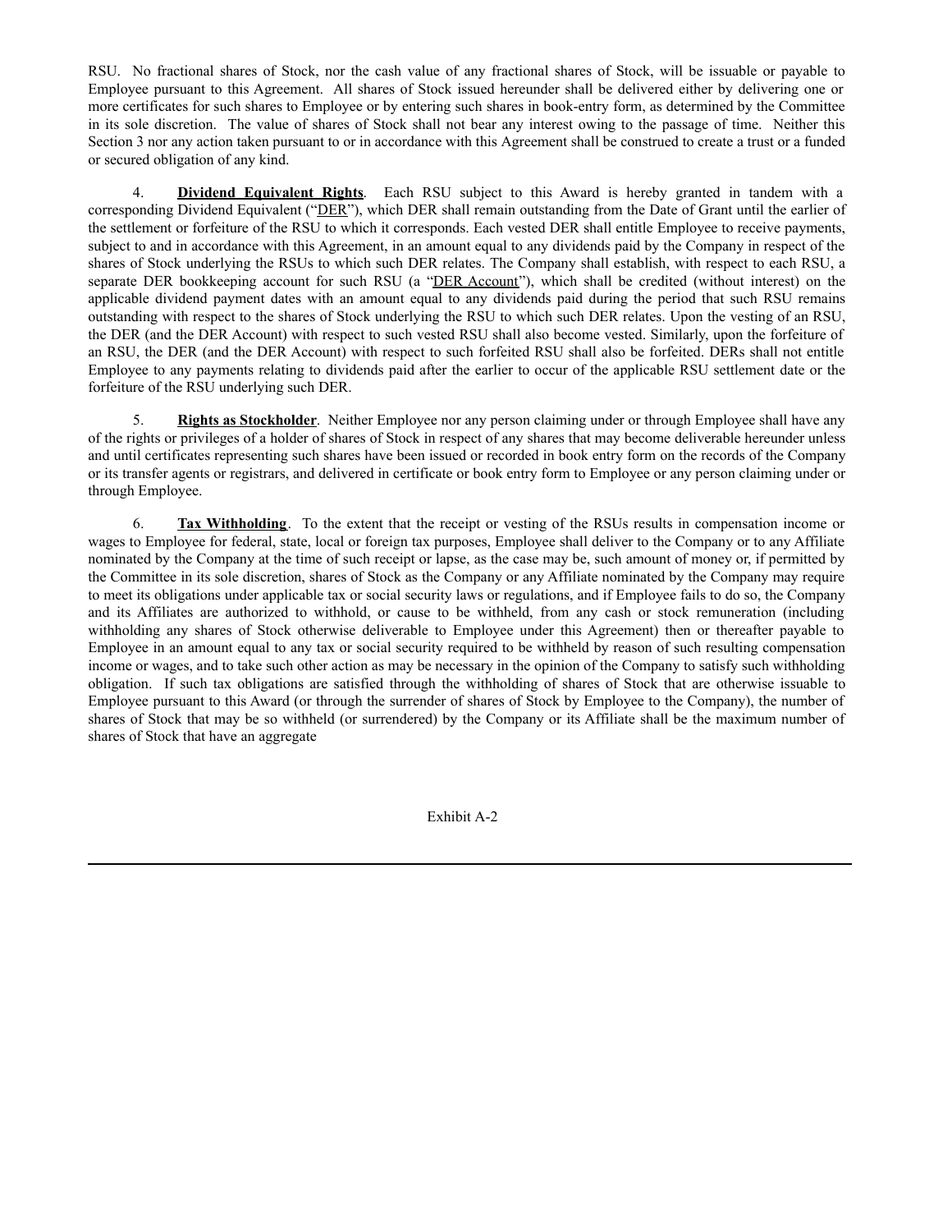<span id="page-84-0"></span>RSU. No fractional shares of Stock, nor the cash value of any fractional shares of Stock, will be issuable or payable to Employee pursuant to this Agreement. All shares of Stock issued hereunder shall be delivered either by delivering one or more certificates for such shares to Employee or by entering such shares in book-entry form, as determined by the Committee in its sole discretion. The value of shares of Stock shall not bear any interest owing to the passage of time. Neither this Section 3 nor any action taken pursuant to or in accordance with this Agreement shall be construed to create a trust or a funded or secured obligation of any kind.

4. **Dividend Equivalent Rights**. Each RSU subject to this Award is hereby granted in tandem with a corresponding Dividend Equivalent ("DER"), which DER shall remain outstanding from the Date of Grant until the earlier of the settlement or forfeiture of the RSU to which it corresponds. Each vested DER shall entitle Employee to receive payments, subject to and in accordance with this Agreement, in an amount equal to any dividends paid by the Company in respect of the shares of Stock underlying the RSUs to which such DER relates. The Company shall establish, with respect to each RSU, a separate DER bookkeeping account for such RSU (a "DER Account"), which shall be credited (without interest) on the applicable dividend payment dates with an amount equal to any dividends paid during the period that such RSU remains outstanding with respect to the shares of Stock underlying the RSU to which such DER relates. Upon the vesting of an RSU, the DER (and the DER Account) with respect to such vested RSU shall also become vested. Similarly, upon the forfeiture of an RSU, the DER (and the DER Account) with respect to such forfeited RSU shall also be forfeited. DERs shall not entitle Employee to any payments relating to dividends paid after the earlier to occur of the applicable RSU settlement date or the forfeiture of the RSU underlying such DER.

5. **Rights as Stockholder**. Neither Employee nor any person claiming under or through Employee shall have any of the rights or privileges of a holder of shares of Stock in respect of any shares that may become deliverable hereunder unless and until certificates representing such shares have been issued or recorded in book entry form on the records of the Company or its transfer agents or registrars, and delivered in certificate or book entry form to Employee or any person claiming under or through Employee.

6. **Tax Withholding**. To the extent that the receipt or vesting of the RSUs results in compensation income or wages to Employee for federal, state, local or foreign tax purposes, Employee shall deliver to the Company or to any Affiliate nominated by the Company at the time of such receipt or lapse, as the case may be, such amount of money or, if permitted by the Committee in its sole discretion, shares of Stock as the Company or any Affiliate nominated by the Company may require to meet its obligations under applicable tax or social security laws or regulations, and if Employee fails to do so, the Company and its Affiliates are authorized to withhold, or cause to be withheld, from any cash or stock remuneration (including withholding any shares of Stock otherwise deliverable to Employee under this Agreement) then or thereafter payable to Employee in an amount equal to any tax or social security required to be withheld by reason of such resulting compensation income or wages, and to take such other action as may be necessary in the opinion of the Company to satisfy such withholding obligation. If such tax obligations are satisfied through the withholding of shares of Stock that are otherwise issuable to Employee pursuant to this Award (or through the surrender of shares of Stock by Employee to the Company), the number of shares of Stock that may be so withheld (or surrendered) by the Company or its Affiliate shall be the maximum number of shares of Stock that have an aggregate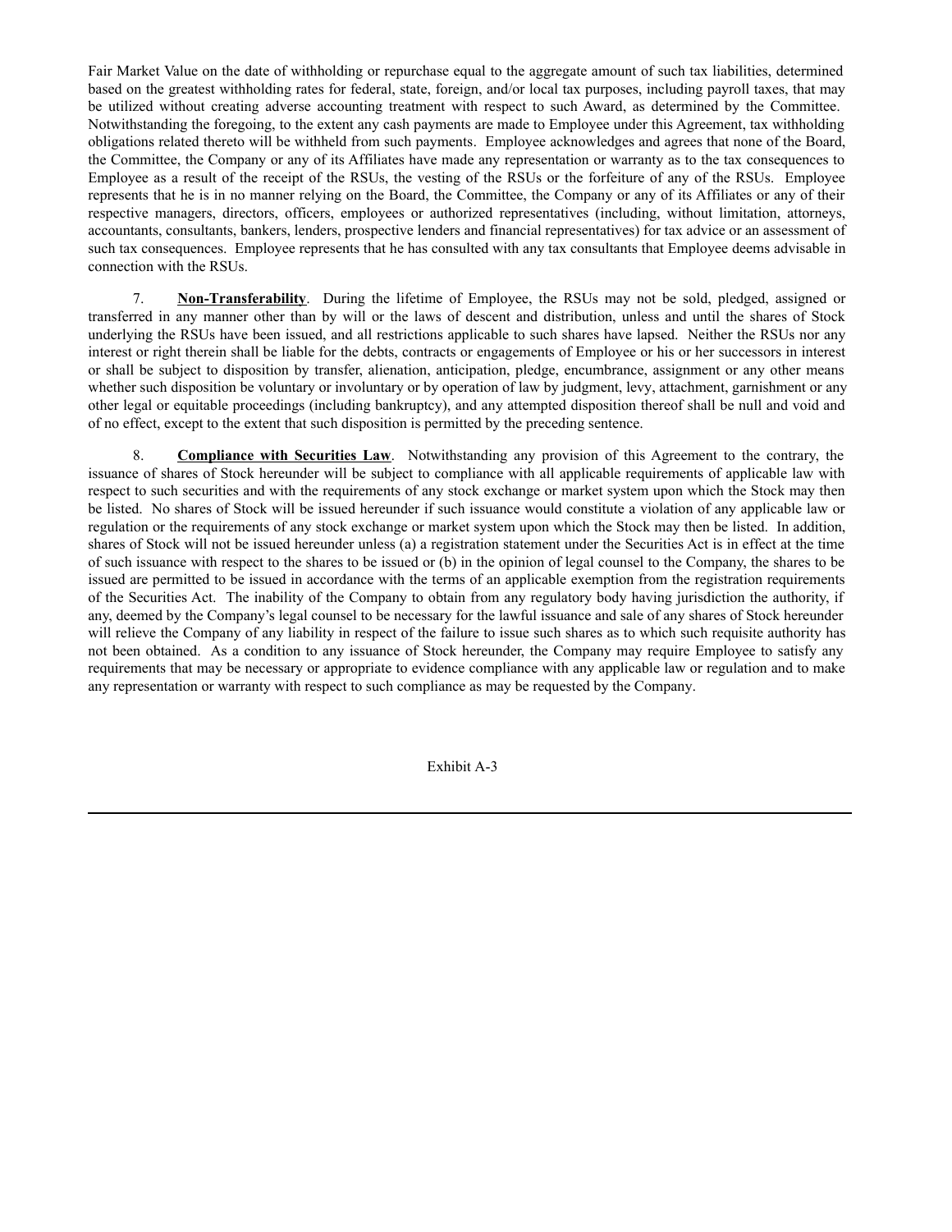Fair Market Value on the date of withholding or repurchase equal to the aggregate amount of such tax liabilities, determined based on the greatest withholding rates for federal, state, foreign, and/or local tax purposes, including payroll taxes, that may be utilized without creating adverse accounting treatment with respect to such Award, as determined by the Committee. Notwithstanding the foregoing, to the extent any cash payments are made to Employee under this Agreement, tax withholding obligations related thereto will be withheld from such payments. Employee acknowledges and agrees that none of the Board, the Committee, the Company or any of its Affiliates have made any representation or warranty as to the tax consequences to Employee as a result of the receipt of the RSUs, the vesting of the RSUs or the forfeiture of any of the RSUs. Employee represents that he is in no manner relying on the Board, the Committee, the Company or any of its Affiliates or any of their respective managers, directors, officers, employees or authorized representatives (including, without limitation, attorneys, accountants, consultants, bankers, lenders, prospective lenders and financial representatives) for tax advice or an assessment of such tax consequences. Employee represents that he has consulted with any tax consultants that Employee deems advisable in connection with the RSUs.

7. **Non-Transferability**. During the lifetime of Employee, the RSUs may not be sold, pledged, assigned or transferred in any manner other than by will or the laws of descent and distribution, unless and until the shares of Stock underlying the RSUs have been issued, and all restrictions applicable to such shares have lapsed. Neither the RSUs nor any interest or right therein shall be liable for the debts, contracts or engagements of Employee or his or her successors in interest or shall be subject to disposition by transfer, alienation, anticipation, pledge, encumbrance, assignment or any other means whether such disposition be voluntary or involuntary or by operation of law by judgment, levy, attachment, garnishment or any other legal or equitable proceedings (including bankruptcy), and any attempted disposition thereof shall be null and void and of no effect, except to the extent that such disposition is permitted by the preceding sentence.

8. **Compliance with Securities Law**. Notwithstanding any provision of this Agreement to the contrary, the issuance of shares of Stock hereunder will be subject to compliance with all applicable requirements of applicable law with respect to such securities and with the requirements of any stock exchange or market system upon which the Stock may then be listed. No shares of Stock will be issued hereunder if such issuance would constitute a violation of any applicable law or regulation or the requirements of any stock exchange or market system upon which the Stock may then be listed. In addition, shares of Stock will not be issued hereunder unless (a) a registration statement under the Securities Act is in effect at the time of such issuance with respect to the shares to be issued or (b) in the opinion of legal counsel to the Company, the shares to be issued are permitted to be issued in accordance with the terms of an applicable exemption from the registration requirements of the Securities Act. The inability of the Company to obtain from any regulatory body having jurisdiction the authority, if any, deemed by the Company's legal counsel to be necessary for the lawful issuance and sale of any shares of Stock hereunder will relieve the Company of any liability in respect of the failure to issue such shares as to which such requisite authority has not been obtained. As a condition to any issuance of Stock hereunder, the Company may require Employee to satisfy any requirements that may be necessary or appropriate to evidence compliance with any applicable law or regulation and to make any representation or warranty with respect to such compliance as may be requested by the Company.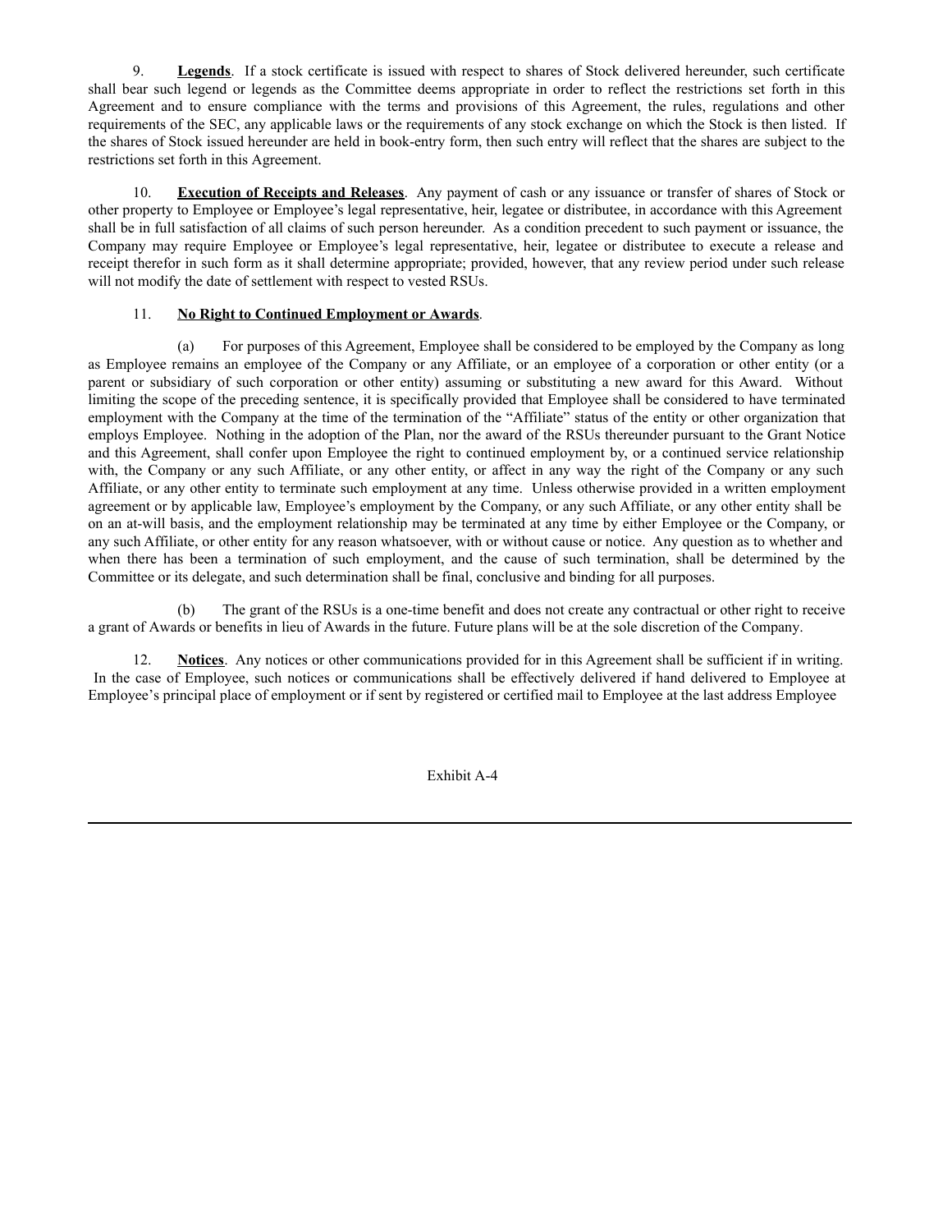9. **Legends**. If a stock certificate is issued with respect to shares of Stock delivered hereunder, such certificate shall bear such legend or legends as the Committee deems appropriate in order to reflect the restrictions set forth in this Agreement and to ensure compliance with the terms and provisions of this Agreement, the rules, regulations and other requirements of the SEC, any applicable laws or the requirements of any stock exchange on which the Stock is then listed. If the shares of Stock issued hereunder are held in book-entry form, then such entry will reflect that the shares are subject to the restrictions set forth in this Agreement.

10. **Execution of Receipts and Releases**. Any payment of cash or any issuance or transfer of shares of Stock or other property to Employee or Employee's legal representative, heir, legatee or distributee, in accordance with this Agreement shall be in full satisfaction of all claims of such person hereunder. As a condition precedent to such payment or issuance, the Company may require Employee or Employee's legal representative, heir, legatee or distributee to execute a release and receipt therefor in such form as it shall determine appropriate; provided, however, that any review period under such release will not modify the date of settlement with respect to vested RSUs.

## 11. **No Right to Continued Employment or Awards**.

(a) For purposes of this Agreement, Employee shall be considered to be employed by the Company as long as Employee remains an employee of the Company or any Affiliate, or an employee of a corporation or other entity (or a parent or subsidiary of such corporation or other entity) assuming or substituting a new award for this Award. Without limiting the scope of the preceding sentence, it is specifically provided that Employee shall be considered to have terminated employment with the Company at the time of the termination of the "Affiliate" status of the entity or other organization that employs Employee. Nothing in the adoption of the Plan, nor the award of the RSUs thereunder pursuant to the Grant Notice and this Agreement, shall confer upon Employee the right to continued employment by, or a continued service relationship with, the Company or any such Affiliate, or any other entity, or affect in any way the right of the Company or any such Affiliate, or any other entity to terminate such employment at any time. Unless otherwise provided in a written employment agreement or by applicable law, Employee's employment by the Company, or any such Affiliate, or any other entity shall be on an at-will basis, and the employment relationship may be terminated at any time by either Employee or the Company, or any such Affiliate, or other entity for any reason whatsoever, with or without cause or notice. Any question as to whether and when there has been a termination of such employment, and the cause of such termination, shall be determined by the Committee or its delegate, and such determination shall be final, conclusive and binding for all purposes.

(b) The grant of the RSUs is a one-time benefit and does not create any contractual or other right to receive a grant of Awards or benefits in lieu of Awards in the future. Future plans will be at the sole discretion of the Company.

12. **Notices**. Any notices or other communications provided for in this Agreement shall be sufficient if in writing. In the case of Employee, such notices or communications shall be effectively delivered if hand delivered to Employee at Employee's principal place of employment or if sent by registered or certified mail to Employee at the last address Employee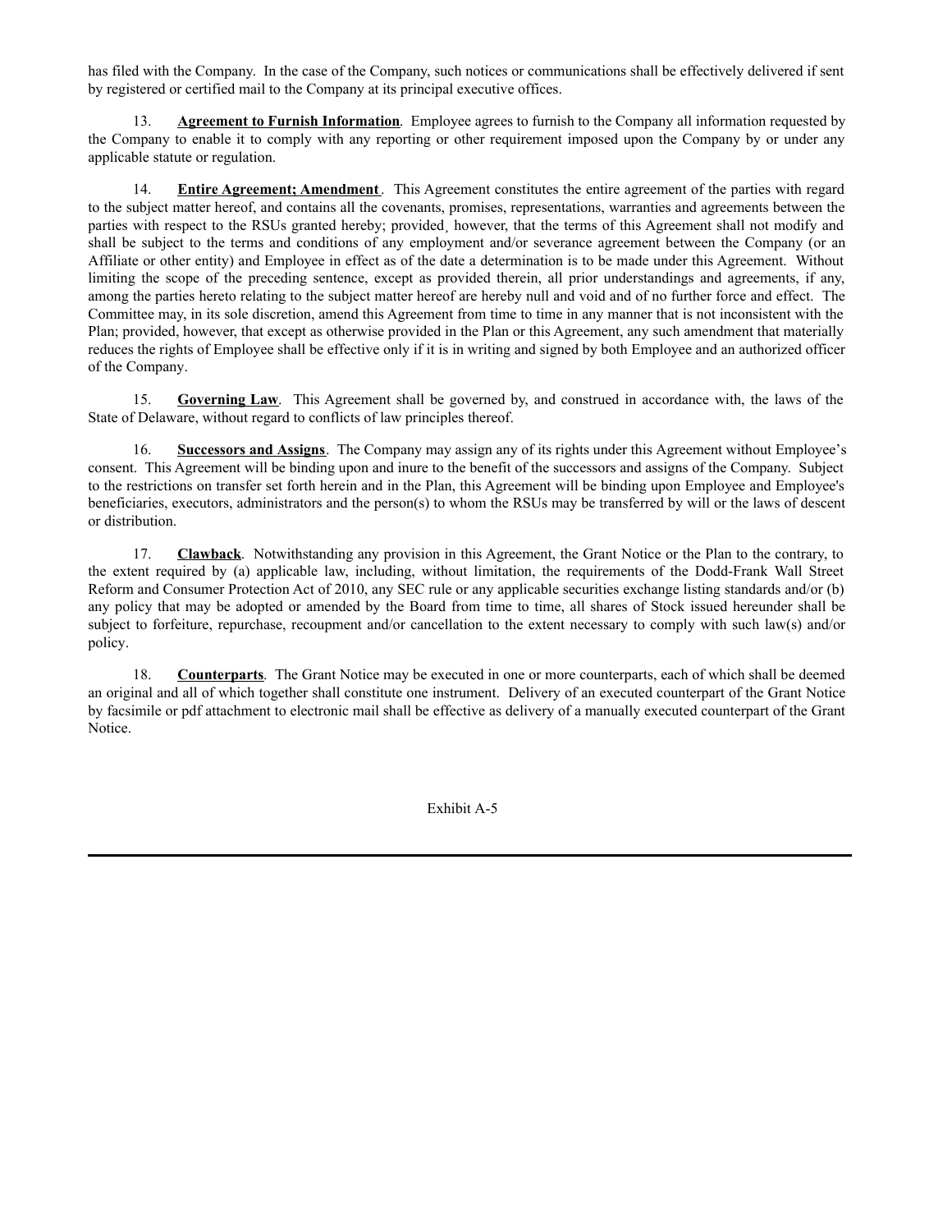has filed with the Company. In the case of the Company, such notices or communications shall be effectively delivered if sent by registered or certified mail to the Company at its principal executive offices.

13. **Agreement to Furnish Information**. Employee agrees to furnish to the Company all information requested by the Company to enable it to comply with any reporting or other requirement imposed upon the Company by or under any applicable statute or regulation.

14. **Entire Agreement; Amendment**. This Agreement constitutes the entire agreement of the parties with regard to the subject matter hereof, and contains all the covenants, promises, representations, warranties and agreements between the parties with respect to the RSUs granted hereby; provided, however, that the terms of this Agreement shall not modify and shall be subject to the terms and conditions of any employment and/or severance agreement between the Company (or an Affiliate or other entity) and Employee in effect as of the date a determination is to be made under this Agreement. Without limiting the scope of the preceding sentence, except as provided therein, all prior understandings and agreements, if any, among the parties hereto relating to the subject matter hereof are hereby null and void and of no further force and effect. The Committee may, in its sole discretion, amend this Agreement from time to time in any manner that is not inconsistent with the Plan; provided, however, that except as otherwise provided in the Plan or this Agreement, any such amendment that materially reduces the rights of Employee shall be effective only if it is in writing and signed by both Employee and an authorized officer of the Company.

15. **Governing Law**. This Agreement shall be governed by, and construed in accordance with, the laws of the State of Delaware, without regard to conflicts of law principles thereof.

16. **Successors and Assigns**. The Company may assign any of its rights under this Agreement without Employee's consent. This Agreement will be binding upon and inure to the benefit of the successors and assigns of the Company. Subject to the restrictions on transfer set forth herein and in the Plan, this Agreement will be binding upon Employee and Employee's beneficiaries, executors, administrators and the person(s) to whom the RSUs may be transferred by will or the laws of descent or distribution.

17. **Clawback**. Notwithstanding any provision in this Agreement, the Grant Notice or the Plan to the contrary, to the extent required by (a) applicable law, including, without limitation, the requirements of the Dodd-Frank Wall Street Reform and Consumer Protection Act of 2010, any SEC rule or any applicable securities exchange listing standards and/or (b) any policy that may be adopted or amended by the Board from time to time, all shares of Stock issued hereunder shall be subject to forfeiture, repurchase, recoupment and/or cancellation to the extent necessary to comply with such law(s) and/or policy.

18. **Counterparts**. The Grant Notice may be executed in one or more counterparts, each of which shall be deemed an original and all of which together shall constitute one instrument. Delivery of an executed counterpart of the Grant Notice by facsimile or pdf attachment to electronic mail shall be effective as delivery of a manually executed counterpart of the Grant Notice.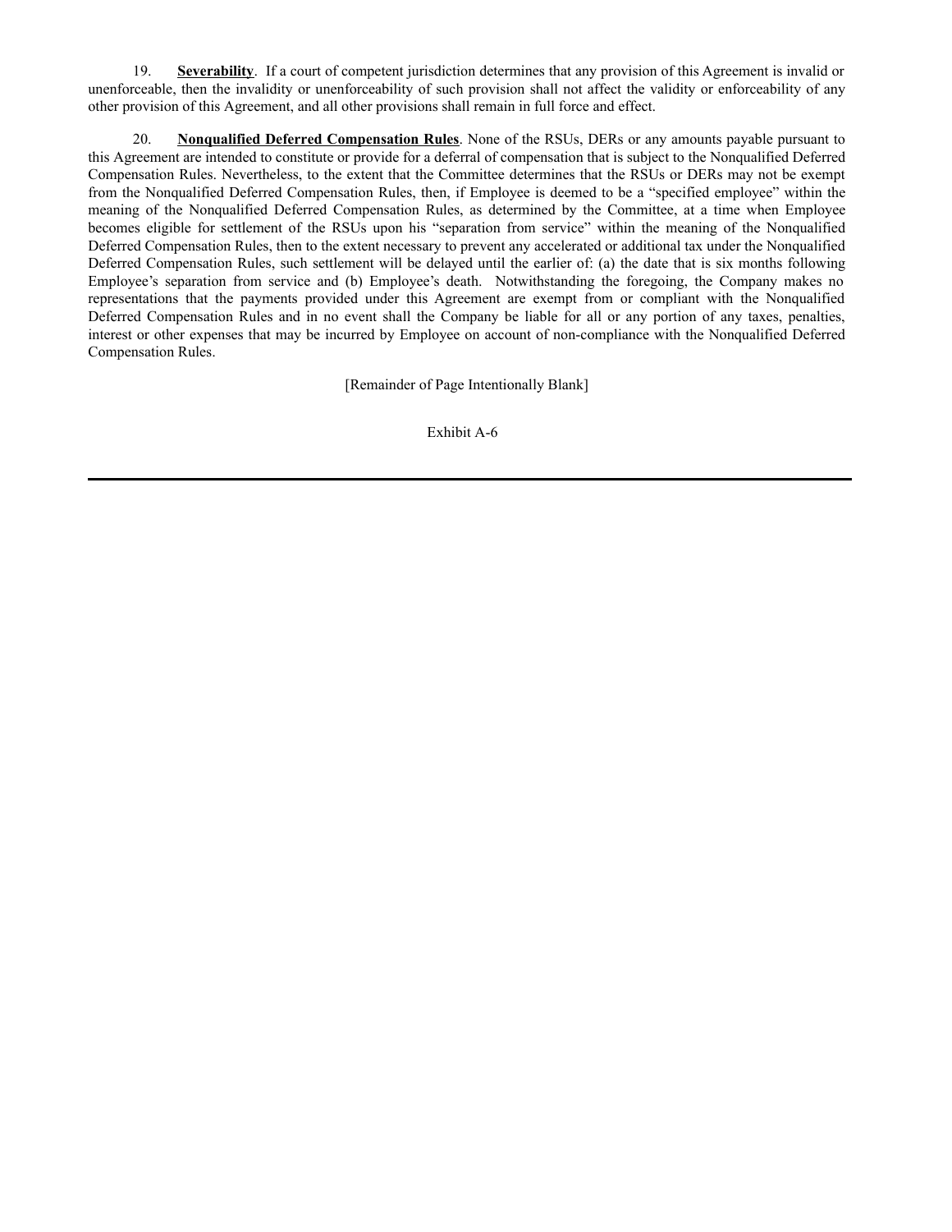19. **Severability**. If a court of competent jurisdiction determines that any provision of this Agreement is invalid or unenforceable, then the invalidity or unenforceability of such provision shall not affect the validity or enforceability of any other provision of this Agreement, and all other provisions shall remain in full force and effect.

20. **Nonqualified Deferred Compensation Rules**. None of the RSUs, DERs or any amounts payable pursuant to this Agreement are intended to constitute or provide for a deferral of compensation that is subject to the Nonqualified Deferred Compensation Rules. Nevertheless, to the extent that the Committee determines that the RSUs or DERs may not be exempt from the Nonqualified Deferred Compensation Rules, then, if Employee is deemed to be a "specified employee" within the meaning of the Nonqualified Deferred Compensation Rules, as determined by the Committee, at a time when Employee becomes eligible for settlement of the RSUs upon his "separation from service" within the meaning of the Nonqualified Deferred Compensation Rules, then to the extent necessary to prevent any accelerated or additional tax under the Nonqualified Deferred Compensation Rules, such settlement will be delayed until the earlier of: (a) the date that is six months following Employee's separation from service and (b) Employee's death. Notwithstanding the foregoing, the Company makes no representations that the payments provided under this Agreement are exempt from or compliant with the Nonqualified Deferred Compensation Rules and in no event shall the Company be liable for all or any portion of any taxes, penalties, interest or other expenses that may be incurred by Employee on account of non-compliance with the Nonqualified Deferred Compensation Rules.

[Remainder of Page Intentionally Blank]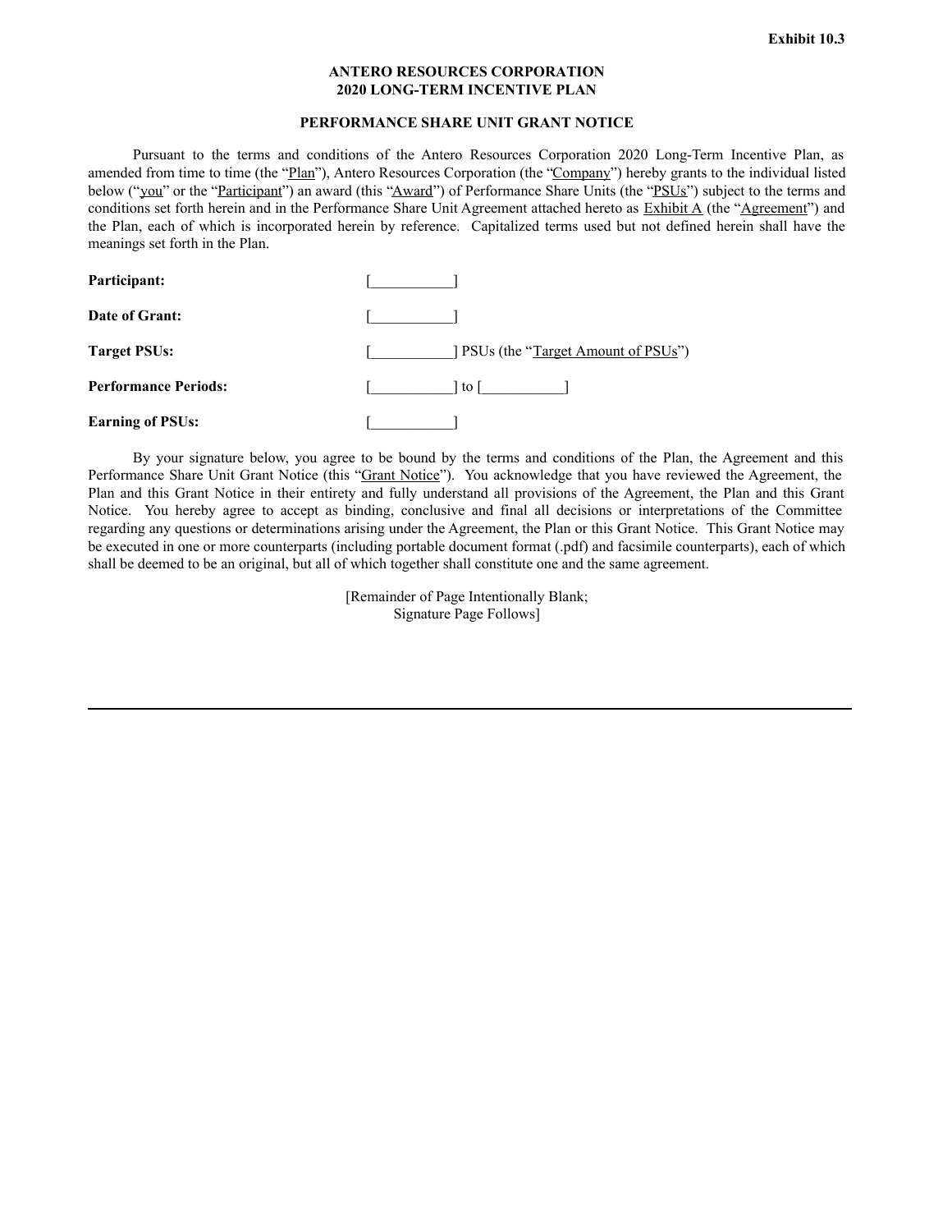### **ANTERO RESOURCES CORPORATION 2020 LONG-TERM INCENTIVE PLAN**

#### **PERFORMANCE SHARE UNIT GRANT NOTICE**

Pursuant to the terms and conditions of the Antero Resources Corporation 2020 Long-Term Incentive Plan, as amended from time to time (the "Plan"), Antero Resources Corporation (the "Company") hereby grants to the individual listed below ("you" or the "Participant") an award (this "Award") of Performance Share Units (the "PSUs") subject to the terms and conditions set forth herein and in the Performance Share Unit Agreement attached hereto as Exhibit A (the "Agreement") and the Plan, each of which is incorporated herein by reference. Capitalized terms used but not defined herein shall have the meanings set forth in the Plan.

| Participant:                |                                     |
|-----------------------------|-------------------------------------|
| Date of Grant:              |                                     |
| <b>Target PSUs:</b>         | [PSUs (the "Target Amount of PSUs") |
| <b>Performance Periods:</b> | $1$ to $L$                          |
| <b>Earning of PSUs:</b>     |                                     |

By your signature below, you agree to be bound by the terms and conditions of the Plan, the Agreement and this Performance Share Unit Grant Notice (this "Grant Notice"). You acknowledge that you have reviewed the Agreement, the Plan and this Grant Notice in their entirety and fully understand all provisions of the Agreement, the Plan and this Grant Notice. You hereby agree to accept as binding, conclusive and final all decisions or interpretations of the Committee regarding any questions or determinations arising under the Agreement, the Plan or this Grant Notice. This Grant Notice may be executed in one or more counterparts (including portable document format (.pdf) and facsimile counterparts), each of which shall be deemed to be an original, but all of which together shall constitute one and the same agreement.

> [Remainder of Page Intentionally Blank; Signature Page Follows]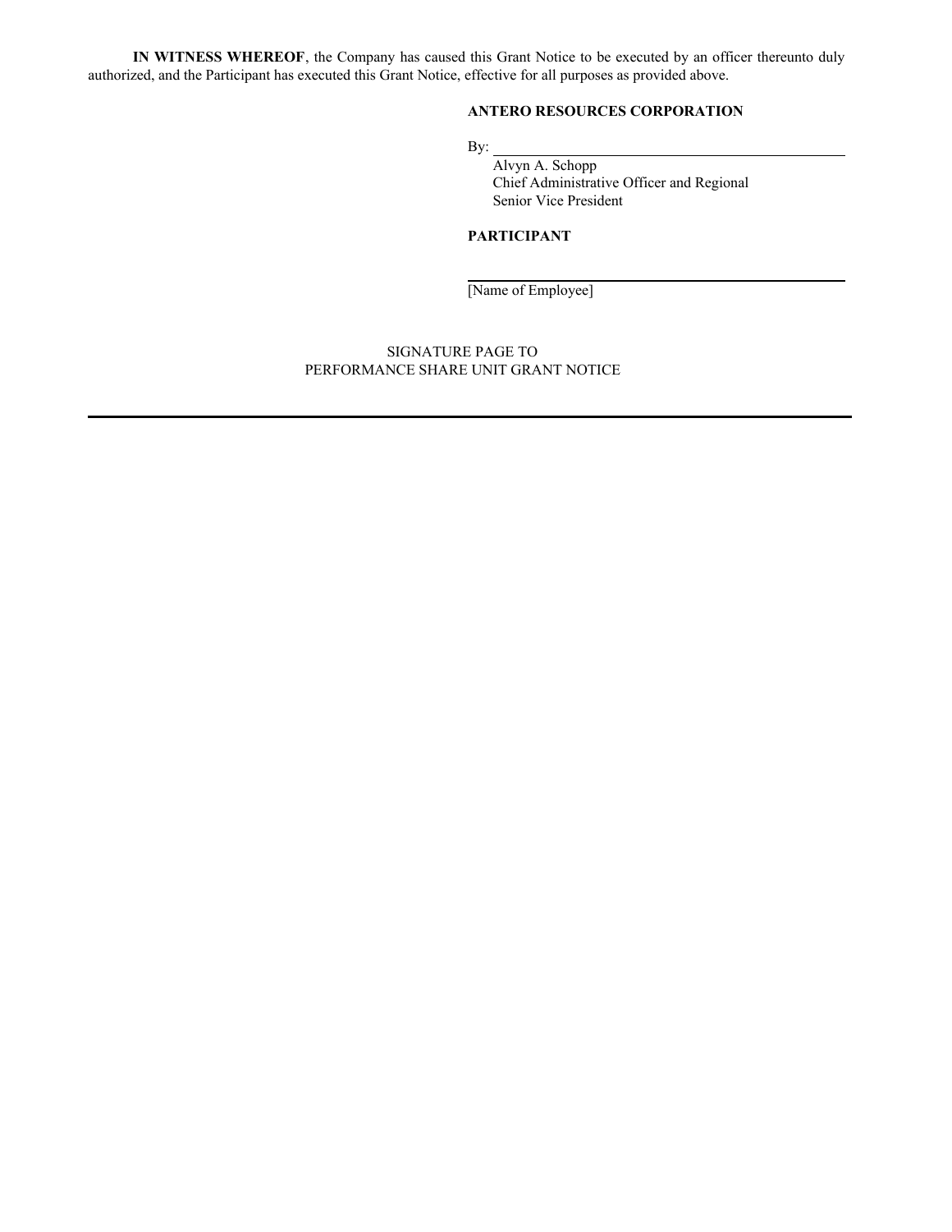**IN WITNESS WHEREOF**, the Company has caused this Grant Notice to be executed by an officer thereunto duly authorized, and the Participant has executed this Grant Notice, effective for all purposes as provided above.

# **ANTERO RESOURCES CORPORATION**

By:

Alvyn A. Schopp Chief Administrative Officer and Regional Senior Vice President

# **PARTICIPANT**

[Name of Employee]

### SIGNATURE PAGE TO PERFORMANCE SHARE UNIT GRANT NOTICE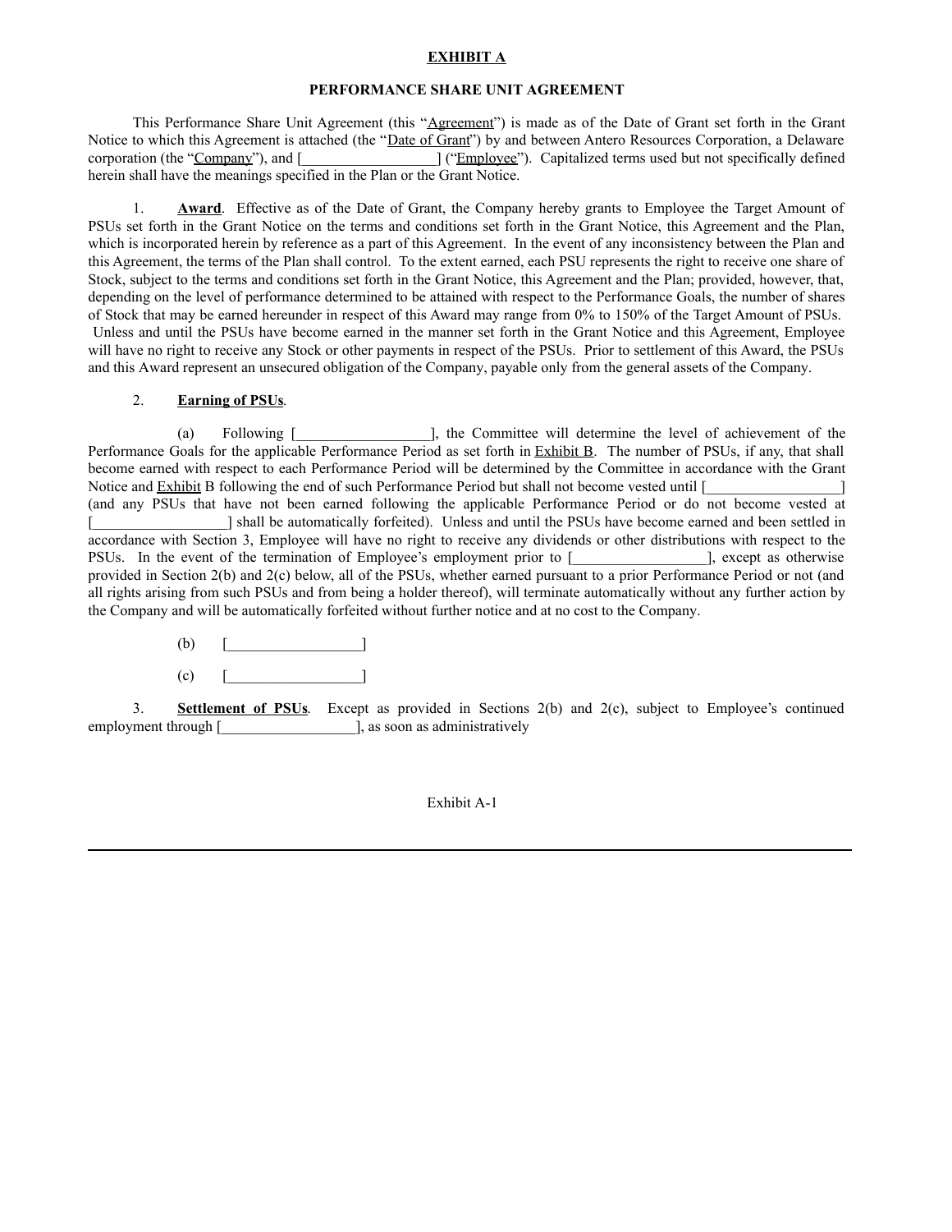## **EXHIBIT A**

### **PERFORMANCE SHARE UNIT AGREEMENT**

This Performance Share Unit Agreement (this "Agreement") is made as of the Date of Grant set forth in the Grant Notice to which this Agreement is attached (the "Date of Grant") by and between Antero Resources Corporation, a Delaware corporation (the "Company"), and [\_\_\_\_\_\_\_\_\_\_\_\_\_\_\_] ("Employee"). Capitalized terms used but not specifically defined herein shall have the meanings specified in the Plan or the Grant Notice.

1. **Award**. Effective as of the Date of Grant, the Company hereby grants to Employee the Target Amount of PSUs set forth in the Grant Notice on the terms and conditions set forth in the Grant Notice, this Agreement and the Plan, which is incorporated herein by reference as a part of this Agreement. In the event of any inconsistency between the Plan and this Agreement, the terms of the Plan shall control. To the extent earned, each PSU represents the right to receive one share of Stock, subject to the terms and conditions set forth in the Grant Notice, this Agreement and the Plan; provided, however, that, depending on the level of performance determined to be attained with respect to the Performance Goals, the number of shares of Stock that may be earned hereunder in respect of this Award may range from 0% to 150% of the Target Amount of PSUs. Unless and until the PSUs have become earned in the manner set forth in the Grant Notice and this Agreement, Employee will have no right to receive any Stock or other payments in respect of the PSUs. Prior to settlement of this Award, the PSUs and this Award represent an unsecured obligation of the Company, payable only from the general assets of the Company.

### 2. **Earning of PSUs**.

(a) Following [\_\_\_\_\_\_\_\_\_\_\_\_\_\_\_\_\_\_], the Committee will determine the level of achievement of the Performance Goals for the applicable Performance Period as set forth in Exhibit B. The number of PSUs, if any, that shall become earned with respect to each Performance Period will be determined by the Committee in accordance with the Grant Notice and Exhibit B following the end of such Performance Period but shall not become vested until [

(and any PSUs that have not been earned following the applicable Performance Period or do not become vested at [\_\_\_\_\_\_\_\_\_\_\_\_\_\_\_\_\_\_] shall be automatically forfeited). Unless and until the PSUs have become earned and been settled in accordance with Section 3, Employee will have no right to receive any dividends or other distributions with respect to the PSUs. In the event of the termination of Employee's employment prior to [\_\_\_\_\_\_\_\_\_\_\_\_\_\_\_\_\_], except as otherwise provided in Section 2(b) and 2(c) below, all of the PSUs, whether earned pursuant to a prior Performance Period or not (and all rights arising from such PSUs and from being a holder thereof), will terminate automatically without any further action by the Company and will be automatically forfeited without further notice and at no cost to the Company.

- $(b)$   $\Box$
- (c) [\_\_\_\_\_\_\_\_\_\_\_\_\_\_\_\_\_\_]

3. **Settlement of PSUs**. Except as provided in Sections 2(b) and 2(c), subject to Employee's continued employment through [2004], as soon as administratively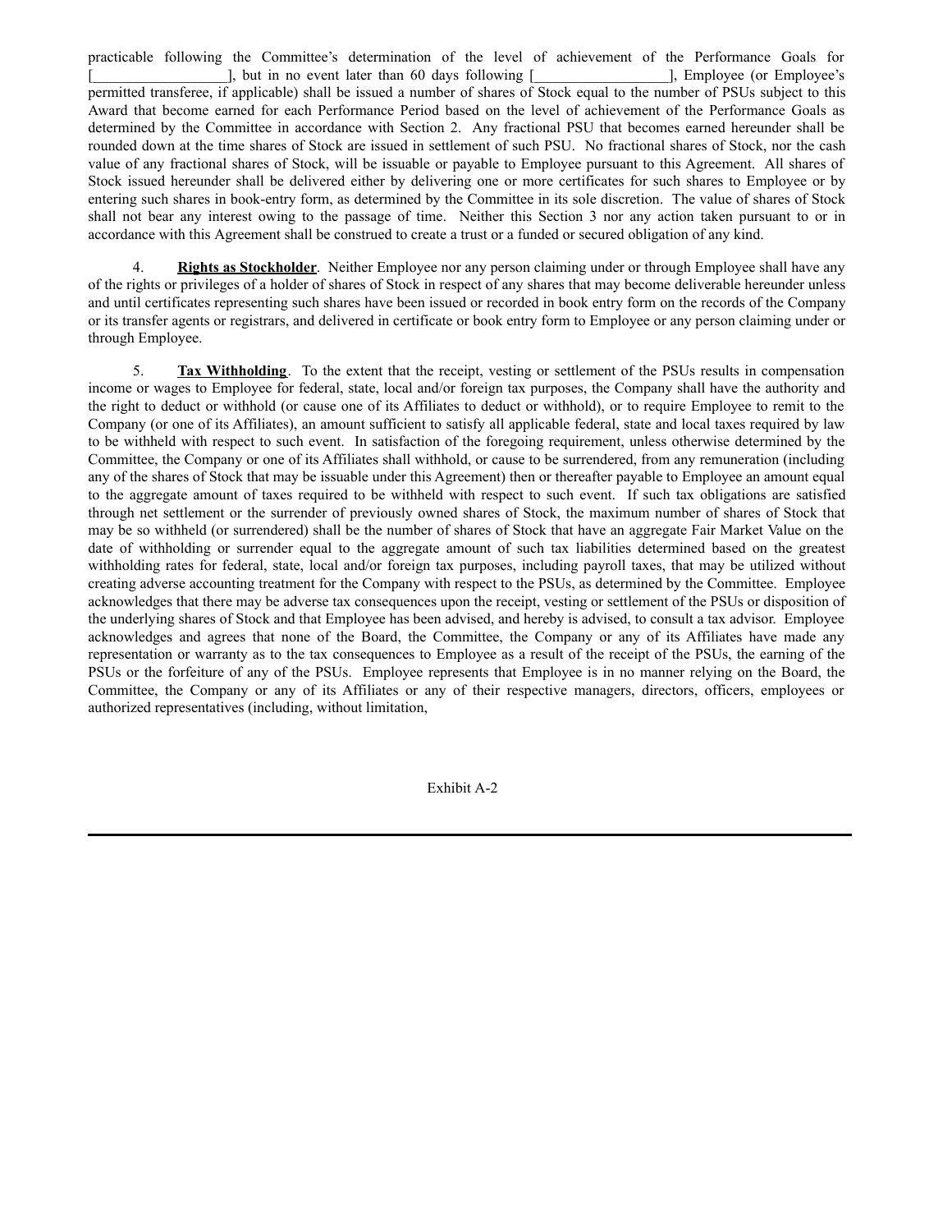practicable following the Committee's determination of the level of achievement of the Performance Goals for ], but in no event later than 60 days following [\_\_\_\_\_\_\_\_\_\_\_\_\_\_\_\_], Employee (or Employee's permitted transferee, if applicable) shall be issued a number of shares of Stock equal to the number of PSUs subject to this Award that become earned for each Performance Period based on the level of achievement of the Performance Goals as determined by the Committee in accordance with Section 2. Any fractional PSU that becomes earned hereunder shall be rounded down at the time shares of Stock are issued in settlement of such PSU. No fractional shares of Stock, nor the cash value of any fractional shares of Stock, will be issuable or payable to Employee pursuant to this Agreement. All shares of Stock issued hereunder shall be delivered either by delivering one or more certificates for such shares to Employee or by entering such shares in book-entry form, as determined by the Committee in its sole discretion. The value of shares of Stock shall not bear any interest owing to the passage of time. Neither this Section 3 nor any action taken pursuant to or in accordance with this Agreement shall be construed to create a trust or a funded or secured obligation of any kind.

4. **Rights as Stockholder**. Neither Employee nor any person claiming under or through Employee shall have any of the rights or privileges of a holder of shares of Stock in respect of any shares that may become deliverable hereunder unless and until certificates representing such shares have been issued or recorded in book entry form on the records of the Company or its transfer agents or registrars, and delivered in certificate or book entry form to Employee or any person claiming under or through Employee.

5. **Tax Withholding**. To the extent that the receipt, vesting or settlement of the PSUs results in compensation income or wages to Employee for federal, state, local and/or foreign tax purposes, the Company shall have the authority and the right to deduct or withhold (or cause one of its Affiliates to deduct or withhold), or to require Employee to remit to the Company (or one of its Affiliates), an amount sufficient to satisfy all applicable federal, state and local taxes required by law to be withheld with respect to such event. In satisfaction of the foregoing requirement, unless otherwise determined by the Committee, the Company or one of its Affiliates shall withhold, or cause to be surrendered, from any remuneration (including any of the shares of Stock that may be issuable under this Agreement) then or thereafter payable to Employee an amount equal to the aggregate amount of taxes required to be withheld with respect to such event. If such tax obligations are satisfied through net settlement or the surrender of previously owned shares of Stock, the maximum number of shares of Stock that may be so withheld (or surrendered) shall be the number of shares of Stock that have an aggregate Fair Market Value on the date of withholding or surrender equal to the aggregate amount of such tax liabilities determined based on the greatest withholding rates for federal, state, local and/or foreign tax purposes, including payroll taxes, that may be utilized without creating adverse accounting treatment for the Company with respect to the PSUs, as determined by the Committee. Employee acknowledges that there may be adverse tax consequences upon the receipt, vesting or settlement of the PSUs or disposition of the underlying shares of Stock and that Employee has been advised, and hereby is advised, to consult a tax advisor. Employee acknowledges and agrees that none of the Board, the Committee, the Company or any of its Affiliates have made any representation or warranty as to the tax consequences to Employee as a result of the receipt of the PSUs, the earning of the PSUs or the forfeiture of any of the PSUs. Employee represents that Employee is in no manner relying on the Board, the Committee, the Company or any of its Affiliates or any of their respective managers, directors, officers, employees or authorized representatives (including, without limitation,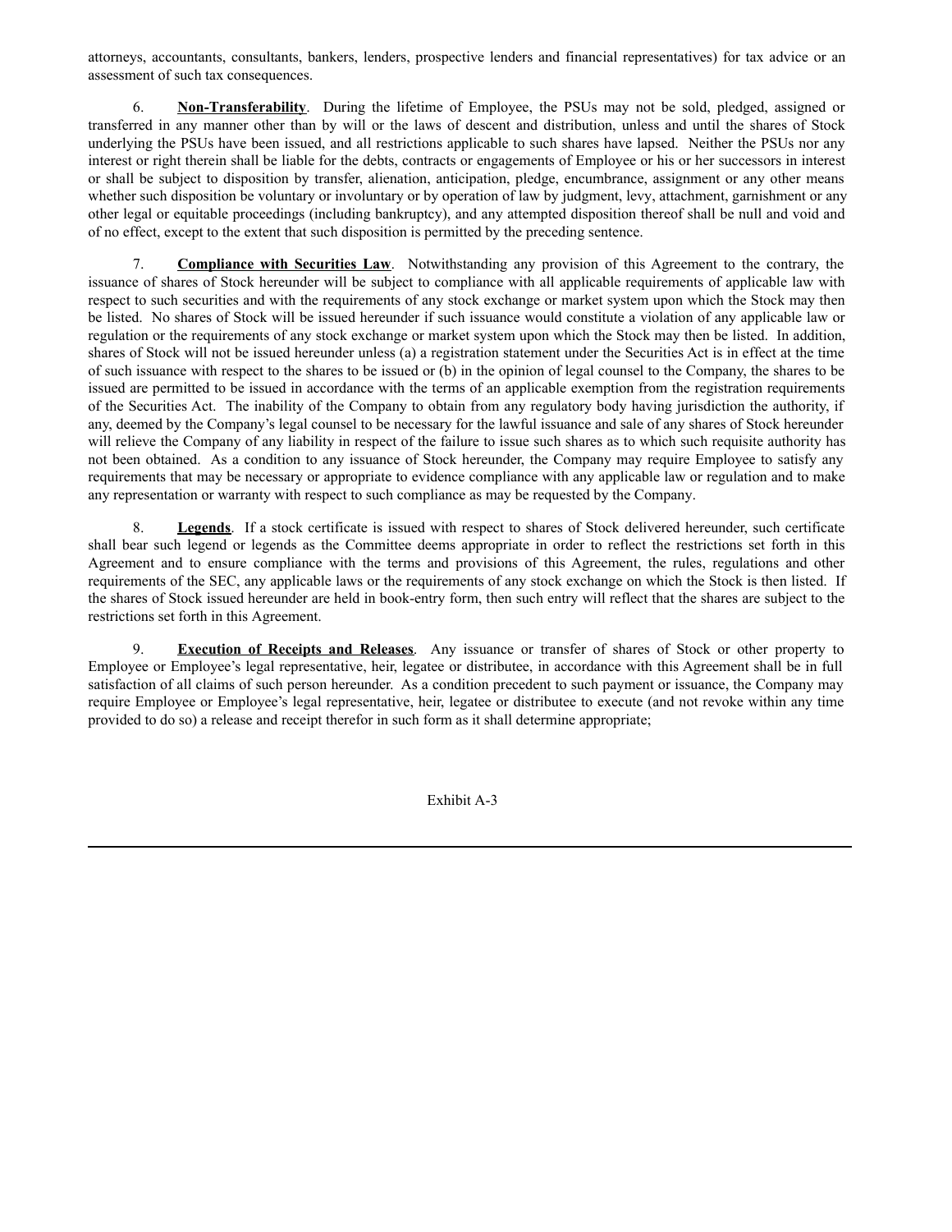<span id="page-93-0"></span>attorneys, accountants, consultants, bankers, lenders, prospective lenders and financial representatives) for tax advice or an assessment of such tax consequences.

6. **Non-Transferability**. During the lifetime of Employee, the PSUs may not be sold, pledged, assigned or transferred in any manner other than by will or the laws of descent and distribution, unless and until the shares of Stock underlying the PSUs have been issued, and all restrictions applicable to such shares have lapsed. Neither the PSUs nor any interest or right therein shall be liable for the debts, contracts or engagements of Employee or his or her successors in interest or shall be subject to disposition by transfer, alienation, anticipation, pledge, encumbrance, assignment or any other means whether such disposition be voluntary or involuntary or by operation of law by judgment, levy, attachment, garnishment or any other legal or equitable proceedings (including bankruptcy), and any attempted disposition thereof shall be null and void and of no effect, except to the extent that such disposition is permitted by the preceding sentence.

7. **Compliance with Securities Law**. Notwithstanding any provision of this Agreement to the contrary, the issuance of shares of Stock hereunder will be subject to compliance with all applicable requirements of applicable law with respect to such securities and with the requirements of any stock exchange or market system upon which the Stock may then be listed. No shares of Stock will be issued hereunder if such issuance would constitute a violation of any applicable law or regulation or the requirements of any stock exchange or market system upon which the Stock may then be listed. In addition, shares of Stock will not be issued hereunder unless (a) a registration statement under the Securities Act is in effect at the time of such issuance with respect to the shares to be issued or (b) in the opinion of legal counsel to the Company, the shares to be issued are permitted to be issued in accordance with the terms of an applicable exemption from the registration requirements of the Securities Act. The inability of the Company to obtain from any regulatory body having jurisdiction the authority, if any, deemed by the Company's legal counsel to be necessary for the lawful issuance and sale of any shares of Stock hereunder will relieve the Company of any liability in respect of the failure to issue such shares as to which such requisite authority has not been obtained. As a condition to any issuance of Stock hereunder, the Company may require Employee to satisfy any requirements that may be necessary or appropriate to evidence compliance with any applicable law or regulation and to make any representation or warranty with respect to such compliance as may be requested by the Company.

8. **Legends**. If a stock certificate is issued with respect to shares of Stock delivered hereunder, such certificate shall bear such legend or legends as the Committee deems appropriate in order to reflect the restrictions set forth in this Agreement and to ensure compliance with the terms and provisions of this Agreement, the rules, regulations and other requirements of the SEC, any applicable laws or the requirements of any stock exchange on which the Stock is then listed. If the shares of Stock issued hereunder are held in book-entry form, then such entry will reflect that the shares are subject to the restrictions set forth in this Agreement.

9. **Execution of Receipts and Releases**. Any issuance or transfer of shares of Stock or other property to Employee or Employee's legal representative, heir, legatee or distributee, in accordance with this Agreement shall be in full satisfaction of all claims of such person hereunder. As a condition precedent to such payment or issuance, the Company may require Employee or Employee's legal representative, heir, legatee or distributee to execute (and not revoke within any time provided to do so) a release and receipt therefor in such form as it shall determine appropriate;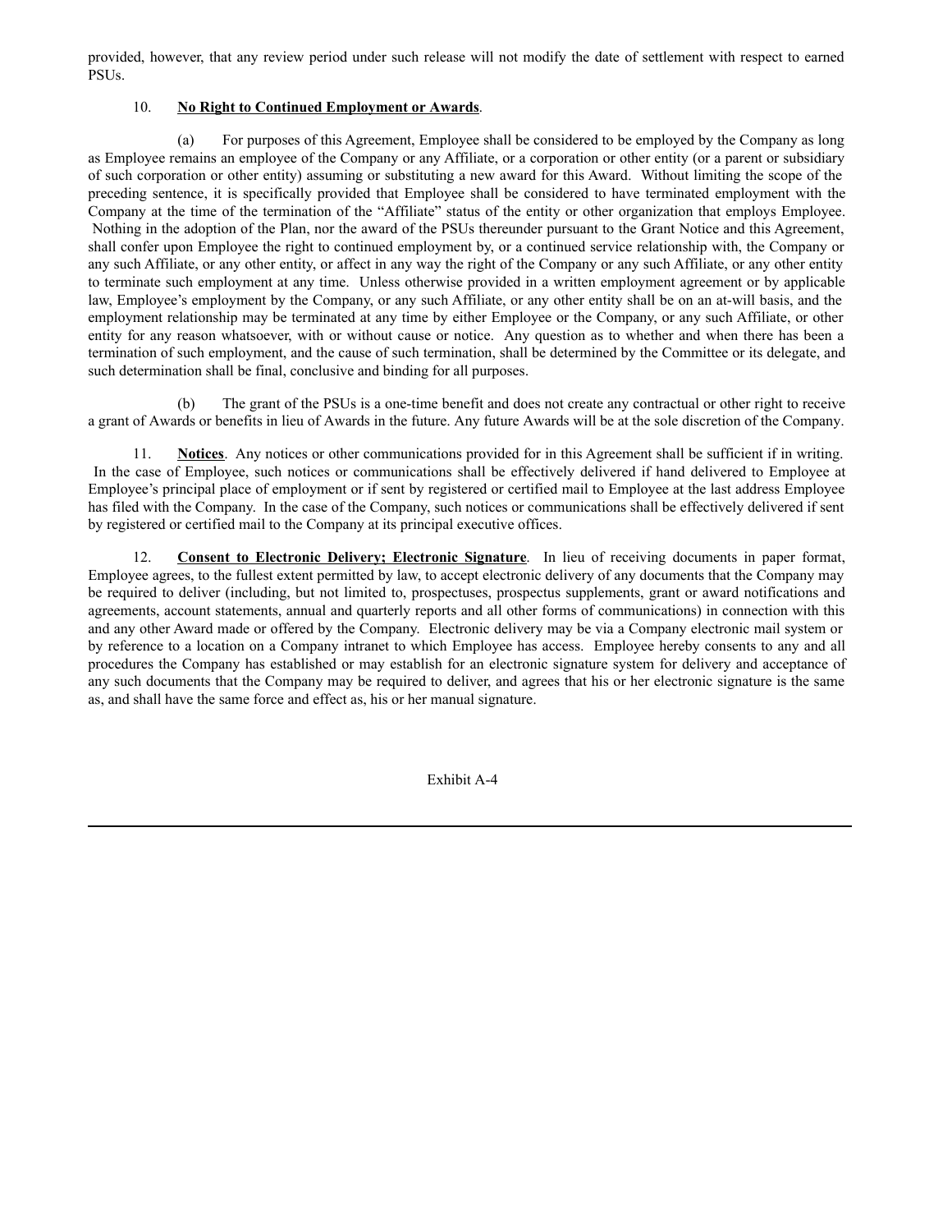provided, however, that any review period under such release will not modify the date of settlement with respect to earned PSUs.

## 10. **No Right to Continued Employment or Awards**.

(a) For purposes of this Agreement, Employee shall be considered to be employed by the Company as long as Employee remains an employee of the Company or any Affiliate, or a corporation or other entity (or a parent or subsidiary of such corporation or other entity) assuming or substituting a new award for this Award. Without limiting the scope of the preceding sentence, it is specifically provided that Employee shall be considered to have terminated employment with the Company at the time of the termination of the "Affiliate" status of the entity or other organization that employs Employee. Nothing in the adoption of the Plan, nor the award of the PSUs thereunder pursuant to the Grant Notice and this Agreement, shall confer upon Employee the right to continued employment by, or a continued service relationship with, the Company or any such Affiliate, or any other entity, or affect in any way the right of the Company or any such Affiliate, or any other entity to terminate such employment at any time. Unless otherwise provided in a written employment agreement or by applicable law, Employee's employment by the Company, or any such Affiliate, or any other entity shall be on an at-will basis, and the employment relationship may be terminated at any time by either Employee or the Company, or any such Affiliate, or other entity for any reason whatsoever, with or without cause or notice. Any question as to whether and when there has been a termination of such employment, and the cause of such termination, shall be determined by the Committee or its delegate, and such determination shall be final, conclusive and binding for all purposes.

(b) The grant of the PSUs is a one-time benefit and does not create any contractual or other right to receive a grant of Awards or benefits in lieu of Awards in the future. Any future Awards will be at the sole discretion of the Company.

11. **Notices**. Any notices or other communications provided for in this Agreement shall be sufficient if in writing. In the case of Employee, such notices or communications shall be effectively delivered if hand delivered to Employee at Employee's principal place of employment or if sent by registered or certified mail to Employee at the last address Employee has filed with the Company. In the case of the Company, such notices or communications shall be effectively delivered if sent by registered or certified mail to the Company at its principal executive offices.

12. **Consent to Electronic Delivery; Electronic Signature**. In lieu of receiving documents in paper format, Employee agrees, to the fullest extent permitted by law, to accept electronic delivery of any documents that the Company may be required to deliver (including, but not limited to, prospectuses, prospectus supplements, grant or award notifications and agreements, account statements, annual and quarterly reports and all other forms of communications) in connection with this and any other Award made or offered by the Company. Electronic delivery may be via a Company electronic mail system or by reference to a location on a Company intranet to which Employee has access. Employee hereby consents to any and all procedures the Company has established or may establish for an electronic signature system for delivery and acceptance of any such documents that the Company may be required to deliver, and agrees that his or her electronic signature is the same as, and shall have the same force and effect as, his or her manual signature.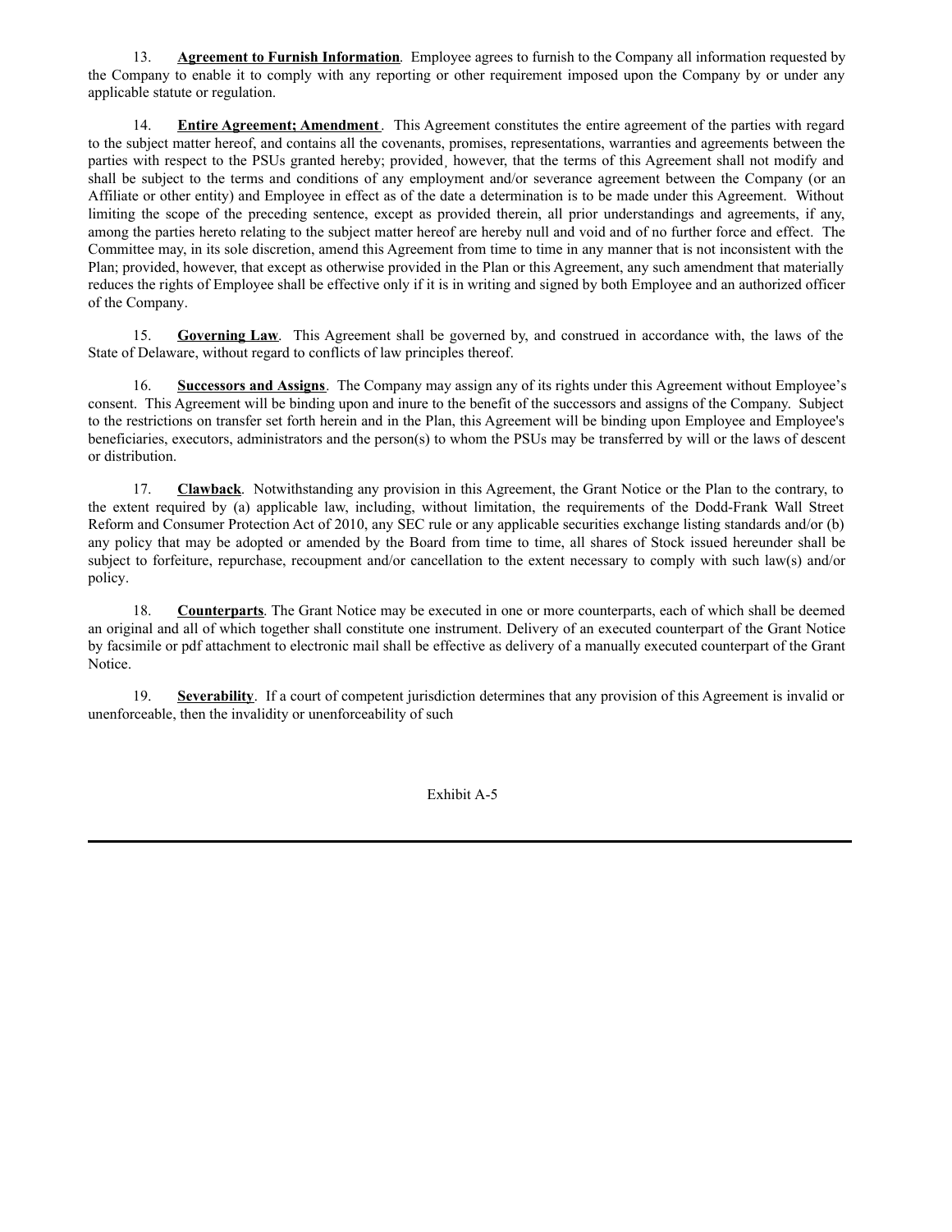13. **Agreement to Furnish Information**. Employee agrees to furnish to the Company all information requested by the Company to enable it to comply with any reporting or other requirement imposed upon the Company by or under any applicable statute or regulation.

14. **Entire Agreement; Amendment**. This Agreement constitutes the entire agreement of the parties with regard to the subject matter hereof, and contains all the covenants, promises, representations, warranties and agreements between the parties with respect to the PSUs granted hereby; provided, however, that the terms of this Agreement shall not modify and shall be subject to the terms and conditions of any employment and/or severance agreement between the Company (or an Affiliate or other entity) and Employee in effect as of the date a determination is to be made under this Agreement. Without limiting the scope of the preceding sentence, except as provided therein, all prior understandings and agreements, if any, among the parties hereto relating to the subject matter hereof are hereby null and void and of no further force and effect. The Committee may, in its sole discretion, amend this Agreement from time to time in any manner that is not inconsistent with the Plan; provided, however, that except as otherwise provided in the Plan or this Agreement, any such amendment that materially reduces the rights of Employee shall be effective only if it is in writing and signed by both Employee and an authorized officer of the Company.

15. **Governing Law**. This Agreement shall be governed by, and construed in accordance with, the laws of the State of Delaware, without regard to conflicts of law principles thereof.

16. **Successors and Assigns**. The Company may assign any of its rights under this Agreement without Employee's consent. This Agreement will be binding upon and inure to the benefit of the successors and assigns of the Company. Subject to the restrictions on transfer set forth herein and in the Plan, this Agreement will be binding upon Employee and Employee's beneficiaries, executors, administrators and the person(s) to whom the PSUs may be transferred by will or the laws of descent or distribution.

17. **Clawback**. Notwithstanding any provision in this Agreement, the Grant Notice or the Plan to the contrary, to the extent required by (a) applicable law, including, without limitation, the requirements of the Dodd-Frank Wall Street Reform and Consumer Protection Act of 2010, any SEC rule or any applicable securities exchange listing standards and/or (b) any policy that may be adopted or amended by the Board from time to time, all shares of Stock issued hereunder shall be subject to forfeiture, repurchase, recoupment and/or cancellation to the extent necessary to comply with such law(s) and/or policy.

18. **Counterparts**. The Grant Notice may be executed in one or more counterparts, each of which shall be deemed an original and all of which together shall constitute one instrument. Delivery of an executed counterpart of the Grant Notice by facsimile or pdf attachment to electronic mail shall be effective as delivery of a manually executed counterpart of the Grant Notice.

19. **Severability**. If a court of competent jurisdiction determines that any provision of this Agreement is invalid or unenforceable, then the invalidity or unenforceability of such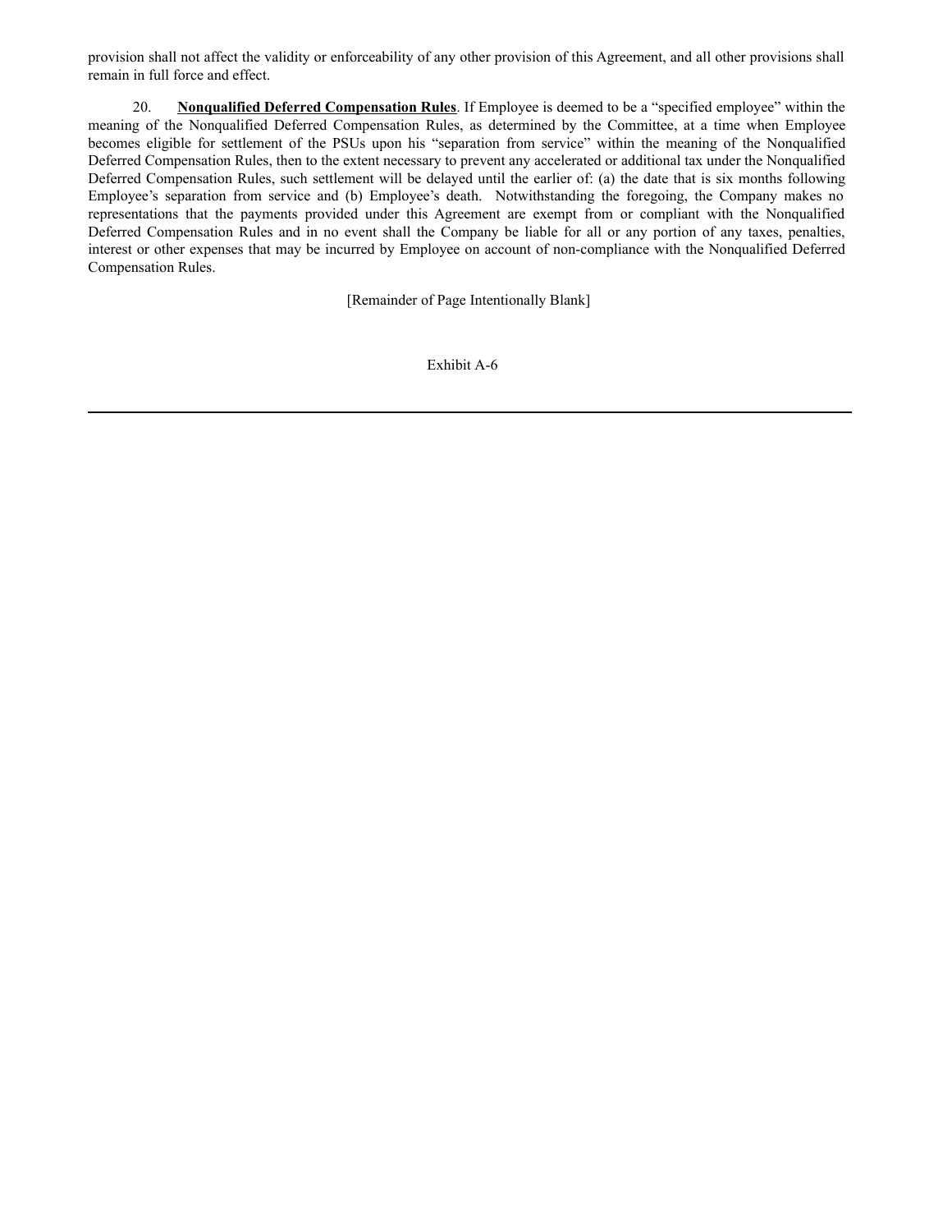provision shall not affect the validity or enforceability of any other provision of this Agreement, and all other provisions shall remain in full force and effect.

20. **Nonqualified Deferred Compensation Rules**. If Employee is deemed to be a "specified employee" within the meaning of the Nonqualified Deferred Compensation Rules, as determined by the Committee, at a time when Employee becomes eligible for settlement of the PSUs upon his "separation from service" within the meaning of the Nonqualified Deferred Compensation Rules, then to the extent necessary to prevent any accelerated or additional tax under the Nonqualified Deferred Compensation Rules, such settlement will be delayed until the earlier of: (a) the date that is six months following Employee's separation from service and (b) Employee's death. Notwithstanding the foregoing, the Company makes no representations that the payments provided under this Agreement are exempt from or compliant with the Nonqualified Deferred Compensation Rules and in no event shall the Company be liable for all or any portion of any taxes, penalties, interest or other expenses that may be incurred by Employee on account of non-compliance with the Nonqualified Deferred Compensation Rules.

[Remainder of Page Intentionally Blank]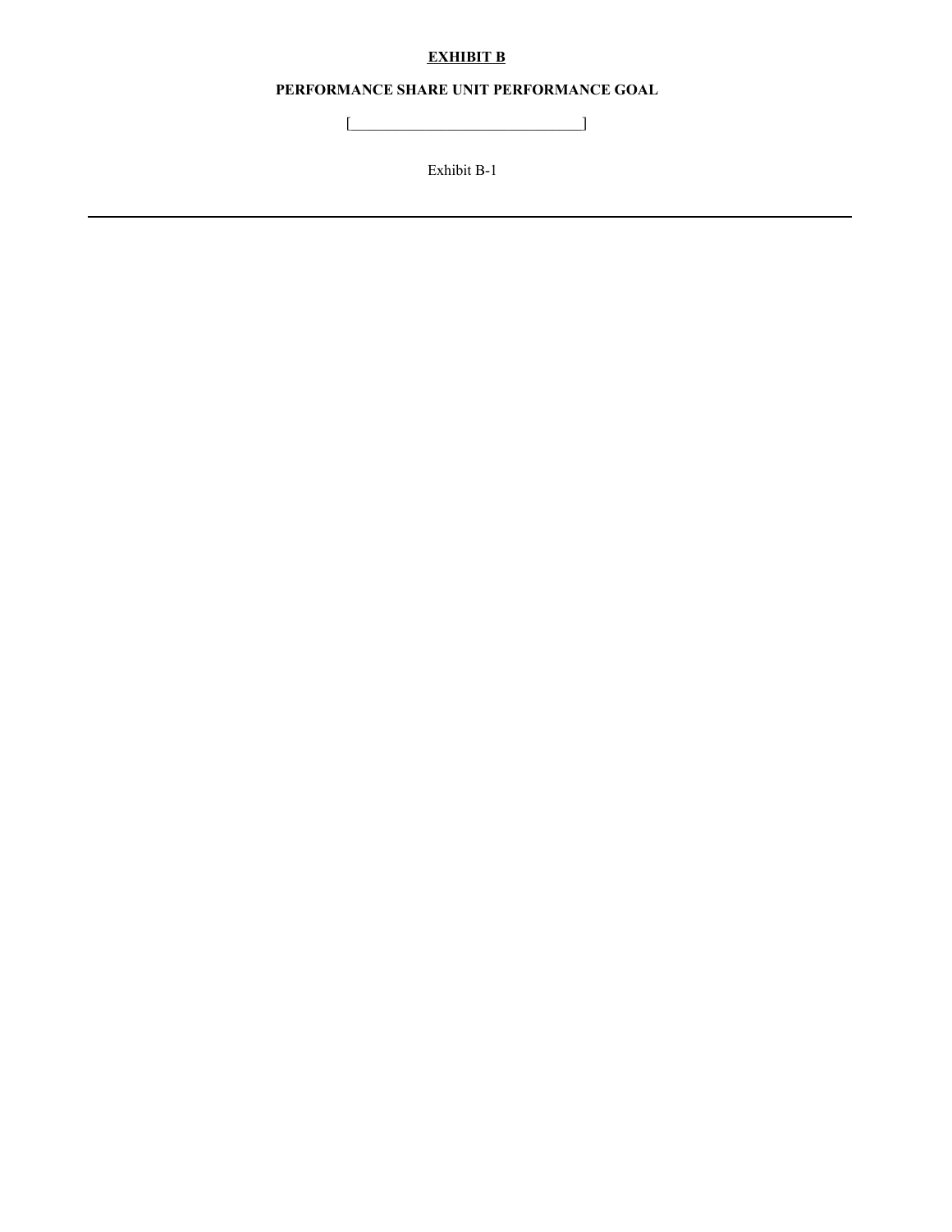# **EXHIBIT B**

# **PERFORMANCE SHARE UNIT PERFORMANCE GOAL**

 $[\begin{array}{ccc} \begin{array}{ccc} \begin{array}{ccc} \end{array} & \begin{array}{ccc} \end{array} & \begin{array}{ccc} \end{array} & \end{array} & \begin{array}{ccc} \end{array} & \begin{array}{ccc} \end{array} & \begin{array}{ccc} \end{array} & \end{array} & \begin{array}{ccc} \end{array} & \begin{array}{ccc} \end{array} & \begin{array}{ccc} \end{array} & \begin{array}{ccc} \end{array} & \begin{array}{ccc} \end{array} & \begin{array}{ccc} \end{array} & \begin{array}{ccc} \end{array} & \begin{array}{ccc} \end{array} & \begin{array}{ccc} \end{array}$ 

Exhibit B-1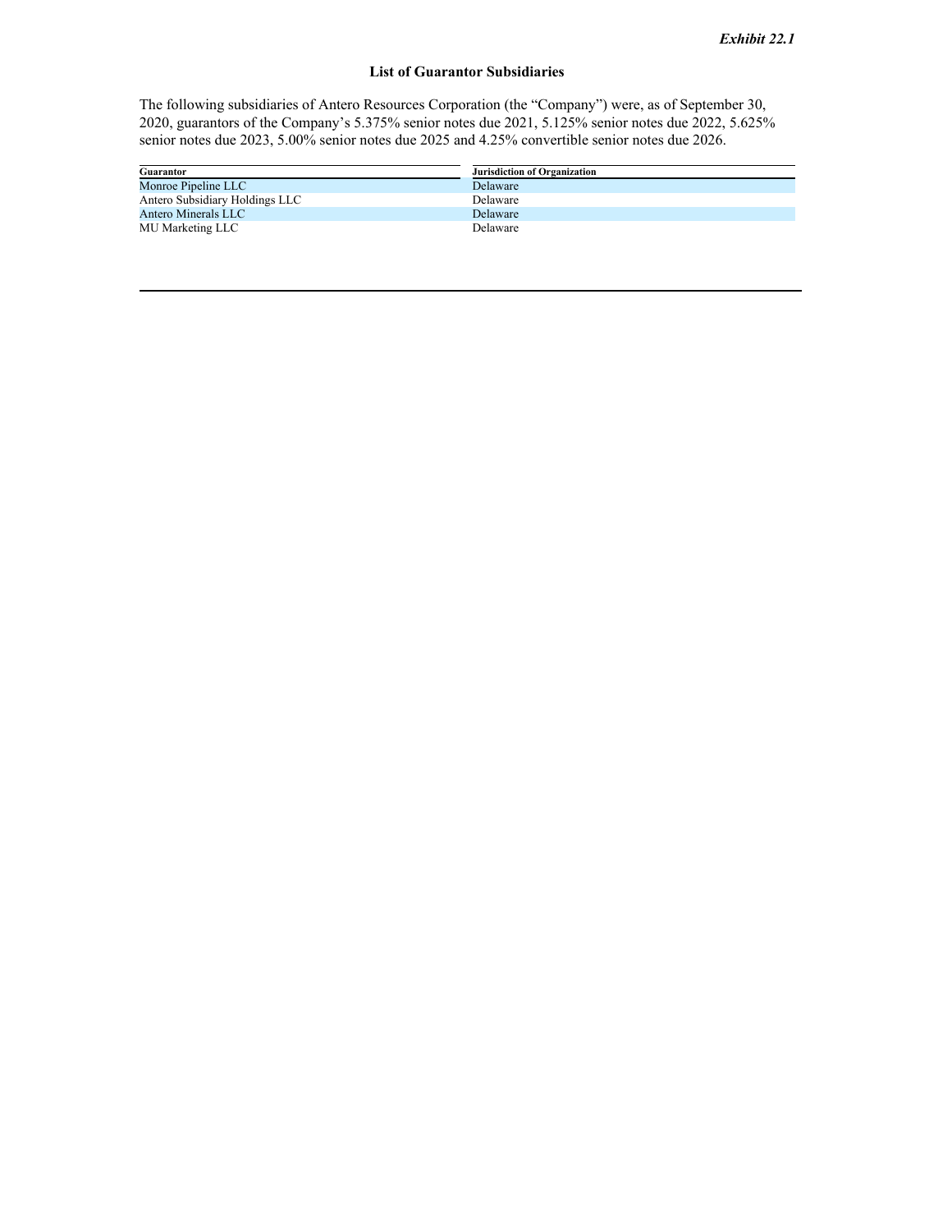# **List of Guarantor Subsidiaries**

<span id="page-98-0"></span>The following subsidiaries of Antero Resources Corporation (the "Company") were, as of September 30, 2020, guarantors of the Company's 5.375% senior notes due 2021, 5.125% senior notes due 2022, 5.625% senior notes due 2023, 5.00% senior notes due 2025 and 4.25% convertible senior notes due 2026.

| Guarantor                      | Jurisdiction of Organization |
|--------------------------------|------------------------------|
| Monroe Pipeline LLC            | <b>Delaware</b>              |
| Antero Subsidiary Holdings LLC | Delaware                     |
| Antero Minerals LLC            | Delaware                     |
| MU Marketing LLC               | Delaware                     |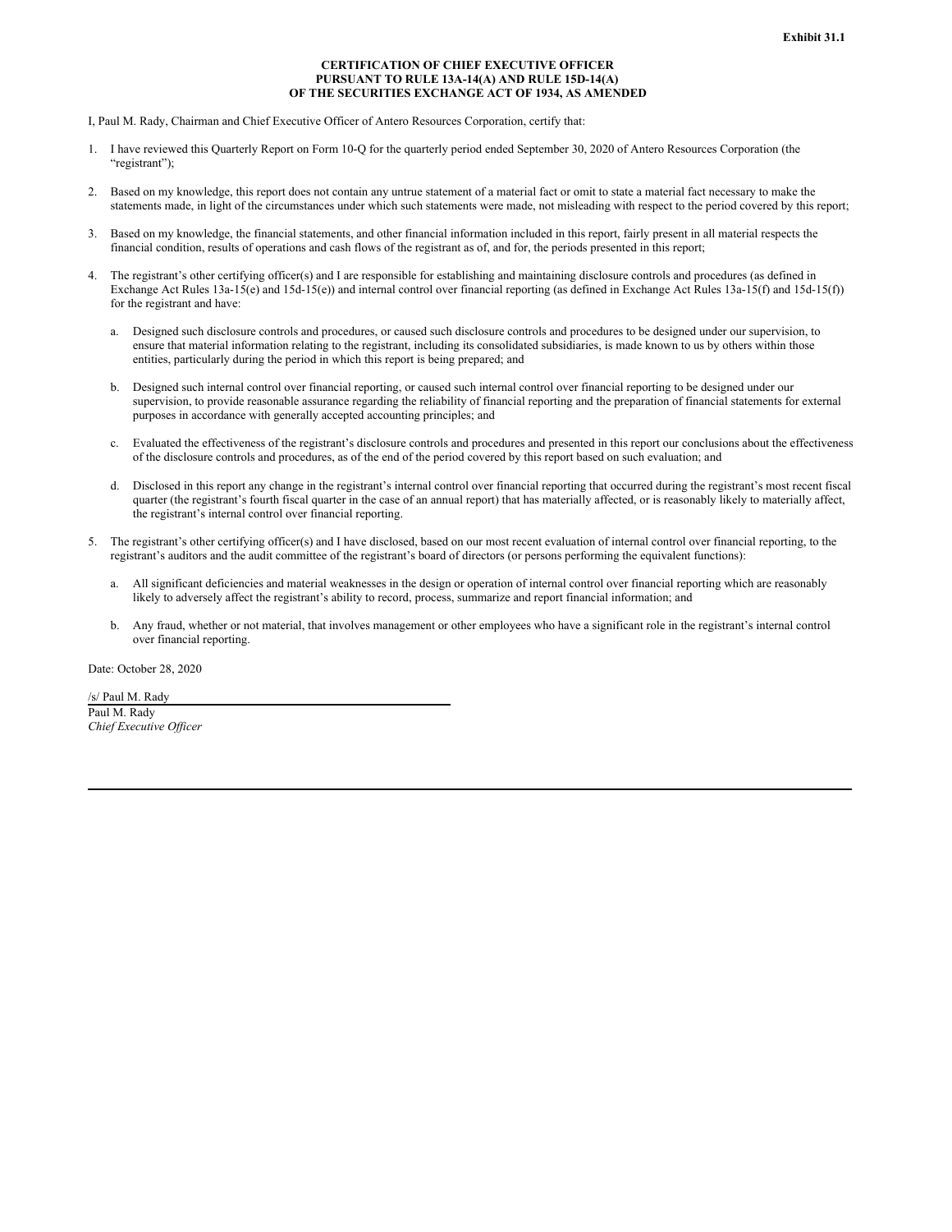#### **CERTIFICATION OF CHIEF EXECUTIVE OFFICER PURSUANT TO RULE 13A-14(A) AND RULE 15D-14(A) OF THE SECURITIES EXCHANGE ACT OF 1934, AS AMENDED**

I, Paul M. Rady, Chairman and Chief Executive Officer of Antero Resources Corporation, certify that:

- 1. I have reviewed this Quarterly Report on Form 10-Q for the quarterly period ended September 30, 2020 of Antero Resources Corporation (the "registrant");
- 2. Based on my knowledge, this report does not contain any untrue statement of a material fact or omit to state a material fact necessary to make the statements made, in light of the circumstances under which such statements were made, not misleading with respect to the period covered by this report;
- 3. Based on my knowledge, the financial statements, and other financial information included in this report, fairly present in all material respects the financial condition, results of operations and cash flows of the registrant as of, and for, the periods presented in this report;
- 4. The registrant's other certifying officer(s) and I are responsible for establishing and maintaining disclosure controls and procedures (as defined in Exchange Act Rules 13a-15(e) and 15d-15(e)) and internal control over financial reporting (as defined in Exchange Act Rules 13a-15(f) and 15d-15(f)) for the registrant and have:
	- a. Designed such disclosure controls and procedures, or caused such disclosure controls and procedures to be designed under our supervision, to ensure that material information relating to the registrant, including its consolidated subsidiaries, is made known to us by others within those entities, particularly during the period in which this report is being prepared; and
	- b. Designed such internal control over financial reporting, or caused such internal control over financial reporting to be designed under our supervision, to provide reasonable assurance regarding the reliability of financial reporting and the preparation of financial statements for external purposes in accordance with generally accepted accounting principles; and
	- c. Evaluated the effectiveness of the registrant's disclosure controls and procedures and presented in this report our conclusions about the effectiveness of the disclosure controls and procedures, as of the end of the period covered by this report based on such evaluation; and
	- d. Disclosed in this report any change in the registrant's internal control over financial reporting that occurred during the registrant's most recent fiscal quarter (the registrant's fourth fiscal quarter in the case of an annual report) that has materially affected, or is reasonably likely to materially affect, the registrant's internal control over financial reporting.
- 5. The registrant's other certifying officer(s) and I have disclosed, based on our most recent evaluation of internal control over financial reporting, to the registrant's auditors and the audit committee of the registrant's board of directors (or persons performing the equivalent functions):
	- a. All significant deficiencies and material weaknesses in the design or operation of internal control over financial reporting which are reasonably likely to adversely affect the registrant's ability to record, process, summarize and report financial information; and
	- b. Any fraud, whether or not material, that involves management or other employees who have a significant role in the registrant's internal control over financial reporting.

Date: October 28, 2020

/s/ Paul M. Rady Paul M. Rady *Chief Executive Of icer*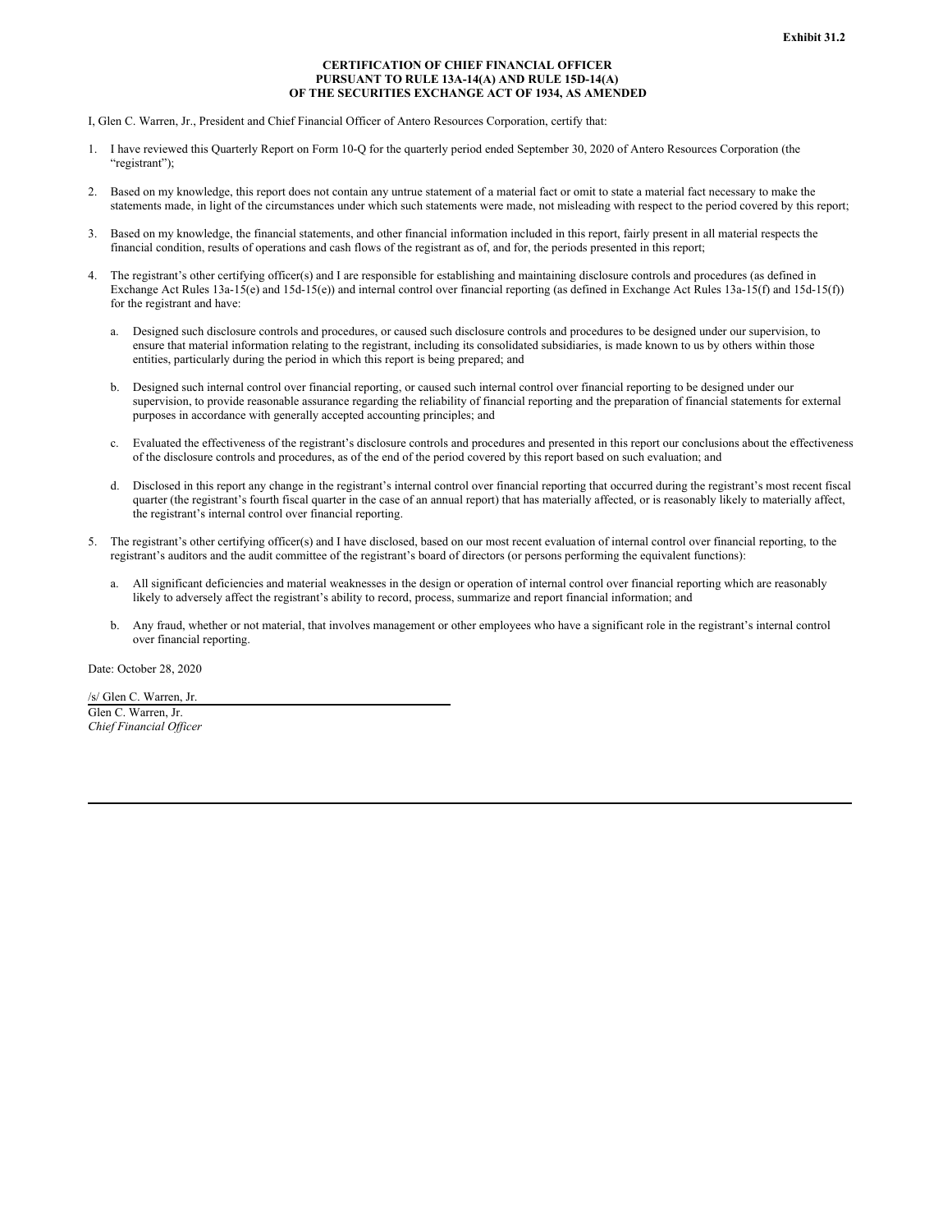#### **CERTIFICATION OF CHIEF FINANCIAL OFFICER PURSUANT TO RULE 13A-14(A) AND RULE 15D-14(A) OF THE SECURITIES EXCHANGE ACT OF 1934, AS AMENDED**

<span id="page-100-0"></span>I, Glen C. Warren, Jr., President and Chief Financial Officer of Antero Resources Corporation, certify that:

- 1. I have reviewed this Quarterly Report on Form 10-Q for the quarterly period ended September 30, 2020 of Antero Resources Corporation (the "registrant");
- 2. Based on my knowledge, this report does not contain any untrue statement of a material fact or omit to state a material fact necessary to make the statements made, in light of the circumstances under which such statements were made, not misleading with respect to the period covered by this report;
- 3. Based on my knowledge, the financial statements, and other financial information included in this report, fairly present in all material respects the financial condition, results of operations and cash flows of the registrant as of, and for, the periods presented in this report;
- 4. The registrant's other certifying officer(s) and I are responsible for establishing and maintaining disclosure controls and procedures (as defined in Exchange Act Rules 13a-15(e) and 15d-15(e)) and internal control over financial reporting (as defined in Exchange Act Rules 13a-15(f) and 15d-15(f)) for the registrant and have:
	- a. Designed such disclosure controls and procedures, or caused such disclosure controls and procedures to be designed under our supervision, to ensure that material information relating to the registrant, including its consolidated subsidiaries, is made known to us by others within those entities, particularly during the period in which this report is being prepared; and
	- b. Designed such internal control over financial reporting, or caused such internal control over financial reporting to be designed under our supervision, to provide reasonable assurance regarding the reliability of financial reporting and the preparation of financial statements for external purposes in accordance with generally accepted accounting principles; and
	- c. Evaluated the effectiveness of the registrant's disclosure controls and procedures and presented in this report our conclusions about the effectiveness of the disclosure controls and procedures, as of the end of the period covered by this report based on such evaluation; and
	- d. Disclosed in this report any change in the registrant's internal control over financial reporting that occurred during the registrant's most recent fiscal quarter (the registrant's fourth fiscal quarter in the case of an annual report) that has materially affected, or is reasonably likely to materially affect, the registrant's internal control over financial reporting.
- 5. The registrant's other certifying officer(s) and I have disclosed, based on our most recent evaluation of internal control over financial reporting, to the registrant's auditors and the audit committee of the registrant's board of directors (or persons performing the equivalent functions):
	- a. All significant deficiencies and material weaknesses in the design or operation of internal control over financial reporting which are reasonably likely to adversely affect the registrant's ability to record, process, summarize and report financial information; and
	- b. Any fraud, whether or not material, that involves management or other employees who have a significant role in the registrant's internal control over financial reporting.

Date: October 28, 2020

/s/ Glen C. Warren, Jr. Glen C. Warren, Jr. *Chief Financial Of icer*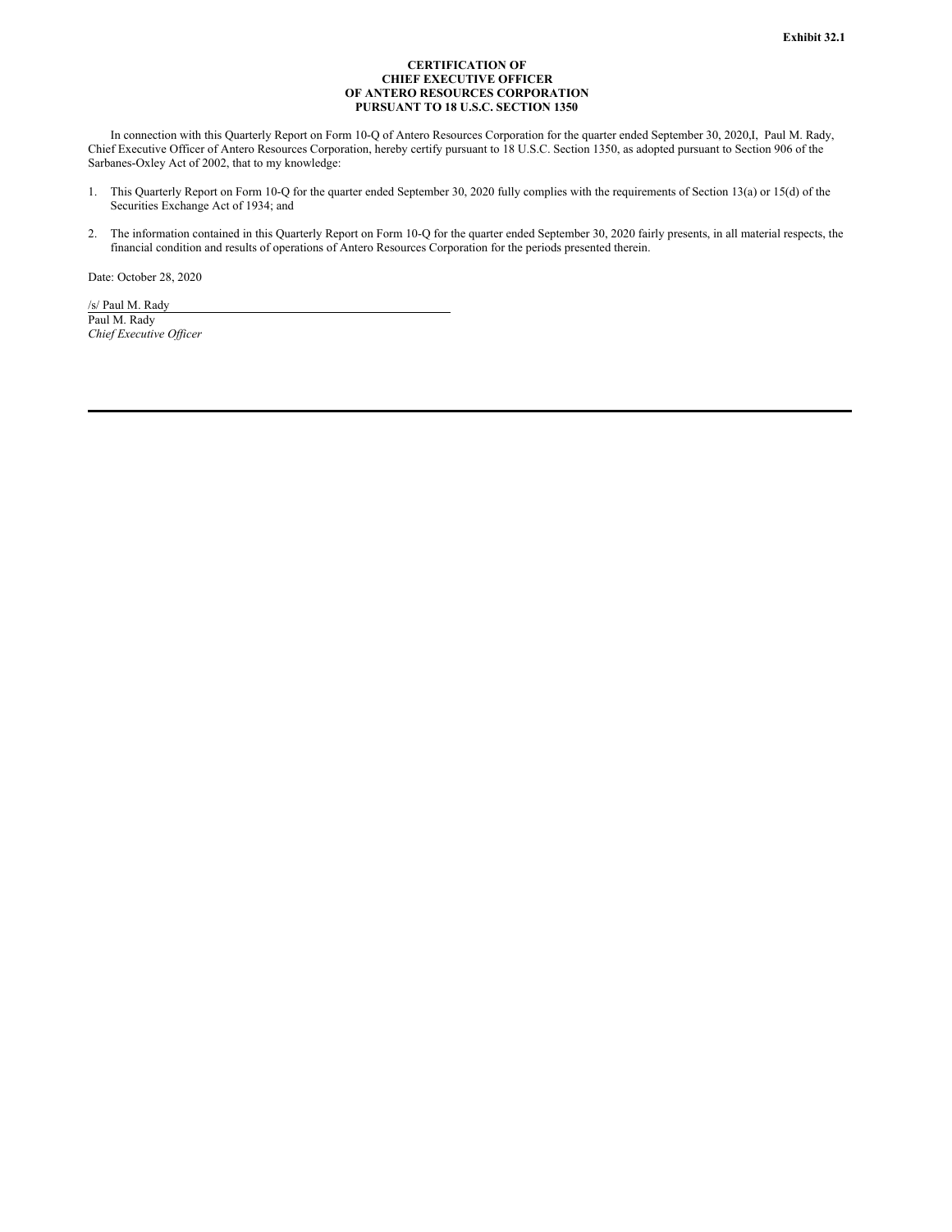#### **CERTIFICATION OF CHIEF EXECUTIVE OFFICER OF ANTERO RESOURCES CORPORATION PURSUANT TO 18 U.S.C. SECTION 1350**

<span id="page-101-0"></span>In connection with this Quarterly Report on Form 10-Q of Antero Resources Corporation for the quarter ended September 30, 2020,I, Paul M. Rady, Chief Executive Officer of Antero Resources Corporation, hereby certify pursuant to 18 U.S.C. Section 1350, as adopted pursuant to Section 906 of the Sarbanes-Oxley Act of 2002, that to my knowledge:

- 1. This Quarterly Report on Form 10-Q for the quarter ended September 30, 2020 fully complies with the requirements of Section 13(a) or 15(d) of the Securities Exchange Act of 1934; and
- 2. The information contained in this Quarterly Report on Form 10-Q for the quarter ended September 30, 2020 fairly presents, in all material respects, the financial condition and results of operations of Antero Resources Corporation for the periods presented therein.

Date: October 28, 2020

/s/ Paul M. Rady Paul M. Rady *Chief Executive Of icer*